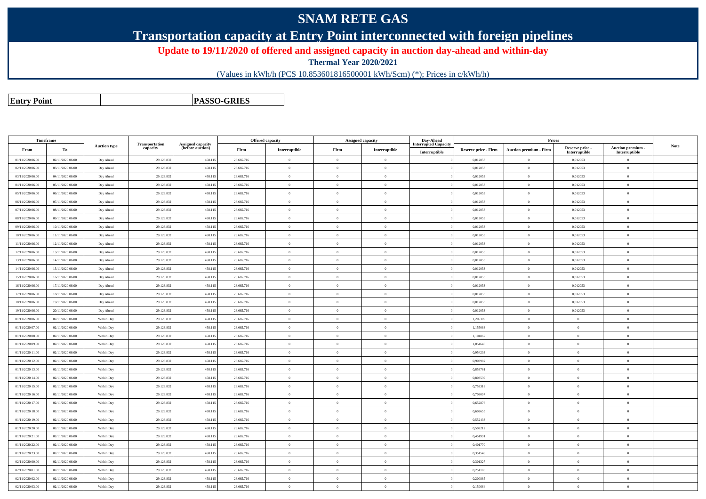## **SNAM RETE GAS**

**Transportation capacity at Entry Point interconnected with foreign pipelines**

**Update to 19/11/2020 of offered and assigned capacity in auction day-ahead and within-day**

**Thermal Year 2020/2021**

(Values in kWh/h (PCS 10.853601816500001 kWh/Scm) (\*); Prices in c/kWh/h)

**Entry Point**

**PASSO-GRIES**

| Timeframe        |                  |                     |                            |                                              |            | <b>Offered capacity</b> |                | <b>Assigned capacity</b> | Day-Ahead                                    |                      | Prices                        |                                  |                                         |      |
|------------------|------------------|---------------------|----------------------------|----------------------------------------------|------------|-------------------------|----------------|--------------------------|----------------------------------------------|----------------------|-------------------------------|----------------------------------|-----------------------------------------|------|
| From             | To               | <b>Auction type</b> | Transportation<br>capacity | <b>Assigned capacity</b><br>(before auction) | Firm       | Interruptible           | Firm           | Interruptible            | <b>Interrupted Capacity</b><br>Interruptible | Reserve price - Firm | <b>Auction premium - Firm</b> | Reserve price -<br>Interruptible | <b>Auction premium</b><br>Interruptible | Note |
| 01/11/2020 06.00 | 02/11/2020 06:00 | Day Ahead           | 29.123.832                 | 458.115                                      | 28.665.716 | $\overline{0}$          | $\Omega$       | $\overline{0}$           |                                              | 0,012053             | $\bf{0}$                      | 0,012053                         | $\theta$                                |      |
| 02/11/2020 06.00 | 03/11/2020 06:00 | Day Ahead           | 29.123.832                 | 458.115                                      | 28.665.716 | $\overline{0}$          | $\overline{0}$ | $\overline{0}$           |                                              | 0,012053             | $\overline{0}$                | 0,012053                         | $\overline{0}$                          |      |
| 03/11/2020 06:00 | 04/11/2020 06.00 | Day Ahead           | 29.123.832                 | 458.115                                      | 28.665.716 | $\overline{0}$          | $\theta$       | $\overline{0}$           |                                              | 0,012053             | $\bf{0}$                      | 0,012053                         | $\theta$                                |      |
| 04/11/2020 06:00 | 05/11/2020 06:00 | Day Ahead           | 29.123.832                 | 458.115                                      | 28.665.716 | $\overline{0}$          | $\theta$       | $\overline{0}$           |                                              | 0,012053             | $\theta$                      | 0,012053                         | $\theta$                                |      |
| 05/11/2020 06.00 | 06/11/2020 06:00 | Day Ahead           | 29.123.832                 | 458.115                                      | 28.665.716 | $\overline{0}$          | $\overline{0}$ | $\overline{0}$           |                                              | 0,012053             | $\bf{0}$                      | 0,012053                         | $\theta$                                |      |
| 06/11/2020 06:00 | 07/11/2020 06:00 | Day Ahead           | 29.123.832                 | 458.115                                      | 28,665,716 | $\overline{0}$          | $\Omega$       | $\overline{0}$           |                                              | 0,012053             | $\mathbf{0}$                  | 0,012053                         | $\overline{0}$                          |      |
| 07/11/2020 06.00 | 08/11/2020 06:00 | Day Ahead           | 29.123.832                 | 458.115                                      | 28.665.716 | $\overline{0}$          | $\Omega$       | $\overline{0}$           |                                              | 0,012053             | $\bf{0}$                      | 0,012053                         | $\theta$                                |      |
| 08/11/2020 06.00 | 09/11/2020 06:00 | Day Ahead           | 29.123.832                 | 458.115                                      | 28.665.716 | $\alpha$                | $\Omega$       | $\theta$                 |                                              | 0,012053             | $\theta$                      | 0,012053                         | $\Omega$                                |      |
| 09/11/2020 06:00 | 10/11/2020 06:00 | Day Ahead           | 29.123.832                 | 458.115                                      | 28.665.716 | $\overline{0}$          | $\theta$       | $\overline{0}$           |                                              | 0,012053             | $\overline{0}$                | 0,012053                         | $\overline{0}$                          |      |
| 10/11/2020 06:00 | 11/11/2020 06:00 | Day Ahead           | 29.123.832                 | 458.115                                      | 28.665.716 | $\bf{0}$                | $\theta$       | $\overline{0}$           |                                              | 0.012053             | $\overline{0}$                | 0,012053                         | $\overline{0}$                          |      |
| 11/11/2020 06.00 | 12/11/2020 06:00 | Day Ahead           | 29.123.832                 | 458.115                                      | 28.665.716 | $\overline{0}$          | $\theta$       | $\overline{0}$           |                                              | 0,012053             | $\theta$                      | 0,012053                         | $\theta$                                |      |
| 12/11/2020 06:00 | 13/11/2020 06:00 | Day Ahead           | 29.123.832                 | 458.115                                      | 28.665.716 | $\overline{0}$          | $\Omega$       | $\overline{0}$           |                                              | 0,012053             | $\Omega$                      | 0,012053                         | $\theta$                                |      |
| 13/11/2020 06:00 | 14/11/2020 06:00 | Day Ahead           | 29.123.832                 | 458,115                                      | 28.665.716 | $\overline{0}$          | $\overline{0}$ | $\theta$                 |                                              | 0.012053             | $\theta$                      | 0.012053                         | $\theta$                                |      |
| 14/11/2020 06:00 | 15/11/2020 06:00 | Day Ahead           | 29.123.832                 | 458,115                                      | 28,665,716 | $\overline{0}$          | $\Omega$       | $\overline{0}$           |                                              | 0.012053             | $\theta$                      | 0.012053                         | $\Omega$                                |      |
| 15/11/2020 06:00 | 16/11/2020 06:00 | Day Ahead           | 29.123.832                 | 458.115                                      | 28.665.716 | $\overline{0}$          | $\Omega$       | $\theta$                 |                                              | 0.012053             | $\theta$                      | 0.012053                         | $\theta$                                |      |
| 16/11/2020 06:00 | 17/11/2020 06:00 | Day Ahead           | 29.123.832                 | 458.115                                      | 28.665.716 | $\theta$                | $\Omega$       | $\overline{0}$           |                                              | 0,012053             | $\theta$                      | 0,012053                         | $\overline{0}$                          |      |
| 17/11/2020 06:00 | 18/11/2020 06:00 | Day Ahead           | 29.123.832                 | 458.115                                      | 28.665.716 | $\bf{0}$                | $\overline{0}$ | $\overline{0}$           |                                              | 0,012053             | $\mathbf{0}$                  | 0,012053                         | $\theta$                                |      |
| 18/11/2020 06:00 | 19/11/2020 06:00 | Day Ahead           | 29.123.832                 | 458.115                                      | 28.665.716 | $\bf{0}$                | $\overline{0}$ | $\overline{0}$           |                                              | 0,012053             | $\bf{0}$                      | 0,012053                         | $\theta$                                |      |
| 19/11/2020 06:00 | 20/11/2020 06:00 | Day Ahead           | 29.123.832                 | 458.115                                      | 28.665.716 | $\overline{0}$          | $\overline{0}$ | $\overline{0}$           |                                              | 0,012053             | $\bf{0}$                      | 0,012053                         | $\theta$                                |      |
| 01/11/2020 06:00 | 02/11/2020 06:00 | Within Day          | 29.123.832                 | 458.115                                      | 28.665.716 | $\theta$                | $\Omega$       | $\overline{0}$           |                                              | 1,205309             | $\bf{0}$                      |                                  | $\theta$                                |      |
| 01/11/2020 07:00 | 02/11/2020 06:00 | Within Day          | 29.123.832                 | 458.115                                      | 28.665.716 | $\overline{0}$          | $\Omega$       | $\overline{0}$           |                                              | 1,155088             | $\mathbf{0}$                  | $\theta$                         | $\theta$                                |      |
| 01/11/2020 08:00 | 02/11/2020 06:00 | Within Day          | 29.123.832                 | 458.115                                      | 28.665.716 | $\overline{0}$          | $\overline{0}$ | $\overline{0}$           |                                              | 1,104867             | $\bf{0}$                      | $\theta$                         | $\theta$                                |      |
| 01/11/2020 09:00 | 02/11/2020 06:00 | Within Day          | 29.123.832                 | 458.115                                      | 28.665.716 | $\bf{0}$                | $\Omega$       | $\overline{0}$           |                                              | 1,054645             | $\bf{0}$                      | $\Omega$                         | $\theta$                                |      |
| 01/11/2020 11:00 | 02/11/2020 06:00 | Within Day          | 29.123.832                 | 458.115                                      | 28.665.716 | $\bf{0}$                | $\overline{0}$ | $\,$ 0                   |                                              | 0,954203             | $\bf{0}$                      | $\theta$                         | $\theta$                                |      |
| 01/11/2020 12.00 | 02/11/2020 06:00 | Within Day          | 29.123.832                 | 458.115                                      | 28.665.716 | $\overline{0}$          | $\overline{0}$ | $\overline{0}$           |                                              | 0,903982             | $\bf{0}$                      | $\theta$                         | $\overline{0}$                          |      |
| 01/11/2020 13:00 | 02/11/2020 06:00 | Within Day          | 29.123.832                 | 458.115                                      | 28.665.716 | $\overline{0}$          | $\overline{0}$ | $\overline{0}$           |                                              | 0,853761             | $\bf{0}$                      | $\theta$                         | $\theta$                                |      |
| 01/11/2020 14.00 | 02/11/2020 06:00 | Within Day          | 29.123.832                 | 458.115                                      | 28.665.716 | $\overline{0}$          | $\Omega$       | $\overline{0}$           |                                              | 0,803539             | $\bf{0}$                      | $\theta$                         | $\theta$                                |      |
| 01/11/2020 15:00 | 02/11/2020 06:00 | Within Day          | 29.123.832                 | 458.115                                      | 28.665.716 | $\overline{0}$          | $\theta$       | $\theta$                 |                                              | 0,753318             | $\bf{0}$                      | $\Omega$                         | $\overline{0}$                          |      |
| 01/11/2020 16.00 | 02/11/2020 06:00 | Within Day          | 29.123.832                 | 458.115                                      | 28.665.716 | $\overline{0}$          | $\Omega$       | $\overline{0}$           |                                              | 0,703097             | $\,0\,$                       | $\Omega$                         | $\,$ 0 $\,$                             |      |
| 01/11/2020 17.00 | 02/11/2020 06.00 | Within Day          | 29.123.832                 | 458.115                                      | 28.665.716 | $\overline{0}$          | $\overline{0}$ | $\bf{0}$                 |                                              | 0,652876             | $\bf{0}$                      | $\theta$                         | $\theta$                                |      |
| 01/11/2020 18:00 | 02/11/2020 06:00 | Within Day          | 29.123.832                 | 458.115                                      | 28.665.716 | $\overline{0}$          | $\Omega$       | $\overline{0}$           |                                              | 0,602655             | $\theta$                      | $\theta$                         | $\theta$                                |      |
| 01/11/2020 19:00 | 02/11/2020 06:00 | Within Day          | 29.123.832                 | 458.115                                      | 28.665.716 | $\overline{0}$          | $\sqrt{2}$     | $\theta$                 |                                              | 0,552433             | $\theta$                      | $\theta$                         | $\Omega$                                |      |
| 01/11/2020 20:00 | 02/11/2020 06:00 | Within Day          | 29.123.832                 | 458.115                                      | 28.665.716 | $\overline{0}$          | $\Omega$       | $\overline{0}$           |                                              | 0,502212             | $\bf{0}$                      | $\theta$                         | $\overline{0}$                          |      |
| 01/11/2020 21:00 | 02/11/2020 06:00 | Within Day          | 29.123.832                 | 458.115                                      | 28.665.716 | $\overline{0}$          | $\Omega$       | $\theta$                 |                                              | 0.451991             | $\theta$                      | $\theta$                         | $\theta$                                |      |
| 01/11/2020 22.00 | 02/11/2020 06:00 | Within Day          | 29.123.832                 | 458.115                                      | 28.665.716 | $\theta$                | $\Omega$       | $\Omega$                 |                                              | 0.401770             | $\theta$                      | $\theta$                         | $\theta$                                |      |
| 01/11/2020 23:00 | 02/11/2020 06:00 | Within Day          | 29.123.832                 | 458.115                                      | 28.665.716 | $\bf{0}$                | $\theta$       | $\overline{0}$           |                                              | 0,351548             | $\mathbf{0}$                  | $\theta$                         | $\overline{0}$                          |      |
| 02/11/2020 00:00 | 02/11/2020 06:00 | Within Day          | 29.123.832                 | 458.115                                      | 28.665.716 | $\bf{0}$                | $\Omega$       | $\overline{0}$           |                                              | 0,301327             | $\bf{0}$                      | $\theta$                         | $\theta$                                |      |
| 02/11/2020 01:00 | 02/11/2020 06:00 | Within Day          | 29.123.832                 | 458,115                                      | 28.665.716 | $\overline{0}$          | $\theta$       | $\overline{0}$           |                                              | 0.251106             | $\theta$                      | $\theta$                         | $\Omega$                                |      |
| 02/11/2020 02:00 | 02/11/2020 06:00 | Within Day          | 29.123.832                 | 458,115                                      | 28.665.716 | $\theta$                | $\Omega$       | $\Omega$                 |                                              | 0.200885             | $\theta$                      | $\theta$                         | $\theta$                                |      |
| 02/11/2020 03:00 | 02/11/2020 06:00 | Within Day          | 29.123.832                 | 458.115                                      | 28.665.716 | $\overline{0}$          | $\Omega$       | $\overline{0}$           |                                              | 0,150664             | $\mathbf{0}$                  | $\theta$                         | $\overline{0}$                          |      |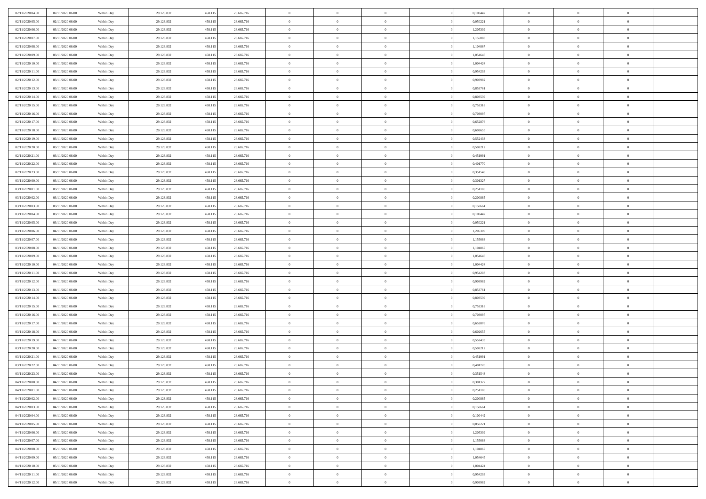| 02/11/2020 04:00                     | 02/11/2020 06:00                     | Within Day               | 29.123.832               | 458.115            | 28.665.716               | $\,$ 0 $\,$                | $\overline{0}$                | $\overline{0}$                   | 0,100442             | $\bf{0}$                 | $\overline{0}$                   | $\,0\,$                          |  |
|--------------------------------------|--------------------------------------|--------------------------|--------------------------|--------------------|--------------------------|----------------------------|-------------------------------|----------------------------------|----------------------|--------------------------|----------------------------------|----------------------------------|--|
| 02/11/2020 05.00                     | 02/11/2020 06:00                     | Within Day               | 29.123.832               | 458.115            | 28.665.716               | $\theta$                   | $\overline{0}$                | $\mathbf{0}$                     | 0,050221             | $\theta$                 | $\overline{0}$                   | $\theta$                         |  |
| 02/11/2020 06:00                     | 03/11/2020 06:00                     | Within Day               | 29.123.832               | 458.115            | 28.665.716               | $\theta$                   | $\overline{0}$                | $\overline{0}$                   | 1,205309             | $\mathbf{0}$             | $\overline{0}$                   | $\overline{0}$                   |  |
| 02/11/2020 07.00                     | 03/11/2020 06.00                     | Within Day               | 29.123.832               | 458.115            | 28.665.716               | $\,$ 0 $\,$                | $\overline{0}$                | $\overline{0}$                   | 1,155088             | $\bf{0}$                 | $\overline{0}$                   | $\bf{0}$                         |  |
| 02/11/2020 08:00                     | 03/11/2020 06:00                     | Within Day               | 29.123.832               | 458.115            | 28.665.716               | $\,$ 0                     | $\overline{0}$                | $\mathbf{0}$                     | 1,104867             | $\bf{0}$                 | $\bf{0}$                         | $\,0\,$                          |  |
| 02/11/2020 09:00                     | 03/11/2020 06:00                     | Within Day               | 29.123.832               | 458.115            | 28.665.716               | $\theta$                   | $\overline{0}$                | $\mathbf{0}$                     | 1,054645             | $\mathbf{0}$             | $\overline{0}$                   | $\overline{0}$                   |  |
| 02/11/2020 10:00                     | 03/11/2020 06.00                     | Within Day               | 29.123.832               | 458.115            | 28.665.716               | $\,$ 0 $\,$                | $\overline{0}$                | $\overline{0}$                   | 1,004424             | $\bf{0}$                 | $\overline{0}$                   | $\bf{0}$                         |  |
| 02/11/2020 11:00                     | 03/11/2020 06.00                     | Within Day               | 29.123.832               | 458.115            | 28.665.716               | $\,$ 0                     | $\overline{0}$                | $\mathbf{0}$                     | 0,954203             | $\,$ 0 $\,$              | $\overline{0}$                   | $\theta$                         |  |
| 02/11/2020 12:00                     | 03/11/2020 06:00                     | Within Day               | 29.123.832               | 458.115            | 28.665.716               | $\theta$                   | $\overline{0}$                | $\overline{0}$                   | 0,903982             | $\mathbf{0}$             | $\overline{0}$                   | $\overline{0}$                   |  |
| 02/11/2020 13:00                     | 03/11/2020 06.00                     | Within Day               | 29.123.832               | 458.115            | 28.665.716               | $\,$ 0 $\,$                | $\overline{0}$                | $\Omega$                         | 0,853761             | $\bf{0}$                 | $\overline{0}$                   | $\bf{0}$                         |  |
| 02/11/2020 14:00                     | 03/11/2020 06.00                     | Within Day               | 29.123.832               | 458.115            | 28.665.716               | $\bf{0}$                   | $\overline{0}$                | $\mathbf{0}$                     | 0.803539             | $\bf{0}$                 | $\mathbf{0}$                     | $\theta$                         |  |
| 02/11/2020 15:00                     | 03/11/2020 06:00                     | Within Day               | 29.123.832               | 458.115            | 28.665.716               | $\theta$                   | $\overline{0}$                | $\overline{0}$                   | 0,753318             | $\mathbf{0}$             | $\overline{0}$                   | $\overline{0}$                   |  |
| 02/11/2020 16:00                     | 03/11/2020 06.00                     | Within Day               | 29.123.832               | 458.115            | 28.665.716               | $\,$ 0 $\,$                | $\overline{0}$                | $\overline{0}$                   | 0,703097             | $\bf{0}$                 | $\overline{0}$                   | $\bf{0}$                         |  |
| 02/11/2020 17:00                     | 03/11/2020 06:00                     | Within Day               | 29.123.832               | 458.115            | 28.665.716               | $\,$ 0                     | $\overline{0}$                | $\mathbf{0}$                     | 0,652876             | $\bf{0}$                 | $\theta$                         | $\,0\,$                          |  |
| 02/11/2020 18:00                     | 03/11/2020 06:00                     | Within Day               | 29.123.832               | 458.115            | 28.665.716               | $\theta$                   | $\overline{0}$                | $\mathbf{0}$                     | 0,602655             | $\mathbf{0}$             | $\overline{0}$                   | $\overline{0}$                   |  |
| 02/11/2020 19:00                     | 03/11/2020 06.00                     | Within Day               | 29.123.832               | 458.115            | 28.665.716               | $\,$ 0 $\,$                | $\overline{0}$                | $\overline{0}$                   | 0,552433             | $\bf{0}$                 | $\overline{0}$                   | $\bf{0}$                         |  |
| 02/11/2020 20:00                     | 03/11/2020 06.00                     | Within Day               | 29.123.832               | 458.115            | 28.665.716               | $\,$ 0 $\,$                | $\overline{0}$                | $\mathbf{0}$                     | 0,502212             | $\bf{0}$                 | $\overline{0}$                   | $\theta$                         |  |
| 02/11/2020 21:00                     | 03/11/2020 06:00                     | Within Day               | 29.123.832               | 458.115            | 28.665.716               | $\theta$                   | $\overline{0}$                | $\mathbf{0}$                     | 0,451991             | $\mathbf{0}$             | $\overline{0}$                   | $\overline{0}$                   |  |
| 02/11/2020 22.00                     | 03/11/2020 06.00                     | Within Day               | 29.123.832               | 458.115            | 28.665.716               | $\,$ 0 $\,$                | $\overline{0}$                | $\Omega$                         | 0,401770             | $\bf{0}$                 | $\overline{0}$                   | $\bf{0}$                         |  |
| 02/11/2020 23.00                     | 03/11/2020 06.00                     | Within Day               | 29.123.832               | 458.115            | 28.665.716               | $\bf{0}$                   | $\overline{0}$                | $\mathbf{0}$                     | 0,351548             | $\bf{0}$                 | $\mathbf{0}$                     | $\theta$                         |  |
| 03/11/2020 00:00                     | 03/11/2020 06:00                     | Within Day               | 29.123.832               | 458.115            | 28.665.716               | $\theta$                   | $\overline{0}$                | $\mathbf{0}$                     | 0,301327             | $\mathbf{0}$             | $\overline{0}$                   | $\overline{0}$                   |  |
| 03/11/2020 01:00                     | 03/11/2020 06.00                     | Within Day               | 29.123.832               | 458.115            | 28.665.716               | $\,$ 0 $\,$                | $\overline{0}$                | $\overline{0}$                   | 0,251106             | $\bf{0}$                 | $\overline{0}$                   | $\bf{0}$                         |  |
| 03/11/2020 02.00                     | 03/11/2020 06:00                     | Within Day               | 29.123.832               | 458.115            | 28.665.716               | $\,$ 0                     | $\overline{0}$                | $\mathbf{0}$                     | 0,200885             | $\,$ 0 $\,$              | $\overline{0}$                   | $\,0\,$                          |  |
| 03/11/2020 03:00                     | 03/11/2020 06:00                     | Within Day               | 29.123.832               | 458.115            | 28.665.716               | $\theta$                   | $\overline{0}$                | $\mathbf{0}$                     | 0,150664             | $\mathbf{0}$             | $\overline{0}$                   | $\overline{0}$                   |  |
| 03/11/2020 04:00                     | 03/11/2020 06.00                     | Within Day               | 29.123.832               | 458.115            | 28.665.716               | $\,$ 0 $\,$                | $\overline{0}$                | $\overline{0}$                   | 0,100442             | $\bf{0}$                 | $\overline{0}$                   | $\bf{0}$                         |  |
| 03/11/2020 05:00                     | 03/11/2020 06.00                     | Within Day               | 29.123.832               | 458.115            | 28.665.716               | $\,$ 0                     | $\overline{0}$                | $\mathbf{0}$                     | 0,050221             | $\mathbf{0}$             | $\overline{0}$                   | $\theta$                         |  |
| 03/11/2020 06:00                     | 04/11/2020 06:00                     | Within Day               | 29.123.832               | 458.115            | 28.665.716               | $\theta$                   | $\overline{0}$                | $\overline{0}$                   | 1,205309             | $\mathbf{0}$             | $\overline{0}$                   | $\overline{0}$                   |  |
| 03/11/2020 07:00                     | 04/11/2020 06.00                     | Within Day               | 29.123.832               | 458.115            | 28.665.716               | $\,$ 0 $\,$                | $\overline{0}$                | $\Omega$                         | 1,155088             | $\bf{0}$                 | $\overline{0}$                   | $\bf{0}$                         |  |
| 03/11/2020 08:00                     | 04/11/2020 06.00                     | Within Day               | 29.123.832               | 458.115            | 28.665.716               | $\bf{0}$                   | $\overline{0}$                | $\mathbf{0}$                     | 1,104867             | $\bf{0}$                 | $\mathbf{0}$                     | $\overline{0}$                   |  |
| 03/11/2020 09:00                     | 04/11/2020 06:00                     | Within Day               | 29.123.832               | 458.115            | 28.665.716               | $\theta$                   | $\overline{0}$                | $\overline{0}$                   | 1,054645             | $\mathbf{0}$             | $\overline{0}$                   | $\overline{0}$                   |  |
| 03/11/2020 10:00                     | 04/11/2020 06:00                     | Within Day               | 29.123.832               | 458.115            | 28.665.716               | $\,$ 0 $\,$                | $\overline{0}$                | $\overline{0}$                   | 1,004424             | $\,$ 0                   | $\overline{0}$                   | $\,$ 0 $\,$                      |  |
| 03/11/2020 11:00                     | 04/11/2020 06:00                     | Within Day               | 29.123.832               | 458.115            | 28.665.716               | $\,$ 0                     | $\overline{0}$                | $\mathbf{0}$                     | 0,954203             | $\bf{0}$                 | $\overline{0}$                   | $\overline{0}$                   |  |
| 03/11/2020 12:00                     | 04/11/2020 06:00                     | Within Day               | 29.123.832               | 458.115            | 28.665.716               | $\theta$                   | $\overline{0}$                | $\mathbf{0}$                     | 0,903982             | $\mathbf{0}$             | $\overline{0}$                   | $\overline{0}$                   |  |
| 03/11/2020 13:00                     | 04/11/2020 06:00                     | Within Day               | 29.123.832               | 458.115            | 28.665.716               | $\theta$                   | $\overline{0}$                | $\overline{0}$                   | 0,853761             | $\,$ 0                   | $\overline{0}$                   | $\theta$                         |  |
| 03/11/2020 14:00                     | 04/11/2020 06.00                     | Within Day               | 29.123.832               | 458.115            | 28.665.716               | $\,$ 0 $\,$                | $\overline{0}$                | $\mathbf{0}$                     | 0.803539             | $\mathbf{0}$             | $\overline{0}$                   | $\overline{0}$                   |  |
| 03/11/2020 15:00                     | 04/11/2020 06:00                     | Within Day               | 29.123.832               | 458.115            | 28.665.716               | $\theta$                   | $\overline{0}$                | $\mathbf{0}$                     | 0,753318             | $\mathbf{0}$             | $\overline{0}$                   | $\overline{0}$                   |  |
| 03/11/2020 16:00                     | 04/11/2020 06:00                     | Within Day               | 29.123.832               | 458.115            | 28.665.716               | $\theta$                   | $\overline{0}$                | $\overline{0}$                   | 0,703097             | $\,$ 0                   | $\overline{0}$                   | $\theta$                         |  |
| 03/11/2020 17.00                     | 04/11/2020 06.00<br>04/11/2020 06:00 | Within Day               | 29.123.832               | 458.115            | 28.665.716               | $\bf{0}$<br>$\theta$       | $\overline{0}$                | $\mathbf{0}$                     | 0,652876             | $\bf{0}$<br>$\mathbf{0}$ | $\mathbf{0}$                     | $\overline{0}$<br>$\overline{0}$ |  |
| 03/11/2020 18:00                     |                                      | Within Day               | 29.123.832               | 458.115            | 28.665.716               |                            | $\overline{0}$                | $\overline{0}$                   | 0,602655             |                          | $\overline{0}$                   |                                  |  |
| 03/11/2020 19:00<br>03/11/2020 20:00 | 04/11/2020 06:00<br>04/11/2020 06:00 | Within Day               | 29.123.832<br>29.123.832 | 458.115<br>458.115 | 28.665.716<br>28.665.716 | $\,$ 0 $\,$<br>$\,$ 0 $\,$ | $\overline{0}$<br>$\,$ 0 $\,$ | $\overline{0}$<br>$\overline{0}$ | 0,552433<br>0,502212 | $\,$ 0<br>$\,$ 0 $\,$    | $\overline{0}$<br>$\overline{0}$ | $\,$ 0 $\,$<br>$\overline{0}$    |  |
| 03/11/2020 21:00                     | 04/11/2020 06:00                     | Within Day<br>Within Day | 29.123.832               | 458.115            | 28.665.716               | $\theta$                   | $\overline{0}$                | $\mathbf{0}$                     | 0,451991             | $\mathbf{0}$             | $\overline{0}$                   | $\overline{0}$                   |  |
| 03/11/2020 22.00                     | 04/11/2020 06.00                     | Within Day               | 29.123.832               | 458.115            | 28.665.716               | $\theta$                   | $\overline{0}$                | $\overline{0}$                   | 0,401770             | $\,$ 0                   | $\overline{0}$                   | $\theta$                         |  |
| 03/11/2020 23.00                     | 04/11/2020 06.00                     | Within Day               | 29.123.832               | 458.115            | 28.665.716               | $\bf{0}$                   | $\,$ 0 $\,$                   | $\mathbf{0}$                     | 0,351548             | $\bf{0}$                 | $\overline{0}$                   | $\overline{0}$                   |  |
| 04/11/2020 00:00                     | 04/11/2020 06:00                     | Within Day               | 29.123.832               | 458.115            | 28.665.716               | $\overline{0}$             | $\theta$                      |                                  | 0,301327             | $\overline{0}$           | $\theta$                         | $\theta$                         |  |
| 04/11/2020 01:00                     | 04/11/2020 06:00                     | Within Day               | 29.123.832               | 458.115            | 28.665.716               | $\,$ 0 $\,$                | $\overline{0}$                | $\overline{0}$                   | 0,251106             | $\,$ 0 $\,$              | $\bf{0}$                         | $\theta$                         |  |
| 04/11/2020 02:00                     | 04/11/2020 06.00                     | Within Day               | 29.123.832               | 458.115            | 28.665.716               | $\bf{0}$                   | $\,$ 0 $\,$                   | $\overline{0}$                   | 0,200885             | $\,$ 0 $\,$              | $\overline{0}$                   | $\overline{0}$                   |  |
| 04/11/2020 03:00                     | 04/11/2020 06:00                     | Within Day               | 29.123.832               | 458.115            | 28.665.716               | $\mathbf{0}$               | $\overline{0}$                | $\overline{0}$                   | 0,150664             | $\,$ 0 $\,$              | $\bf{0}$                         | $\mathbf{0}$                     |  |
| 04/11/2020 04:00                     | 04/11/2020 06:00                     | Within Day               | 29.123.832               | 458.115            | 28.665.716               | $\,$ 0 $\,$                | $\overline{0}$                | $\overline{0}$                   | 0,100442             | $\,$ 0 $\,$              | $\bf{0}$                         | $\,$ 0 $\,$                      |  |
| 04/11/2020 05:00                     | 04/11/2020 06.00                     | Within Day               | 29.123.832               | 458.115            | 28.665.716               | $\,$ 0 $\,$                | $\,$ 0 $\,$                   | $\overline{0}$                   | 0,050221             | $\,$ 0 $\,$              | $\overline{0}$                   | $\overline{0}$                   |  |
| 04/11/2020 06:00                     | 05/11/2020 06:00                     | Within Day               | 29.123.832               | 458.115            | 28.665.716               | $\mathbf{0}$               | $\overline{0}$                | $\overline{0}$                   | 1,205309             | $\mathbf{0}$             | $\overline{0}$                   | $\mathbf{0}$                     |  |
| 04/11/2020 07:00                     | 05/11/2020 06:00                     | Within Day               | 29.123.832               | 458.115            | 28.665.716               | $\,$ 0 $\,$                | $\overline{0}$                | $\overline{0}$                   | 1,155088             | $\,$ 0 $\,$              | $\overline{0}$                   | $\,$ 0 $\,$                      |  |
| 04/11/2020 08:00                     | 05/11/2020 06.00                     | Within Day               | 29.123.832               | 458.115            | 28.665.716               | $\bf{0}$                   | $\overline{0}$                | $\overline{0}$                   | 1,104867             | $\,$ 0 $\,$              | $\overline{0}$                   | $\overline{0}$                   |  |
| 04/11/2020 09:00                     | 05/11/2020 06:00                     | Within Day               | 29.123.832               | 458.115            | 28.665.716               | $\mathbf{0}$               | $\overline{0}$                | $\overline{0}$                   | 1,054645             | $\mathbf{0}$             | $\bf{0}$                         | $\mathbf{0}$                     |  |
| 04/11/2020 10:00                     | 05/11/2020 06:00                     | Within Day               | 29.123.832               | 458.115            | 28.665.716               | $\,$ 0 $\,$                | $\overline{0}$                | $\overline{0}$                   | 1,004424             | $\,$ 0 $\,$              | $\mathbf{0}$                     | $\,$ 0 $\,$                      |  |
| 04/11/2020 11:00                     | 05/11/2020 06.00                     | Within Day               | 29.123.832               | 458.115            | 28.665.716               | $\,$ 0 $\,$                | $\,$ 0 $\,$                   | $\overline{0}$                   | 0,954203             | $\,$ 0 $\,$              | $\overline{0}$                   | $\overline{0}$                   |  |
| 04/11/2020 12:00                     | 05/11/2020 06:00                     | Within Day               | 29.123.832               | 458.115            | 28.665.716               | $\theta$                   | $\overline{0}$                | $\overline{0}$                   | 0,903982             | $\mathbf{0}$             | $\overline{0}$                   | $\overline{0}$                   |  |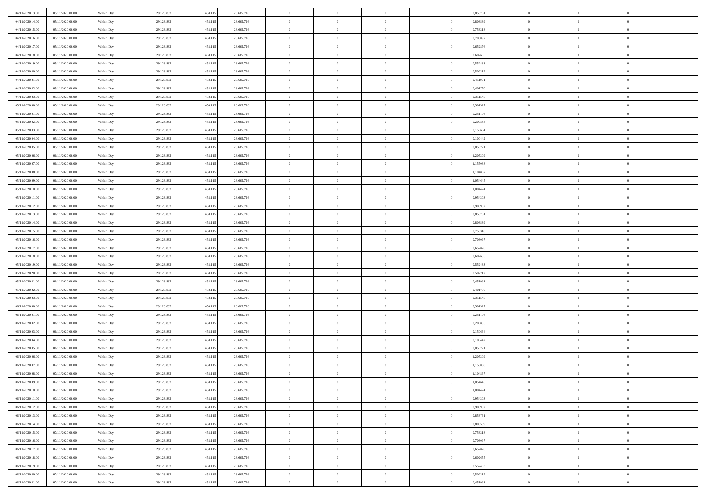| 04/11/2020 13:00                     | 05/11/2020 06:00                     | Within Day               | 29.123.832               | 458.115            | 28.665.716               | $\,$ 0                   | $\bf{0}$                   | $\theta$                         |                | 0,853761             | $\bf{0}$             | $\overline{0}$                   | $\theta$             |  |
|--------------------------------------|--------------------------------------|--------------------------|--------------------------|--------------------|--------------------------|--------------------------|----------------------------|----------------------------------|----------------|----------------------|----------------------|----------------------------------|----------------------|--|
| 04/11/2020 14.00                     | 05/11/2020 06.00                     | Within Day               | 29.123.832               | 458.115            | 28.665.716               | $\overline{0}$           | $\overline{0}$             | $\overline{0}$                   |                | 0.803539             | $\theta$             | $\theta$                         | $\overline{0}$       |  |
| 04/11/2020 15:00                     | 05/11/2020 06:00                     | Within Day               | 29.123.832               | 458.115            | 28.665.716               | $\mathbf{0}$             | $\overline{0}$             | $\overline{0}$                   |                | 0,753318             | $\theta$             | $\overline{0}$                   | $\theta$             |  |
| 04/11/2020 16:00                     | 05/11/2020 06.00                     | Within Day               | 29.123.832               | 458.115            | 28.665.716               | $\bf{0}$                 | $\overline{0}$             | $\bf{0}$                         |                | 0,703097             | $\bf{0}$             | $\overline{0}$                   | $\bf{0}$             |  |
| 04/11/2020 17.00                     | 05/11/2020 06:00                     | Within Day               | 29.123.832               | 458.115            | 28.665.716               | $\bf{0}$                 | $\bf{0}$                   | $\overline{0}$                   |                | 0,652876             | $\bf{0}$             | $\overline{0}$                   | $\bf{0}$             |  |
| 04/11/2020 18:00                     | 05/11/2020 06:00                     | Within Day               | 29.123.832               | 458.115            | 28.665.716               | $\mathbf{0}$             | $\overline{0}$             | $\overline{0}$                   |                | 0,602655             | $\theta$             | $\overline{0}$                   | $\theta$             |  |
| 04/11/2020 19:00                     | 05/11/2020 06:00                     | Within Day               | 29.123.832               | 458.115            | 28.665.716               | $\bf{0}$                 | $\bf{0}$                   | $\overline{0}$                   |                | 0,552433             | $\bf{0}$             | $\overline{0}$                   | $\theta$             |  |
| 04/11/2020 20:00                     | 05/11/2020 06.00                     | Within Day               | 29.123.832               | 458.115            | 28.665.716               | $\bf{0}$                 | $\overline{0}$             | $\overline{0}$                   |                | 0,502212             | $\,$ 0 $\,$          | $\overline{0}$                   | $\overline{0}$       |  |
| 04/11/2020 21:00                     | 05/11/2020 06:00                     | Within Day               | 29.123.832               | 458.115            | 28.665.716               | $\mathbf{0}$             | $\overline{0}$             | $\overline{0}$                   |                | 0,451991             | $\theta$             | $\overline{0}$                   | $\theta$             |  |
| 04/11/2020 22.00                     | 05/11/2020 06.00                     | Within Day               | 29.123.832               | 458.115            | 28.665.716               | $\bf{0}$                 | $\bf{0}$                   | $\overline{0}$                   |                | 0,401770             | $\bf{0}$             | $\overline{0}$                   | $\theta$             |  |
| 04/11/2020 23.00                     | 05/11/2020 06.00                     | Within Day               | 29.123.832               | 458.115            | 28.665.716               | $\bf{0}$                 | $\overline{0}$             | $\overline{0}$                   |                | 0,351548             | $\bf{0}$             | $\theta$                         | $\overline{0}$       |  |
| 05/11/2020 00:00                     | 05/11/2020 06:00                     | Within Day               | 29.123.832               | 458.115            | 28.665.716               | $\mathbf{0}$             | $\overline{0}$             | $\overline{0}$                   |                | 0,301327             | $\theta$             | $\overline{0}$                   | $\theta$             |  |
| 05/11/2020 01:00                     | 05/11/2020 06:00                     | Within Day               | 29.123.832               | 458.115            | 28.665.716               | $\bf{0}$                 | $\overline{0}$             | $\bf{0}$                         |                | 0,251106             | $\bf{0}$             | $\overline{0}$                   | $\bf{0}$             |  |
| 05/11/2020 02.00                     | 05/11/2020 06:00                     | Within Day               | 29.123.832               | 458.115            | 28.665.716               | $\bf{0}$                 | $\overline{0}$             | $\overline{0}$                   |                | 0,200885             | $\bf{0}$             | $\Omega$                         | $\bf{0}$             |  |
| 05/11/2020 03:00                     | 05/11/2020 06:00                     | Within Day               | 29.123.832               | 458.115            | 28.665.716               | $\overline{0}$           | $\overline{0}$             | $\overline{0}$                   |                | 0,150664             | $\theta$             | $\overline{0}$                   | $\theta$             |  |
| 05/11/2020 04:00                     | 05/11/2020 06.00                     | Within Day               | 29.123.832               | 458.115            | 28.665.716               | $\bf{0}$                 | $\bf{0}$                   | $\overline{0}$                   |                | 0,100442             | $\bf{0}$             | $\overline{0}$                   | $\theta$             |  |
| 05/11/2020 05:00                     | 05/11/2020 06.00                     | Within Day               | 29.123.832               | 458.115            | 28.665.716               | $\bf{0}$                 | $\overline{0}$             | $\overline{0}$                   |                | 0,050221             | $\,$ 0 $\,$          | $\overline{0}$                   | $\overline{0}$       |  |
| 05/11/2020 06:00                     | 06/11/2020 06:00                     | Within Day               | 29.123.832               | 458.115            | 28.665.716               | $\mathbf{0}$             | $\overline{0}$             | $\overline{0}$                   |                | 1,205309             | $\theta$             | $\overline{0}$                   | $\theta$             |  |
| 05/11/2020 07.00                     | 06/11/2020 06.00                     | Within Day               | 29.123.832               | 458.115            | 28.665.716               | $\bf{0}$                 | $\bf{0}$                   | $\overline{0}$                   |                | 1,155088             | $\bf{0}$             | $\overline{0}$                   | $\theta$             |  |
| 05/11/2020 08:00                     | 06/11/2020 06.00                     | Within Day               | 29.123.832               | 458.115            | 28.665.716               | $\bf{0}$                 | $\overline{0}$             | $\overline{0}$                   |                | 1,104867             | $\bf{0}$             | $\theta$                         | $\bf{0}$             |  |
| 05/11/2020 09:00                     | 06/11/2020 06:00                     | Within Day               | 29.123.832               | 458.115            | 28.665.716               | $\mathbf{0}$             | $\overline{0}$             | $\overline{0}$                   |                | 1,054645             | $\theta$             | $\overline{0}$                   | $\theta$             |  |
| 05/11/2020 10:00                     | 06/11/2020 06:00                     | Within Day               | 29.123.832               | 458.115            | 28.665.716               | $\bf{0}$                 | $\bf{0}$                   | $\bf{0}$                         |                | 1,004424             | $\bf{0}$             | $\overline{0}$                   | $\bf{0}$             |  |
| 05/11/2020 11:00                     | 06/11/2020 06:00                     | Within Day               | 29.123.832               | 458.115            | 28.665.716               | $\bf{0}$                 | $\bf{0}$                   | $\overline{0}$                   |                | 0,954203             | $\bf{0}$             | $\overline{0}$                   | $\bf{0}$             |  |
| 05/11/2020 12:00                     | 06/11/2020 06:00                     | Within Day               | 29.123.832               | 458.115            | 28.665.716               | $\mathbf{0}$             | $\overline{0}$             | $\overline{0}$                   |                | 0,903982             | $\theta$             | $\overline{0}$                   | $\theta$             |  |
| 05/11/2020 13:00                     | 06/11/2020 06:00                     | Within Day               | 29.123.832               | 458.115            | 28.665.716               | $\bf{0}$                 | $\bf{0}$                   | $\overline{0}$                   |                | 0,853761             | $\bf{0}$             | $\overline{0}$                   | $\theta$             |  |
| 05/11/2020 14:00                     | 06/11/2020 06:00                     | Within Day               | 29.123.832               | 458.115            | 28.665.716               | $\bf{0}$                 | $\overline{0}$             | $\overline{0}$                   |                | 0,803539             | $\,$ 0 $\,$          | $\overline{0}$                   | $\bf{0}$             |  |
| 05/11/2020 15:00                     | 06/11/2020 06:00                     | Within Day               | 29.123.832               | 458.115            | 28.665.716               | $\mathbf{0}$             | $\overline{0}$             | $\overline{0}$                   |                | 0,753318             | $\theta$             | $\overline{0}$                   | $\theta$             |  |
| 05/11/2020 16:00                     | 06/11/2020 06.00                     | Within Day               | 29.123.832               | 458.115            | 28.665.716               | $\bf{0}$                 | $\bf{0}$                   | $\overline{0}$                   |                | 0,703097             | $\bf{0}$             | $\overline{0}$                   | $\theta$             |  |
| 05/11/2020 17.00                     | 06/11/2020 06.00                     | Within Day               | 29.123.832               | 458.115            | 28.665.716               | $\bf{0}$                 | $\overline{0}$             | $\overline{0}$                   |                | 0,652876             | $\bf{0}$             | $\theta$                         | $\bf{0}$             |  |
| 05/11/2020 18:00                     | 06/11/2020 06:00                     | Within Day               | 29.123.832               | 458.115            | 28.665.716               | $\mathbf{0}$             | $\overline{0}$             | $\overline{0}$                   |                | 0,602655             | $\theta$             | $\overline{0}$                   | $\theta$             |  |
| 05/11/2020 19:00                     | 06/11/2020 06:00                     | Within Day               | 29.123.832               | 458.115            | 28.665.716               | $\bf{0}$                 | $\overline{0}$             | $\overline{0}$                   |                | 0,552433             | $\,0\,$              | $\overline{0}$                   | $\theta$             |  |
| 05/11/2020 20:00                     | 06/11/2020 06:00                     | Within Day               | 29.123.832               | 458.115            | 28.665.716               | $\bf{0}$                 | $\bf{0}$                   | $\overline{0}$                   |                | 0,502212             | $\bf{0}$             | $\overline{0}$                   | $\bf{0}$             |  |
| 05/11/2020 21:00                     | 06/11/2020 06:00                     | Within Day               | 29.123.832               | 458.115            | 28.665.716               | $\mathbf{0}$             | $\overline{0}$             | $\overline{0}$                   |                | 0,451991             | $\theta$             | $\overline{0}$                   | $\theta$             |  |
| 05/11/2020 22.00                     | 06/11/2020 06:00                     | Within Day               | 29.123.832               | 458.115            | 28.665.716               | $\bf{0}$                 | $\overline{0}$             | $\theta$                         |                | 0,401770             | $\,0\,$              | $\overline{0}$                   | $\theta$             |  |
| 05/11/2020 23.00                     | 06/11/2020 06.00                     | Within Day               | 29.123.832               | 458.115            | 28.665.716               | $\bf{0}$                 | $\overline{0}$             | $\overline{0}$                   |                | 0,351548             | $\bf{0}$             | $\overline{0}$                   | $\bf{0}$             |  |
| 06/11/2020 00:00                     | 06/11/2020 06:00                     | Within Day               | 29.123.832               | 458.115            | 28.665.716               | $\mathbf{0}$             | $\overline{0}$             | $\overline{0}$                   |                | 0,301327             | $\theta$             | $\overline{0}$                   | $\theta$             |  |
| 06/11/2020 01:00                     | 06/11/2020 06:00                     | Within Day               | 29.123.832               | 458.115            | 28.665.716               | $\bf{0}$                 | $\overline{0}$             | $\theta$                         |                | 0,251106             | $\,0\,$              | $\overline{0}$                   | $\theta$             |  |
| 06/11/2020 02.00                     | 06/11/2020 06.00                     | Within Day               | 29.123.832               | 458.115            | 28.665.716               | $\bf{0}$                 | $\bf{0}$                   | $\overline{0}$                   |                | 0,200885             | $\bf{0}$             | $\theta$                         | $\bf{0}$             |  |
| 06/11/2020 03:00                     | 06/11/2020 06:00                     | Within Day               | 29.123.832               | 458.115            | 28.665.716               | $\mathbf{0}$             | $\overline{0}$             | $\overline{0}$                   |                | 0,150664             | $\theta$             | $\overline{0}$                   | $\theta$             |  |
| 06/11/2020 04:00                     | 06/11/2020 06:00                     | Within Day               | 29.123.832               | 458.115            | 28.665.716               | $\,0\,$                  | $\overline{0}$             | $\theta$                         |                | 0,100442             | $\,0\,$              | $\overline{0}$                   | $\theta$             |  |
| 06/11/2020 05:00<br>06/11/2020 06:00 | 06/11/2020 06:00<br>07/11/2020 06:00 | Within Day<br>Within Day | 29.123.832<br>29.123.832 | 458.115<br>458.115 | 28.665.716<br>28.665.716 | $\bf{0}$<br>$\mathbf{0}$ | $\bf{0}$<br>$\overline{0}$ | $\overline{0}$<br>$\overline{0}$ |                | 0,050221<br>1,205309 | $\bf{0}$<br>$\theta$ | $\overline{0}$<br>$\overline{0}$ | $\bf{0}$<br>$\theta$ |  |
| 06/11/2020 07:00                     | 07/11/2020 06.00                     | Within Day               | 29.123.832               | 458.115            | 28.665.716               | $\bf{0}$                 | $\overline{0}$             | $\theta$                         |                | 1,155088             | $\,0\,$              | $\overline{0}$                   | $\theta$             |  |
| 06/11/2020 08:00                     | 07/11/2020 06.00                     | Within Day               | 29.123.832               | 458.115            | 28.665.716               | $\bf{0}$                 | $\overline{0}$             | $\overline{0}$                   |                | 1,104867             | $\,$ 0 $\,$          | $\overline{0}$                   | $\bf{0}$             |  |
| 06/11/2020 09:00                     | 07/11/2020 06:00                     | Within Day               | 29.123.832               | 458.115            | 28.665.716               | $\bf{0}$                 | $\overline{0}$             |                                  |                | 1,054645             | $\bf{0}$             | $\Omega$                         | $\theta$             |  |
| 06/11/2020 10:00                     | 07/11/2020 06:00                     | Within Day               | 29.123.832               | 458.115            | 28.665.716               | $\,0\,$                  | $\overline{0}$             | $\theta$                         |                | 1,004424             | $\,$ 0 $\,$          | $\overline{0}$                   | $\theta$             |  |
| 06/11/2020 11:00                     | 07/11/2020 06.00                     | Within Day               | 29.123.832               | 458.115            | 28.665.716               | $\bf{0}$                 | $\overline{0}$             | $\overline{0}$                   |                | 0,954203             | $\overline{0}$       | $\overline{0}$                   | $\overline{0}$       |  |
| 06/11/2020 12:00                     | 07/11/2020 06:00                     | Within Day               | 29.123.832               | 458.115            | 28.665.716               | $\mathbf{0}$             | $\overline{0}$             | $\overline{0}$                   |                | 0,903982             | $\mathbf{0}$         | $\overline{0}$                   | $\overline{0}$       |  |
| 06/11/2020 13:00                     | 07/11/2020 06:00                     | Within Day               | 29.123.832               | 458.115            | 28.665.716               | $\,$ 0 $\,$              | $\overline{0}$             | $\bf{0}$                         | $\overline{0}$ | 0,853761             | $\,$ 0 $\,$          | $\overline{0}$                   | $\,$ 0 $\,$          |  |
| 06/11/2020 14:00                     | 07/11/2020 06.00                     | Within Day               | 29.123.832               | 458.115            | 28.665.716               | $\mathbf{0}$             | $\overline{0}$             | $\overline{0}$                   |                | 0,803539             | $\,$ 0 $\,$          | $\overline{0}$                   | $\overline{0}$       |  |
| 06/11/2020 15:00                     | 07/11/2020 06:00                     | Within Day               | 29.123.832               | 458.115            | 28.665.716               | $\mathbf{0}$             | $\overline{0}$             | $\overline{0}$                   |                | 0,753318             | $\overline{0}$       | $\overline{0}$                   | $\overline{0}$       |  |
| 06/11/2020 16:00                     | 07/11/2020 06:00                     | Within Day               | 29.123.832               | 458.115            | 28.665.716               | $\,0\,$                  | $\overline{0}$             | $\overline{0}$                   | $\theta$       | 0,703097             | $\,$ 0 $\,$          | $\overline{0}$                   | $\theta$             |  |
| 06/11/2020 17:00                     | 07/11/2020 06.00                     | Within Day               | 29.123.832               | 458.115            | 28.665.716               | $\bf{0}$                 | $\overline{0}$             | $\overline{0}$                   |                | 0,652876             | $\overline{0}$       | $\overline{0}$                   | $\overline{0}$       |  |
| 06/11/2020 18:00                     | 07/11/2020 06:00                     | Within Day               | 29.123.832               | 458.115            | 28.665.716               | $\mathbf{0}$             | $\overline{0}$             | $\overline{0}$                   |                | 0,602655             | $\mathbf{0}$         | $\overline{0}$                   | $\overline{0}$       |  |
| 06/11/2020 19:00                     | 07/11/2020 06:00                     | Within Day               | 29.123.832               | 458.115            | 28.665.716               | $\,0\,$                  | $\overline{0}$             | $\bf{0}$                         |                | 0,552433             | $\,$ 0 $\,$          | $\overline{0}$                   | $\,$ 0 $\,$          |  |
| 06/11/2020 20:00                     | 07/11/2020 06.00                     | Within Day               | 29.123.832               | 458.115            | 28.665.716               | $\bf{0}$                 | $\bf{0}$                   | $\overline{0}$                   |                | 0,502212             | $\,$ 0 $\,$          | $\overline{0}$                   | $\overline{0}$       |  |
| 06/11/2020 21:00                     | 07/11/2020 06:00                     | Within Day               | 29.123.832               | 458.115            | 28.665.716               | $\mathbf{0}$             | $\overline{0}$             | $\overline{0}$                   |                | 0,451991             | $\mathbf{0}$         | $\overline{0}$                   | $\overline{0}$       |  |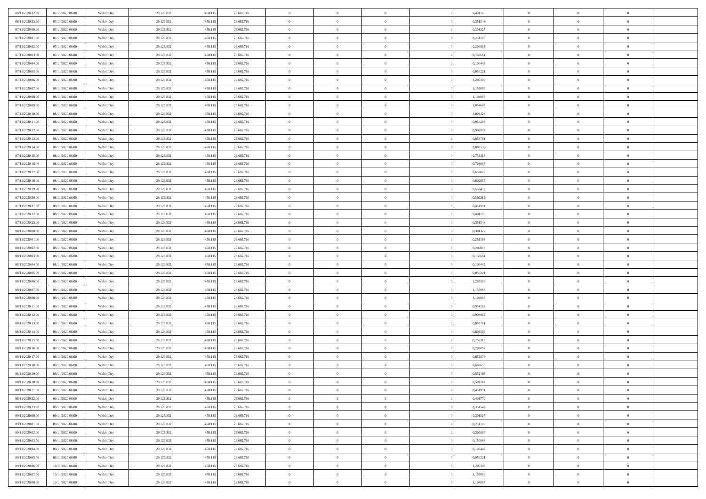| 06/11/2020 22.00 | 07/11/2020 06:00 | Within Day | 29.123.832 | 458.115 | 28.665.716 | $\,$ 0 $\,$    | $\overline{0}$ | $\overline{0}$ |          | 0,401770 | $\bf{0}$       | $\overline{0}$ | $\,0\,$        |  |
|------------------|------------------|------------|------------|---------|------------|----------------|----------------|----------------|----------|----------|----------------|----------------|----------------|--|
| 06/11/2020 23.00 | 07/11/2020 06:00 | Within Day | 29.123.832 | 458.115 | 28.665.716 | $\theta$       | $\overline{0}$ | $\mathbf{0}$   |          | 0,351548 | $\theta$       | $\overline{0}$ | $\theta$       |  |
| 07/11/2020 00:00 | 07/11/2020 06:00 | Within Day | 29.123.832 | 458.115 | 28.665.716 | $\theta$       | $\overline{0}$ | $\overline{0}$ |          | 0,301327 | $\mathbf{0}$   | $\overline{0}$ | $\overline{0}$ |  |
| 07/11/2020 01:00 | 07/11/2020 06.00 | Within Day | 29.123.832 | 458.115 | 28.665.716 | $\,$ 0 $\,$    | $\overline{0}$ | $\overline{0}$ |          | 0,251106 | $\bf{0}$       | $\overline{0}$ | $\bf{0}$       |  |
| 07/11/2020 02.00 | 07/11/2020 06:00 | Within Day | 29.123.832 | 458.115 | 28.665.716 | $\,$ 0         | $\overline{0}$ | $\mathbf{0}$   |          | 0,200885 | $\bf{0}$       | $\bf{0}$       | $\,0\,$        |  |
| 07/11/2020 03:00 | 07/11/2020 06:00 | Within Day | 29.123.832 | 458.115 | 28.665.716 | $\theta$       | $\overline{0}$ | $\mathbf{0}$   |          | 0,150664 | $\mathbf{0}$   | $\overline{0}$ | $\overline{0}$ |  |
| 07/11/2020 04:00 | 07/11/2020 06:00 | Within Day | 29.123.832 | 458.115 | 28.665.716 | $\,$ 0 $\,$    | $\overline{0}$ | $\overline{0}$ |          | 0,100442 | $\bf{0}$       | $\overline{0}$ | $\bf{0}$       |  |
| 07/11/2020 05:00 | 07/11/2020 06.00 | Within Day | 29.123.832 | 458.115 | 28.665.716 | $\,$ 0         | $\overline{0}$ | $\mathbf{0}$   |          | 0,050221 | $\,$ 0 $\,$    | $\overline{0}$ | $\theta$       |  |
| 07/11/2020 06:00 | 08/11/2020 06:00 | Within Day | 29.123.832 | 458.115 | 28.665.716 | $\theta$       | $\overline{0}$ | $\mathbf{0}$   |          | 1,205309 | $\mathbf{0}$   | $\overline{0}$ | $\overline{0}$ |  |
| 07/11/2020 07.00 | 08/11/2020 06:00 | Within Day | 29.123.832 | 458.115 | 28.665.716 | $\,$ 0 $\,$    | $\overline{0}$ | $\Omega$       |          | 1,155088 | $\bf{0}$       | $\overline{0}$ | $\bf{0}$       |  |
| 07/11/2020 08:00 | 08/11/2020 06:00 | Within Day | 29.123.832 | 458.115 | 28.665.716 | $\bf{0}$       | $\overline{0}$ | $\mathbf{0}$   |          | 1,104867 | $\bf{0}$       | $\mathbf{0}$   | $\theta$       |  |
| 07/11/2020 09:00 | 08/11/2020 06:00 | Within Dav | 29.123.832 | 458.115 | 28.665.716 | $\theta$       | $\overline{0}$ | $\overline{0}$ |          | 1,054645 | $\mathbf{0}$   | $\overline{0}$ | $\overline{0}$ |  |
| 07/11/2020 10:00 | 08/11/2020 06:00 | Within Day | 29.123.832 | 458.115 | 28.665.716 | $\,$ 0 $\,$    | $\overline{0}$ | $\overline{0}$ |          | 1,004424 | $\bf{0}$       | $\overline{0}$ | $\bf{0}$       |  |
| 07/11/2020 11:00 | 08/11/2020 06:00 | Within Day | 29.123.832 | 458.115 | 28.665.716 | $\,$ 0         | $\overline{0}$ | $\mathbf{0}$   |          | 0,954203 | $\bf{0}$       | $\theta$       | $\,0\,$        |  |
| 07/11/2020 12:00 | 08/11/2020 06:00 | Within Dav | 29.123.832 | 458.115 | 28.665.716 | $\theta$       | $\overline{0}$ | $\mathbf{0}$   |          | 0,903982 | $\mathbf{0}$   | $\overline{0}$ | $\overline{0}$ |  |
| 07/11/2020 13:00 | 08/11/2020 06:00 | Within Day | 29.123.832 | 458.115 | 28.665.716 | $\,$ 0 $\,$    | $\overline{0}$ | $\Omega$       |          | 0,853761 | $\bf{0}$       | $\overline{0}$ | $\bf{0}$       |  |
| 07/11/2020 14:00 | 08/11/2020 06:00 | Within Day | 29.123.832 | 458.115 | 28.665.716 | $\,$ 0 $\,$    | $\overline{0}$ | $\mathbf{0}$   |          | 0.803539 | $\bf{0}$       | $\overline{0}$ | $\theta$       |  |
| 07/11/2020 15:00 | 08/11/2020 06:00 | Within Day | 29.123.832 | 458.115 | 28.665.716 | $\theta$       | $\overline{0}$ | $\mathbf{0}$   |          | 0,753318 | $\mathbf{0}$   | $\overline{0}$ | $\overline{0}$ |  |
| 07/11/2020 16:00 | 08/11/2020 06:00 | Within Day | 29.123.832 | 458.115 | 28.665.716 | $\,$ 0 $\,$    | $\overline{0}$ | $\Omega$       |          | 0,703097 | $\bf{0}$       | $\overline{0}$ | $\bf{0}$       |  |
| 07/11/2020 17.00 | 08/11/2020 06:00 | Within Day | 29.123.832 | 458.115 | 28.665.716 | $\bf{0}$       | $\overline{0}$ | $\mathbf{0}$   |          | 0,652876 | $\bf{0}$       | $\mathbf{0}$   | $\bf{0}$       |  |
| 07/11/2020 18:00 | 08/11/2020 06:00 | Within Dav | 29.123.832 | 458.115 | 28.665.716 | $\theta$       | $\overline{0}$ | $\mathbf{0}$   |          | 0,602655 | $\mathbf{0}$   | $\overline{0}$ | $\overline{0}$ |  |
| 07/11/2020 19:00 | 08/11/2020 06:00 | Within Day | 29.123.832 | 458.115 | 28.665.716 | $\,$ 0 $\,$    | $\overline{0}$ | $\overline{0}$ |          | 0,552433 | $\bf{0}$       | $\overline{0}$ | $\bf{0}$       |  |
| 07/11/2020 20:00 | 08/11/2020 06:00 | Within Day | 29.123.832 | 458.115 | 28.665.716 | $\,$ 0         | $\overline{0}$ | $\mathbf{0}$   |          | 0,502212 | $\,$ 0 $\,$    | $\bf{0}$       | $\,0\,$        |  |
| 07/11/2020 21:00 | 08/11/2020 06:00 | Within Dav | 29.123.832 | 458.115 | 28.665.716 | $\theta$       | $\overline{0}$ | $\mathbf{0}$   |          | 0,451991 | $\mathbf{0}$   | $\overline{0}$ | $\overline{0}$ |  |
| 07/11/2020 22.00 | 08/11/2020 06:00 | Within Day | 29.123.832 | 458.115 | 28.665.716 | $\,$ 0 $\,$    | $\overline{0}$ | $\overline{0}$ |          | 0,401770 | $\bf{0}$       | $\overline{0}$ | $\bf{0}$       |  |
| 07/11/2020 23.00 | 08/11/2020 06:00 | Within Day | 29.123.832 | 458.115 | 28.665.716 | $\,$ 0         | $\overline{0}$ | $\mathbf{0}$   |          | 0,351548 | $\mathbf{0}$   | $\overline{0}$ | $\theta$       |  |
| 08/11/2020 00:00 | 08/11/2020 06:00 | Within Day | 29.123.832 | 458.115 | 28.665.716 | $\theta$       | $\overline{0}$ | $\overline{0}$ |          | 0,301327 | $\mathbf{0}$   | $\overline{0}$ | $\overline{0}$ |  |
| 08/11/2020 01:00 | 08/11/2020 06:00 | Within Day | 29.123.832 | 458.115 | 28.665.716 | $\,$ 0 $\,$    | $\overline{0}$ | $\Omega$       |          | 0,251106 | $\bf{0}$       | $\overline{0}$ | $\bf{0}$       |  |
| 08/11/2020 02.00 | 08/11/2020 06:00 | Within Day | 29.123.832 | 458.115 | 28.665.716 | $\bf{0}$       | $\overline{0}$ | $\mathbf{0}$   |          | 0,200885 | $\bf{0}$       | $\mathbf{0}$   | $\overline{0}$ |  |
| 08/11/2020 03:00 | 08/11/2020 06:00 | Within Dav | 29.123.832 | 458.115 | 28.665.716 | $\theta$       | $\overline{0}$ | $\overline{0}$ |          | 0,150664 | $\mathbf{0}$   | $\overline{0}$ | $\overline{0}$ |  |
| 08/11/2020 04:00 | 08/11/2020 06:00 | Within Day | 29.123.832 | 458.115 | 28.665.716 | $\,$ 0 $\,$    | $\overline{0}$ | $\overline{0}$ |          | 0,100442 | $\,$ 0         | $\overline{0}$ | $\,$ 0 $\,$    |  |
| 08/11/2020 05:00 | 08/11/2020 06:00 | Within Day | 29.123.832 | 458.115 | 28.665.716 | $\,$ 0         | $\overline{0}$ | $\mathbf{0}$   |          | 0,050221 | $\bf{0}$       | $\bf{0}$       | $\bf{0}$       |  |
| 08/11/2020 06:00 | 09/11/2020 06:00 | Within Dav | 29.123.832 | 458.115 | 28.665.716 | $\theta$       | $\overline{0}$ | $\mathbf{0}$   |          | 1,205309 | $\mathbf{0}$   | $\overline{0}$ | $\overline{0}$ |  |
| 08/11/2020 07:00 | 09/11/2020 06:00 | Within Day | 29.123.832 | 458.115 | 28.665.716 | $\theta$       | $\overline{0}$ | $\overline{0}$ |          | 1,155088 | $\,$ 0         | $\overline{0}$ | $\theta$       |  |
| 08/11/2020 08:00 | 09/11/2020 06.00 | Within Day | 29.123.832 | 458.115 | 28.665.716 | $\bf{0}$       | $\overline{0}$ | $\mathbf{0}$   |          | 1,104867 | $\mathbf{0}$   | $\overline{0}$ | $\overline{0}$ |  |
| 08/11/2020 11:00 | 09/11/2020 06:00 | Within Day | 29.123.832 | 458.115 | 28.665.716 | $\theta$       | $\overline{0}$ | $\mathbf{0}$   |          | 0,954203 | $\mathbf{0}$   | $\overline{0}$ | $\overline{0}$ |  |
| 08/11/2020 12:00 | 09/11/2020 06:00 | Within Day | 29.123.832 | 458.115 | 28.665.716 | $\theta$       | $\overline{0}$ | $\overline{0}$ |          | 0,903982 | $\,$ 0         | $\overline{0}$ | $\theta$       |  |
| 08/11/2020 13:00 | 09/11/2020 06.00 | Within Day | 29.123.832 | 458.115 | 28.665.716 | $\bf{0}$       | $\overline{0}$ | $\mathbf{0}$   |          | 0,853761 | $\bf{0}$       | $\mathbf{0}$   | $\overline{0}$ |  |
| 08/11/2020 14:00 | 09/11/2020 06:00 | Within Day | 29.123.832 | 458.115 | 28.665.716 | $\theta$       | $\overline{0}$ | $\overline{0}$ |          | 0,803539 | $\mathbf{0}$   | $\overline{0}$ | $\overline{0}$ |  |
| 08/11/2020 15:00 | 09/11/2020 06:00 | Within Day | 29.123.832 | 458.115 | 28.665.716 | $\,$ 0 $\,$    | $\overline{0}$ | $\overline{0}$ |          | 0,753318 | $\,$ 0         | $\overline{0}$ | $\,$ 0 $\,$    |  |
| 08/11/2020 16:00 | 09/11/2020 06:00 | Within Day | 29.123.832 | 458.115 | 28.665.716 | $\,$ 0 $\,$    | $\,$ 0 $\,$    | $\overline{0}$ |          | 0,703097 | $\,$ 0 $\,$    | $\bf{0}$       | $\overline{0}$ |  |
| 08/11/2020 17:00 | 09/11/2020 06:00 | Within Dav | 29.123.832 | 458.115 | 28.665.716 | $\theta$       | $\overline{0}$ | $\mathbf{0}$   |          | 0,652876 | $\mathbf{0}$   | $\overline{0}$ | $\overline{0}$ |  |
| 08/11/2020 18:00 | 09/11/2020 06.00 | Within Day | 29.123.832 | 458.115 | 28.665.716 | $\theta$       | $\overline{0}$ | $\overline{0}$ |          | 0,602655 | $\,$ 0         | $\overline{0}$ | $\theta$       |  |
| 08/11/2020 19:00 | 09/11/2020 06:00 | Within Day | 29.123.832 | 458.115 | 28.665.716 | $\,$ 0         | $\,$ 0 $\,$    | $\mathbf{0}$   |          | 0,552433 | $\mathbf{0}$   | $\overline{0}$ | $\overline{0}$ |  |
| 08/11/2020 20:00 | 09/11/2020 06:00 | Within Day | 29.123.832 | 458.115 | 28.665.716 | $\overline{0}$ | $\theta$       |                |          | 0,502212 | $\overline{0}$ | $\theta$       | $\theta$       |  |
| 08/11/2020 21:00 | 09/11/2020 06:00 | Within Day | 29.123.832 | 458.115 | 28.665.716 | $\,$ 0 $\,$    | $\overline{0}$ | $\overline{0}$ |          | 0,451991 | $\,$ 0 $\,$    | $\bf{0}$       | $\theta$       |  |
| 08/11/2020 22.00 | 09/11/2020 06.00 | Within Day | 29.123.832 | 458.115 | 28.665.716 | $\bf{0}$       | $\,$ 0 $\,$    | $\overline{0}$ |          | 0,401770 | $\,$ 0 $\,$    | $\overline{0}$ | $\overline{0}$ |  |
| 08/11/2020 23:00 | 09/11/2020 06:00 | Within Day | 29.123.832 | 458.115 | 28.665.716 | $\mathbf{0}$   | $\overline{0}$ | $\overline{0}$ |          | 0,351548 | $\,$ 0 $\,$    | $\bf{0}$       | $\mathbf{0}$   |  |
| 09/11/2020 00:00 | 09/11/2020 06:00 | Within Day | 29.123.832 | 458.115 | 28.665.716 | $\,$ 0 $\,$    | $\overline{0}$ | $\overline{0}$ | $\theta$ | 0,301327 | $\,$ 0 $\,$    | $\bf{0}$       | $\,$ 0 $\,$    |  |
| 09/11/2020 01:00 | 09/11/2020 06.00 | Within Day | 29.123.832 | 458.115 | 28.665.716 | $\,$ 0 $\,$    | $\,$ 0 $\,$    | $\overline{0}$ |          | 0,251106 | $\,$ 0 $\,$    | $\overline{0}$ | $\overline{0}$ |  |
| 09/11/2020 02.00 | 09/11/2020 06:00 | Within Day | 29.123.832 | 458.115 | 28.665.716 | $\mathbf{0}$   | $\overline{0}$ | $\overline{0}$ |          | 0,200885 | $\mathbf{0}$   | $\overline{0}$ | $\mathbf{0}$   |  |
| 09/11/2020 03:00 | 09/11/2020 06:00 | Within Day | 29.123.832 | 458.115 | 28.665.716 | $\,$ 0 $\,$    | $\overline{0}$ | $\overline{0}$ |          | 0,150664 | $\,$ 0 $\,$    | $\overline{0}$ | $\,$ 0 $\,$    |  |
| 09/11/2020 04.00 | 09/11/2020 06.00 | Within Day | 29.123.832 | 458.115 | 28.665.716 | $\bf{0}$       | $\overline{0}$ | $\overline{0}$ |          | 0,100442 | $\,$ 0 $\,$    | $\overline{0}$ | $\overline{0}$ |  |
| 09/11/2020 05:00 | 09/11/2020 06:00 | Within Day | 29.123.832 | 458.115 | 28.665.716 | $\mathbf{0}$   | $\overline{0}$ | $\overline{0}$ |          | 0,050221 | $\mathbf{0}$   | $\bf{0}$       | $\mathbf{0}$   |  |
| 09/11/2020 06:00 | 10/11/2020 06:00 | Within Day | 29.123.832 | 458.115 | 28.665.716 | $\,$ 0 $\,$    | $\overline{0}$ | $\overline{0}$ |          | 1,205309 | $\,$ 0 $\,$    | $\mathbf{0}$   | $\,$ 0 $\,$    |  |
| 09/11/2020 07.00 | 10/11/2020 06:00 | Within Day | 29.123.832 | 458.115 | 28.665.716 | $\,$ 0 $\,$    | $\,$ 0 $\,$    | $\overline{0}$ |          | 1,155088 | $\,$ 0 $\,$    | $\overline{0}$ | $\overline{0}$ |  |
| 09/11/2020 08:00 | 10/11/2020 06:00 | Within Day | 29.123.832 | 458.115 | 28.665.716 | $\theta$       | $\overline{0}$ | $\overline{0}$ |          | 1,104867 | $\mathbf{0}$   | $\overline{0}$ | $\overline{0}$ |  |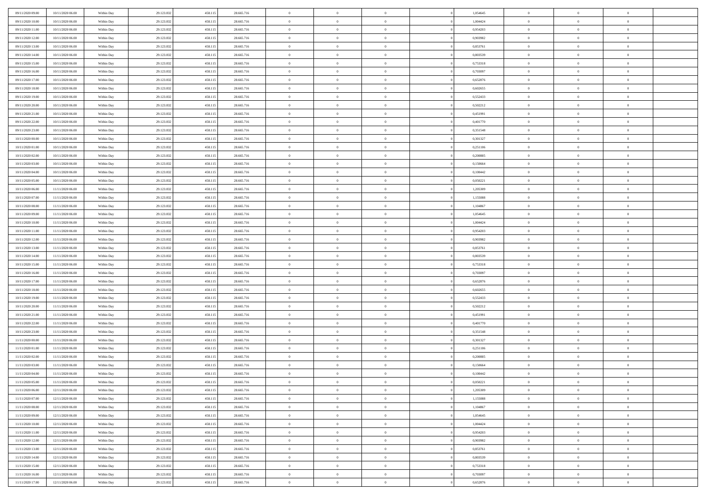| 09/11/2020 09:00 | 10/11/2020 06:00 | Within Day | 29.123.832 | 458.11: | 28.665.716 | $\bf{0}$                   | $\overline{0}$                   | $\overline{0}$ | 1,054645 | $\bf{0}$       | $\overline{0}$ | $\bf{0}$       |  |
|------------------|------------------|------------|------------|---------|------------|----------------------------|----------------------------------|----------------|----------|----------------|----------------|----------------|--|
| 09/11/2020 10:00 | 10/11/2020 06:00 | Within Day | 29.123.832 | 458.11: | 28.665.716 | $\overline{0}$             | $\overline{0}$                   | $\Omega$       | 1,004424 | $\overline{0}$ | $\theta$       | $\theta$       |  |
| 09/11/2020 11:00 | 10/11/2020 06:00 | Within Day | 29.123.832 | 458.115 | 28.665.716 | $\overline{0}$             | $\overline{0}$                   | $\overline{0}$ | 0,954203 | $\mathbf{0}$   | $\overline{0}$ | $\theta$       |  |
| 09/11/2020 12:00 | 10/11/2020 06:00 | Within Day | 29.123.832 | 458.115 | 28.665.716 | $\bf{0}$                   | $\overline{0}$                   | $\overline{0}$ | 0,903982 | $\mathbf{0}$   | $\overline{0}$ | $\bf{0}$       |  |
| 09/11/2020 13:00 | 10/11/2020 06:00 | Within Day | 29.123.832 | 458.11: | 28.665.716 | $\bf{0}$                   | $\overline{0}$                   | $\overline{0}$ | 0,853761 | $\bf{0}$       | $\overline{0}$ | $\bf{0}$       |  |
| 09/11/2020 14:00 | 10/11/2020 06:00 | Within Day | 29.123.832 | 458.115 | 28.665.716 | $\overline{0}$             | $\overline{0}$                   | $\overline{0}$ | 0,803539 | $\mathbf{0}$   | $\overline{0}$ | $\theta$       |  |
| 09/11/2020 15:00 |                  |            |            |         |            | $\bf{0}$                   | $\overline{0}$                   | $\overline{0}$ |          |                | $\overline{0}$ | $\bf{0}$       |  |
|                  | 10/11/2020 06:00 | Within Day | 29.123.832 | 458.115 | 28.665.716 |                            |                                  |                | 0,753318 | $\mathbf{0}$   |                |                |  |
| 09/11/2020 16:00 | 10/11/2020 06:00 | Within Day | 29.123.832 | 458.11: | 28.665.716 | $\overline{0}$             | $\overline{0}$                   | $\overline{0}$ | 0,703097 | $\mathbf{0}$   | $\theta$       | $\theta$       |  |
| 09/11/2020 17:00 | 10/11/2020 06:00 | Within Day | 29.123.832 | 458.115 | 28.665.716 | $\overline{0}$             | $\overline{0}$                   | $\overline{0}$ | 0,652876 | $\mathbf{0}$   | $\overline{0}$ | $\theta$       |  |
| 09/11/2020 18:00 | 10/11/2020 06:00 | Within Day | 29.123.832 | 458.115 | 28.665.716 | $\bf{0}$                   | $\bf{0}$                         | $\Omega$       | 0,602655 | $\bf{0}$       | $\overline{0}$ | $\bf{0}$       |  |
| 09/11/2020 19:00 | 10/11/2020 06:00 | Within Day | 29.123.832 | 458.11: | 28.665.716 | $\bf{0}$                   | $\overline{0}$                   | $\overline{0}$ | 0,552433 | $\mathbf{0}$   | $\theta$       | $\theta$       |  |
| 09/11/2020 20.00 | 10/11/2020 06:00 | Within Day | 29.123.832 | 458.115 | 28.665.716 | $\overline{0}$             | $\overline{0}$                   | $\overline{0}$ | 0,502212 | $\mathbf{0}$   | $\overline{0}$ | $\theta$       |  |
| 09/11/2020 21.00 | 10/11/2020 06:00 | Within Day | 29.123.832 | 458.115 | 28.665.716 | $\bf{0}$                   | $\overline{0}$                   | $\overline{0}$ | 0,451991 | $\mathbf{0}$   | $\overline{0}$ | $\bf{0}$       |  |
| 09/11/2020 22.00 | 10/11/2020 06:00 | Within Day | 29.123.832 | 458.11: | 28.665.716 | $\bf{0}$                   | $\overline{0}$                   | $\overline{0}$ | 0,401770 | $\bf{0}$       | $\theta$       | $\bf{0}$       |  |
| 09/11/2020 23.00 | 10/11/2020 06:00 | Within Day | 29.123.832 | 458.115 | 28.665.716 | $\overline{0}$             | $\overline{0}$                   | $\overline{0}$ | 0,351548 | $\mathbf{0}$   | $\overline{0}$ | $\theta$       |  |
| 10/11/2020 00:00 | 10/11/2020 06:00 | Within Day | 29.123.832 | 458.115 | 28.665.716 | $\bf{0}$                   | $\overline{0}$                   | $\Omega$       | 0,301327 | $\bf{0}$       | $\overline{0}$ | $\bf{0}$       |  |
| 10/11/2020 01:00 | 10/11/2020 06:00 | Within Day | 29.123.832 | 458.11: | 28.665.716 | $\,$ 0 $\,$                | $\overline{0}$                   | $\overline{0}$ | 0,251106 | $\mathbf{0}$   | $\overline{0}$ | $\theta$       |  |
| 10/11/2020 02:00 | 10/11/2020 06:00 | Within Day | 29.123.832 | 458.115 | 28.665.716 | $\overline{0}$             | $\overline{0}$                   | $\overline{0}$ | 0,200885 | $\mathbf{0}$   | $\overline{0}$ | $\theta$       |  |
| 10/11/2020 03:00 | 10/11/2020 06:00 | Within Day | 29.123.832 | 458.115 | 28.665.716 | $\bf{0}$                   | $\overline{0}$                   | $\Omega$       | 0,150664 | $\bf{0}$       | $\overline{0}$ | $\bf{0}$       |  |
| 10/11/2020 04:00 | 10/11/2020 06:00 | Within Day | 29.123.832 | 458.11: | 28.665.716 | $\bf{0}$                   | $\overline{0}$                   | $\overline{0}$ | 0.100442 | $\mathbf{0}$   | $\mathbf{0}$   | $\bf{0}$       |  |
| 10/11/2020 05:00 | 10/11/2020 06:00 | Within Day | 29.123.832 | 458.115 | 28.665.716 | $\overline{0}$             | $\overline{0}$                   | $\overline{0}$ | 0,050221 | $\mathbf{0}$   | $\overline{0}$ | $\theta$       |  |
| 10/11/2020 06:00 | 11/11/2020 06:00 | Within Day | 29.123.832 | 458.115 | 28.665.716 | $\bf{0}$                   | $\overline{0}$                   | $\overline{0}$ | 1,205309 | $\mathbf{0}$   | $\overline{0}$ | $\bf{0}$       |  |
| 10/11/2020 07:00 | 11/11/2020 06:00 | Within Day | 29.123.832 | 458.11: | 28.665.716 | $\bf{0}$                   | $\overline{0}$                   | $\overline{0}$ | 1,155088 | $\,$ 0 $\,$    | $\overline{0}$ | $\bf{0}$       |  |
| 10/11/2020 08:00 | 11/11/2020 06:00 | Within Day | 29.123.832 | 458.115 | 28.665.716 | $\overline{0}$             | $\overline{0}$                   | $\overline{0}$ | 1,104867 | $\mathbf{0}$   | $\overline{0}$ | $\theta$       |  |
| 10/11/2020 09:00 | 11/11/2020 06:00 | Within Day | 29.123.832 | 458.115 | 28.665.716 | $\bf{0}$                   | $\overline{0}$                   | $\overline{0}$ | 1,054645 | $\bf{0}$       | $\overline{0}$ | $\bf{0}$       |  |
| 10/11/2020 10:00 | 11/11/2020 06:00 | Within Day | 29.123.832 | 458.11: | 28.665.716 | $\,$ 0 $\,$                | $\overline{0}$                   | $\overline{0}$ | 1,004424 | $\mathbf{0}$   | $\overline{0}$ | $\overline{0}$ |  |
| 10/11/2020 11:00 | 11/11/2020 06:00 | Within Day | 29.123.832 | 458.115 | 28.665.716 | $\overline{0}$             | $\overline{0}$                   | $\overline{0}$ | 0,954203 | $\mathbf{0}$   | $\overline{0}$ | $\theta$       |  |
| 10/11/2020 12:00 |                  |            |            |         | 28.665.716 | $\bf{0}$                   | $\overline{0}$                   | $\Omega$       | 0,903982 | $\mathbf{0}$   | $\overline{0}$ | $\bf{0}$       |  |
|                  | 11/11/2020 06:00 | Within Day | 29.123.832 | 458.115 |            |                            |                                  |                |          |                | $\theta$       | $\overline{0}$ |  |
| 10/11/2020 13.00 | 11/11/2020 06:00 | Within Day | 29.123.832 | 458.11: | 28.665.716 | $\bf{0}$<br>$\overline{0}$ | $\overline{0}$<br>$\overline{0}$ | $\overline{0}$ | 0,853761 | $\mathbf{0}$   |                | $\theta$       |  |
| 10/11/2020 14:00 | 11/11/2020 06:00 | Within Day | 29.123.832 | 458.115 | 28.665.716 |                            |                                  | $\overline{0}$ | 0,803539 | $\mathbf{0}$   | $\overline{0}$ |                |  |
| 10/11/2020 15:00 | 11/11/2020 06:00 | Within Day | 29.123.832 | 458.115 | 28.665.716 | $\,$ 0                     | $\overline{0}$                   | $\overline{0}$ | 0,753318 | $\,$ 0 $\,$    | $\overline{0}$ | $\,$ 0 $\,$    |  |
| 10/11/2020 16:00 | 11/11/2020 06:00 | Within Day | 29.123.832 | 458.11: | 28.665.716 | $\bf{0}$                   | $\overline{0}$                   | $\overline{0}$ | 0,703097 | $\,$ 0 $\,$    | $\overline{0}$ | $\overline{0}$ |  |
| 10/11/2020 17:00 | 11/11/2020 06:00 | Within Day | 29.123.832 | 458.115 | 28.665.716 | $\overline{0}$             | $\overline{0}$                   | $\overline{0}$ | 0,652876 | $\mathbf{0}$   | $\overline{0}$ | $\theta$       |  |
| 10/11/2020 18:00 | 11/11/2020 06:00 | Within Day | 29.123.832 | 458.115 | 28.665.716 | $\,$ 0                     | $\overline{0}$                   | $\theta$       | 0,602655 | $\,$ 0 $\,$    | $\overline{0}$ | $\mathbf{0}$   |  |
| 10/11/2020 19:00 | 11/11/2020 06:00 | Within Day | 29.123.832 | 458.11: | 28.665.716 | $\bf{0}$                   | $\overline{0}$                   | $\overline{0}$ | 0,552433 | $\mathbf{0}$   | $\overline{0}$ | $\overline{0}$ |  |
| 10/11/2020 20:00 | 11/11/2020 06:00 | Within Day | 29.123.832 | 458.115 | 28.665.716 | $\overline{0}$             | $\overline{0}$                   | $\overline{0}$ | 0,502212 | $\mathbf{0}$   | $\overline{0}$ | $\theta$       |  |
| 10/11/2020 21:00 | 11/11/2020 06:00 | Within Day | 29.123.832 | 458.115 | 28.665.716 | $\,$ 0                     | $\overline{0}$                   | $\overline{0}$ | 0,451991 | $\,$ 0 $\,$    | $\overline{0}$ | $\mathbf{0}$   |  |
| 10/11/2020 22.00 | 11/11/2020 06:00 | Within Day | 29.123.832 | 458.11: | 28.665.716 | $\bf{0}$                   | $\overline{0}$                   | $\overline{0}$ | 0,401770 | $\mathbf{0}$   | $\mathbf{0}$   | $\overline{0}$ |  |
| 10/11/2020 23.00 | 11/11/2020 06:00 | Within Day | 29.123.832 | 458.115 | 28.665.716 | $\overline{0}$             | $\overline{0}$                   | $\overline{0}$ | 0,351548 | $\mathbf{0}$   | $\overline{0}$ | $\theta$       |  |
| 11/11/2020 00:00 | 11/11/2020 06:00 | Within Day | 29.123.832 | 458.115 | 28.665.716 | $\,$ 0                     | $\overline{0}$                   | $\overline{0}$ | 0,301327 | $\,$ 0 $\,$    | $\overline{0}$ | $\,0\,$        |  |
| 11/11/2020 01:00 | 11/11/2020 06:00 | Within Day | 29.123.832 | 458.11: | 28.665.716 | $\,$ 0 $\,$                | $\,$ 0 $\,$                      | $\overline{0}$ | 0,251106 | $\,$ 0 $\,$    | $\overline{0}$ | $\overline{0}$ |  |
| 11/11/2020 02:00 | 11/11/2020 06:00 | Within Day | 29.123.832 | 458.115 | 28.665.716 | $\overline{0}$             | $\overline{0}$                   | $\overline{0}$ | 0,200885 | $\mathbf{0}$   | $\overline{0}$ | $\theta$       |  |
| 11/11/2020 03:00 | 11/11/2020 06:00 | Within Day | 29.123.832 | 458.115 | 28.665.716 | $\overline{0}$             | $\overline{0}$                   | $\overline{0}$ | 0,150664 | $\overline{0}$ | $\overline{0}$ | $\mathbf{0}$   |  |
| 11/11/2020 04:00 | 11/11/2020 06:00 | Within Day | 29.123.832 | 458.11: | 28.665.716 | $\bf{0}$                   | $\overline{0}$                   | $\overline{0}$ | 0,100442 | $\mathbf{0}$   | $\overline{0}$ | $\overline{0}$ |  |
| 11/11/2020 05:00 | 11/11/2020 06:00 | Within Day | 29.123.832 | 458.115 | 28.665.716 | $\overline{0}$             | $\theta$                         |                | 0,050221 | $\overline{0}$ | $\Omega$       | $\overline{0}$ |  |
| 11/11/2020 06:00 | 12/11/2020 06:00 | Within Day | 29.123.832 | 458.115 | 28.665.716 | $\,$ 0 $\,$                | $\overline{0}$                   | $\overline{0}$ | 1,205309 | $\,$ 0 $\,$    | $\bf{0}$       | $\,0\,$        |  |
| 11/11/2020 07:00 | 12/11/2020 06:00 | Within Day | 29.123.832 | 458.11: | 28.665.716 | $\mathbf{0}$               | $\overline{0}$                   | $\overline{0}$ | 1,155088 | $\,$ 0 $\,$    | $\overline{0}$ | $\overline{0}$ |  |
| 11/11/2020 08:00 | 12/11/2020 06:00 | Within Day | 29.123.832 | 458.115 | 28.665.716 | $\mathbf{0}$               | $\overline{0}$                   | $\overline{0}$ | 1,104867 | $\mathbf{0}$   | $\bf{0}$       | $\overline{0}$ |  |
| 11/11/2020 09:00 | 12/11/2020 06:00 | Within Day | 29.123.832 | 458.115 | 28.665.716 | $\,$ 0 $\,$                | $\overline{0}$                   | $\overline{0}$ | 1,054645 | $\,$ 0 $\,$    | $\bf{0}$       | $\theta$       |  |
| 11/11/2020 10:00 | 12/11/2020 06:00 | Within Day | 29.123.832 | 458.11: | 28.665.716 | $\,$ 0 $\,$                | $\,$ 0 $\,$                      | $\overline{0}$ | 1,004424 | $\,$ 0 $\,$    | $\overline{0}$ | $\mathbf{0}$   |  |
| 11/11/2020 11:00 | 12/11/2020 06:00 | Within Day | 29.123.832 | 458.115 | 28.665.716 | $\mathbf{0}$               | $\overline{0}$                   | $\overline{0}$ | 0,954203 | $\mathbf{0}$   | $\bf{0}$       | $\overline{0}$ |  |
| 11/11/2020 12:00 | 12/11/2020 06:00 | Within Day | 29.123.832 | 458.115 | 28.665.716 | $\,$ 0 $\,$                | $\overline{0}$                   | $\overline{0}$ | 0,903982 | $\,$ 0 $\,$    | $\mathbf{0}$   | $\theta$       |  |
| 11/11/2020 13.00 | 12/11/2020 06:00 | Within Day | 29.123.832 | 458.11: | 28.665.716 | $\mathbf{0}$               | $\overline{0}$                   | $\overline{0}$ | 0,853761 | $\,$ 0 $\,$    | $\overline{0}$ | $\mathbf{0}$   |  |
| 11/11/2020 14:00 | 12/11/2020 06:00 | Within Day | 29.123.832 | 458.115 | 28.665.716 | $\mathbf{0}$               | $\overline{0}$                   | $\overline{0}$ | 0,803539 | $\mathbf{0}$   | $\bf{0}$       | $\overline{0}$ |  |
| 11/11/2020 15:00 | 12/11/2020 06:00 | Within Day | 29.123.832 | 458.115 | 28.665.716 | $\,$ 0 $\,$                | $\overline{0}$                   | $\overline{0}$ | 0,753318 | $\,$ 0 $\,$    | $\mathbf{0}$   | $\theta$       |  |
| 11/11/2020 16.00 | 12/11/2020 06:00 | Within Day | 29.123.832 | 458.115 | 28.665.716 | $\,$ 0 $\,$                | $\overline{0}$                   | $\overline{0}$ | 0,703097 | $\,$ 0 $\,$    | $\overline{0}$ | $\overline{0}$ |  |
| 11/11/2020 17.00 | 12/11/2020 06:00 | Within Day | 29.123.832 | 458.115 | 28.665.716 | $\mathbf{0}$               | $\overline{0}$                   | $\overline{0}$ | 0,652876 | $\mathbf{0}$   | $\mathbf{0}$   | $\overline{0}$ |  |
|                  |                  |            |            |         |            |                            |                                  |                |          |                |                |                |  |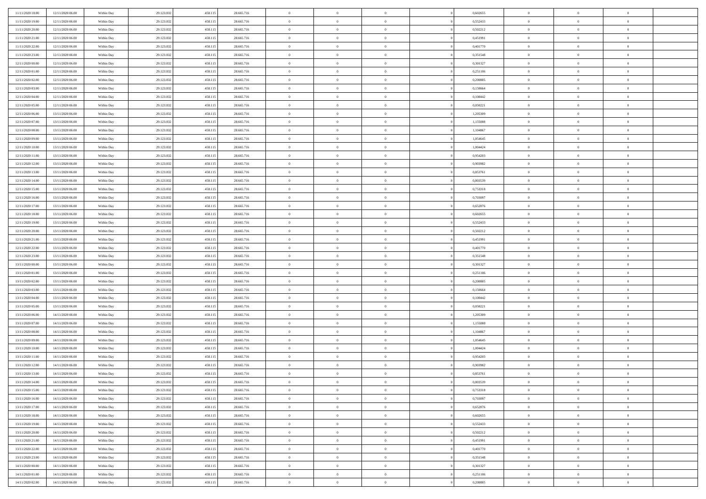| 11/11/2020 18:00 | 12/11/2020 06:00 | Within Day | 29.123.832 | 458.115 | 28.665.716 | $\,$ 0 $\,$    | $\overline{0}$ | $\overline{0}$ |          | 0,602655 | $\bf{0}$       | $\bf{0}$       | $\,0\,$        |  |
|------------------|------------------|------------|------------|---------|------------|----------------|----------------|----------------|----------|----------|----------------|----------------|----------------|--|
| 11/11/2020 19:00 | 12/11/2020 06:00 | Within Day | 29.123.832 | 458.115 | 28.665.716 | $\theta$       | $\overline{0}$ | $\mathbf{0}$   |          | 0,552433 | $\theta$       | $\overline{0}$ | $\theta$       |  |
| 11/11/2020 20:00 | 12/11/2020 06:00 | Within Dav | 29.123.832 | 458.115 | 28.665.716 | $\theta$       | $\overline{0}$ | $\overline{0}$ |          | 0,502212 | $\mathbf{0}$   | $\overline{0}$ | $\overline{0}$ |  |
| 11/11/2020 21:00 | 12/11/2020 06:00 | Within Day | 29.123.832 | 458.115 | 28.665.716 | $\,$ 0 $\,$    | $\overline{0}$ | $\overline{0}$ |          | 0,451991 | $\mathbf{0}$   | $\overline{0}$ | $\bf{0}$       |  |
| 11/11/2020 22.00 | 12/11/2020 06:00 | Within Day | 29.123.832 | 458.115 | 28.665.716 | $\,$ 0         | $\overline{0}$ | $\mathbf{0}$   |          | 0,401770 | $\bf{0}$       | $\bf{0}$       | $\,0\,$        |  |
| 11/11/2020 23:00 | 12/11/2020 06:00 | Within Dav | 29.123.832 | 458.115 | 28.665.716 | $\theta$       | $\overline{0}$ | $\mathbf{0}$   |          | 0,351548 | $\mathbf{0}$   | $\overline{0}$ | $\overline{0}$ |  |
| 12/11/2020 00:00 | 12/11/2020 06:00 | Within Day | 29.123.832 | 458.115 | 28.665.716 | $\,$ 0 $\,$    | $\overline{0}$ | $\overline{0}$ |          | 0,301327 | $\bf{0}$       | $\overline{0}$ | $\bf{0}$       |  |
| 12/11/2020 01:00 | 12/11/2020 06:00 | Within Day | 29.123.832 | 458.115 | 28.665.716 | $\,$ 0         | $\overline{0}$ | $\mathbf{0}$   |          | 0,251106 | $\,$ 0 $\,$    | $\overline{0}$ | $\overline{0}$ |  |
| 12/11/2020 02.00 | 12/11/2020 06:00 | Within Day | 29.123.832 | 458.115 | 28.665.716 | $\theta$       | $\overline{0}$ | $\mathbf{0}$   |          | 0,200885 | $\mathbf{0}$   | $\overline{0}$ | $\overline{0}$ |  |
| 12/11/2020 03:00 | 12/11/2020 06:00 | Within Day | 29.123.832 | 458.115 | 28.665.716 | $\,$ 0 $\,$    | $\overline{0}$ | $\Omega$       |          | 0,150664 | $\bf{0}$       | $\overline{0}$ | $\bf{0}$       |  |
| 12/11/2020 04:00 | 12/11/2020 06.00 | Within Day | 29.123.832 | 458.115 | 28.665.716 | $\bf{0}$       | $\overline{0}$ | $\mathbf{0}$   |          | 0,100442 | $\bf{0}$       | $\mathbf{0}$   | $\theta$       |  |
| 12/11/2020 05:00 | 12/11/2020 06:00 | Within Dav | 29.123.832 | 458.115 | 28.665.716 | $\theta$       | $\overline{0}$ | $\overline{0}$ |          | 0,050221 | $\mathbf{0}$   | $\overline{0}$ | $\overline{0}$ |  |
| 12/11/2020 06:00 | 13/11/2020 06:00 | Within Day | 29.123.832 | 458.115 | 28.665.716 | $\,$ 0 $\,$    | $\overline{0}$ | $\overline{0}$ |          | 1,205309 | $\bf{0}$       | $\overline{0}$ | $\bf{0}$       |  |
| 12/11/2020 07:00 | 13/11/2020 06:00 | Within Day | 29.123.832 | 458.115 | 28.665.716 | $\,$ 0         | $\overline{0}$ | $\mathbf{0}$   |          | 1,155088 | $\bf{0}$       | $\overline{0}$ | $\bf{0}$       |  |
| 12/11/2020 08:00 | 13/11/2020 06:00 | Within Dav | 29.123.832 | 458.115 | 28.665.716 | $\theta$       | $\overline{0}$ | $\overline{0}$ |          | 1,104867 | $\mathbf{0}$   | $\overline{0}$ | $\overline{0}$ |  |
| 12/11/2020 09:00 | 13/11/2020 06.00 | Within Day | 29.123.832 | 458.115 | 28.665.716 | $\,$ 0 $\,$    | $\overline{0}$ | $\Omega$       |          | 1,054645 | $\bf{0}$       | $\overline{0}$ | $\bf{0}$       |  |
| 12/11/2020 10:00 | 13/11/2020 06.00 | Within Day | 29.123.832 | 458.115 | 28.665.716 | $\,$ 0 $\,$    | $\overline{0}$ | $\mathbf{0}$   |          | 1,004424 | $\,$ 0 $\,$    | $\overline{0}$ | $\theta$       |  |
| 12/11/2020 11:00 | 13/11/2020 06:00 | Within Day | 29.123.832 | 458.115 | 28.665.716 | $\theta$       | $\overline{0}$ | $\mathbf{0}$   |          | 0,954203 | $\mathbf{0}$   | $\overline{0}$ | $\overline{0}$ |  |
| 12/11/2020 12:00 | 13/11/2020 06:00 | Within Day | 29.123.832 | 458.115 | 28.665.716 | $\,$ 0 $\,$    | $\overline{0}$ | $\overline{0}$ |          | 0,903982 | $\bf{0}$       | $\overline{0}$ | $\bf{0}$       |  |
| 12/11/2020 13:00 | 13/11/2020 06.00 | Within Day | 29.123.832 | 458.115 | 28.665.716 | $\bf{0}$       | $\overline{0}$ | $\mathbf{0}$   |          | 0,853761 | $\bf{0}$       | $\overline{0}$ | $\bf{0}$       |  |
| 12/11/2020 14:00 | 13/11/2020 06:00 | Within Dav | 29.123.832 | 458.115 | 28.665.716 | $\theta$       | $\overline{0}$ | $\overline{0}$ |          | 0,803539 | $\mathbf{0}$   | $\overline{0}$ | $\overline{0}$ |  |
| 12/11/2020 15:00 | 13/11/2020 06:00 | Within Day | 29.123.832 | 458.115 | 28.665.716 | $\,$ 0 $\,$    | $\overline{0}$ | $\overline{0}$ |          | 0,753318 | $\bf{0}$       | $\overline{0}$ | $\bf{0}$       |  |
| 12/11/2020 16:00 | 13/11/2020 06:00 | Within Day | 29.123.832 | 458.115 | 28.665.716 | $\,$ 0         | $\overline{0}$ | $\mathbf{0}$   |          | 0,703097 | $\,$ 0 $\,$    | $\overline{0}$ | $\bf{0}$       |  |
| 12/11/2020 17:00 | 13/11/2020 06:00 | Within Dav | 29.123.832 | 458.115 | 28.665.716 | $\theta$       | $\overline{0}$ | $\mathbf{0}$   |          | 0,652876 | $\mathbf{0}$   | $\overline{0}$ | $\overline{0}$ |  |
| 12/11/2020 18:00 | 13/11/2020 06:00 | Within Day | 29.123.832 | 458.115 | 28.665.716 | $\,$ 0 $\,$    | $\overline{0}$ | $\overline{0}$ |          | 0,602655 | $\bf{0}$       | $\overline{0}$ | $\bf{0}$       |  |
| 12/11/2020 19:00 | 13/11/2020 06.00 | Within Day | 29.123.832 | 458.115 | 28.665.716 | $\,$ 0         | $\overline{0}$ | $\mathbf{0}$   |          | 0,552433 | $\mathbf{0}$   | $\overline{0}$ | $\theta$       |  |
| 12/11/2020 20:00 | 13/11/2020 06:00 | Within Day | 29.123.832 | 458.115 | 28.665.716 | $\theta$       | $\overline{0}$ | $\overline{0}$ |          | 0,502212 | $\mathbf{0}$   | $\overline{0}$ | $\overline{0}$ |  |
| 12/11/2020 21:00 | 13/11/2020 06:00 | Within Day | 29.123.832 | 458.115 | 28.665.716 | $\,$ 0 $\,$    | $\overline{0}$ | $\overline{0}$ |          | 0,451991 | $\bf{0}$       | $\overline{0}$ | $\bf{0}$       |  |
| 12/11/2020 22.00 | 13/11/2020 06.00 | Within Day | 29.123.832 | 458.115 | 28.665.716 | $\bf{0}$       | $\overline{0}$ | $\mathbf{0}$   |          | 0,401770 | $\bf{0}$       | $\overline{0}$ | $\bf{0}$       |  |
| 12/11/2020 23:00 | 13/11/2020 06:00 | Within Dav | 29.123.832 | 458.115 | 28.665.716 | $\theta$       | $\overline{0}$ | $\overline{0}$ |          | 0,351548 | $\mathbf{0}$   | $\overline{0}$ | $\overline{0}$ |  |
| 13/11/2020 00:00 | 13/11/2020 06:00 | Within Day | 29.123.832 | 458.115 | 28.665.716 | $\,$ 0 $\,$    | $\overline{0}$ | $\overline{0}$ |          | 0,301327 | $\,$ 0         | $\overline{0}$ | $\,$ 0 $\,$    |  |
| 13/11/2020 01:00 | 13/11/2020 06:00 | Within Day | 29.123.832 | 458.115 | 28.665.716 | $\,$ 0         | $\overline{0}$ | $\overline{0}$ |          | 0,251106 | $\bf{0}$       | $\overline{0}$ | $\bf{0}$       |  |
| 13/11/2020 02.00 | 13/11/2020 06:00 | Within Dav | 29.123.832 | 458.115 | 28.665.716 | $\theta$       | $\overline{0}$ | $\overline{0}$ |          | 0,200885 | $\mathbf{0}$   | $\overline{0}$ | $\overline{0}$ |  |
| 13/11/2020 03:00 | 13/11/2020 06:00 | Within Day | 29.123.832 | 458.115 | 28.665.716 | $\theta$       | $\overline{0}$ | $\overline{0}$ |          | 0,150664 | $\,$ 0         | $\overline{0}$ | $\theta$       |  |
| 13/11/2020 04:00 | 13/11/2020 06.00 | Within Day | 29.123.832 | 458.115 | 28.665.716 | $\,$ 0 $\,$    | $\overline{0}$ | $\mathbf{0}$   |          | 0,100442 | $\mathbf{0}$   | $\overline{0}$ | $\overline{0}$ |  |
| 13/11/2020 05:00 | 13/11/2020 06:00 | Within Day | 29.123.832 | 458.115 | 28.665.716 | $\theta$       | $\overline{0}$ | $\overline{0}$ |          | 0,050221 | $\mathbf{0}$   | $\overline{0}$ | $\overline{0}$ |  |
| 13/11/2020 06:00 | 14/11/2020 06:00 | Within Day | 29.123.832 | 458.115 | 28.665.716 | $\theta$       | $\overline{0}$ | $\overline{0}$ |          | 1,205309 | $\,$ 0 $\,$    | $\overline{0}$ | $\theta$       |  |
| 13/11/2020 07:00 | 14/11/2020 06:00 | Within Day | 29.123.832 | 458.115 | 28.665.716 | $\bf{0}$       | $\overline{0}$ | $\mathbf{0}$   |          | 1,155088 | $\bf{0}$       | $\overline{0}$ | $\overline{0}$ |  |
| 13/11/2020 08:00 | 14/11/2020 06:00 | Within Day | 29.123.832 | 458.115 | 28.665.716 | $\theta$       | $\overline{0}$ | $\overline{0}$ |          | 1,104867 | $\mathbf{0}$   | $\overline{0}$ | $\overline{0}$ |  |
| 13/11/2020 09:00 | 14/11/2020 06:00 | Within Day | 29.123.832 | 458.115 | 28.665.716 | $\,$ 0 $\,$    | $\overline{0}$ | $\overline{0}$ |          | 1,054645 | $\,$ 0         | $\overline{0}$ | $\,$ 0 $\,$    |  |
| 13/11/2020 10:00 | 14/11/2020 06:00 | Within Day | 29.123.832 | 458.115 | 28.665.716 | $\,$ 0 $\,$    | $\,$ 0 $\,$    | $\overline{0}$ |          | 1,004424 | $\,$ 0 $\,$    | $\overline{0}$ | $\overline{0}$ |  |
| 13/11/2020 11:00 | 14/11/2020 06:00 | Within Dav | 29.123.832 | 458.115 | 28.665.716 | $\theta$       | $\overline{0}$ | $\mathbf{0}$   |          | 0,954203 | $\mathbf{0}$   | $\overline{0}$ | $\overline{0}$ |  |
| 13/11/2020 12:00 | 14/11/2020 06.00 | Within Day | 29.123.832 | 458.115 | 28.665.716 | $\theta$       | $\overline{0}$ | $\overline{0}$ |          | 0,903982 | $\,$ 0         | $\overline{0}$ | $\theta$       |  |
| 13/11/2020 13:00 | 14/11/2020 06.00 | Within Day | 29.123.832 | 458.115 | 28.665.716 | $\,$ 0         | $\,$ 0 $\,$    | $\mathbf{0}$   |          | 0,853761 | $\,$ 0 $\,$    | $\overline{0}$ | $\overline{0}$ |  |
| 13/11/2020 14:00 | 14/11/2020 06:00 | Within Day | 29.123.832 | 458.115 | 28.665.716 | $\overline{0}$ | $\theta$       |                |          | 0,803539 | $\overline{0}$ | $\theta$       | $\theta$       |  |
| 13/11/2020 15:00 | 14/11/2020 06:00 | Within Day | 29.123.832 | 458.115 | 28.665.716 | $\,$ 0 $\,$    | $\overline{0}$ | $\overline{0}$ |          | 0,753318 | $\,$ 0 $\,$    | $\bf{0}$       | $\theta$       |  |
| 13/11/2020 16.00 | 14/11/2020 06.00 | Within Day | 29.123.832 | 458.115 | 28.665.716 | $\overline{0}$ | $\,$ 0 $\,$    | $\overline{0}$ |          | 0,703097 | $\,$ 0 $\,$    | $\overline{0}$ | $\overline{0}$ |  |
| 13/11/2020 17:00 | 14/11/2020 06:00 | Within Day | 29.123.832 | 458.115 | 28.665.716 | $\mathbf{0}$   | $\overline{0}$ | $\overline{0}$ |          | 0,652876 | $\,$ 0 $\,$    | $\bf{0}$       | $\mathbf{0}$   |  |
| 13/11/2020 18:00 | 14/11/2020 06:00 | Within Day | 29.123.832 | 458.115 | 28.665.716 | $\,$ 0 $\,$    | $\overline{0}$ | $\overline{0}$ | $\theta$ | 0,602655 | $\,$ 0 $\,$    | $\bf{0}$       | $\,$ 0 $\,$    |  |
| 13/11/2020 19:00 | 14/11/2020 06:00 | Within Day | 29.123.832 | 458.115 | 28.665.716 | $\,$ 0 $\,$    | $\,$ 0 $\,$    | $\overline{0}$ |          | 0,552433 | $\,$ 0 $\,$    | $\overline{0}$ | $\overline{0}$ |  |
| 13/11/2020 20:00 | 14/11/2020 06:00 | Within Day | 29.123.832 | 458.115 | 28.665.716 | $\mathbf{0}$   | $\overline{0}$ | $\overline{0}$ |          | 0,502212 | $\mathbf{0}$   | $\overline{0}$ | $\overline{0}$ |  |
| 13/11/2020 21:00 | 14/11/2020 06:00 | Within Day | 29.123.832 | 458.115 | 28.665.716 | $\,$ 0 $\,$    | $\overline{0}$ | $\overline{0}$ |          | 0,451991 | $\,$ 0 $\,$    | $\overline{0}$ | $\,$ 0 $\,$    |  |
| 13/11/2020 22.00 | 14/11/2020 06.00 | Within Day | 29.123.832 | 458.115 | 28.665.716 | $\overline{0}$ | $\overline{0}$ | $\overline{0}$ |          | 0,401770 | $\,$ 0 $\,$    | $\overline{0}$ | $\overline{0}$ |  |
| 13/11/2020 23:00 | 14/11/2020 06:00 | Within Day | 29.123.832 | 458.115 | 28.665.716 | $\mathbf{0}$   | $\overline{0}$ | $\overline{0}$ |          | 0,351548 | $\mathbf{0}$   | $\bf{0}$       | $\overline{0}$ |  |
| 14/11/2020 00:00 | 14/11/2020 06:00 | Within Day | 29.123.832 | 458.115 | 28.665.716 | $\,$ 0 $\,$    | $\overline{0}$ | $\overline{0}$ |          | 0,301327 | $\,$ 0 $\,$    | $\mathbf{0}$   | $\,$ 0 $\,$    |  |
| 14/11/2020 01:00 | 14/11/2020 06.00 | Within Day | 29.123.832 | 458.115 | 28.665.716 | $\,$ 0 $\,$    | $\,$ 0 $\,$    | $\overline{0}$ |          | 0,251106 | $\bf{0}$       | $\overline{0}$ | $\overline{0}$ |  |
| 14/11/2020 02.00 | 14/11/2020 06:00 | Within Day | 29.123.832 | 458.115 | 28.665.716 | $\theta$       | $\overline{0}$ | $\overline{0}$ |          | 0,200885 | $\mathbf{0}$   | $\overline{0}$ | $\overline{0}$ |  |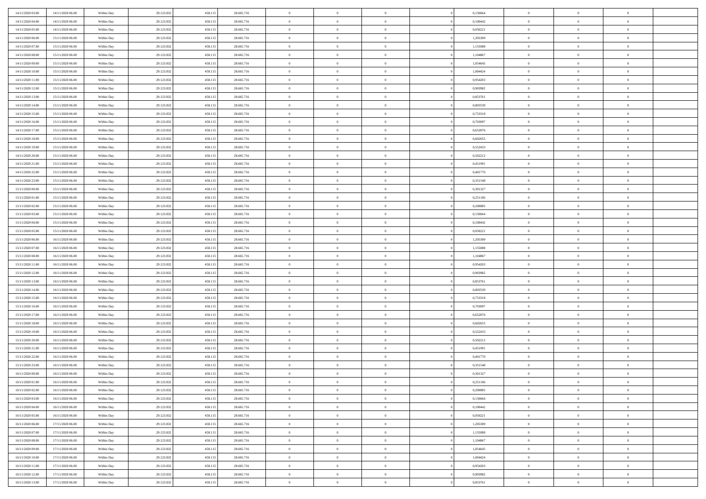| 14/11/2020 03:00 | 14/11/2020 06:00 | Within Day | 29.123.832 | 458.11: | 28.665.716 | $\bf{0}$       | $\overline{0}$ | $\overline{0}$ | 0,150664 | $\bf{0}$       | $\overline{0}$ | $\bf{0}$       |  |
|------------------|------------------|------------|------------|---------|------------|----------------|----------------|----------------|----------|----------------|----------------|----------------|--|
| 14/11/2020 04.00 | 14/11/2020 06:00 | Within Day | 29.123.832 | 458.11: | 28.665.716 | $\overline{0}$ | $\overline{0}$ | $\Omega$       | 0.100442 | $\overline{0}$ | $\theta$       | $\theta$       |  |
| 14/11/2020 05:00 | 14/11/2020 06:00 | Within Day | 29.123.832 | 458.115 | 28.665.716 | $\overline{0}$ | $\overline{0}$ | $\overline{0}$ | 0,050221 | $\mathbf{0}$   | $\overline{0}$ | $\theta$       |  |
| 14/11/2020 06:00 | 15/11/2020 06:00 | Within Day | 29.123.832 | 458.115 | 28.665.716 | $\bf{0}$       | $\overline{0}$ | $\overline{0}$ | 1,205309 | $\mathbf{0}$   | $\overline{0}$ | $\bf{0}$       |  |
| 14/11/2020 07:00 | 15/11/2020 06:00 |            | 29.123.832 | 458.11: | 28.665.716 | $\bf{0}$       | $\overline{0}$ | $\overline{0}$ | 1,155088 | $\bf{0}$       | $\overline{0}$ | $\bf{0}$       |  |
| 14/11/2020 08:00 |                  | Within Day |            |         |            | $\overline{0}$ |                |                |          |                |                | $\theta$       |  |
|                  | 15/11/2020 06:00 | Within Day | 29.123.832 | 458.115 | 28.665.716 |                | $\overline{0}$ | $\overline{0}$ | 1,104867 | $\mathbf{0}$   | $\overline{0}$ |                |  |
| 14/11/2020 09:00 | 15/11/2020 06:00 | Within Day | 29.123.832 | 458.115 | 28.665.716 | $\bf{0}$       | $\overline{0}$ | $\overline{0}$ | 1,054645 | $\mathbf{0}$   | $\overline{0}$ | $\bf{0}$       |  |
| 14/11/2020 10:00 | 15/11/2020 06:00 | Within Day | 29.123.832 | 458.11: | 28.665.716 | $\overline{0}$ | $\overline{0}$ | $\overline{0}$ | 1,004424 | $\mathbf{0}$   | $\theta$       | $\theta$       |  |
| 14/11/2020 11:00 | 15/11/2020 06:00 | Within Day | 29.123.832 | 458.115 | 28.665.716 | $\overline{0}$ | $\overline{0}$ | $\overline{0}$ | 0,954203 | $\mathbf{0}$   | $\overline{0}$ | $\theta$       |  |
| 14/11/2020 12:00 | 15/11/2020 06:00 | Within Day | 29.123.832 | 458.115 | 28.665.716 | $\bf{0}$       | $\bf{0}$       | $\Omega$       | 0,903982 | $\mathbf{0}$   | $\overline{0}$ | $\bf{0}$       |  |
| 14/11/2020 13:00 | 15/11/2020 06:00 | Within Day | 29.123.832 | 458.11: | 28.665.716 | $\bf{0}$       | $\overline{0}$ | $\overline{0}$ | 0,853761 | $\mathbf{0}$   | $\theta$       | $\theta$       |  |
| 14/11/2020 14.00 | 15/11/2020 06:00 | Within Day | 29.123.832 | 458.115 | 28.665.716 | $\overline{0}$ | $\overline{0}$ | $\overline{0}$ | 0,803539 | $\mathbf{0}$   | $\overline{0}$ | $\theta$       |  |
| 14/11/2020 15.00 | 15/11/2020 06:00 | Within Day | 29.123.832 | 458.115 | 28.665.716 | $\bf{0}$       | $\overline{0}$ | $\overline{0}$ | 0,753318 | $\mathbf{0}$   | $\overline{0}$ | $\bf{0}$       |  |
| 14/11/2020 16:00 | 15/11/2020 06:00 | Within Day | 29.123.832 | 458.11: | 28.665.716 | $\bf{0}$       | $\overline{0}$ | $\overline{0}$ | 0,703097 | $\bf{0}$       | $\theta$       | $\bf{0}$       |  |
| 14/11/2020 17.00 | 15/11/2020 06:00 | Within Day | 29.123.832 | 458.115 | 28.665.716 | $\overline{0}$ | $\overline{0}$ | $\overline{0}$ | 0,652876 | $\mathbf{0}$   | $\overline{0}$ | $\theta$       |  |
| 14/11/2020 18.00 | 15/11/2020 06:00 | Within Day | 29.123.832 | 458.115 | 28.665.716 | $\bf{0}$       | $\overline{0}$ | $\Omega$       | 0,602655 | $\bf{0}$       | $\overline{0}$ | $\bf{0}$       |  |
| 14/11/2020 19:00 | 15/11/2020 06:00 | Within Day | 29.123.832 | 458.11: | 28.665.716 | $\,$ 0 $\,$    | $\overline{0}$ | $\overline{0}$ | 0,552433 | $\mathbf{0}$   | $\overline{0}$ | $\theta$       |  |
| 14/11/2020 20.00 | 15/11/2020 06:00 | Within Day | 29.123.832 | 458.115 | 28.665.716 | $\overline{0}$ | $\overline{0}$ | $\overline{0}$ | 0,502212 | $\mathbf{0}$   | $\overline{0}$ | $\theta$       |  |
| 14/11/2020 21.00 | 15/11/2020 06:00 | Within Day | 29.123.832 | 458.115 | 28.665.716 | $\bf{0}$       | $\overline{0}$ | $\Omega$       | 0,451991 | $\bf{0}$       | $\overline{0}$ | $\bf{0}$       |  |
| 14/11/2020 22.00 | 15/11/2020 06:00 | Within Day | 29.123.832 | 458.11: | 28.665.716 | $\bf{0}$       | $\overline{0}$ | $\overline{0}$ | 0,401770 | $\mathbf{0}$   | $\mathbf{0}$   | $\bf{0}$       |  |
| 14/11/2020 23.00 | 15/11/2020 06:00 | Within Day | 29.123.832 | 458.115 | 28.665.716 | $\overline{0}$ | $\overline{0}$ | $\overline{0}$ | 0,351548 | $\mathbf{0}$   | $\overline{0}$ | $\theta$       |  |
| 15/11/2020 00:00 | 15/11/2020 06:00 | Within Day | 29.123.832 | 458.115 | 28.665.716 | $\bf{0}$       | $\overline{0}$ | $\overline{0}$ | 0,301327 | $\mathbf{0}$   | $\overline{0}$ | $\bf{0}$       |  |
| 15/11/2020 01:00 | 15/11/2020 06:00 | Within Day | 29.123.832 | 458.11: | 28.665.716 | $\,$ 0 $\,$    | $\overline{0}$ | $\overline{0}$ | 0,251106 | $\,$ 0 $\,$    | $\overline{0}$ | $\bf{0}$       |  |
| 15/11/2020 02:00 | 15/11/2020 06:00 | Within Day | 29.123.832 | 458.115 | 28.665.716 | $\overline{0}$ | $\overline{0}$ | $\overline{0}$ | 0,200885 | $\mathbf{0}$   | $\overline{0}$ | $\theta$       |  |
| 15/11/2020 03:00 | 15/11/2020 06:00 | Within Day | 29.123.832 | 458.115 | 28.665.716 | $\bf{0}$       | $\overline{0}$ | $\overline{0}$ | 0,150664 | $\bf{0}$       | $\overline{0}$ | $\bf{0}$       |  |
| 15/11/2020 04:00 | 15/11/2020 06:00 |            | 29.123.832 | 458.11: |            | $\,$ 0 $\,$    | $\overline{0}$ | $\overline{0}$ | 0,100442 | $\mathbf{0}$   | $\overline{0}$ | $\overline{0}$ |  |
| 15/11/2020 05:00 |                  | Within Day |            |         | 28.665.716 |                |                |                |          |                |                |                |  |
|                  | 15/11/2020 06:00 | Within Day | 29.123.832 | 458.115 | 28.665.716 | $\overline{0}$ | $\overline{0}$ | $\overline{0}$ | 0,050221 | $\mathbf{0}$   | $\overline{0}$ | $\theta$       |  |
| 15/11/2020 06.00 | 16/11/2020 06:00 | Within Day | 29.123.832 | 458.115 | 28.665.716 | $\bf{0}$       | $\overline{0}$ | $\Omega$       | 1,205309 | $\mathbf{0}$   | $\overline{0}$ | $\bf{0}$       |  |
| 15/11/2020 07:00 | 16/11/2020 06:00 | Within Day | 29.123.832 | 458.11: | 28.665.716 | $\bf{0}$       | $\overline{0}$ | $\overline{0}$ | 1,155088 | $\mathbf{0}$   | $\overline{0}$ | $\overline{0}$ |  |
| 15/11/2020 08:00 | 16/11/2020 06:00 | Within Day | 29.123.832 | 458.115 | 28.665.716 | $\overline{0}$ | $\overline{0}$ | $\overline{0}$ | 1,104867 | $\mathbf{0}$   | $\overline{0}$ | $\theta$       |  |
| 15/11/2020 11:00 | 16/11/2020 06:00 | Within Day | 29.123.832 | 458.115 | 28.665.716 | $\,$ 0         | $\overline{0}$ | $\overline{0}$ | 0,954203 | $\,$ 0 $\,$    | $\overline{0}$ | $\,0\,$        |  |
| 15/11/2020 12:00 | 16/11/2020 06:00 | Within Day | 29.123.832 | 458.11: | 28.665.716 | $\bf{0}$       | $\overline{0}$ | $\overline{0}$ | 0,903982 | $\,$ 0 $\,$    | $\overline{0}$ | $\overline{0}$ |  |
| 15/11/2020 13:00 | 16/11/2020 06:00 | Within Day | 29.123.832 | 458.115 | 28.665.716 | $\overline{0}$ | $\overline{0}$ | $\overline{0}$ | 0,853761 | $\mathbf{0}$   | $\overline{0}$ | $\theta$       |  |
| 15/11/2020 14:00 | 16/11/2020 06:00 | Within Day | 29.123.832 | 458.115 | 28.665.716 | $\,$ 0         | $\overline{0}$ | $\theta$       | 0,803539 | $\,$ 0 $\,$    | $\overline{0}$ | $\mathbf{0}$   |  |
| 15/11/2020 15:00 | 16/11/2020 06:00 | Within Day | 29.123.832 | 458.11: | 28.665.716 | $\,$ 0 $\,$    | $\overline{0}$ | $\overline{0}$ | 0,753318 | $\mathbf{0}$   | $\overline{0}$ | $\overline{0}$ |  |
| 15/11/2020 16.00 | 16/11/2020 06:00 | Within Day | 29.123.832 | 458.115 | 28.665.716 | $\overline{0}$ | $\overline{0}$ | $\overline{0}$ | 0,703097 | $\mathbf{0}$   | $\overline{0}$ | $\theta$       |  |
| 15/11/2020 17:00 | 16/11/2020 06:00 | Within Day | 29.123.832 | 458.115 | 28.665.716 | $\,$ 0         | $\overline{0}$ | $\overline{0}$ | 0,652876 | $\,$ 0 $\,$    | $\overline{0}$ | $\mathbf{0}$   |  |
| 15/11/2020 18:00 | 16/11/2020 06:00 | Within Day | 29.123.832 | 458.11: | 28.665.716 | $\bf{0}$       | $\overline{0}$ | $\overline{0}$ | 0.602655 | $\mathbf{0}$   | $\mathbf{0}$   | $\overline{0}$ |  |
| 15/11/2020 19:00 | 16/11/2020 06:00 | Within Day | 29.123.832 | 458.115 | 28.665.716 | $\overline{0}$ | $\overline{0}$ | $\overline{0}$ | 0,552433 | $\mathbf{0}$   | $\overline{0}$ | $\theta$       |  |
| 15/11/2020 20:00 | 16/11/2020 06:00 | Within Day | 29.123.832 | 458.115 | 28.665.716 | $\,$ 0         | $\overline{0}$ | $\overline{0}$ | 0,502212 | $\,$ 0 $\,$    | $\overline{0}$ | $\,$ 0 $\,$    |  |
| 15/11/2020 21:00 | 16/11/2020 06:00 | Within Day | 29.123.832 | 458.11: | 28.665.716 | $\,$ 0 $\,$    | $\,$ 0 $\,$    | $\overline{0}$ | 0,451991 | $\,$ 0 $\,$    | $\overline{0}$ | $\bf{0}$       |  |
| 15/11/2020 22.00 | 16/11/2020 06:00 | Within Day | 29.123.832 | 458.115 | 28.665.716 | $\overline{0}$ | $\overline{0}$ | $\overline{0}$ | 0,401770 | $\mathbf{0}$   | $\overline{0}$ | $\theta$       |  |
| 15/11/2020 23.00 | 16/11/2020 06:00 | Within Day | 29.123.832 | 458.115 | 28.665.716 | $\overline{0}$ | $\overline{0}$ | $\overline{0}$ | 0,351548 | $\,$ 0         | $\overline{0}$ | $\mathbf{0}$   |  |
| 16/11/2020 00:00 | 16/11/2020 06:00 | Within Day | 29.123.832 | 458.11: | 28.665.716 | $\bf{0}$       | $\overline{0}$ | $\overline{0}$ | 0,301327 | $\mathbf{0}$   | $\overline{0}$ | $\bf{0}$       |  |
| 16/11/2020 01:00 | 16/11/2020 06:00 | Within Day | 29.123.832 | 458.115 | 28.665.716 | $\overline{0}$ | $\theta$       |                | 0,251106 | $\overline{0}$ | $\Omega$       | $\overline{0}$ |  |
| 16/11/2020 02:00 | 16/11/2020 06:00 | Within Day | 29.123.832 | 458.115 | 28.665.716 | $\,$ 0 $\,$    | $\overline{0}$ | $\overline{0}$ | 0,200885 | $\,$ 0 $\,$    | $\bf{0}$       | $\mathbf{0}$   |  |
| 16/11/2020 03:00 | 16/11/2020 06:00 | Within Day | 29.123.832 | 458.11: | 28.665.716 | $\mathbf{0}$   | $\overline{0}$ | $\overline{0}$ | 0,150664 | $\,$ 0 $\,$    | $\overline{0}$ | $\overline{0}$ |  |
| 16/11/2020 04:00 | 16/11/2020 06:00 | Within Day | 29.123.832 | 458.115 | 28.665.716 | $\mathbf{0}$   | $\overline{0}$ | $\overline{0}$ | 0,100442 | $\mathbf{0}$   | $\bf{0}$       | $\overline{0}$ |  |
| 16/11/2020 05:00 | 16/11/2020 06:00 | Within Day | 29.123.832 | 458.115 | 28.665.716 | $\,$ 0 $\,$    | $\overline{0}$ | $\overline{0}$ | 0,050221 | $\,$ 0 $\,$    | $\bf{0}$       | $\theta$       |  |
| 16/11/2020 06:00 | 17/11/2020 06:00 | Within Day | 29.123.832 | 458.11: | 28.665.716 | $\,$ 0 $\,$    | $\,$ 0 $\,$    | $\overline{0}$ | 1,205309 | $\,$ 0 $\,$    | $\overline{0}$ | $\overline{0}$ |  |
| 16/11/2020 07:00 | 17/11/2020 06:00 | Within Day | 29.123.832 | 458.115 | 28.665.716 | $\mathbf{0}$   | $\overline{0}$ | $\overline{0}$ | 1,155088 | $\mathbf{0}$   | $\overline{0}$ | $\overline{0}$ |  |
| 16/11/2020 08:00 | 17/11/2020 06:00 | Within Day | 29.123.832 | 458.115 | 28.665.716 | $\,$ 0 $\,$    | $\overline{0}$ | $\overline{0}$ | 1,104867 | $\,$ 0 $\,$    | $\overline{0}$ | $\theta$       |  |
| 16/11/2020 09:00 | 17/11/2020 06:00 | Within Day | 29.123.832 | 458.11: | 28.665.716 | $\mathbf{0}$   | $\overline{0}$ | $\overline{0}$ | 1,054645 | $\,$ 0 $\,$    | $\overline{0}$ | $\overline{0}$ |  |
| 16/11/2020 10:00 | 17/11/2020 06:00 | Within Day | 29.123.832 | 458.115 | 28.665.716 | $\mathbf{0}$   | $\overline{0}$ | $\overline{0}$ | 1,004424 | $\mathbf{0}$   | $\bf{0}$       | $\overline{0}$ |  |
| 16/11/2020 11:00 | 17/11/2020 06:00 | Within Day | 29.123.832 | 458.115 | 28.665.716 | $\,$ 0 $\,$    | $\overline{0}$ | $\overline{0}$ | 0,954203 | $\,$ 0 $\,$    | $\mathbf{0}$   | $\theta$       |  |
| 16/11/2020 12:00 | 17/11/2020 06:00 | Within Day | 29.123.832 | 458.11: | 28.665.716 | $\mathbf{0}$   | $\overline{0}$ | $\overline{0}$ | 0,903982 | $\,$ 0 $\,$    | $\overline{0}$ | $\overline{0}$ |  |
| 16/11/2020 13:00 | 17/11/2020 06:00 | Within Day | 29.123.832 | 458.115 | 28.665.716 | $\mathbf{0}$   | $\overline{0}$ | $\overline{0}$ | 0,853761 | $\mathbf{0}$   | $\mathbf{0}$   | $\overline{0}$ |  |
|                  |                  |            |            |         |            |                |                |                |          |                |                |                |  |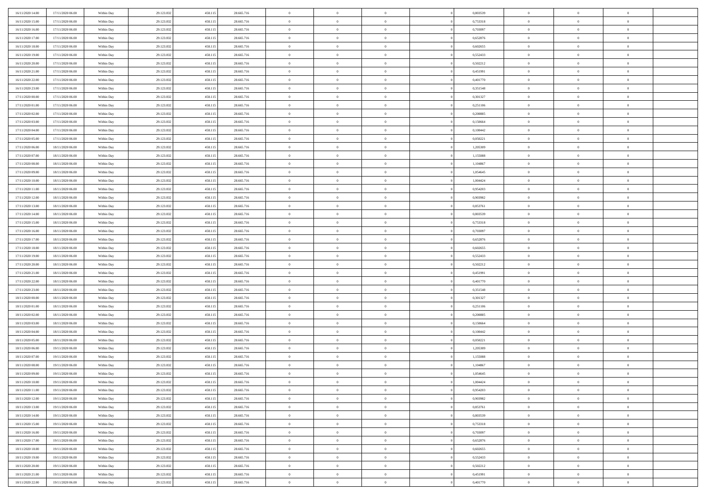| 16/11/2020 14:00 | 17/11/2020 06:00 | Within Day | 29.123.832 | 458.115 | 28.665.716 | $\bf{0}$       | $\overline{0}$ | $\overline{0}$ | 0,803539 | $\bf{0}$       | $\overline{0}$ | $\bf{0}$       |  |
|------------------|------------------|------------|------------|---------|------------|----------------|----------------|----------------|----------|----------------|----------------|----------------|--|
| 16/11/2020 15:00 | 17/11/2020 06:00 | Within Day | 29.123.832 | 458.11: | 28.665.716 | $\overline{0}$ | $\overline{0}$ | $\Omega$       | 0,753318 | $\overline{0}$ | $\theta$       | $\theta$       |  |
| 16/11/2020 16:00 | 17/11/2020 06:00 | Within Day | 29.123.832 | 458.115 | 28.665.716 | $\overline{0}$ | $\overline{0}$ | $\overline{0}$ | 0,703097 | $\mathbf{0}$   | $\overline{0}$ | $\theta$       |  |
| 16/11/2020 17.00 | 17/11/2020 06:00 | Within Day | 29.123.832 | 458.115 | 28.665.716 | $\bf{0}$       | $\overline{0}$ | $\overline{0}$ | 0,652876 | $\mathbf{0}$   | $\overline{0}$ | $\bf{0}$       |  |
| 16/11/2020 18:00 | 17/11/2020 06:00 | Within Day | 29.123.832 | 458.11: | 28.665.716 | $\bf{0}$       | $\overline{0}$ | $\overline{0}$ | 0,602655 | $\bf{0}$       | $\overline{0}$ | $\bf{0}$       |  |
| 16/11/2020 19:00 | 17/11/2020 06:00 | Within Day | 29.123.832 | 458.115 | 28.665.716 | $\overline{0}$ | $\overline{0}$ | $\overline{0}$ | 0,552433 | $\mathbf{0}$   | $\overline{0}$ | $\theta$       |  |
| 16/11/2020 20.00 |                  |            |            |         |            | $\bf{0}$       | $\overline{0}$ | $\overline{0}$ |          |                | $\overline{0}$ | $\bf{0}$       |  |
|                  | 17/11/2020 06:00 | Within Day | 29.123.832 | 458.115 | 28.665.716 |                |                |                | 0,502212 | $\mathbf{0}$   |                |                |  |
| 16/11/2020 21:00 | 17/11/2020 06:00 | Within Day | 29.123.832 | 458.11: | 28.665.716 | $\mathbf{0}$   | $\overline{0}$ | $\overline{0}$ | 0,451991 | $\mathbf{0}$   | $\theta$       | $\theta$       |  |
| 16/11/2020 22.00 | 17/11/2020 06:00 | Within Day | 29.123.832 | 458.115 | 28.665.716 | $\overline{0}$ | $\overline{0}$ | $\overline{0}$ | 0,401770 | $\mathbf{0}$   | $\overline{0}$ | $\theta$       |  |
| 16/11/2020 23.00 | 17/11/2020 06:00 | Within Day | 29.123.832 | 458.115 | 28.665.716 | $\bf{0}$       | $\overline{0}$ | $\Omega$       | 0,351548 | $\mathbf{0}$   | $\overline{0}$ | $\bf{0}$       |  |
| 17/11/2020 00:00 | 17/11/2020 06:00 | Within Day | 29.123.832 | 458.11: | 28.665.716 | $\bf{0}$       | $\overline{0}$ | $\overline{0}$ | 0,301327 | $\mathbf{0}$   | $\theta$       | $\theta$       |  |
| 17/11/2020 01:00 | 17/11/2020 06:00 | Within Day | 29.123.832 | 458.115 | 28.665.716 | $\overline{0}$ | $\overline{0}$ | $\overline{0}$ | 0,251106 | $\mathbf{0}$   | $\overline{0}$ | $\theta$       |  |
| 17/11/2020 02.00 | 17/11/2020 06:00 | Within Day | 29.123.832 | 458.115 | 28.665.716 | $\bf{0}$       | $\overline{0}$ | $\overline{0}$ | 0,200885 | $\mathbf{0}$   | $\overline{0}$ | $\bf{0}$       |  |
| 17/11/2020 03:00 | 17/11/2020 06:00 | Within Day | 29.123.832 | 458.11: | 28.665.716 | $\bf{0}$       | $\overline{0}$ | $\overline{0}$ | 0,150664 | $\bf{0}$       | $\theta$       | $\bf{0}$       |  |
| 17/11/2020 04:00 | 17/11/2020 06:00 | Within Day | 29.123.832 | 458.115 | 28.665.716 | $\overline{0}$ | $\overline{0}$ | $\overline{0}$ | 0,100442 | $\mathbf{0}$   | $\overline{0}$ | $\theta$       |  |
| 17/11/2020 05.00 | 17/11/2020 06:00 | Within Day | 29.123.832 | 458.115 | 28.665.716 | $\bf{0}$       | $\overline{0}$ | $\Omega$       | 0,050221 | $\mathbf{0}$   | $\overline{0}$ | $\bf{0}$       |  |
| 17/11/2020 06:00 | 18/11/2020 06:00 | Within Day | 29.123.832 | 458.11: | 28.665.716 | $\,$ 0 $\,$    | $\overline{0}$ | $\overline{0}$ | 1,205309 | $\mathbf{0}$   | $\overline{0}$ | $\theta$       |  |
| 17/11/2020 07:00 | 18/11/2020 06:00 | Within Day | 29.123.832 | 458.115 | 28.665.716 | $\overline{0}$ | $\overline{0}$ | $\overline{0}$ | 1,155088 | $\mathbf{0}$   | $\overline{0}$ | $\theta$       |  |
| 17/11/2020 08:00 | 18/11/2020 06:00 | Within Day | 29.123.832 | 458.115 | 28.665.716 | $\bf{0}$       | $\overline{0}$ | $\Omega$       | 1,104867 | $\mathbf{0}$   | $\overline{0}$ | $\bf{0}$       |  |
| 17/11/2020 09:00 | 18/11/2020 06:00 | Within Day | 29.123.832 | 458.11: | 28.665.716 | $\bf{0}$       | $\overline{0}$ | $\overline{0}$ | 1,054645 | $\mathbf{0}$   | $\mathbf{0}$   | $\overline{0}$ |  |
| 17/11/2020 10:00 | 18/11/2020 06:00 | Within Day | 29.123.832 | 458.115 | 28.665.716 | $\overline{0}$ | $\overline{0}$ | $\overline{0}$ | 1,004424 | $\mathbf{0}$   | $\overline{0}$ | $\theta$       |  |
| 17/11/2020 11:00 | 18/11/2020 06:00 | Within Day | 29.123.832 | 458.115 | 28.665.716 | $\bf{0}$       | $\overline{0}$ | $\overline{0}$ | 0,954203 | $\mathbf{0}$   | $\overline{0}$ | $\bf{0}$       |  |
| 17/11/2020 12:00 | 18/11/2020 06:00 | Within Day | 29.123.832 | 458.11: | 28.665.716 | $\,0\,$        | $\overline{0}$ | $\overline{0}$ | 0,903982 | $\,$ 0 $\,$    | $\overline{0}$ | $\bf{0}$       |  |
| 17/11/2020 13.00 | 18/11/2020 06:00 | Within Day | 29.123.832 | 458.115 | 28.665.716 | $\overline{0}$ | $\overline{0}$ | $\overline{0}$ | 0,853761 | $\mathbf{0}$   | $\overline{0}$ | $\theta$       |  |
| 17/11/2020 14.00 | 18/11/2020 06:00 | Within Day | 29.123.832 | 458.115 | 28.665.716 | $\bf{0}$       | $\overline{0}$ | $\overline{0}$ | 0,803539 | $\bf{0}$       | $\overline{0}$ | $\bf{0}$       |  |
| 17/11/2020 15:00 | 18/11/2020 06:00 | Within Day | 29.123.832 | 458.11: | 28.665.716 | $\,$ 0 $\,$    | $\overline{0}$ | $\overline{0}$ | 0,753318 | $\mathbf{0}$   | $\overline{0}$ | $\overline{0}$ |  |
| 17/11/2020 16.00 | 18/11/2020 06:00 | Within Day | 29.123.832 | 458.115 | 28.665.716 | $\overline{0}$ | $\overline{0}$ | $\overline{0}$ | 0,703097 | $\mathbf{0}$   | $\overline{0}$ | $\theta$       |  |
| 17/11/2020 17.00 | 18/11/2020 06:00 | Within Day | 29.123.832 | 458.115 | 28.665.716 | $\bf{0}$       | $\overline{0}$ | $\Omega$       | 0,652876 | $\mathbf{0}$   | $\overline{0}$ | $\bf{0}$       |  |
|                  |                  |            |            | 458.11: |            | $\bf{0}$       |                | $\overline{0}$ | 0.602655 |                | $\overline{0}$ |                |  |
| 17/11/2020 18:00 | 18/11/2020 06:00 | Within Day | 29.123.832 |         | 28.665.716 |                | $\overline{0}$ |                |          | $\mathbf{0}$   |                | $\bf{0}$       |  |
| 17/11/2020 19:00 | 18/11/2020 06:00 | Within Day | 29.123.832 | 458.115 | 28.665.716 | $\overline{0}$ | $\overline{0}$ | $\overline{0}$ | 0,552433 | $\mathbf{0}$   | $\overline{0}$ | $\theta$       |  |
| 17/11/2020 20:00 | 18/11/2020 06:00 | Within Day | 29.123.832 | 458.115 | 28.665.716 | $\,$ 0         | $\overline{0}$ | $\overline{0}$ | 0,502212 | $\,$ 0 $\,$    | $\overline{0}$ | $\,$ 0 $\,$    |  |
| 17/11/2020 21:00 | 18/11/2020 06:00 | Within Day | 29.123.832 | 458.11: | 28.665.716 | $\bf{0}$       | $\overline{0}$ | $\overline{0}$ | 0,451991 | $\,$ 0 $\,$    | $\overline{0}$ | $\bf{0}$       |  |
| 17/11/2020 22.00 | 18/11/2020 06:00 | Within Day | 29.123.832 | 458.115 | 28.665.716 | $\overline{0}$ | $\overline{0}$ | $\overline{0}$ | 0,401770 | $\mathbf{0}$   | $\overline{0}$ | $\theta$       |  |
| 17/11/2020 23.00 | 18/11/2020 06:00 | Within Day | 29.123.832 | 458.115 | 28.665.716 | $\,$ 0         | $\overline{0}$ | $\theta$       | 0,351548 | $\,$ 0 $\,$    | $\overline{0}$ | $\mathbf{0}$   |  |
| 18/11/2020 00:00 | 18/11/2020 06:00 | Within Day | 29.123.832 | 458.11: | 28.665.716 | $\,$ 0 $\,$    | $\overline{0}$ | $\overline{0}$ | 0,301327 | $\mathbf{0}$   | $\overline{0}$ | $\overline{0}$ |  |
| 18/11/2020 01:00 | 18/11/2020 06:00 | Within Day | 29.123.832 | 458.115 | 28.665.716 | $\overline{0}$ | $\overline{0}$ | $\overline{0}$ | 0,251106 | $\mathbf{0}$   | $\overline{0}$ | $\theta$       |  |
| 18/11/2020 02:00 | 18/11/2020 06:00 | Within Day | 29.123.832 | 458.115 | 28.665.716 | $\,$ 0         | $\overline{0}$ | $\overline{0}$ | 0,200885 | $\,$ 0 $\,$    | $\overline{0}$ | $\mathbf{0}$   |  |
| 18/11/2020 03:00 | 18/11/2020 06:00 | Within Day | 29.123.832 | 458.11: | 28.665.716 | $\bf{0}$       | $\overline{0}$ | $\overline{0}$ | 0,150664 | $\mathbf{0}$   | $\overline{0}$ | $\overline{0}$ |  |
| 18/11/2020 04:00 | 18/11/2020 06:00 | Within Day | 29.123.832 | 458.115 | 28.665.716 | $\overline{0}$ | $\overline{0}$ | $\overline{0}$ | 0,100442 | $\mathbf{0}$   | $\overline{0}$ | $\theta$       |  |
| 18/11/2020 05:00 | 18/11/2020 06:00 | Within Day | 29.123.832 | 458.115 | 28.665.716 | $\,$ 0         | $\overline{0}$ | $\overline{0}$ | 0,050221 | $\,$ 0 $\,$    | $\overline{0}$ | $\,0\,$        |  |
| 18/11/2020 06:00 | 19/11/2020 06:00 | Within Day | 29.123.832 | 458.11: | 28.665.716 | $\,$ 0 $\,$    | $\,$ 0 $\,$    | $\overline{0}$ | 1,205309 | $\,$ 0 $\,$    | $\overline{0}$ | $\overline{0}$ |  |
| 18/11/2020 07:00 | 19/11/2020 06:00 | Within Day | 29.123.832 | 458.115 | 28.665.716 | $\overline{0}$ | $\overline{0}$ | $\overline{0}$ | 1,155088 | $\mathbf{0}$   | $\overline{0}$ | $\theta$       |  |
| 18/11/2020 08:00 | 19/11/2020 06:00 | Within Day | 29.123.832 | 458.115 | 28.665.716 | $\overline{0}$ | $\overline{0}$ | $\overline{0}$ | 1,104867 | $\,$ 0         | $\overline{0}$ | $\mathbf{0}$   |  |
| 18/11/2020 09:00 | 19/11/2020 06:00 | Within Day | 29.123.832 | 458.11: | 28.665.716 | $\bf{0}$       | $\overline{0}$ | $\overline{0}$ | 1,054645 | $\mathbf{0}$   | $\overline{0}$ | $\overline{0}$ |  |
| 18/11/2020 10:00 | 19/11/2020 06:00 | Within Day | 29.123.832 | 458.115 | 28.665.716 | $\overline{0}$ | $\theta$       |                | 1,004424 | $\overline{0}$ | $\Omega$       | $\overline{0}$ |  |
| 18/11/2020 11:00 | 19/11/2020 06:00 | Within Day | 29.123.832 | 458.115 | 28.665.716 | $\,$ 0 $\,$    | $\overline{0}$ | $\overline{0}$ | 0,954203 | $\,$ 0 $\,$    | $\bf{0}$       | $\mathbf{0}$   |  |
| 18/11/2020 12:00 | 19/11/2020 06:00 | Within Day | 29.123.832 | 458.11: | 28.665.716 | $\mathbf{0}$   | $\overline{0}$ | $\overline{0}$ | 0,903982 | $\,$ 0 $\,$    | $\overline{0}$ | $\overline{0}$ |  |
| 18/11/2020 13:00 | 19/11/2020 06:00 | Within Day | 29.123.832 | 458.115 | 28.665.716 | $\mathbf{0}$   | $\overline{0}$ | $\overline{0}$ | 0,853761 | $\mathbf{0}$   | $\bf{0}$       | $\overline{0}$ |  |
| 18/11/2020 14:00 | 19/11/2020 06:00 | Within Day | 29.123.832 | 458.115 | 28.665.716 | $\,$ 0 $\,$    | $\overline{0}$ | $\overline{0}$ | 0,803539 | $\,$ 0 $\,$    | $\bf{0}$       | $\theta$       |  |
| 18/11/2020 15:00 | 19/11/2020 06:00 | Within Day | 29.123.832 | 458.11: | 28.665.716 | $\,$ 0 $\,$    | $\,$ 0 $\,$    | $\overline{0}$ | 0,753318 | $\,$ 0 $\,$    | $\overline{0}$ | $\mathbf{0}$   |  |
| 18/11/2020 16.00 | 19/11/2020 06:00 | Within Day | 29.123.832 | 458.115 | 28.665.716 | $\mathbf{0}$   | $\overline{0}$ | $\overline{0}$ | 0,703097 | $\mathbf{0}$   | $\bf{0}$       | $\overline{0}$ |  |
| 18/11/2020 17.00 | 19/11/2020 06:00 | Within Day | 29.123.832 | 458.115 | 28.665.716 | $\,$ 0 $\,$    | $\overline{0}$ | $\overline{0}$ | 0,652876 | $\,$ 0 $\,$    | $\overline{0}$ | $\theta$       |  |
| 18/11/2020 18:00 | 19/11/2020 06:00 | Within Day | 29.123.832 | 458.11: | 28.665.716 | $\mathbf{0}$   | $\overline{0}$ | $\overline{0}$ | 0.602655 | $\,$ 0 $\,$    | $\overline{0}$ | $\mathbf{0}$   |  |
| 18/11/2020 19:00 | 19/11/2020 06:00 | Within Day | 29.123.832 | 458.115 | 28.665.716 | $\mathbf{0}$   | $\overline{0}$ | $\overline{0}$ | 0,552433 | $\mathbf{0}$   | $\bf{0}$       | $\overline{0}$ |  |
| 18/11/2020 20:00 | 19/11/2020 06:00 | Within Day | 29.123.832 | 458.115 | 28.665.716 | $\,$ 0 $\,$    | $\overline{0}$ | $\overline{0}$ | 0,502212 | $\,$ 0 $\,$    | $\overline{0}$ | $\theta$       |  |
| 18/11/2020 21.00 | 19/11/2020 06:00 | Within Day | 29.123.832 | 458.115 | 28.665.716 | $\mathbf{0}$   | $\overline{0}$ | $\overline{0}$ | 0,451991 | $\,$ 0 $\,$    | $\overline{0}$ | $\overline{0}$ |  |
| 18/11/2020 22.00 | 19/11/2020 06:00 | Within Day | 29.123.832 | 458.115 | 28.665.716 | $\mathbf{0}$   | $\overline{0}$ | $\overline{0}$ | 0,401770 | $\mathbf{0}$   | $\mathbf{0}$   | $\overline{0}$ |  |
|                  |                  |            |            |         |            |                |                |                |          |                |                |                |  |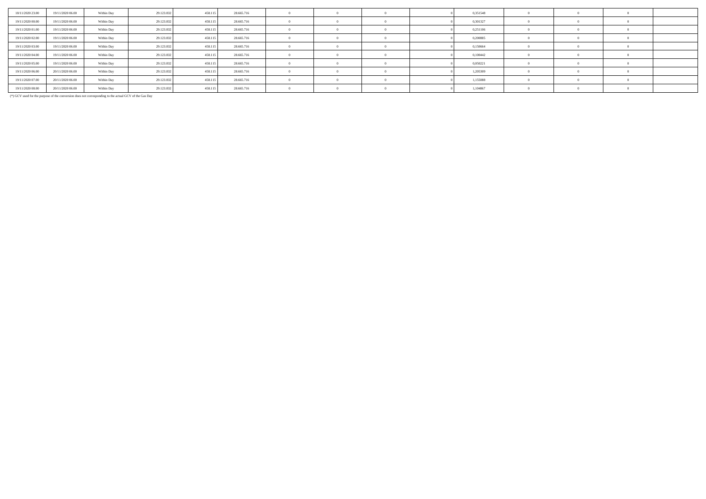| 18/11/2020 23.00 | 19/11/2020 06:00 | Within Day | 29.123.832 | 458,115 | 28.665.716 |            |  | 0,351548 |  |  |
|------------------|------------------|------------|------------|---------|------------|------------|--|----------|--|--|
| 19/11/2020 00:00 | 19/11/2020 06.00 | Within Day | 29.123.832 | 458,115 | 28.665.716 |            |  | 0,301327 |  |  |
| 19/11/2020 01:00 | 19/11/2020 06.00 | Within Day | 29.123.832 | 458,115 | 28.665.716 |            |  | 0,251106 |  |  |
| 19/11/2020 02.00 | 19/11/2020 06.00 | Within Day | 29.123.832 | 458,115 | 28.665.716 |            |  | 0,200885 |  |  |
| 19/11/2020 03:00 | 19/11/2020 06.00 | Within Day | 29.123.832 | 458,115 | 28.665.716 |            |  | 0,150664 |  |  |
| 19/11/2020 04:00 | 19/11/2020 06.00 | Within Day | 29.123.832 | 458,115 | 28.665.716 |            |  | 0,100442 |  |  |
| 19/11/2020 05:00 | 19/11/2020 06:00 | Within Day | 29.123.832 | 458,115 | 28.665.716 |            |  | 0,050221 |  |  |
| 19/11/2020 06:00 | 20/11/2020 06:00 | Within Day | 29.123.832 | 458,115 | 28.665.716 |            |  | 1,205309 |  |  |
| 19/11/2020 07:00 | 20/11/2020 06.00 | Within Day | 29.123.832 | 458,115 | 28.665.716 |            |  | 1,155088 |  |  |
| 19/11/2020 08:00 | 20/11/2020 06:00 | Within Day | 29.123.832 | 458,115 | 28.665.716 | $\sqrt{ }$ |  | 1,104867 |  |  |

(\*) GCV used for the purpose of the conversion does not corresponding to the actual GCV of the Gas Day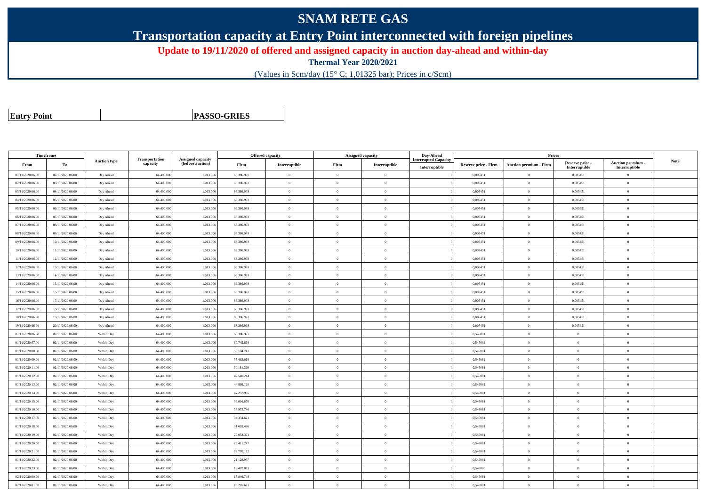## **SNAM RETE GAS**

**Transportation capacity at Entry Point interconnected with foreign pipelines**

**Update to 19/11/2020 of offered and assigned capacity in auction day-ahead and within-day**

**Thermal Year 2020/2021**

(Values in Scm/day (15° C; 1,01325 bar); Prices in c/Scm)

| <b>Entry Point</b> |  |
|--------------------|--|
|--------------------|--|

**PASSO-GRIES**

| <b>Timeframe</b> |                  |                     |                            |                                              |            | Offered capacity | <b>Assigned capacity</b> |                | Day-Ahead                                    |                             | Prices                        |                                  |                                         |             |
|------------------|------------------|---------------------|----------------------------|----------------------------------------------|------------|------------------|--------------------------|----------------|----------------------------------------------|-----------------------------|-------------------------------|----------------------------------|-----------------------------------------|-------------|
| From             | To               | <b>Auction type</b> | Transportation<br>capacity | <b>Assigned capacity</b><br>(before auction) | Firm       | Interruptible    | Firm                     | Interruptible  | <b>Interrupted Capacity</b><br>Interruptible | <b>Reserve price - Firm</b> | <b>Auction premium - Firm</b> | Reserve price -<br>Interruptible | <b>Auction premium</b><br>Interruptible | <b>Note</b> |
| 01/11/2020 06:00 | 02/11/2020 06:00 | Day Ahead           | 64.400.000                 | 1.013.006                                    | 63.386.993 | $\bf{0}$         | $\overline{0}$           | $\overline{0}$ |                                              | 0,005451                    | $\theta$                      | 0,005451                         | $\overline{0}$                          |             |
| 02/11/2020 06:00 | 03/11/2020 06:00 | Day Ahead           | 64,400,000                 | 1.013.006                                    | 63.386.993 | $\theta$         | $\Omega$                 | $\Omega$       |                                              | 0.005451                    | $\theta$                      | 0.005451                         | $\theta$                                |             |
| 03/11/2020 06:00 | 04/11/2020 06:00 | Day Ahead           | 64,400,000                 | 1.013.006                                    | 63.386.993 | $\overline{0}$   | $\Omega$                 | $\overline{0}$ |                                              | 0.005451                    | $\overline{0}$                | 0.005451                         | $\overline{0}$                          |             |
| 04/11/2020 06:00 | 05/11/2020 06:00 | Day Ahead           | 64.400.000                 | 1.013.006                                    | 63.386.993 | $\overline{0}$   | $\overline{0}$           | $\mathbf{0}$   |                                              | 0,005451                    | $\bf{0}$                      | 0,005451                         | $\overline{0}$                          |             |
| 05/11/2020 06:00 | 06/11/2020 06:00 | Day Ahead           | 64.400.00                  | 1.013.006                                    | 63.386.993 | $\theta$         | $\overline{0}$           | $\theta$       |                                              | 0,005451                    | $\theta$                      | 0,005451                         | $\overline{0}$                          |             |
| 06/11/2020 06.00 | 07/11/2020 06.00 | Day Ahead           | 64.400.000                 | 1.013.006                                    | 63.386.993 | $\theta$         | $\overline{0}$           | $\mathbf{0}$   |                                              | 0,005451                    | $\theta$                      | 0,005451                         | $\overline{0}$                          |             |
| 07/11/2020 06:00 | 08/11/2020 06:00 | Day Ahead           | 64,400,000                 | 1.013.006                                    | 63.386.993 | $\mathbf{a}$     | $\Omega$                 | $\Omega$       |                                              | 0.005451                    | $\mathbf{a}$                  | 0.005451                         | $\overline{0}$                          |             |
| 08/11/2020 06:00 | 09/11/2020 06:00 | Day Ahead           | 64.400.00                  | 1.013.006                                    | 63.386.993 | $\theta$         | $\overline{0}$           | $\overline{0}$ |                                              | 0,005451                    | $\theta$                      | 0,005451                         | $\overline{0}$                          |             |
| 09/11/2020 06:00 | 10/11/2020 06:00 | Day Ahead           | 64.400.000                 | 1.013.006                                    | 63.386.993 | $\overline{0}$   | $\theta$                 | $\mathbf{0}$   |                                              | 0,005451                    | $\overline{0}$                | 0,005451                         | $\overline{0}$                          |             |
| 10/11/2020 06:00 | 11/11/2020 06:00 | Day Ahead           | 64,400,000                 | 1.013.006                                    | 63.386.993 | $\overline{0}$   | $\Omega$                 | $\Omega$       |                                              | 0.005451                    | $\theta$                      | 0.005451                         | $\theta$                                |             |
| 11/11/2020 06:00 | 12/11/2020 06:00 | Day Ahead           | 64.400.000                 | 1.013.006                                    | 63.386.993 | $\theta$         | $\overline{0}$           | $\,0\,$        |                                              | 0,005451                    | $\theta$                      | 0,005451                         | $\overline{0}$                          |             |
| 12/11/2020 06:00 | 13/11/2020 06:00 | Day Ahead           | 64.400.000                 | 1.013.006                                    | 63.386.993 | $\theta$         | $\overline{0}$           | $\mathbf{0}$   |                                              | 0,005451                    | $\theta$                      | 0,005451                         | $\overline{0}$                          |             |
| 13/11/2020 06:00 | 14/11/2020 06:00 | Day Ahead           | 64.400.000                 | 1.013.006                                    | 63.386.993 | $\theta$         | $\overline{0}$           | $\Omega$       |                                              | 0,005451                    | $\theta$                      | 0,005451                         | $\overline{0}$                          |             |
| 14/11/2020 06:00 | 15/11/2020 06:00 | Day Ahead           | 64,400,000                 | 1.013.006                                    | 63.386.993 | $\mathbf{a}$     | $\Omega$                 | $\theta$       |                                              | 0.005451                    | $\alpha$                      | 0.005451                         | $\overline{0}$                          |             |
| 15/11/2020 06:00 | 16/11/2020 06:00 | Day Ahead           | 64.400.000                 | 1.013.006                                    | 63.386.993 | $\bf{0}$         | $\overline{0}$           | $\overline{0}$ |                                              | 0,005451                    | $\overline{0}$                | 0,005451                         | $\overline{0}$                          |             |
| 16/11/2020 06:00 | 17/11/2020 06:00 | Day Ahead           | 64.400.00                  | 1.013.006                                    | 63.386.993 | $\overline{0}$   | $\theta$                 | $\mathbf{0}$   |                                              | 0,005451                    | $\theta$                      | 0,005451                         | $\overline{0}$                          |             |
| 17/11/2020 06:00 | 18/11/2020 06:00 | Day Ahead           | 64,400,000                 | 1.013.006                                    | 63.386.993 | $\theta$         | $\Omega$                 | $\mathbf{0}$   |                                              | 0.005451                    | $\Omega$                      | 0.005451                         | $\theta$                                |             |
| 18/11/2020 06:00 | 19/11/2020 06:00 | Day Ahead           | 64.400.000                 | 1.013.006                                    | 63.386.993 | $\mathbf{0}$     | $\theta$                 | $\mathbf{0}$   |                                              | 0,005451                    | $\theta$                      | 0,005451                         | $\overline{0}$                          |             |
| 19/11/2020 06:00 | 20/11/2020 06:00 | Day Ahead           | 64.400.00                  | 1.013.006                                    | 63.386.993 | $\theta$         | $\overline{0}$           | $\overline{0}$ |                                              | 0,005451                    | $\Omega$                      | 0,005451                         | $\overline{0}$                          |             |
| 01/11/2020 06:00 | 02/11/2020 06:00 | Within Day          | 64.400.000                 | 1.013.006                                    | 63.386.993 | $\bf{0}$         | $\overline{0}$           | $\overline{0}$ |                                              | 0,545081                    | $\overline{0}$                | $\bf{0}$                         | $\overline{0}$                          |             |
| 01/11/2020 07:00 | 02/11/2020 06:00 | Within Day          | 64,400,000                 | 1.013,006                                    | 60.745.868 | $\overline{0}$   | $\Omega$                 | $\Omega$       |                                              | 0.545081                    | $\theta$                      | $\overline{0}$                   | $\overline{0}$                          |             |
| 01/11/2020 08:00 | 02/11/2020 06:00 | Within Day          | 64,400,000                 | 1.013.006                                    | 58.104.743 | $\theta$         | $\overline{0}$           | $\overline{0}$ |                                              | 0,545081                    | $\theta$                      | $\overline{0}$                   | $\overline{0}$                          |             |
| 01/11/2020 09:00 | 02/11/2020 06:00 | Within Day          | 64.400.000                 | 1.013.006                                    | 55.463.619 | $\overline{0}$   | $\overline{0}$           | $\mathbf{0}$   |                                              | 0,545081                    | $\theta$                      | $\overline{0}$                   | $\overline{0}$                          |             |
| 01/11/2020 11:00 | 02/11/2020 06:00 | Within Day          | 64,400,000                 | 1.013.006                                    | 50.181.369 | $\theta$         | $\Omega$                 | $\theta$       |                                              | 0.545081                    | $\Omega$                      | $\theta$                         | $\Omega$                                |             |
| 01/11/2020 12:00 | 02/11/2020 06.00 | Within Day          | 64.400.000                 | 1.013.006                                    | 47.540.244 | $\overline{0}$   | $\overline{0}$           | $\overline{0}$ |                                              | 0,545081                    | $\overline{0}$                | $\overline{0}$                   | $\overline{0}$                          |             |
| 01/11/2020 13:00 | 02/11/2020 06:00 | Within Day          | 64.400.000                 | 1.013.006                                    | 44.899.120 | $\overline{0}$   | $\overline{0}$           | $\overline{0}$ |                                              | 0,545081                    | $\overline{0}$                | $\bf{0}$                         | $\overline{0}$                          |             |
| 01/11/2020 14:00 | 02/11/2020 06:00 | Within Day          | 64.400.000                 | 1.013.006                                    | 42.257.995 | $\theta$         | $\overline{0}$           | $\overline{0}$ |                                              | 0,545081                    | $\Omega$                      | $\theta$                         | $\overline{0}$                          |             |
| 01/11/2020 15:00 | 02/11/2020 06:00 | Within Day          | 64,400,000                 | 1.013.006                                    | 39.616.870 | $\theta$         | $\Omega$                 | $\theta$       |                                              | 0.545081                    | $\overline{0}$                | $\theta$                         | $\overline{0}$                          |             |
| 01/11/2020 16.00 | 02/11/2020 06.00 | Within Day          | 64.400.000                 | 1.013.006                                    | 36.975.746 | $\theta$         | $\Omega$                 | $\Omega$       |                                              | 0,545081                    | $\mathbf{a}$                  | $\theta$                         | $\Omega$                                |             |
| 01/11/2020 17:00 | 02/11/2020 06:00 | Within Day          | 64,400,00                  | 1.013.006                                    | 34.334.621 | $\overline{0}$   | $\theta$                 | $\mathbf{0}$   |                                              | 0,545081                    | $\mathbf{0}$                  | $\overline{0}$                   | $\overline{0}$                          |             |
| 01/11/2020 18:00 | 02/11/2020 06:00 | Within Day          | 64.400.000                 | 1.013.006                                    | 31.693.496 | $\theta$         | $\overline{0}$           | $\mathbf{0}$   |                                              | 0,545081                    | $\theta$                      | $\overline{0}$                   | $\overline{0}$                          |             |
| 01/11/2020 19:00 | 02/11/2020 06:00 | Within Day          | 64,400,000                 | 1.013.006                                    | 29.052.371 | $\overline{0}$   | $\overline{0}$           | $\overline{0}$ |                                              | 0,545081                    | $\theta$                      | $\overline{0}$                   | $\overline{0}$                          |             |
| 01/11/2020 20:00 | 02/11/2020 06:00 | Within Day          | 64.400.000                 | 1.013.006                                    | 26.411.247 | $\theta$         | $\overline{0}$           | $\overline{0}$ |                                              | 0,545081                    | $\Omega$                      | $\theta$                         | $\overline{0}$                          |             |
| 01/11/2020 21.00 | 02/11/2020 06:00 | Within Day          | 64.400.000                 | 1.013.006                                    | 23.770.122 | $\overline{0}$   | $\overline{0}$           | $\overline{0}$ |                                              | 0,545081                    | $\theta$                      | $\overline{0}$                   | $\overline{0}$                          |             |
| 01/11/2020 22:00 | 02/11/2020 06:00 | Within Day          | 64,400,000                 | 1.013,006                                    | 21.128.997 | $\theta$         | $\Omega$                 | $\Omega$       |                                              | 0.545081                    | $\Omega$                      | $\theta$                         | $\theta$                                |             |
| 01/11/2020 23.00 | 02/11/2020 06:00 | Within Day          | 64.400.000                 | 1.013.006                                    | 18.487.873 | $\overline{0}$   | $\overline{0}$           | $\overline{0}$ |                                              | 0,545080                    | $\theta$                      | $\overline{0}$                   | $\overline{0}$                          |             |
| 02/11/2020 00:00 | 02/11/2020 06:00 | Within Day          | 64.400.000                 | 1.013.006                                    | 15.846.748 | $\overline{0}$   | $\bf{0}$                 | $\overline{0}$ |                                              | 0,545081                    | $\overline{0}$                | $\bf{0}$                         | $\overline{0}$                          |             |
| 02/11/2020 01:00 | 02/11/2020 06:00 | Within Day          | 64.400.000                 | 1.013.006                                    | 13.205.623 | $\theta$         | $\overline{0}$           | $\overline{0}$ |                                              | 0,545081                    | $\Omega$                      | $\overline{0}$                   | $\overline{0}$                          |             |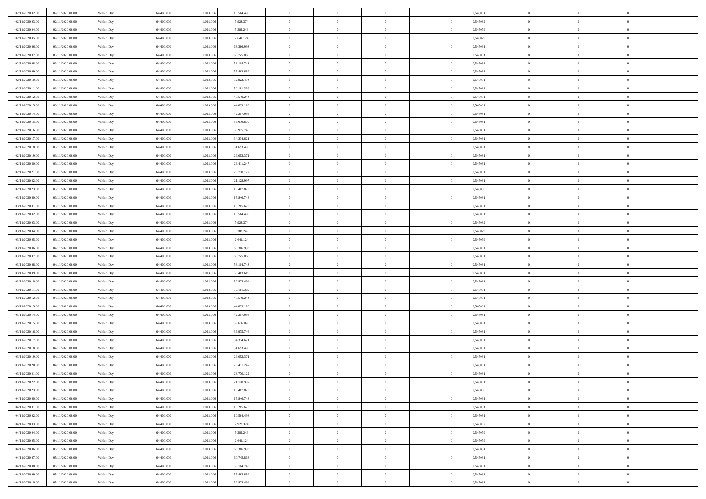| 02/11/2020 02.00 | 02/11/2020 06.00 | Within Day | 64,400,000 | 1.013.006 | 10.564.498 | $\bf{0}$       | $\overline{0}$ | $\Omega$       | 0,545081 | $\bf{0}$       | $\mathbf{0}$   | $\bf{0}$       |  |
|------------------|------------------|------------|------------|-----------|------------|----------------|----------------|----------------|----------|----------------|----------------|----------------|--|
| 02/11/2020 03:00 | 02/11/2020 06:00 | Within Day | 64.400.000 | 1.013.006 | 7.923.374  | $\mathbf{0}$   | $\overline{0}$ | $\overline{0}$ | 0,545082 | $\overline{0}$ | $\overline{0}$ | $\theta$       |  |
| 02/11/2020 04:00 | 02/11/2020 06:00 | Within Day | 64.400.000 | 1.013.006 | 5.282.249  | $\,$ 0         | $\overline{0}$ | $\bf{0}$       | 0,545079 | $\,$ 0         | $\overline{0}$ | $\,$ 0 $\,$    |  |
| 02/11/2020 05.00 | 02/11/2020 06.00 | Within Day | 64,400,000 | 1.013.006 | 2.641.124  | $\bf{0}$       | $\overline{0}$ | $\Omega$       | 0.545079 | $\bf{0}$       | $\mathbf{0}$   | $\theta$       |  |
| 02/11/2020 06:00 | 03/11/2020 06:00 | Within Day | 64.400.000 | 1.013.006 | 63.386.993 | $\bf{0}$       | $\overline{0}$ | $\overline{0}$ | 0,545081 | $\mathbf{0}$   | $\overline{0}$ | $\overline{0}$ |  |
| 02/11/2020 07.00 | 03/11/2020 06:00 | Within Day | 64.400.000 | 1.013.006 | 60.745.868 | $\bf{0}$       | $\overline{0}$ | $\bf{0}$       | 0,545081 | $\,$ 0         | $\overline{0}$ | $\,$ 0 $\,$    |  |
| 02/11/2020 08:00 | 03/11/2020 06.00 | Within Day | 64,400,000 | 1.013.006 | 58.104.743 | $\bf{0}$       | $\overline{0}$ | $\overline{0}$ | 0.545081 | $\theta$       | $\bf{0}$       | $\theta$       |  |
| 02/11/2020 09:00 | 03/11/2020 06:00 | Within Day | 64.400.000 | 1.013.006 | 55.463.619 | $\overline{0}$ | $\overline{0}$ | $\overline{0}$ | 0,545081 | $\mathbf{0}$   | $\overline{0}$ | $\overline{0}$ |  |
| 02/11/2020 10:00 | 03/11/2020 06:00 | Within Day | 64.400.000 | 1.013.006 | 52.822.494 | $\bf{0}$       | $\overline{0}$ | $\bf{0}$       | 0,545081 | $\,$ 0         | $\overline{0}$ | $\,$ 0 $\,$    |  |
| 02/11/2020 11:00 | 03/11/2020 06.00 | Within Day | 64,400,000 | 1.013.006 | 50.181.369 | $\bf{0}$       | $\overline{0}$ | $\Omega$       | 0.545081 | $\theta$       | $\mathbf{0}$   | $\theta$       |  |
| 02/11/2020 12:00 | 03/11/2020 06:00 | Within Day | 64.400.000 | 1.013.006 | 47.540.244 | $\overline{0}$ | $\overline{0}$ | $\overline{0}$ | 0,545081 | $\overline{0}$ | $\overline{0}$ | $\overline{0}$ |  |
| 02/11/2020 13:00 | 03/11/2020 06:00 | Within Day | 64.400.000 | 1.013.006 | 44.899.120 | $\bf{0}$       | $\overline{0}$ | $\bf{0}$       | 0,545081 | $\,$ 0         | $\overline{0}$ | $\,$ 0 $\,$    |  |
| 02/11/2020 14:00 | 03/11/2020 06.00 | Within Day | 64,400,000 | 1.013.006 | 42.257.995 | $\bf{0}$       | $\overline{0}$ | $\Omega$       | 0.545081 | $\overline{0}$ | $\mathbf{0}$   | $\theta$       |  |
| 02/11/2020 15:00 | 03/11/2020 06:00 | Within Day | 64.400.000 | 1.013.006 | 39.616.870 | $\overline{0}$ | $\overline{0}$ | $\overline{0}$ | 0,545081 | $\mathbf{0}$   | $\overline{0}$ | $\overline{0}$ |  |
| 02/11/2020 16:00 | 03/11/2020 06:00 | Within Day | 64.400.000 | 1.013.006 | 36.975.746 | $\bf{0}$       | $\overline{0}$ | $\bf{0}$       | 0,545081 | $\,$ 0         | $\overline{0}$ | $\,$ 0 $\,$    |  |
| 02/11/2020 17.00 | 03/11/2020 06.00 | Within Day | 64,400,000 | 1.013.006 | 34.334.621 | $\bf{0}$       | $\overline{0}$ | $\overline{0}$ | 0.545081 | $\bf{0}$       | $\mathbf{0}$   | $\bf{0}$       |  |
| 02/11/2020 18:00 | 03/11/2020 06:00 | Within Day | 64.400.000 | 1.013.006 | 31.693.496 | $\overline{0}$ | $\overline{0}$ | $\overline{0}$ | 0,545081 | $\mathbf{0}$   | $\overline{0}$ | $\overline{0}$ |  |
| 02/11/2020 19:00 | 03/11/2020 06:00 | Within Day | 64.400.000 | 1.013.006 | 29.052.371 | $\bf{0}$       | $\overline{0}$ | $\bf{0}$       | 0,545081 | $\,$ 0         | $\overline{0}$ | $\,$ 0 $\,$    |  |
| 02/11/2020 20:00 | 03/11/2020 06.00 | Within Day | 64,400,000 | 1.013.006 | 26.411.247 | $\bf{0}$       | $\overline{0}$ | $\Omega$       | 0.545081 | $\theta$       | $\mathbf{0}$   | $\theta$       |  |
| 02/11/2020 21:00 | 03/11/2020 06:00 | Within Day | 64.400.000 | 1.013.006 | 23.770.122 | $\overline{0}$ | $\overline{0}$ | $\overline{0}$ | 0,545081 | $\mathbf{0}$   | $\overline{0}$ | $\overline{0}$ |  |
| 02/11/2020 22.00 | 03/11/2020 06:00 | Within Day | 64.400.000 | 1.013.006 | 21.128.997 | $\bf{0}$       | $\overline{0}$ | $\bf{0}$       | 0,545081 | $\,$ 0         | $\overline{0}$ | $\,$ 0 $\,$    |  |
| 02/11/2020 23.00 | 03/11/2020 06.00 | Within Day | 64,400,000 | 1.013.006 | 18.487.873 | $\bf{0}$       | $\overline{0}$ | $\Omega$       | 0.545080 | $\bf{0}$       | $\mathbf{0}$   | $\theta$       |  |
| 03/11/2020 00:00 | 03/11/2020 06:00 | Within Day | 64.400.000 | 1.013.006 | 15.846.748 | $\overline{0}$ | $\overline{0}$ | $\overline{0}$ | 0,545081 | $\mathbf{0}$   | $\overline{0}$ | $\overline{0}$ |  |
| 03/11/2020 01:00 | 03/11/2020 06:00 | Within Day | 64.400.000 | 1.013.006 | 13.205.623 | $\bf{0}$       | $\overline{0}$ | $\bf{0}$       | 0,545081 | $\,$ 0         | $\overline{0}$ | $\,$ 0 $\,$    |  |
| 03/11/2020 02.00 | 03/11/2020 06.00 | Within Day | 64,400,000 | 1.013.006 | 10.564.498 | $\bf{0}$       | $\overline{0}$ | $\overline{0}$ | 0,545081 | $\bf{0}$       | $\bf{0}$       | $\bf{0}$       |  |
| 03/11/2020 03:00 | 03/11/2020 06:00 | Within Day | 64.400.000 | 1.013.006 | 7.923.374  | $\overline{0}$ | $\overline{0}$ | $\overline{0}$ | 0,545082 | $\mathbf{0}$   | $\overline{0}$ | $\overline{0}$ |  |
| 03/11/2020 04:00 | 03/11/2020 06:00 | Within Day | 64.400.000 | 1.013.006 | 5.282.249  | $\bf{0}$       | $\overline{0}$ | $\bf{0}$       | 0,545079 | $\,$ 0         | $\overline{0}$ | $\,$ 0 $\,$    |  |
| 03/11/2020 05:00 | 03/11/2020 06.00 | Within Day | 64,400,000 | 1.013.006 | 2.641.124  | $\bf{0}$       | $\overline{0}$ | $\Omega$       | 0.545079 | $\theta$       | $\mathbf{0}$   | $\theta$       |  |
| 03/11/2020 06:00 | 04/11/2020 06:00 | Within Day | 64.400.000 | 1.013.006 | 63.386.993 | $\overline{0}$ | $\overline{0}$ | $\overline{0}$ | 0,545081 | $\mathbf{0}$   | $\overline{0}$ | $\overline{0}$ |  |
| 03/11/2020 07.00 | 04/11/2020 06:00 | Within Day | 64.400.000 | 1.013.006 | 60.745.868 | $\bf{0}$       | $\overline{0}$ | $\bf{0}$       | 0,545081 | $\,$ 0         | $\overline{0}$ | $\,$ 0 $\,$    |  |
| 03/11/2020 08:00 | 04/11/2020 06.00 | Within Day | 64.400.000 | 1.013.006 | 58.104.743 | $\,$ 0         | $\bf{0}$       | $\overline{0}$ | 0,545081 | $\bf{0}$       | $\overline{0}$ | $\,0\,$        |  |
| 03/11/2020 09:00 | 04/11/2020 06:00 | Within Day | 64.400.000 | 1.013.006 | 55.463.619 | $\overline{0}$ | $\overline{0}$ | $\overline{0}$ | 0,545081 | $\mathbf{0}$   | $\overline{0}$ | $\overline{0}$ |  |
| 03/11/2020 10:00 | 04/11/2020 06:00 | Within Day | 64.400.000 | 1.013.006 | 52.822.494 | $\bf{0}$       | $\overline{0}$ | $\bf{0}$       | 0,545081 | $\,$ 0         | $\overline{0}$ | $\,$ 0 $\,$    |  |
| 03/11/2020 11:00 | 04/11/2020 06.00 | Within Day | 64.400.000 | 1.013.006 | 50.181.369 | $\bf{0}$       | $\bf{0}$       | $\bf{0}$       | 0,545081 | $\bf{0}$       | $\overline{0}$ | $\,0\,$        |  |
| 03/11/2020 12:00 | 04/11/2020 06:00 | Within Day | 64.400.000 | 1.013.006 | 47.540.244 | $\mathbf{0}$   | $\overline{0}$ | $\overline{0}$ | 0,545081 | $\overline{0}$ | $\overline{0}$ | $\overline{0}$ |  |
| 03/11/2020 13:00 | 04/11/2020 06:00 | Within Day | 64.400.000 | 1.013.006 | 44.899.120 | $\bf{0}$       | $\overline{0}$ | $\bf{0}$       | 0,545081 | $\,$ 0         | $\overline{0}$ | $\,$ 0 $\,$    |  |
| 03/11/2020 14:00 | 04/11/2020 06.00 | Within Day | 64.400.000 | 1.013.006 | 42.257.995 | $\,$ 0         | $\bf{0}$       | $\overline{0}$ | 0,545081 | $\bf{0}$       | $\overline{0}$ | $\,0\,$        |  |
| 03/11/2020 15:00 | 04/11/2020 06:00 | Within Day | 64.400.000 | 1.013.006 | 39.616.870 | $\overline{0}$ | $\overline{0}$ | $\overline{0}$ | 0,545081 | $\mathbf{0}$   | $\overline{0}$ | $\overline{0}$ |  |
| 03/11/2020 16:00 | 04/11/2020 06:00 | Within Day | 64.400.000 | 1.013.006 | 36.975.746 | $\bf{0}$       | $\overline{0}$ | $\bf{0}$       | 0,545081 | $\,$ 0         | $\overline{0}$ | $\,$ 0 $\,$    |  |
| 03/11/2020 17.00 | 04/11/2020 06.00 | Within Day | 64.400.000 | 1.013.006 | 34.334.621 | $\bf{0}$       | $\bf{0}$       | $\overline{0}$ | 0,545081 | $\bf{0}$       | $\overline{0}$ | $\,0\,$        |  |
| 03/11/2020 18:00 | 04/11/2020 06:00 | Within Day | 64.400.000 | 1.013.006 | 31.693.496 | $\overline{0}$ | $\overline{0}$ | $\overline{0}$ | 0,545081 | $\overline{0}$ | $\overline{0}$ | $\overline{0}$ |  |
| 03/11/2020 19:00 | 04/11/2020 06:00 | Within Day | 64.400.000 | 1.013.006 | 29.052.371 | $\bf{0}$       | $\overline{0}$ | $\bf{0}$       | 0,545081 | $\,$ 0         | $\overline{0}$ | $\,$ 0 $\,$    |  |
| 03/11/2020 20:00 | 04/11/2020 06.00 | Within Day | 64.400.000 | 1.013.006 | 26.411.247 | $\bf{0}$       | $\bf{0}$       | $\bf{0}$       | 0,545081 | $\bf{0}$       | $\overline{0}$ | $\,0\,$        |  |
| 03/11/2020 21.00 | 04/11/2020 06:00 | Within Day | 64.400.000 | 1.013.006 | 23.770.122 | $\mathbf{0}$   | $\overline{0}$ | $\overline{0}$ | 0,545081 | $\overline{0}$ | $\overline{0}$ | $\overline{0}$ |  |
| 03/11/2020 22.00 | 04/11/2020 06:00 | Within Day | 64.400.000 | 1.013.006 | 21.128.997 | $\bf{0}$       | $\overline{0}$ | $\theta$       | 0,545081 | $\overline{0}$ | $\overline{0}$ | $\theta$       |  |
| 03/11/2020 23.00 | 04/11/2020 06.00 | Within Day | 64.400.000 | 1.013.006 | 18.487.873 | $\bf{0}$       | $\bf{0}$       | $\bf{0}$       | 0,545080 | $\bf{0}$       | $\overline{0}$ | $\,0\,$        |  |
| 04/11/2020 00:00 | 04/11/2020 06:00 | Within Day | 64.400.000 | 1.013.006 | 15.846.748 | $\overline{0}$ | $\overline{0}$ | $\overline{0}$ | 0,545081 | $\overline{0}$ | $\bf{0}$       | $\overline{0}$ |  |
| 04/11/2020 01:00 | 04/11/2020 06:00 | Within Day | 64.400.000 | 1.013.006 | 13.205.623 | $\,$ 0 $\,$    | $\overline{0}$ | $\overline{0}$ | 0,545081 | $\,$ 0 $\,$    | $\,$ 0 $\,$    | $\,$ 0 $\,$    |  |
| 04/11/2020 02.00 | 04/11/2020 06.00 | Within Day | 64.400.000 | 1.013.006 | 10.564.498 | $\bf{0}$       | $\bf{0}$       | $\overline{0}$ | 0,545081 | $\bf{0}$       | $\overline{0}$ | $\bf{0}$       |  |
| 04/11/2020 03:00 | 04/11/2020 06:00 | Within Day | 64.400.000 | 1.013.006 | 7.923.374  | $\bf{0}$       | $\overline{0}$ | $\overline{0}$ | 0,545082 | $\overline{0}$ | $\overline{0}$ | $\overline{0}$ |  |
| 04/11/2020 04.00 | 04/11/2020 06:00 | Within Day | 64.400.000 | 1.013.006 | 5.282.249  | $\,$ 0 $\,$    | $\overline{0}$ | $\overline{0}$ | 0,545079 | $\,$ 0 $\,$    | $\overline{0}$ | $\,$ 0 $\,$    |  |
| 04/11/2020 05.00 | 04/11/2020 06.00 | Within Day | 64.400.000 | 1.013.006 | 2.641.124  | $\bf{0}$       | $\overline{0}$ | $\overline{0}$ | 0,545079 | $\bf{0}$       | $\overline{0}$ | $\overline{0}$ |  |
| 04/11/2020 06.00 | 05/11/2020 06:00 | Within Day | 64.400.000 | 1.013.006 | 63.386.993 | $\overline{0}$ | $\overline{0}$ | $\overline{0}$ | 0,545081 | $\overline{0}$ | $\bf{0}$       | $\overline{0}$ |  |
| 04/11/2020 07.00 | 05/11/2020 06:00 | Within Day | 64.400.000 | 1.013.006 | 60.745.868 | $\,$ 0 $\,$    | $\overline{0}$ | $\overline{0}$ | 0,545081 | $\,$ 0 $\,$    | $\,$ 0 $\,$    | $\,$ 0 $\,$    |  |
| 04/11/2020 08:00 | 05/11/2020 06.00 | Within Day | 64.400.000 | 1.013.006 | 58.104.743 | $\bf{0}$       | $\bf{0}$       | $\overline{0}$ | 0,545081 | $\mathbf{0}$   | $\overline{0}$ | $\bf{0}$       |  |
| 04/11/2020 09:00 | 05/11/2020 06:00 | Within Day | 64.400.000 | 1.013.006 | 55.463.619 | $\bf{0}$       | $\overline{0}$ | $\overline{0}$ | 0,545081 | $\mathbf{0}$   | $\bf{0}$       | $\overline{0}$ |  |
| 04/11/2020 10:00 | 05/11/2020 06:00 | Within Day | 64.400.000 | 1.013.006 | 52.822.494 | $\,0\,$        | $\overline{0}$ | $\overline{0}$ | 0,545081 | $\,$ 0         | $\overline{0}$ | $\,$ 0 $\,$    |  |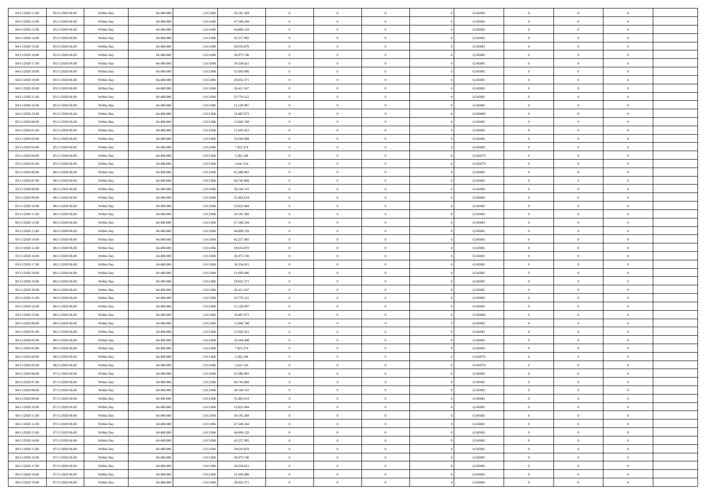| 04/11/2020 11:00<br>05/11/2020 06.00 | Within Day | 64,400,000 | 1.013.006 | 50.181.369 | $\bf{0}$       | $\overline{0}$ | $\Omega$       | 0,545081 | $\bf{0}$       | $\mathbf{0}$   | $\bf{0}$       |  |
|--------------------------------------|------------|------------|-----------|------------|----------------|----------------|----------------|----------|----------------|----------------|----------------|--|
| 04/11/2020 12:00<br>05/11/2020 06:00 | Within Day | 64.400.000 | 1.013.006 | 47.540.244 | $\mathbf{0}$   | $\overline{0}$ | $\overline{0}$ | 0,545081 | $\overline{0}$ | $\overline{0}$ | $\theta$       |  |
| 04/11/2020 13.00<br>05/11/2020 06:00 | Within Day | 64.400.000 | 1.013.006 | 44.899.120 | $\,$ 0         | $\overline{0}$ | $\bf{0}$       | 0,545081 | $\,$ 0         | $\overline{0}$ | $\,$ 0 $\,$    |  |
| 04/11/2020 14.00<br>05/11/2020 06.00 | Within Day | 64,400,000 | 1.013.006 | 42.257.995 | $\bf{0}$       | $\overline{0}$ | $\Omega$       | 0.545081 | $\bf{0}$       | $\mathbf{0}$   | $\theta$       |  |
| 04/11/2020 15.00<br>05/11/2020 06:00 | Within Day | 64.400.000 | 1.013.006 | 39.616.870 | $\bf{0}$       | $\overline{0}$ | $\overline{0}$ | 0,545081 | $\mathbf{0}$   | $\overline{0}$ | $\overline{0}$ |  |
| 04/11/2020 16.00<br>05/11/2020 06:00 | Within Day | 64.400.000 | 1.013.006 | 36.975.746 | $\bf{0}$       | $\overline{0}$ | $\bf{0}$       | 0,545081 | $\,$ 0         | $\overline{0}$ | $\,$ 0 $\,$    |  |
| 04/11/2020 17.00<br>05/11/2020 06:00 | Within Day | 64,400,000 | 1.013.006 | 34.334.621 | $\bf{0}$       | $\overline{0}$ | $\Omega$       | 0.545081 | $\theta$       | $\mathbf{0}$   | $\theta$       |  |
| 04/11/2020 18:00<br>05/11/2020 06:00 | Within Day | 64.400.000 | 1.013.006 | 31.693.496 | $\overline{0}$ | $\overline{0}$ | $\overline{0}$ | 0,545081 | $\mathbf{0}$   | $\overline{0}$ | $\overline{0}$ |  |
| 04/11/2020 19:00<br>05/11/2020 06:00 | Within Day | 64.400.000 | 1.013.006 | 29.052.371 | $\bf{0}$       | $\overline{0}$ | $\bf{0}$       | 0,545081 | $\,$ 0         | $\overline{0}$ | $\,$ 0 $\,$    |  |
| 04/11/2020 20.00<br>05/11/2020 06.00 | Within Day | 64,400,000 | 1.013.006 | 26.411.247 | $\bf{0}$       | $\overline{0}$ | $\Omega$       | 0.545081 | $\bf{0}$       | $\mathbf{0}$   | $\theta$       |  |
| 04/11/2020 21.00<br>05/11/2020 06:00 | Within Day | 64.400.000 | 1.013.006 | 23.770.122 | $\overline{0}$ | $\overline{0}$ | $\overline{0}$ | 0,545081 | $\overline{0}$ | $\overline{0}$ | $\overline{0}$ |  |
| 04/11/2020 22.00<br>05/11/2020 06:00 | Within Day | 64.400.000 | 1.013.006 | 21.128.997 | $\bf{0}$       | $\overline{0}$ | $\bf{0}$       | 0,545081 | $\,$ 0         | $\overline{0}$ | $\,$ 0 $\,$    |  |
| 04/11/2020 23.00<br>05/11/2020 06.00 | Within Day | 64,400,000 | 1.013.006 | 18.487.873 | $\bf{0}$       | $\overline{0}$ | $\Omega$       | 0.545080 | $\overline{0}$ | $\mathbf{0}$   | $\theta$       |  |
| 05/11/2020 00:00<br>05/11/2020 06:00 | Within Day | 64.400.000 | 1.013.006 | 15.846.748 | $\overline{0}$ | $\overline{0}$ | $\overline{0}$ | 0,545081 | $\mathbf{0}$   | $\overline{0}$ | $\overline{0}$ |  |
| 05/11/2020 01:00<br>05/11/2020 06:00 | Within Day | 64.400.000 | 1.013.006 | 13.205.623 | $\bf{0}$       | $\overline{0}$ | $\bf{0}$       | 0,545081 | $\,$ 0         | $\overline{0}$ | $\,$ 0 $\,$    |  |
| 05/11/2020 02.00<br>05/11/2020 06.00 | Within Day | 64,400,000 | 1.013.006 | 10.564.498 | $\bf{0}$       | $\overline{0}$ | $\overline{0}$ | 0.545081 | $\bf{0}$       | $\mathbf{0}$   | $\bf{0}$       |  |
| 05/11/2020 03:00<br>05/11/2020 06:00 | Within Day | 64.400.000 | 1.013.006 | 7.923.374  | $\overline{0}$ | $\overline{0}$ | $\overline{0}$ | 0,545082 | $\mathbf{0}$   | $\overline{0}$ | $\overline{0}$ |  |
| 05/11/2020 04:00<br>05/11/2020 06:00 | Within Day | 64.400.000 | 1.013.006 | 5.282.249  | $\bf{0}$       | $\overline{0}$ | $\bf{0}$       | 0,545079 | $\,$ 0         | $\overline{0}$ | $\,$ 0 $\,$    |  |
| 05/11/2020 05:00<br>05/11/2020 06.00 | Within Day | 64,400,000 | 1.013.006 | 2.641.124  | $\bf{0}$       | $\overline{0}$ | $\Omega$       | 0.545079 | $\theta$       | $\mathbf{0}$   | $\theta$       |  |
| 05/11/2020 06:00<br>06/11/2020 06:00 | Within Day | 64.400.000 | 1.013.006 | 63.386.993 | $\overline{0}$ | $\overline{0}$ | $\overline{0}$ | 0,545081 | $\overline{0}$ | $\overline{0}$ | $\overline{0}$ |  |
| 05/11/2020 07.00<br>06/11/2020 06:00 | Within Day | 64.400.000 | 1.013.006 | 60.745.868 | $\bf{0}$       | $\overline{0}$ | $\bf{0}$       | 0,545081 | $\,$ 0         | $\overline{0}$ | $\,$ 0 $\,$    |  |
| 05/11/2020 08:00<br>06/11/2020 06.00 | Within Day | 64,400,000 | 1.013.006 | 58.104.743 | $\bf{0}$       | $\overline{0}$ | $\Omega$       | 0.545081 | $\bf{0}$       | $\mathbf{0}$   | $\theta$       |  |
| 05/11/2020 09:00<br>06/11/2020 06:00 | Within Day | 64.400.000 | 1.013.006 | 55.463.619 | $\overline{0}$ | $\overline{0}$ | $\overline{0}$ | 0,545081 | $\mathbf{0}$   | $\overline{0}$ | $\overline{0}$ |  |
| 05/11/2020 10:00<br>06/11/2020 06:00 | Within Day | 64.400.000 | 1.013.006 | 52.822.494 | $\bf{0}$       | $\overline{0}$ | $\bf{0}$       | 0,545081 | $\,$ 0         | $\overline{0}$ | $\,$ 0 $\,$    |  |
| 06/11/2020 06.00<br>05/11/2020 11:00 | Within Day | 64,400,000 | 1.013.006 | 50.181.369 | $\bf{0}$       | $\overline{0}$ | $\overline{0}$ | 0,545081 | $\bf{0}$       | $\bf{0}$       | $\bf{0}$       |  |
| 05/11/2020 12:00<br>06/11/2020 06:00 | Within Day | 64.400.000 | 1.013.006 | 47.540.244 | $\mathbf{0}$   | $\overline{0}$ | $\overline{0}$ | 0,545081 | $\overline{0}$ | $\overline{0}$ | $\overline{0}$ |  |
| 05/11/2020 13:00<br>06/11/2020 06:00 | Within Day | 64.400.000 | 1.013.006 | 44.899.120 | $\bf{0}$       | $\overline{0}$ | $\bf{0}$       | 0,545081 | $\,$ 0         | $\overline{0}$ | $\,$ 0 $\,$    |  |
| 05/11/2020 14:00<br>06/11/2020 06.00 | Within Day | 64,400,000 | 1.013.006 | 42.257.995 | $\bf{0}$       | $\overline{0}$ | $\Omega$       | 0.545081 | $\theta$       | $\mathbf{0}$   | $\theta$       |  |
| 05/11/2020 15:00<br>06/11/2020 06:00 | Within Day | 64.400.000 | 1.013.006 | 39.616.870 | $\overline{0}$ | $\overline{0}$ | $\overline{0}$ | 0,545081 | $\mathbf{0}$   | $\overline{0}$ | $\overline{0}$ |  |
| 05/11/2020 16:00<br>06/11/2020 06:00 | Within Day | 64.400.000 | 1.013.006 | 36.975.746 | $\bf{0}$       | $\overline{0}$ | $\bf{0}$       | 0,545081 | $\,$ 0         | $\overline{0}$ | $\,$ 0 $\,$    |  |
| 05/11/2020 17.00<br>06/11/2020 06:00 | Within Day | 64.400.000 | 1.013.006 | 34.334.621 | $\,$ 0         | $\bf{0}$       | $\overline{0}$ | 0,545081 | $\bf{0}$       | $\overline{0}$ | $\,0\,$        |  |
| 05/11/2020 18:00<br>06/11/2020 06:00 | Within Day | 64.400.000 | 1.013.006 | 31.693.496 | $\overline{0}$ | $\overline{0}$ | $\overline{0}$ | 0,545081 | $\mathbf{0}$   | $\overline{0}$ | $\overline{0}$ |  |
| 05/11/2020 19:00<br>06/11/2020 06:00 | Within Day | 64.400.000 | 1.013.006 | 29.052.371 | $\bf{0}$       | $\overline{0}$ | $\bf{0}$       | 0,545081 | $\,$ 0         | $\overline{0}$ | $\,$ 0 $\,$    |  |
| 05/11/2020 20.00<br>06/11/2020 06:00 | Within Day | 64.400.000 | 1.013.006 | 26.411.247 | $\bf{0}$       | $\overline{0}$ | $\bf{0}$       | 0,545081 | $\bf{0}$       | $\overline{0}$ | $\,0\,$        |  |
| 05/11/2020 21:00<br>06/11/2020 06:00 | Within Day | 64.400.000 | 1.013.006 | 23.770.122 | $\mathbf{0}$   | $\overline{0}$ | $\overline{0}$ | 0,545081 | $\overline{0}$ | $\overline{0}$ | $\overline{0}$ |  |
| 05/11/2020 22.00<br>06/11/2020 06:00 | Within Day | 64.400.000 | 1.013.006 | 21.128.997 | $\bf{0}$       | $\overline{0}$ | $\bf{0}$       | 0,545081 | $\,$ 0         | $\overline{0}$ | $\,$ 0 $\,$    |  |
| 05/11/2020 23.00<br>06/11/2020 06:00 | Within Day | 64.400.000 | 1.013.006 | 18.487.873 | $\,$ 0         | $\overline{0}$ | $\overline{0}$ | 0,545080 | $\bf{0}$       | $\overline{0}$ | $\,0\,$        |  |
| 06/11/2020 00:00<br>06/11/2020 06:00 | Within Day | 64.400.000 | 1.013.006 | 15.846.748 | $\overline{0}$ | $\overline{0}$ | $\overline{0}$ | 0,545081 | $\mathbf{0}$   | $\overline{0}$ | $\overline{0}$ |  |
| 06/11/2020 01:00<br>06/11/2020 06:00 | Within Day | 64.400.000 | 1.013.006 | 13.205.623 | $\bf{0}$       | $\overline{0}$ | $\bf{0}$       | 0,545081 | $\,$ 0         | $\overline{0}$ | $\,$ 0 $\,$    |  |
| 06/11/2020 02.00<br>06/11/2020 06:00 | Within Day | 64.400.000 | 1.013.006 | 10.564.498 | $\bf{0}$       | $\overline{0}$ | $\overline{0}$ | 0,545081 | $\bf{0}$       | $\overline{0}$ | $\,0\,$        |  |
| 06/11/2020 03:00<br>06/11/2020 06:00 | Within Day | 64.400.000 | 1.013.006 | 7.923.374  | $\mathbf{0}$   | $\overline{0}$ | $\overline{0}$ | 0,545082 | $\overline{0}$ | $\overline{0}$ | $\overline{0}$ |  |
| 06/11/2020 04:00<br>06/11/2020 06:00 | Within Day | 64.400.000 | 1.013.006 | 5.282.249  | $\bf{0}$       | $\overline{0}$ | $\bf{0}$       | 0,545079 | $\,$ 0         | $\overline{0}$ | $\,$ 0 $\,$    |  |
| 06/11/2020 05.00<br>06/11/2020 06:00 | Within Day | 64.400.000 | 1.013.006 | 2.641.124  | $\bf{0}$       | $\overline{0}$ | $\bf{0}$       | 0,545079 | $\bf{0}$       | $\overline{0}$ | $\,0\,$        |  |
| 06/11/2020 06:00<br>07/11/2020 06:00 | Within Day | 64.400.000 | 1.013.006 | 63.386.993 | $\mathbf{0}$   | $\overline{0}$ | $\overline{0}$ | 0,545081 | $\overline{0}$ | $\overline{0}$ | $\overline{0}$ |  |
| 06/11/2020 07.00<br>07/11/2020 06:00 | Within Day | 64.400.000 | 1.013.006 | 60.745.868 | $\bf{0}$       | $\overline{0}$ | $\theta$       | 0,545081 | $\overline{0}$ | $\overline{0}$ | $\theta$       |  |
| 06/11/2020 08:00<br>07/11/2020 06.00 | Within Day | 64.400.000 | 1.013.006 | 58.104.743 | $\bf{0}$       | $\bf{0}$       | $\bf{0}$       | 0,545081 | $\bf{0}$       | $\overline{0}$ | $\,0\,$        |  |
| 06/11/2020 09:00<br>07/11/2020 06:00 | Within Day | 64.400.000 | 1.013.006 | 55.463.619 | $\overline{0}$ | $\overline{0}$ | $\overline{0}$ | 0,545081 | $\overline{0}$ | $\bf{0}$       | $\overline{0}$ |  |
| 06/11/2020 10:00<br>07/11/2020 06:00 | Within Day | 64.400.000 | 1.013.006 | 52.822.494 | $\,$ 0 $\,$    | $\overline{0}$ | $\overline{0}$ | 0,545081 | $\,$ 0 $\,$    | $\overline{0}$ | $\,$ 0 $\,$    |  |
| 06/11/2020 11:00<br>07/11/2020 06.00 | Within Day | 64.400.000 | 1.013.006 | 50.181.369 | $\bf{0}$       | $\bf{0}$       | $\overline{0}$ | 0,545081 | $\bf{0}$       | $\overline{0}$ | $\bf{0}$       |  |
| 06/11/2020 12:00<br>07/11/2020 06.00 | Within Day | 64.400.000 | 1.013.006 | 47.540.244 | $\bf{0}$       | $\overline{0}$ | $\overline{0}$ | 0,545081 | $\mathbf{0}$   | $\overline{0}$ | $\overline{0}$ |  |
| 06/11/2020 13.00<br>07/11/2020 06:00 | Within Day | 64.400.000 | 1.013.006 | 44.899.120 | $\,$ 0 $\,$    | $\overline{0}$ | $\overline{0}$ | 0,545081 | $\,$ 0 $\,$    | $\overline{0}$ | $\,$ 0 $\,$    |  |
| 06/11/2020 14:00<br>07/11/2020 06.00 | Within Day | 64.400.000 | 1.013.006 | 42.257.995 | $\bf{0}$       | $\overline{0}$ | $\overline{0}$ | 0,545081 | $\bf{0}$       | $\overline{0}$ | $\overline{0}$ |  |
| 06/11/2020 15:00<br>07/11/2020 06:00 | Within Day | 64.400.000 | 1.013.006 | 39.616.870 | $\overline{0}$ | $\overline{0}$ | $\overline{0}$ | 0,545081 | $\overline{0}$ | $\bf{0}$       | $\overline{0}$ |  |
| 06/11/2020 16:00<br>07/11/2020 06:00 | Within Day | 64.400.000 | 1.013.006 | 36.975.746 | $\,$ 0 $\,$    | $\overline{0}$ | $\overline{0}$ | 0,545081 | $\,$ 0 $\,$    | $\overline{0}$ | $\,$ 0 $\,$    |  |
| 06/11/2020 17:00<br>07/11/2020 06.00 | Within Day | 64.400.000 | 1.013.006 | 34.334.621 | $\bf{0}$       | $\bf{0}$       | $\overline{0}$ | 0,545081 | $\mathbf{0}$   | $\overline{0}$ | $\bf{0}$       |  |
| 06/11/2020 18:00<br>07/11/2020 06:00 | Within Day | 64.400.000 | 1.013.006 | 31.693.496 | $\bf{0}$       | $\overline{0}$ | $\overline{0}$ | 0,545081 | $\overline{0}$ | $\bf{0}$       | $\overline{0}$ |  |
| 06/11/2020 19:00<br>07/11/2020 06:00 | Within Day | 64.400.000 | 1.013.006 | 29.052.371 | $\,0\,$        | $\overline{0}$ | $\overline{0}$ | 0,545081 | $\,$ 0         | $\overline{0}$ | $\,$ 0 $\,$    |  |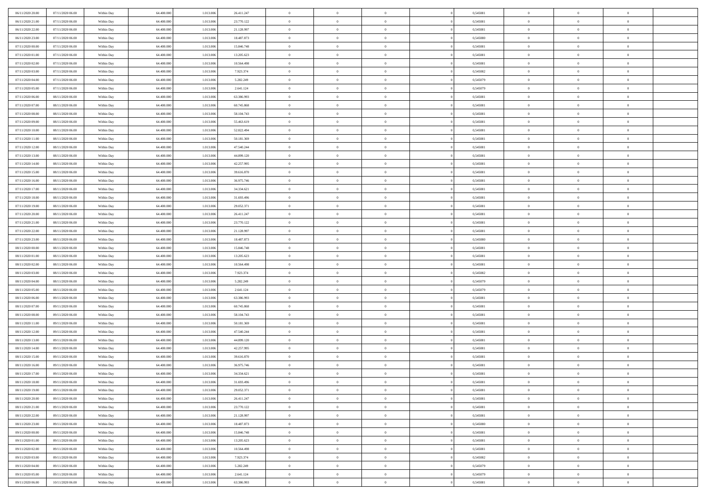| 06/11/2020 20:00                     | 07/11/2020 06.00                     | Within Day               | 64,400,000               | 1.013.006              | 26.411.247               | $\bf{0}$                      | $\overline{0}$                   | $\Omega$                         | 0,545081             | $\bf{0}$                 | $\overline{0}$             | $\bf{0}$                  |  |
|--------------------------------------|--------------------------------------|--------------------------|--------------------------|------------------------|--------------------------|-------------------------------|----------------------------------|----------------------------------|----------------------|--------------------------|----------------------------|---------------------------|--|
| 06/11/2020 21:00                     | 07/11/2020 06:00                     | Within Day               | 64.400.000               | 1.013.006              | 23.770.122               | $\theta$                      | $\overline{0}$                   | $\overline{0}$                   | 0,545081             | $\mathbf{0}$             | $\bf{0}$                   | $\overline{0}$            |  |
| 06/11/2020 22.00                     | 07/11/2020 06:00                     | Within Day               | 64.400.000               | 1.013.006              | 21.128.997               | $\theta$                      | $\overline{0}$                   | $\overline{0}$                   | 0,545081             | $\,$ 0                   | $\overline{0}$             | $\,$ 0 $\,$               |  |
| 06/11/2020 23.00                     | 07/11/2020 06.00                     | Within Day               | 64,400,000               | 1.013.006              | 18.487.873               | $\mathbf{0}$                  | $\overline{0}$                   | $\mathbf{0}$                     | 0.545080             | $\bf{0}$                 | $\mathbf{0}$               | $\theta$                  |  |
| 07/11/2020 00:00                     | 07/11/2020 06:00                     | Within Day               | 64.400.000               | 1.013.006              | 15.846.748               | $\overline{0}$                | $\overline{0}$                   | $\overline{0}$                   | 0,545081             | $\mathbf{0}$             | $\bf{0}$                   | $\overline{0}$            |  |
| 07/11/2020 01:00                     | 07/11/2020 06:00                     | Within Day               | 64.400.000               | 1.013.006              | 13.205.623               | $\theta$                      | $\overline{0}$                   | $\bf{0}$                         | 0,545081             | $\,$ 0                   | $\overline{0}$             | $\,$ 0 $\,$               |  |
| 07/11/2020 02.00                     | 07/11/2020 06.00                     | Within Day               | 64,400,000               | 1.013.006              | 10.564.498               | $\,$ 0 $\,$                   | $\overline{0}$                   | $\Omega$                         | 0.545081             | $\bf{0}$                 | $\mathbf{0}$               | $\theta$                  |  |
| 07/11/2020 03:00                     | 07/11/2020 06:00                     | Within Day               | 64.400.000               | 1.013.006              | 7.923.374                | $\overline{0}$                | $\overline{0}$                   | $\overline{0}$                   | 0,545082             | $\mathbf{0}$             | $\bf{0}$                   | $\overline{0}$            |  |
| 07/11/2020 04:00                     | 07/11/2020 06:00                     | Within Day               | 64.400.000               | 1.013.006              | 5.282.249                | $\theta$                      | $\overline{0}$                   | $\overline{0}$                   | 0,545079             | $\,$ 0                   | $\overline{0}$             | $\,$ 0 $\,$               |  |
| 07/11/2020 05:00                     | 07/11/2020 06.00                     | Within Day               | 64,400,000               | 1.013.006              | 2.641.124                | $\mathbf{0}$                  | $\overline{0}$                   | $\mathbf{0}$                     | 0.545079             | $\bf{0}$                 | $\mathbf{0}$               | $\theta$                  |  |
| 07/11/2020 06:00                     | 08/11/2020 06:00                     | Within Day               | 64.400.000               | 1.013.006              | 63.386.993               | $\overline{0}$                | $\overline{0}$                   | $\overline{0}$                   | 0,545081             | $\mathbf{0}$             | $\bf{0}$                   | $\overline{0}$            |  |
| 07/11/2020 07:00                     | 08/11/2020 06:00                     | Within Day               | 64.400.000               | 1.013.006              | 60.745.868               | $\theta$                      | $\overline{0}$                   | $\bf{0}$                         | 0,545081             | $\,$ 0                   | $\overline{0}$             | $\,$ 0 $\,$               |  |
| 07/11/2020 08:00                     | 08/11/2020 06:00                     | Within Day               | 64,400,000               | 1.013.006              | 58.104.743               | $\theta$                      | $\overline{0}$                   | $\mathbf{0}$                     | 0.545081             | $\bf{0}$                 | $\mathbf{0}$               | $\theta$                  |  |
| 07/11/2020 09:00                     | 08/11/2020 06:00                     | Within Day               | 64.400.000               | 1.013.006              | 55.463.619               | $\overline{0}$                | $\overline{0}$                   | $\overline{0}$                   | 0,545081             | $\mathbf{0}$             | $\bf{0}$                   | $\overline{0}$            |  |
| 07/11/2020 10:00                     | 08/11/2020 06:00                     | Within Day               | 64.400.000               | 1.013.006              | 52.822.494               | $\theta$                      | $\overline{0}$                   | $\overline{0}$                   | 0,545081             | $\,$ 0                   | $\overline{0}$             | $\,$ 0 $\,$               |  |
| 07/11/2020 11:00                     | 08/11/2020 06.00                     | Within Day               | 64,400,000               | 1.013.006              | 50.181.369               | $\bf{0}$                      | $\overline{0}$                   | $\mathbf{0}$                     | 0.545081             | $\bf{0}$                 | $\mathbf{0}$               | $\bf{0}$                  |  |
| 07/11/2020 12:00                     | 08/11/2020 06:00                     | Within Day               | 64.400.000               | 1.013.006              | 47.540.244               | $\overline{0}$                | $\overline{0}$                   | $\overline{0}$                   | 0,545081             | $\mathbf{0}$             | $\bf{0}$                   | $\overline{0}$            |  |
| 07/11/2020 13:00                     | 08/11/2020 06:00                     | Within Day               | 64.400.000               | 1.013.006              | 44.899.120               | $\theta$                      | $\overline{0}$                   | $\bf{0}$                         | 0,545081             | $\,$ 0                   | $\overline{0}$             | $\,$ 0 $\,$               |  |
| 07/11/2020 14:00                     | 08/11/2020 06.00                     | Within Day               | 64,400,000               | 1.013.006              | 42.257.995               | $\mathbf{0}$                  | $\overline{0}$                   | $\mathbf{0}$                     | 0.545081             | $\bf{0}$                 | $\mathbf{0}$               | $\theta$                  |  |
| 07/11/2020 15:00                     | 08/11/2020 06:00                     | Within Day               | 64.400.000               | 1.013.006              | 39.616.870               | $\overline{0}$                | $\overline{0}$                   | $\overline{0}$                   | 0,545081             | $\mathbf{0}$             | $\bf{0}$                   | $\overline{0}$            |  |
| 07/11/2020 16:00                     | 08/11/2020 06:00                     | Within Day               | 64.400.000               | 1.013.006              | 36.975.746               | $\theta$                      | $\overline{0}$                   | $\bf{0}$                         | 0,545081             | $\,$ 0                   | $\overline{0}$             | $\,$ 0 $\,$               |  |
| 07/11/2020 17.00                     | 08/11/2020 06:00                     | Within Day               | 64,400,000               | 1.013.006              | 34.334.621               | $\mathbf{0}$                  | $\overline{0}$                   | $\mathbf{0}$                     | 0.545081             | $\bf{0}$                 | $\mathbf{0}$               | $\theta$                  |  |
| 07/11/2020 18:00                     | 08/11/2020 06:00                     | Within Dav               | 64.400.000               | 1.013.006              | 31.693.496               | $\overline{0}$                | $\overline{0}$                   | $\overline{0}$                   | 0,545081             | $\mathbf{0}$             | $\bf{0}$                   | $\overline{0}$            |  |
| 07/11/2020 19:00                     | 08/11/2020 06:00                     | Within Day               | 64.400.000               | 1.013.006              | 29.052.371               | $\theta$                      | $\overline{0}$                   | $\bf{0}$                         | 0,545081             | $\,$ 0                   | $\overline{0}$             | $\,$ 0 $\,$               |  |
| 07/11/2020 20:00                     | 08/11/2020 06:00                     | Within Day               | 64,400,000               | 1.013.006              | 26.411.247               | $\bf{0}$                      | $\overline{0}$                   | $\mathbf{0}$                     | 0.545081             | $\bf{0}$                 | $\overline{0}$             | $\bf{0}$                  |  |
| 07/11/2020 21:00                     | 08/11/2020 06:00                     | Within Dav               | 64.400.000               | 1.013.006              | 23.770.122               | $\overline{0}$                | $\overline{0}$                   | $\overline{0}$                   | 0,545081             | $\mathbf{0}$             | $\bf{0}$                   | $\overline{0}$            |  |
| 07/11/2020 22.00                     | 08/11/2020 06:00                     | Within Day               | 64.400.000               | 1.013.006              | 21.128.997               | $\theta$                      | $\overline{0}$                   | $\overline{0}$                   | 0,545081             | $\,$ 0                   | $\overline{0}$             | $\,$ 0 $\,$               |  |
| 07/11/2020 23.00                     | 08/11/2020 06:00                     | Within Day               | 64,400,000               | 1.013.006              | 18,487,873               | $\mathbf{0}$                  | $\overline{0}$                   | $\mathbf{0}$                     | 0.545080             | $\bf{0}$                 | $\mathbf{0}$               | $\theta$                  |  |
| 08/11/2020 00:00                     | 08/11/2020 06:00                     | Within Dav               | 64.400.000               | 1.013.006              | 15.846.748               | $\mathbf{0}$                  | $\overline{0}$                   | $\overline{0}$                   | 0,545081             | $\mathbf{0}$             | $\bf{0}$                   | $\overline{0}$            |  |
| 08/11/2020 01:00                     | 08/11/2020 06:00                     | Within Day               | 64.400.000               | 1.013.006              | 13.205.623               | $\theta$                      | $\overline{0}$                   | $\bf{0}$                         | 0,545081             | $\,$ 0                   | $\overline{0}$             | $\,$ 0 $\,$               |  |
| 08/11/2020 02.00                     | 08/11/2020 06:00                     | Within Day               | 64.400.000               | 1.013.006              | 10.564.498               | $\bf{0}$                      | $\overline{0}$                   | $\overline{0}$                   | 0,545081             | $\bf{0}$                 | $\overline{0}$             | $\,0\,$                   |  |
| 08/11/2020 03:00                     | 08/11/2020 06:00                     | Within Dav               | 64.400.000               | 1.013.006              | 7.923.374                | $\overline{0}$                | $\overline{0}$                   | $\overline{0}$                   | 0,545082             | $\mathbf{0}$             | $\bf{0}$                   | $\overline{0}$            |  |
| 08/11/2020 04:00                     | 08/11/2020 06:00                     | Within Day               | 64.400.000               | 1.013.006              | 5.282.249                | $\theta$                      | $\overline{0}$                   | $\overline{0}$                   | 0,545079             | $\,$ 0                   | $\overline{0}$             | $\,$ 0 $\,$               |  |
| 08/11/2020 05:00                     | 08/11/2020 06:00                     | Within Day               | 64.400.000               | 1.013.006              | 2.641.124                | $\,$ 0 $\,$                   | $\overline{0}$                   | $\overline{0}$                   | 0,545079             | $\bf{0}$                 | $\overline{0}$             | $\,0\,$                   |  |
| 08/11/2020 06:00                     | 09/11/2020 06:00                     | Within Dav               | 64.400.000               | 1.013.006              | 63.386.993               | $\theta$                      | $\overline{0}$                   | $\overline{0}$                   | 0,545081             | $\mathbf{0}$             | $\bf{0}$                   | $\overline{0}$            |  |
| 08/11/2020 07:00                     | 09/11/2020 06:00                     | Within Day               | 64.400.000               | 1.013.006              | 60.745.868               | $\theta$                      | $\overline{0}$                   | $\bf{0}$                         | 0,545081             | $\,$ 0                   | $\overline{0}$             | $\,$ 0 $\,$               |  |
| 08/11/2020 08:00<br>08/11/2020 11:00 | 09/11/2020 06:00<br>09/11/2020 06:00 | Within Day<br>Within Dav | 64.400.000<br>64.400.000 | 1.013.006<br>1.013.006 | 58.104.743<br>50.181.369 | $\,$ 0 $\,$<br>$\overline{0}$ | $\overline{0}$<br>$\overline{0}$ | $\overline{0}$<br>$\overline{0}$ | 0,545081<br>0,545081 | $\bf{0}$<br>$\mathbf{0}$ | $\overline{0}$<br>$\bf{0}$ | $\,0\,$<br>$\overline{0}$ |  |
| 08/11/2020 12:00                     | 09/11/2020 06:00                     |                          | 64.400.000               | 1.013.006              | 47.540.244               | $\theta$                      | $\overline{0}$                   | $\bf{0}$                         | 0,545081             | $\,$ 0                   | $\overline{0}$             | $\,$ 0 $\,$               |  |
|                                      |                                      | Within Day               |                          |                        |                          |                               |                                  | $\overline{0}$                   |                      |                          | $\overline{0}$             |                           |  |
| 08/11/2020 13:00<br>08/11/2020 14:00 | 09/11/2020 06.00<br>09/11/2020 06:00 | Within Day<br>Within Dav | 64.400.000<br>64.400.000 | 1.013.006<br>1.013.006 | 44.899.120<br>42.257.995 | $\,$ 0 $\,$<br>$\theta$       | $\overline{0}$<br>$\overline{0}$ | $\overline{0}$                   | 0,545081<br>0,545081 | $\bf{0}$<br>$\mathbf{0}$ | $\bf{0}$                   | $\,0\,$<br>$\overline{0}$ |  |
| 08/11/2020 15:00                     | 09/11/2020 06:00                     | Within Day               | 64.400.000               | 1.013.006              | 39.616.870               | $\theta$                      | $\overline{0}$                   | $\bf{0}$                         | 0,545081             | $\,$ 0                   | $\overline{0}$             | $\,$ 0 $\,$               |  |
| 08/11/2020 16:00                     | 09/11/2020 06.00                     | Within Day               | 64.400.000               | 1.013.006              | 36.975.746               | $\,$ 0 $\,$                   | $\overline{0}$                   | $\overline{0}$                   | 0,545081             | $\bf{0}$                 | $\overline{0}$             | $\,0\,$                   |  |
| 08/11/2020 17:00                     | 09/11/2020 06:00                     | Within Dav               | 64.400.000               | 1.013.006              | 34.334.621               | $\theta$                      | $\overline{0}$                   | $\overline{0}$                   | 0,545081             | $\mathbf{0}$             | $\bf{0}$                   | $\overline{0}$            |  |
| 08/11/2020 18:00                     | 09/11/2020 06:00                     | Within Day               | 64.400.000               | 1.013.006              | 31.693.496               | $\overline{0}$                | $\overline{0}$                   | $\overline{0}$                   | 0,545081             | $\overline{0}$           | $\overline{0}$             | $\theta$                  |  |
| 08/11/2020 19:00                     | 09/11/2020 06:00                     | Within Day               | 64.400.000               | 1.013.006              | 29.052.371               | $\bf{0}$                      | $\overline{0}$                   | $\overline{0}$                   | 0,545081             | $\mathbf{0}$             | $\overline{0}$             | $\bf{0}$                  |  |
| 08/11/2020 20:00                     | 09/11/2020 06:00                     | Within Day               | 64.400.000               | 1.013.006              | 26.411.247               | $\overline{0}$                | $\overline{0}$                   | $\overline{0}$                   | 0,545081             | $\overline{0}$           | $\overline{0}$             | $\overline{0}$            |  |
| 08/11/2020 21:00                     | 09/11/2020 06:00                     | Within Day               | 64.400.000               | 1.013.006              | 23.770.122               | $\,$ 0                        | $\overline{0}$                   | $\overline{0}$                   | 0,545081             | $\,$ 0 $\,$              | $\,$ 0 $\,$                | $\,$ 0 $\,$               |  |
| 08/11/2020 22.00                     | 09/11/2020 06:00                     | Within Day               | 64.400.000               | 1.013.006              | 21.128.997               | $\bf{0}$                      | $\overline{0}$                   | $\overline{0}$                   | 0,545081             | $\mathbf{0}$             | $\overline{0}$             | $\bf{0}$                  |  |
| 08/11/2020 23:00                     | 09/11/2020 06:00                     | Within Day               | 64.400.000               | 1.013.006              | 18.487.873               | $\,$ 0 $\,$                   | $\overline{0}$                   | $\overline{0}$                   | 0,545080             | $\,$ 0 $\,$              | $\bf{0}$                   | $\overline{0}$            |  |
| 09/11/2020 00:00                     | 09/11/2020 06:00                     | Within Day               | 64.400.000               | 1.013.006              | 15.846.748               | $\,$ 0                        | $\overline{0}$                   | $\overline{0}$                   | 0,545081             | $\,$ 0 $\,$              | $\overline{0}$             | $\,$ 0 $\,$               |  |
| 09/11/2020 01:00                     | 09/11/2020 06:00                     | Within Day               | 64.400.000               | 1.013.006              | 13.205.623               | $\bf{0}$                      | $\overline{0}$                   | $\overline{0}$                   | 0,545081             | $\overline{0}$           | $\overline{0}$             | $\overline{0}$            |  |
| 09/11/2020 02.00                     | 09/11/2020 06:00                     | Within Day               | 64.400.000               | 1.013.006              | 10.564.498               | $\,$ 0 $\,$                   | $\overline{0}$                   | $\overline{0}$                   | 0,545081             | $\,$ 0 $\,$              | $\bf{0}$                   | $\overline{0}$            |  |
| 09/11/2020 03:00                     | 09/11/2020 06:00                     | Within Day               | 64.400.000               | 1.013.006              | 7.923.374                | $\,$ 0                        | $\overline{0}$                   | $\overline{0}$                   | 0,545082             | $\,$ 0 $\,$              | $\,$ 0 $\,$                | $\,$ 0 $\,$               |  |
| 09/11/2020 04:00                     | 09/11/2020 06.00                     | Within Day               | 64.400.000               | 1.013.006              | 5.282.249                | $\bf{0}$                      | $\overline{0}$                   | $\overline{0}$                   | 0,545079             | $\mathbf{0}$             | $\overline{0}$             | $\bf{0}$                  |  |
| 09/11/2020 05:00                     | 09/11/2020 06:00                     | Within Day               | 64.400.000               | 1.013.006              | 2.641.124                | $\mathbf{0}$                  | $\overline{0}$                   | $\overline{0}$                   | 0,545079             | $\overline{0}$           | $\bf{0}$                   | $\overline{0}$            |  |
| 09/11/2020 06:00                     | 10/11/2020 06:00                     | Within Day               | 64.400.000               | 1.013.006              | 63.386.993               | $\,$ 0 $\,$                   | $\overline{0}$                   | $\overline{0}$                   | 0,545081             | $\,$ 0 $\,$              | $\overline{0}$             | $\,$ 0 $\,$               |  |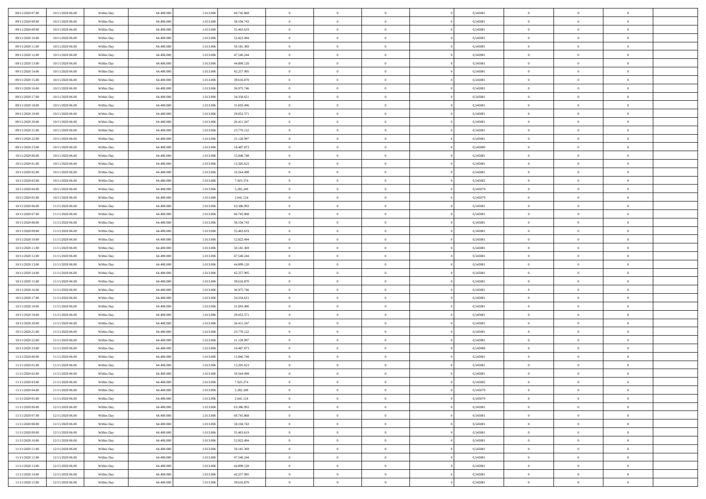| 09/11/2020 07:00                     | 10/11/2020 06:00                     | Within Day | 64.400.000 | 1.013.006 | 60.745.868 | $\,$ 0         | $\bf{0}$       | $\theta$       |                | 0,545081 | $\bf{0}$             | $\overline{0}$ | $\theta$       |  |
|--------------------------------------|--------------------------------------|------------|------------|-----------|------------|----------------|----------------|----------------|----------------|----------|----------------------|----------------|----------------|--|
| 09/11/2020 08:00                     | 10/11/2020 06:00                     | Within Day | 64,400,000 | 1.013.006 | 58.104.743 | $\theta$       | $\overline{0}$ | $\overline{0}$ |                | 0,545081 | $\theta$             | $\theta$       | $\overline{0}$ |  |
| 09/11/2020 09:00                     | 10/11/2020 06:00                     | Within Dav | 64.400.000 | 1.013.006 | 55.463.619 | $\mathbf{0}$   | $\overline{0}$ | $\overline{0}$ |                | 0,545081 | $\theta$             | $\overline{0}$ | $\theta$       |  |
| 09/11/2020 10:00                     | 10/11/2020 06:00                     | Within Day | 64.400.000 | 1.013.006 | 52.822.494 | $\bf{0}$       | $\overline{0}$ | $\bf{0}$       |                | 0,545081 | $\bf{0}$             | $\overline{0}$ | $\bf{0}$       |  |
| 09/11/2020 11:00                     | 10/11/2020 06:00                     | Within Day | 64,400,000 | 1.013.006 | 50.181.369 | $\bf{0}$       | $\bf{0}$       | $\overline{0}$ |                | 0,545081 | $\bf{0}$             | $\overline{0}$ | $\bf{0}$       |  |
| 09/11/2020 12:00                     | 10/11/2020 06:00                     | Within Dav | 64.400.000 | 1.013.006 | 47.540.244 | $\overline{0}$ | $\overline{0}$ | $\overline{0}$ |                | 0,545081 | $\theta$             | $\overline{0}$ | $\theta$       |  |
|                                      |                                      |            |            |           |            |                |                | $\overline{0}$ |                |          |                      | $\overline{0}$ | $\theta$       |  |
| 09/11/2020 13:00                     | 10/11/2020 06:00                     | Within Day | 64.400.000 | 1.013.006 | 44.899.120 | $\bf{0}$       | $\bf{0}$       |                |                | 0,545081 | $\bf{0}$             |                |                |  |
| 09/11/2020 14:00                     | 10/11/2020 06:00                     | Within Day | 64,400,000 | 1.013.006 | 42.257.995 | $\bf{0}$       | $\overline{0}$ | $\overline{0}$ |                | 0,545081 | $\,$ 0 $\,$          | $\overline{0}$ | $\overline{0}$ |  |
| 09/11/2020 15:00                     | 10/11/2020 06:00                     | Within Day | 64.400.000 | 1.013.006 | 39.616.870 | $\mathbf{0}$   | $\overline{0}$ | $\overline{0}$ |                | 0,545081 | $\theta$             | $\overline{0}$ | $\theta$       |  |
| 09/11/2020 16:00                     | 10/11/2020 06:00                     | Within Day | 64.400.000 | 1.013.006 | 36.975.746 | $\bf{0}$       | $\bf{0}$       | $\overline{0}$ |                | 0,545081 | $\bf{0}$             | $\overline{0}$ | $\theta$       |  |
| 09/11/2020 17.00                     | 10/11/2020 06:00                     | Within Day | 64,400,000 | 1.013.006 | 34.334.621 | $\bf{0}$       | $\overline{0}$ | $\overline{0}$ |                | 0,545081 | $\bf{0}$             | $\theta$       | $\overline{0}$ |  |
| 09/11/2020 18:00                     | 10/11/2020 06:00                     | Within Dav | 64.400.000 | 1.013.006 | 31.693.496 | $\mathbf{0}$   | $\overline{0}$ | $\overline{0}$ |                | 0,545081 | $\theta$             | $\overline{0}$ | $\theta$       |  |
| 09/11/2020 19:00                     | 10/11/2020 06:00                     | Within Day | 64.400.000 | 1.013.006 | 29.052.371 | $\bf{0}$       | $\overline{0}$ | $\bf{0}$       |                | 0,545081 | $\bf{0}$             | $\overline{0}$ | $\bf{0}$       |  |
| 09/11/2020 20:00                     | 10/11/2020 06:00                     | Within Day | 64.400.000 | 1.013.006 | 26.411.247 | $\bf{0}$       | $\overline{0}$ | $\overline{0}$ |                | 0,545081 | $\bf{0}$             | $\Omega$       | $\bf{0}$       |  |
| 09/11/2020 21:00                     | 10/11/2020 06:00                     | Within Dav | 64.400.000 | 1.013.006 | 23.770.122 | $\overline{0}$ | $\overline{0}$ | $\overline{0}$ |                | 0,545081 | $\theta$             | $\overline{0}$ | $\theta$       |  |
| 09/11/2020 22.00                     | 10/11/2020 06:00                     | Within Day | 64.400.000 | 1.013.006 | 21.128.997 | $\bf{0}$       | $\overline{0}$ | $\overline{0}$ |                | 0,545081 | $\bf{0}$             | $\overline{0}$ | $\theta$       |  |
| 09/11/2020 23.00                     | 10/11/2020 06:00                     | Within Day | 64,400,000 | 1.013.006 | 18.487.873 | $\bf{0}$       | $\overline{0}$ | $\overline{0}$ |                | 0,545080 | $\,$ 0 $\,$          | $\overline{0}$ | $\overline{0}$ |  |
| 10/11/2020 00:00                     | 10/11/2020 06:00                     | Within Day | 64.400.000 | 1.013.006 | 15.846.748 | $\mathbf{0}$   | $\overline{0}$ | $\overline{0}$ |                | 0,545081 | $\theta$             | $\overline{0}$ | $\theta$       |  |
| 10/11/2020 01:00                     | 10/11/2020 06:00                     | Within Day | 64.400.000 | 1.013.006 | 13.205.623 | $\bf{0}$       | $\overline{0}$ | $\overline{0}$ |                | 0,545081 | $\bf{0}$             | $\overline{0}$ | $\theta$       |  |
| 10/11/2020 02.00                     | 10/11/2020 06:00                     | Within Day | 64.400.000 | 1.013.006 | 10.564.498 | $\bf{0}$       | $\overline{0}$ | $\overline{0}$ |                | 0,545081 | $\bf{0}$             | $\theta$       | $\bf{0}$       |  |
| 10/11/2020 03:00                     | 10/11/2020 06:00                     | Within Dav | 64.400.000 | 1.013.006 | 7.923.374  | $\mathbf{0}$   | $\overline{0}$ | $\overline{0}$ |                | 0,545082 | $\theta$             | $\overline{0}$ | $\theta$       |  |
| 10/11/2020 04:00                     | 10/11/2020 06:00                     | Within Day | 64.400.000 | 1.013.006 | 5.282.249  | $\bf{0}$       | $\overline{0}$ | $\bf{0}$       |                | 0,545079 | $\bf{0}$             | $\overline{0}$ | $\bf{0}$       |  |
| 10/11/2020 05:00                     | 10/11/2020 06:00                     | Within Day | 64,400,000 | 1.013.006 | 2.641.124  | $\bf{0}$       | $\bf{0}$       | $\overline{0}$ |                | 0,545079 | $\bf{0}$             | $\overline{0}$ | $\bf{0}$       |  |
| 10/11/2020 06:00                     | 11/11/2020 06:00                     | Within Dav | 64.400.000 | 1.013.006 | 63.386.993 | $\mathbf{0}$   | $\overline{0}$ | $\overline{0}$ |                | 0,545081 | $\theta$             | $\overline{0}$ | $\theta$       |  |
| 10/11/2020 07.00                     | 11/11/2020 06:00                     | Within Day | 64.400.000 | 1.013.006 | 60.745.868 | $\bf{0}$       | $\bf{0}$       | $\overline{0}$ |                | 0,545081 | $\bf{0}$             | $\overline{0}$ | $\theta$       |  |
| 10/11/2020 08:00                     | 11/11/2020 06.00                     | Within Day | 64,400,000 | 1.013.006 | 58.104.743 | $\bf{0}$       | $\overline{0}$ | $\overline{0}$ |                | 0,545081 | $\,$ 0 $\,$          | $\theta$       | $\bf{0}$       |  |
| 10/11/2020 09:00                     | 11/11/2020 06:00                     | Within Dav | 64.400.000 | 1.013.006 | 55.463.619 | $\mathbf{0}$   | $\overline{0}$ | $\overline{0}$ |                | 0,545081 | $\theta$             | $\overline{0}$ | $\theta$       |  |
| 10/11/2020 10:00                     | 11/11/2020 06.00                     | Within Day | 64.400.000 | 1.013.006 | 52.822.494 | $\bf{0}$       | $\bf{0}$       | $\overline{0}$ |                | 0,545081 | $\bf{0}$             | $\overline{0}$ | $\theta$       |  |
| 10/11/2020 11:00                     | 11/11/2020 06.00                     | Within Day | 64,400,000 | 1.013.006 | 50.181.369 | $\bf{0}$       | $\overline{0}$ | $\overline{0}$ |                | 0,545081 | $\bf{0}$             | $\theta$       | $\bf{0}$       |  |
| 10/11/2020 12:00                     | 11/11/2020 06:00                     | Within Dav | 64.400.000 | 1.013.006 | 47.540.244 | $\mathbf{0}$   | $\overline{0}$ | $\overline{0}$ |                | 0,545081 | $\theta$             | $\overline{0}$ | $\theta$       |  |
| 10/11/2020 13:00                     | 11/11/2020 06:00                     | Within Day | 64.400.000 | 1.013.006 | 44.899.120 | $\bf{0}$       | $\overline{0}$ | $\overline{0}$ |                | 0,545081 | $\,0\,$              | $\overline{0}$ | $\theta$       |  |
| 10/11/2020 14:00                     | 11/11/2020 06:00                     | Within Day | 64.400.000 | 1.013.006 | 42.257.995 | $\bf{0}$       | $\bf{0}$       | $\overline{0}$ |                | 0,545081 | $\bf{0}$             | $\overline{0}$ | $\bf{0}$       |  |
| 10/11/2020 15:00                     | 11/11/2020 06:00                     | Within Day | 64.400.000 | 1.013.006 | 39.616.870 | $\mathbf{0}$   | $\overline{0}$ | $\overline{0}$ |                | 0,545081 | $\theta$             | $\overline{0}$ | $\theta$       |  |
| 10/11/2020 16:00                     | 11/11/2020 06.00                     | Within Day | 64.400.000 | 1.013.006 | 36.975.746 | $\bf{0}$       | $\overline{0}$ | $\theta$       |                | 0,545081 | $\,0\,$              | $\overline{0}$ | $\theta$       |  |
| 10/11/2020 17:00                     | 11/11/2020 06.00                     | Within Day | 64,400,000 | 1.013.006 | 34.334.621 | $\overline{0}$ | $\overline{0}$ | $\overline{0}$ |                | 0,545081 | $\bf{0}$             | $\overline{0}$ | $\bf{0}$       |  |
| 10/11/2020 18:00                     | 11/11/2020 06:00                     | Within Day | 64.400.000 | 1.013.006 | 31.693.496 | $\mathbf{0}$   | $\overline{0}$ | $\overline{0}$ |                | 0,545081 | $\theta$             | $\overline{0}$ | $\theta$       |  |
| 10/11/2020 19:00                     | 11/11/2020 06:00                     |            | 64.400.000 | 1.013.006 |            | $\bf{0}$       | $\overline{0}$ | $\overline{0}$ |                | 0,545081 | $\,0\,$              | $\overline{0}$ | $\theta$       |  |
|                                      |                                      | Within Day |            |           | 29.052.371 | $\bf{0}$       | $\overline{0}$ |                |                |          |                      | $\theta$       | $\bf{0}$       |  |
| 10/11/2020 20:00<br>10/11/2020 21:00 | 11/11/2020 06.00<br>11/11/2020 06:00 | Within Day | 64.400.000 | 1.013.006 | 26.411.247 | $\mathbf{0}$   |                | $\overline{0}$ |                | 0,545081 | $\bf{0}$<br>$\theta$ |                | $\theta$       |  |
|                                      |                                      | Within Day | 64.400.000 | 1.013.006 | 23.770.122 |                | $\overline{0}$ | $\overline{0}$ |                | 0,545081 |                      | $\overline{0}$ |                |  |
| 10/11/2020 22.00                     | 11/11/2020 06:00                     | Within Day | 64.400.000 | 1.013.006 | 21.128.997 | $\,0\,$        | $\overline{0}$ | $\overline{0}$ |                | 0,545081 | $\,0\,$              | $\overline{0}$ | $\theta$       |  |
| 10/11/2020 23.00                     | 11/11/2020 06:00                     | Within Day | 64,400,000 | 1.013.006 | 18.487.873 | $\bf{0}$       | $\bf{0}$       | $\overline{0}$ |                | 0,545080 | $\bf{0}$             | $\overline{0}$ | $\bf{0}$       |  |
| 11/11/2020 00:00                     | 11/11/2020 06:00                     | Within Day | 64.400.000 | 1.013.006 | 15.846.748 | $\mathbf{0}$   | $\overline{0}$ | $\overline{0}$ |                | 0,545081 | $\theta$             | $\overline{0}$ | $\theta$       |  |
| 11/11/2020 01:00                     | 11/11/2020 06.00                     | Within Day | 64.400.000 | 1.013.006 | 13.205.623 | $\bf{0}$       | $\overline{0}$ | $\overline{0}$ |                | 0,545081 | $\,0\,$              | $\overline{0}$ | $\theta$       |  |
| 11/11/2020 02.00                     | 11/11/2020 06.00                     | Within Day | 64,400,000 | 1.013.006 | 10.564.498 | $\bf{0}$       | $\overline{0}$ | $\overline{0}$ |                | 0,545081 | $\,$ 0 $\,$          | $\overline{0}$ | $\bf{0}$       |  |
| 11/11/2020 03:00                     | 11/11/2020 06:00                     | Within Day | 64.400.000 | 1.013.006 | 7.923.374  | $\bf{0}$       | $\overline{0}$ |                |                | 0,545082 | $\bf{0}$             | $\Omega$       | $\theta$       |  |
| 11/11/2020 04:00                     | 11/11/2020 06:00                     | Within Day | 64.400.000 | 1.013.006 | 5.282.249  | $\,0\,$        | $\overline{0}$ | $\overline{0}$ |                | 0,545079 | $\,$ 0 $\,$          | $\overline{0}$ | $\theta$       |  |
| 11/11/2020 05.00                     | 11/11/2020 06.00                     | Within Day | 64.400.000 | 1.013.006 | 2.641.124  | $\overline{0}$ | $\overline{0}$ | $\overline{0}$ |                | 0,545079 | $\overline{0}$       | $\overline{0}$ | $\overline{0}$ |  |
| 11/11/2020 06:00                     | 12/11/2020 06:00                     | Within Day | 64.400.000 | 1.013.006 | 63.386.993 | $\mathbf{0}$   | $\overline{0}$ | $\overline{0}$ |                | 0,545081 | $\mathbf{0}$         | $\overline{0}$ | $\overline{0}$ |  |
| 11/11/2020 07:00                     | 12/11/2020 06:00                     | Within Day | 64.400.000 | 1.013.006 | 60.745.868 | $\,$ 0 $\,$    | $\overline{0}$ | $\overline{0}$ | $\overline{0}$ | 0,545081 | $\,$ 0 $\,$          | $\overline{0}$ | $\,$ 0         |  |
| 11/11/2020 08:00                     | 12/11/2020 06:00                     | Within Day | 64,400,000 | 1.013.006 | 58.104.743 | $\,$ 0 $\,$    | $\overline{0}$ | $\overline{0}$ |                | 0,545081 | $\,$ 0 $\,$          | $\overline{0}$ | $\overline{0}$ |  |
| 11/11/2020 09:00                     | 12/11/2020 06:00                     | Within Day | 64.400.000 | 1.013.006 | 55.463.619 | $\mathbf{0}$   | $\overline{0}$ | $\overline{0}$ |                | 0,545081 | $\overline{0}$       | $\overline{0}$ | $\overline{0}$ |  |
| 11/11/2020 10:00                     | 12/11/2020 06:00                     | Within Day | 64.400.000 | 1.013.006 | 52.822.494 | $\,0\,$        | $\overline{0}$ | $\overline{0}$ | $\theta$       | 0,545081 | $\,$ 0 $\,$          | $\overline{0}$ | $\theta$       |  |
| 11/11/2020 11:00                     | 12/11/2020 06.00                     | Within Day | 64.400.000 | 1.013.006 | 50.181.369 | $\overline{0}$ | $\overline{0}$ | $\overline{0}$ |                | 0,545081 | $\,$ 0 $\,$          | $\overline{0}$ | $\overline{0}$ |  |
| 11/11/2020 12:00                     | 12/11/2020 06:00                     | Within Day | 64.400.000 | 1.013.006 | 47.540.244 | $\mathbf{0}$   | $\overline{0}$ | $\overline{0}$ |                | 0,545081 | $\mathbf{0}$         | $\overline{0}$ | $\overline{0}$ |  |
| 11/11/2020 13:00                     | 12/11/2020 06:00                     | Within Day | 64.400.000 | 1.013.006 | 44.899.120 | $\,0\,$        | $\overline{0}$ | $\overline{0}$ |                | 0,545081 | $\,$ 0 $\,$          | $\overline{0}$ | $\,$ 0 $\,$    |  |
| 11/11/2020 14.00                     | 12/11/2020 06.00                     | Within Day | 64.400.000 | 1.013.006 | 42.257.995 | $\bf{0}$       | $\bf{0}$       | $\overline{0}$ |                | 0,545081 | $\,$ 0 $\,$          | $\overline{0}$ | $\overline{0}$ |  |
| 11/11/2020 15:00                     | 12/11/2020 06:00                     | Within Day | 64.400.000 | 1.013.006 | 39.616.870 | $\mathbf{0}$   | $\overline{0}$ | $\overline{0}$ |                | 0,545081 | $\mathbf{0}$         | $\overline{0}$ | $\overline{0}$ |  |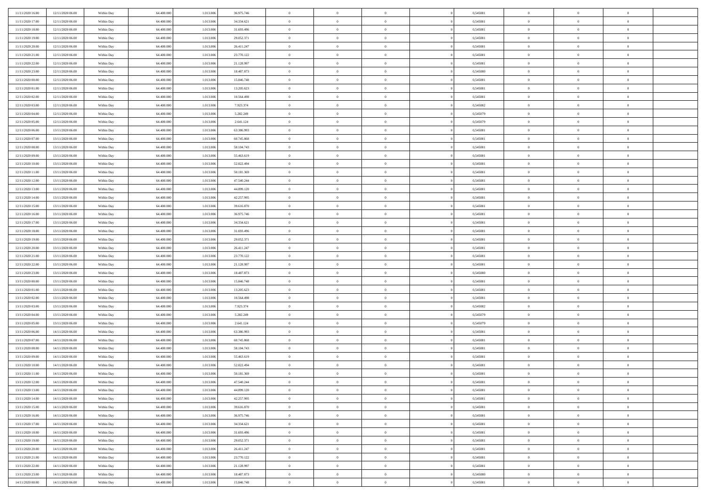| 11/11/2020 16:00 | 12/11/2020 06.00 | Within Day | 64,400,000 | 1.013.006 | 36.975.746 | $\bf{0}$       | $\overline{0}$                   | $\Omega$       | 0,545081 | $\bf{0}$                 | $\overline{0}$ | $\bf{0}$       |  |
|------------------|------------------|------------|------------|-----------|------------|----------------|----------------------------------|----------------|----------|--------------------------|----------------|----------------|--|
| 11/11/2020 17:00 | 12/11/2020 06:00 | Within Dav | 64.400.000 | 1.013.006 | 34.334.621 | $\theta$       | $\overline{0}$                   | $\overline{0}$ | 0,545081 | $\mathbf{0}$             | $\bf{0}$       | $\overline{0}$ |  |
| 11/11/2020 18:00 | 12/11/2020 06:00 | Within Day | 64.400.000 | 1.013.006 | 31.693.496 | $\theta$       | $\overline{0}$                   | $\overline{0}$ | 0,545081 | $\,$ 0                   | $\overline{0}$ | $\,$ 0 $\,$    |  |
| 11/11/2020 19:00 | 12/11/2020 06:00 | Within Day | 64,400,000 | 1.013.006 | 29.052.371 | $\overline{0}$ | $\overline{0}$                   | $\mathbf{0}$   | 0.545081 | $\bf{0}$                 | $\mathbf{0}$   | $\theta$       |  |
| 11/11/2020 20:00 | 12/11/2020 06:00 | Within Dav | 64.400.000 | 1.013.006 | 26.411.247 | $\mathbf{0}$   | $\overline{0}$                   | $\overline{0}$ | 0,545081 | $\mathbf{0}$             | $\bf{0}$       | $\overline{0}$ |  |
| 11/11/2020 21:00 | 12/11/2020 06:00 | Within Day | 64.400.000 | 1.013.006 | 23.770.122 | $\theta$       | $\overline{0}$                   | $\bf{0}$       | 0,545081 | $\,$ 0                   | $\overline{0}$ | $\,$ 0 $\,$    |  |
| 11/11/2020 22.00 | 12/11/2020 06:00 | Within Day | 64,400,000 | 1.013.006 | 21.128.997 | $\,$ 0 $\,$    | $\overline{0}$                   | $\Omega$       | 0.545081 | $\bf{0}$                 | $\overline{0}$ | $\bf{0}$       |  |
| 11/11/2020 23:00 | 12/11/2020 06:00 | Within Dav | 64.400.000 | 1.013.006 | 18.487.873 | $\overline{0}$ | $\overline{0}$                   | $\overline{0}$ | 0,545080 | $\mathbf{0}$             | $\bf{0}$       | $\overline{0}$ |  |
|                  |                  |            |            |           |            |                |                                  |                |          |                          |                |                |  |
| 12/11/2020 00:00 | 12/11/2020 06:00 | Within Day | 64.400.000 | 1.013.006 | 15.846.748 | $\theta$       | $\overline{0}$                   | $\bf{0}$       | 0,545081 | $\,$ 0                   | $\overline{0}$ | $\,$ 0 $\,$    |  |
| 12/11/2020 01:00 | 12/11/2020 06.00 | Within Day | 64,400,000 | 1.013.006 | 13.205.623 | $\mathbf{0}$   | $\overline{0}$                   | $\mathbf{0}$   | 0.545081 | $\bf{0}$                 | $\mathbf{0}$   | $\theta$       |  |
| 12/11/2020 02:00 | 12/11/2020 06:00 | Within Dav | 64.400.000 | 1.013.006 | 10.564.498 | $\mathbf{0}$   | $\overline{0}$                   | $\overline{0}$ | 0,545081 | $\mathbf{0}$             | $\bf{0}$       | $\overline{0}$ |  |
| 12/11/2020 03:00 | 12/11/2020 06:00 | Within Day | 64.400.000 | 1.013.006 | 7.923.374  | $\theta$       | $\overline{0}$                   | $\overline{0}$ | 0,545082 | $\,$ 0                   | $\overline{0}$ | $\,$ 0 $\,$    |  |
| 12/11/2020 04:00 | 12/11/2020 06.00 | Within Day | 64,400,000 | 1.013.006 | 5.282.249  | $\theta$       | $\overline{0}$                   | $\mathbf{0}$   | 0.545079 | $\bf{0}$                 | $\mathbf{0}$   | $\theta$       |  |
| 12/11/2020 05:00 | 12/11/2020 06:00 | Within Dav | 64.400.000 | 1.013.006 | 2.641.124  | $\mathbf{0}$   | $\overline{0}$                   | $\overline{0}$ | 0,545079 | $\mathbf{0}$             | $\bf{0}$       | $\overline{0}$ |  |
| 12/11/2020 06:00 | 13/11/2020 06:00 | Within Day | 64.400.000 | 1.013.006 | 63.386.993 | $\theta$       | $\overline{0}$                   | $\overline{0}$ | 0,545081 | $\,$ 0                   | $\overline{0}$ | $\,$ 0 $\,$    |  |
| 12/11/2020 07:00 | 13/11/2020 06.00 | Within Day | 64,400,000 | 1.013.006 | 60.745.868 | $\bf{0}$       | $\overline{0}$                   | $\mathbf{0}$   | 0.545081 | $\bf{0}$                 | $\overline{0}$ | $\bf{0}$       |  |
| 12/11/2020 08:00 | 13/11/2020 06:00 | Within Dav | 64.400.000 | 1.013.006 | 58.104.743 | $\overline{0}$ | $\overline{0}$                   | $\overline{0}$ | 0,545081 | $\mathbf{0}$             | $\bf{0}$       | $\overline{0}$ |  |
| 12/11/2020 09:00 | 13/11/2020 06:00 | Within Day | 64.400.000 | 1.013.006 | 55.463.619 | $\theta$       | $\overline{0}$                   | $\bf{0}$       | 0,545081 | $\,$ 0                   | $\overline{0}$ | $\,$ 0 $\,$    |  |
| 12/11/2020 10:00 | 13/11/2020 06.00 | Within Day | 64,400,000 | 1.013.006 | 52.822.494 | $\theta$       | $\overline{0}$                   | $\mathbf{0}$   | 0.545081 | $\theta$                 | $\mathbf{0}$   | $\theta$       |  |
| 12/11/2020 11:00 | 13/11/2020 06:00 | Within Dav | 64.400.000 | 1.013.006 | 50.181.369 | $\overline{0}$ | $\overline{0}$                   | $\overline{0}$ | 0,545081 | $\mathbf{0}$             | $\bf{0}$       | $\overline{0}$ |  |
| 12/11/2020 12:00 | 13/11/2020 06:00 | Within Day | 64.400.000 | 1.013.006 | 47.540.244 | $\theta$       | $\overline{0}$                   | $\bf{0}$       | 0,545081 | $\,$ 0                   | $\overline{0}$ | $\,$ 0 $\,$    |  |
| 12/11/2020 13:00 | 13/11/2020 06.00 | Within Day | 64,400,000 | 1.013.006 | 44.899.120 | $\theta$       | $\overline{0}$                   | $\mathbf{0}$   | 0.545081 | $\bf{0}$                 | $\mathbf{0}$   | $\theta$       |  |
| 12/11/2020 14:00 | 13/11/2020 06:00 | Within Dav | 64.400.000 | 1.013.006 | 42.257.995 | $\mathbf{0}$   | $\overline{0}$                   | $\overline{0}$ | 0,545081 | $\mathbf{0}$             | $\bf{0}$       | $\overline{0}$ |  |
| 12/11/2020 15:00 | 13/11/2020 06:00 | Within Day | 64.400.000 | 1.013.006 | 39.616.870 | $\theta$       | $\overline{0}$                   | $\bf{0}$       | 0,545081 | $\,$ 0                   | $\overline{0}$ | $\,$ 0 $\,$    |  |
| 12/11/2020 16:00 | 13/11/2020 06.00 | Within Day | 64,400,000 | 1.013.006 | 36.975.746 | $\,$ 0 $\,$    | $\overline{0}$                   | $\mathbf{0}$   | 0.545081 | $\bf{0}$                 | $\overline{0}$ | $\bf{0}$       |  |
| 12/11/2020 17:00 | 13/11/2020 06:00 | Within Dav | 64.400.000 | 1.013.006 | 34.334.621 | $\overline{0}$ | $\overline{0}$                   | $\overline{0}$ | 0,545081 | $\mathbf{0}$             | $\bf{0}$       | $\overline{0}$ |  |
| 12/11/2020 18:00 | 13/11/2020 06:00 | Within Day | 64.400.000 | 1.013.006 | 31.693.496 | $\theta$       | $\overline{0}$                   | $\bf{0}$       | 0,545081 | $\,$ 0                   | $\overline{0}$ | $\,$ 0 $\,$    |  |
| 12/11/2020 19:00 | 13/11/2020 06.00 | Within Day | 64,400,000 | 1.013.006 | 29.052.371 | $\mathbf{0}$   | $\overline{0}$                   | $\mathbf{0}$   | 0.545081 | $\theta$                 | $\mathbf{0}$   | $\theta$       |  |
| 12/11/2020 20:00 | 13/11/2020 06:00 | Within Dav | 64.400.000 | 1.013.006 | 26.411.247 | $\mathbf{0}$   | $\overline{0}$                   | $\overline{0}$ | 0,545081 | $\mathbf{0}$             | $\bf{0}$       | $\overline{0}$ |  |
| 12/11/2020 21:00 | 13/11/2020 06:00 | Within Day | 64.400.000 | 1.013.006 | 23.770.122 | $\theta$       | $\overline{0}$                   | $\bf{0}$       | 0,545081 | $\,$ 0                   | $\overline{0}$ | $\,$ 0 $\,$    |  |
| 12/11/2020 22.00 | 13/11/2020 06:00 | Within Day | 64.400.000 | 1.013.006 | 21.128.997 | $\,$ 0 $\,$    | $\overline{0}$                   | $\overline{0}$ | 0,545081 | $\bf{0}$                 | $\overline{0}$ | $\,0\,$        |  |
| 12/11/2020 23:00 | 13/11/2020 06:00 | Within Dav | 64.400.000 | 1.013.006 | 18.487.873 | $\overline{0}$ | $\overline{0}$                   | $\overline{0}$ | 0,545080 | $\mathbf{0}$             | $\bf{0}$       | $\overline{0}$ |  |
| 13/11/2020 00:00 | 13/11/2020 06:00 | Within Day | 64.400.000 | 1.013.006 | 15.846.748 | $\theta$       | $\overline{0}$                   | $\overline{0}$ | 0,545081 | $\,$ 0                   | $\overline{0}$ | $\,$ 0 $\,$    |  |
| 13/11/2020 01:00 | 13/11/2020 06.00 | Within Day | 64.400.000 | 1.013.006 | 13.205.623 | $\,$ 0 $\,$    | $\overline{0}$                   | $\overline{0}$ | 0,545081 | $\bf{0}$                 | $\overline{0}$ | $\bf{0}$       |  |
| 13/11/2020 02.00 | 13/11/2020 06:00 | Within Dav | 64.400.000 | 1.013.006 | 10.564.498 | $\overline{0}$ | $\overline{0}$                   | $\overline{0}$ | 0,545081 | $\mathbf{0}$             | $\bf{0}$       | $\overline{0}$ |  |
|                  |                  |            |            |           |            | $\theta$       |                                  |                |          | $\,$ 0                   | $\overline{0}$ | $\,$ 0 $\,$    |  |
| 13/11/2020 03:00 | 13/11/2020 06:00 | Within Day | 64.400.000 | 1.013.006 | 7.923.374  |                | $\overline{0}$                   | $\bf{0}$       | 0,545082 |                          |                |                |  |
| 13/11/2020 04:00 | 13/11/2020 06:00 | Within Day | 64.400.000 | 1.013.006 | 5.282.249  | $\,$ 0 $\,$    | $\overline{0}$<br>$\overline{0}$ | $\overline{0}$ | 0,545079 | $\bf{0}$<br>$\mathbf{0}$ | $\overline{0}$ | $\,0\,$        |  |
| 13/11/2020 05:00 | 13/11/2020 06:00 | Within Dav | 64.400.000 | 1.013.006 | 2.641.124  | $\mathbf{0}$   |                                  | $\overline{0}$ | 0,545079 |                          | $\bf{0}$       | $\overline{0}$ |  |
| 13/11/2020 06:00 | 14/11/2020 06:00 | Within Day | 64.400.000 | 1.013.006 | 63.386.993 | $\theta$       | $\overline{0}$                   | $\bf{0}$       | 0,545081 | $\,$ 0                   | $\overline{0}$ | $\,$ 0 $\,$    |  |
| 13/11/2020 07.00 | 14/11/2020 06.00 | Within Day | 64.400.000 | 1.013.006 | 60.745.868 | $\,$ 0 $\,$    | $\overline{0}$                   | $\overline{0}$ | 0,545081 | $\bf{0}$                 | $\overline{0}$ | $\,0\,$        |  |
| 13/11/2020 08:00 | 14/11/2020 06:00 | Within Dav | 64.400.000 | 1.013.006 | 58.104.743 | $\theta$       | $\overline{0}$                   | $\overline{0}$ | 0,545081 | $\mathbf{0}$             | $\bf{0}$       | $\overline{0}$ |  |
| 13/11/2020 09:00 | 14/11/2020 06:00 | Within Day | 64.400.000 | 1.013.006 | 55.463.619 | $\theta$       | $\overline{0}$                   | $\bf{0}$       | 0,545081 | $\,$ 0                   | $\overline{0}$ | $\,$ 0 $\,$    |  |
| 13/11/2020 10:00 | 14/11/2020 06.00 | Within Day | 64.400.000 | 1.013.006 | 52.822.494 | $\,$ 0 $\,$    | $\overline{0}$                   | $\overline{0}$ | 0,545081 | $\bf{0}$                 | $\overline{0}$ | $\,0\,$        |  |
| 13/11/2020 11:00 | 14/11/2020 06:00 | Within Dav | 64.400.000 | 1.013.006 | 50.181.369 | $\theta$       | $\overline{0}$                   | $\overline{0}$ | 0,545081 | $\mathbf{0}$             | $\bf{0}$       | $\overline{0}$ |  |
| 13/11/2020 12:00 | 14/11/2020 06:00 | Within Day | 64.400.000 | 1.013.006 | 47.540.244 | $\overline{0}$ | $\overline{0}$                   | $\overline{0}$ | 0,545081 | $\overline{0}$           | $\overline{0}$ | $\theta$       |  |
| 13/11/2020 13:00 | 14/11/2020 06:00 | Within Day | 64.400.000 | 1.013.006 | 44.899.120 | $\bf{0}$       | $\overline{0}$                   | $\overline{0}$ | 0,545081 | $\mathbf{0}$             | $\overline{0}$ | $\bf{0}$       |  |
| 13/11/2020 14:00 | 14/11/2020 06:00 | Within Day | 64.400.000 | 1.013.006 | 42.257.995 | $\overline{0}$ | $\overline{0}$                   | $\overline{0}$ | 0,545081 | $\overline{0}$           | $\bf{0}$       | $\overline{0}$ |  |
| 13/11/2020 15:00 | 14/11/2020 06:00 | Within Day | 64.400.000 | 1.013.006 | 39.616.870 | $\,$ 0         | $\overline{0}$                   | $\overline{0}$ | 0,545081 | $\,$ 0 $\,$              | $\,$ 0 $\,$    | $\,$ 0 $\,$    |  |
| 13/11/2020 16:00 | 14/11/2020 06:00 | Within Day | 64.400.000 | 1.013.006 | 36.975.746 | $\bf{0}$       | $\overline{0}$                   | $\overline{0}$ | 0,545081 | $\mathbf{0}$             | $\overline{0}$ | $\bf{0}$       |  |
| 13/11/2020 17:00 | 14/11/2020 06:00 | Within Day | 64.400.000 | 1.013.006 | 34.334.621 | $\,$ 0 $\,$    | $\overline{0}$                   | $\overline{0}$ | 0,545081 | $\,$ 0 $\,$              | $\bf{0}$       | $\overline{0}$ |  |
| 13/11/2020 18:00 | 14/11/2020 06:00 | Within Day | 64.400.000 | 1.013.006 | 31.693.496 | $\,$ 0         | $\overline{0}$                   | $\overline{0}$ | 0,545081 | $\,$ 0 $\,$              | $\overline{0}$ | $\,$ 0 $\,$    |  |
| 13/11/2020 19:00 | 14/11/2020 06:00 | Within Day | 64.400.000 | 1.013.006 | 29.052.371 | $\bf{0}$       | $\overline{0}$                   | $\overline{0}$ | 0,545081 | $\overline{0}$           | $\overline{0}$ | $\overline{0}$ |  |
| 13/11/2020 20:00 | 14/11/2020 06:00 | Within Day | 64.400.000 | 1.013.006 | 26.411.247 | $\,$ 0 $\,$    | $\overline{0}$                   | $\overline{0}$ | 0,545081 | $\,$ 0 $\,$              | $\bf{0}$       | $\overline{0}$ |  |
| 13/11/2020 21:00 | 14/11/2020 06:00 | Within Day | 64.400.000 | 1.013.006 | 23.770.122 | $\,$ 0         | $\overline{0}$                   | $\overline{0}$ | 0,545081 | $\,$ 0 $\,$              | $\,$ 0 $\,$    | $\,$ 0 $\,$    |  |
| 13/11/2020 22.00 | 14/11/2020 06.00 | Within Day | 64.400.000 | 1.013.006 | 21.128.997 | $\bf{0}$       | $\overline{0}$                   | $\overline{0}$ | 0,545081 | $\mathbf{0}$             | $\overline{0}$ | $\bf{0}$       |  |
| 13/11/2020 23.00 | 14/11/2020 06:00 | Within Day | 64.400.000 | 1.013.006 | 18.487.873 | $\,$ 0 $\,$    | $\overline{0}$                   | $\overline{0}$ | 0,545080 | $\overline{0}$           | $\bf{0}$       | $\overline{0}$ |  |
| 14/11/2020 00:00 | 14/11/2020 06.00 | Within Day | 64.400.000 | 1.013.006 | 15.846.748 | $\,$ 0 $\,$    | $\overline{0}$                   | $\overline{0}$ | 0,545081 | $\,$ 0 $\,$              | $\overline{0}$ | $\,$ 0 $\,$    |  |
|                  |                  |            |            |           |            |                |                                  |                |          |                          |                |                |  |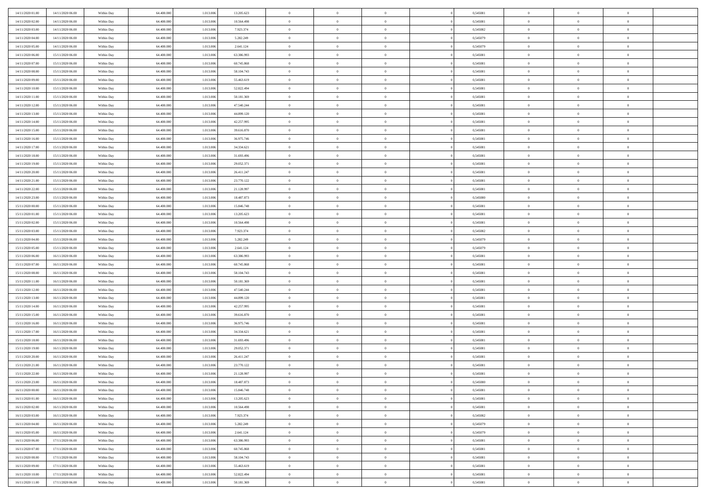| 14/11/2020 01:00 | 14/11/2020 06.00 | Within Day | 64,400,000 | 1.013.006 | 13.205.623 | $\bf{0}$       | $\overline{0}$ | $\Omega$       | 0,545081 | $\bf{0}$       | $\overline{0}$ | $\bf{0}$       |  |
|------------------|------------------|------------|------------|-----------|------------|----------------|----------------|----------------|----------|----------------|----------------|----------------|--|
| 14/11/2020 02.00 | 14/11/2020 06:00 | Within Dav | 64.400.000 | 1.013.006 | 10.564.498 | $\theta$       | $\overline{0}$ | $\overline{0}$ | 0,545081 | $\mathbf{0}$   | $\bf{0}$       | $\overline{0}$ |  |
| 14/11/2020 03:00 | 14/11/2020 06:00 | Within Day | 64.400.000 | 1.013.006 | 7.923.374  | $\theta$       | $\overline{0}$ | $\overline{0}$ | 0,545082 | $\,$ 0         | $\overline{0}$ | $\,$ 0 $\,$    |  |
| 14/11/2020 04:00 | 14/11/2020 06.00 | Within Day | 64,400,000 | 1.013.006 | 5.282.249  | $\mathbf{0}$   | $\overline{0}$ | $\mathbf{0}$   | 0.545079 | $\bf{0}$       | $\mathbf{0}$   | $\theta$       |  |
| 14/11/2020 05:00 | 14/11/2020 06:00 | Within Dav | 64.400.000 | 1.013.006 | 2.641.124  | $\mathbf{0}$   | $\overline{0}$ | $\overline{0}$ | 0,545079 | $\mathbf{0}$   | $\bf{0}$       | $\overline{0}$ |  |
| 14/11/2020 06:00 | 15/11/2020 06:00 | Within Day | 64.400.000 | 1.013.006 | 63.386.993 | $\theta$       | $\overline{0}$ | $\bf{0}$       | 0,545081 | $\,$ 0         | $\overline{0}$ | $\,$ 0 $\,$    |  |
| 14/11/2020 07.00 | 15/11/2020 06.00 | Within Day | 64,400,000 | 1.013.006 | 60.745.868 | $\,$ 0 $\,$    | $\overline{0}$ | $\Omega$       | 0.545081 | $\bf{0}$       | $\overline{0}$ | $\theta$       |  |
| 14/11/2020 08:00 | 15/11/2020 06:00 | Within Dav | 64.400.000 | 1.013.006 | 58.104.743 | $\overline{0}$ | $\overline{0}$ | $\overline{0}$ | 0,545081 | $\mathbf{0}$   | $\bf{0}$       | $\overline{0}$ |  |
| 14/11/2020 09:00 | 15/11/2020 06:00 | Within Day | 64.400.000 | 1.013.006 | 55.463.619 | $\theta$       | $\overline{0}$ | $\bf{0}$       | 0,545081 | $\,$ 0         | $\overline{0}$ | $\,$ 0 $\,$    |  |
| 14/11/2020 10:00 | 15/11/2020 06.00 | Within Day | 64,400,000 | 1.013.006 | 52.822.494 | $\mathbf{0}$   | $\overline{0}$ | $\mathbf{0}$   | 0.545081 | $\theta$       | $\mathbf{0}$   | $\theta$       |  |
| 14/11/2020 11:00 | 15/11/2020 06:00 | Within Dav | 64.400.000 | 1.013.006 | 50.181.369 | $\mathbf{0}$   | $\overline{0}$ | $\overline{0}$ | 0,545081 | $\mathbf{0}$   | $\bf{0}$       | $\overline{0}$ |  |
| 14/11/2020 12:00 | 15/11/2020 06:00 | Within Day | 64.400.000 | 1.013.006 | 47.540.244 | $\theta$       | $\overline{0}$ | $\overline{0}$ | 0,545081 | $\,$ 0         | $\overline{0}$ | $\,$ 0 $\,$    |  |
| 14/11/2020 13:00 | 15/11/2020 06.00 | Within Day | 64,400,000 | 1.013.006 | 44.899.120 | $\theta$       | $\overline{0}$ | $\mathbf{0}$   | 0.545081 | $\bf{0}$       | $\mathbf{0}$   | $\theta$       |  |
| 14/11/2020 14:00 | 15/11/2020 06:00 | Within Dav | 64.400.000 | 1.013.006 | 42.257.995 | $\overline{0}$ | $\overline{0}$ | $\overline{0}$ | 0,545081 | $\mathbf{0}$   | $\bf{0}$       | $\overline{0}$ |  |
| 14/11/2020 15:00 | 15/11/2020 06:00 | Within Day | 64.400.000 | 1.013.006 | 39.616.870 | $\theta$       | $\overline{0}$ | $\overline{0}$ | 0,545081 | $\,$ 0         | $\overline{0}$ | $\,$ 0 $\,$    |  |
| 14/11/2020 16:00 | 15/11/2020 06.00 | Within Day | 64,400,000 | 1.013.006 | 36.975.746 | $\bf{0}$       | $\overline{0}$ | $\mathbf{0}$   | 0.545081 | $\bf{0}$       | $\mathbf{0}$   | $\bf{0}$       |  |
| 14/11/2020 17:00 | 15/11/2020 06:00 | Within Dav | 64.400.000 | 1.013.006 | 34.334.621 | $\overline{0}$ | $\overline{0}$ | $\overline{0}$ | 0,545081 | $\mathbf{0}$   | $\bf{0}$       | $\overline{0}$ |  |
| 14/11/2020 18:00 | 15/11/2020 06:00 | Within Day | 64.400.000 | 1.013.006 | 31.693.496 | $\theta$       | $\overline{0}$ | $\bf{0}$       | 0,545081 | $\,$ 0         | $\overline{0}$ | $\,$ 0 $\,$    |  |
| 14/11/2020 19:00 | 15/11/2020 06.00 | Within Day | 64,400,000 | 1.013.006 | 29.052.371 | $\theta$       | $\overline{0}$ | $\mathbf{0}$   | 0.545081 | $\theta$       | $\mathbf{0}$   | $\theta$       |  |
| 14/11/2020 20:00 | 15/11/2020 06:00 | Within Dav | 64.400.000 | 1.013.006 | 26.411.247 | $\overline{0}$ | $\overline{0}$ | $\overline{0}$ | 0,545081 | $\mathbf{0}$   | $\bf{0}$       | $\overline{0}$ |  |
| 14/11/2020 21:00 | 15/11/2020 06:00 | Within Day | 64.400.000 | 1.013.006 | 23.770.122 | $\theta$       | $\overline{0}$ | $\bf{0}$       | 0,545081 | $\,$ 0         | $\overline{0}$ | $\,$ 0 $\,$    |  |
| 14/11/2020 22.00 | 15/11/2020 06.00 | Within Day | 64,400,000 | 1.013.006 | 21.128.997 | $\theta$       | $\overline{0}$ | $\mathbf{0}$   | 0.545081 | $\bf{0}$       | $\mathbf{0}$   | $\theta$       |  |
| 14/11/2020 23:00 | 15/11/2020 06:00 | Within Dav | 64.400.000 | 1.013.006 | 18.487.873 | $\mathbf{0}$   | $\overline{0}$ | $\overline{0}$ | 0,545080 | $\mathbf{0}$   | $\bf{0}$       | $\overline{0}$ |  |
| 15/11/2020 00:00 | 15/11/2020 06:00 | Within Day | 64.400.000 | 1.013.006 | 15.846.748 | $\theta$       | $\overline{0}$ | $\bf{0}$       | 0,545081 | $\,$ 0         | $\overline{0}$ | $\,$ 0 $\,$    |  |
| 15/11/2020 01:00 | 15/11/2020 06.00 | Within Day | 64,400,000 | 1.013.006 | 13.205.623 | $\,$ 0 $\,$    | $\overline{0}$ | $\mathbf{0}$   | 0.545081 | $\bf{0}$       | $\bf{0}$       | $\bf{0}$       |  |
| 15/11/2020 02.00 | 15/11/2020 06:00 | Within Dav | 64.400.000 | 1.013.006 | 10.564.498 | $\overline{0}$ | $\overline{0}$ | $\overline{0}$ | 0,545081 | $\mathbf{0}$   | $\bf{0}$       | $\overline{0}$ |  |
| 15/11/2020 03:00 | 15/11/2020 06:00 | Within Day | 64.400.000 | 1.013.006 | 7.923.374  | $\theta$       | $\overline{0}$ | $\overline{0}$ | 0,545082 | $\,$ 0         | $\overline{0}$ | $\,$ 0 $\,$    |  |
| 15/11/2020 04:00 | 15/11/2020 06:00 | Within Day | 64,400,000 | 1.013.006 | 5.282.249  | $\mathbf{0}$   | $\overline{0}$ | $\mathbf{0}$   | 0.545079 | $\theta$       | $\mathbf{0}$   | $\theta$       |  |
| 15/11/2020 05:00 | 15/11/2020 06:00 | Within Dav | 64.400.000 | 1.013.006 | 2.641.124  | $\mathbf{0}$   | $\overline{0}$ | $\overline{0}$ | 0,545079 | $\mathbf{0}$   | $\bf{0}$       | $\overline{0}$ |  |
| 15/11/2020 06:00 | 16/11/2020 06:00 | Within Day | 64.400.000 | 1.013.006 | 63.386.993 | $\theta$       | $\overline{0}$ | $\bf{0}$       | 0,545081 | $\,$ 0         | $\overline{0}$ | $\,$ 0 $\,$    |  |
| 15/11/2020 07.00 | 16/11/2020 06:00 | Within Day | 64.400.000 | 1.013.006 | 60.745.868 | $\bf{0}$       | $\overline{0}$ | $\overline{0}$ | 0,545081 | $\bf{0}$       | $\overline{0}$ | $\,0\,$        |  |
| 15/11/2020 08:00 | 16/11/2020 06:00 | Within Dav | 64.400.000 | 1.013.006 | 58.104.743 | $\overline{0}$ | $\overline{0}$ | $\overline{0}$ | 0,545081 | $\mathbf{0}$   | $\bf{0}$       | $\overline{0}$ |  |
| 15/11/2020 11:00 | 16/11/2020 06:00 | Within Day | 64.400.000 | 1.013.006 | 50.181.369 | $\theta$       | $\overline{0}$ | $\overline{0}$ | 0,545081 | $\,$ 0         | $\overline{0}$ | $\,$ 0 $\,$    |  |
| 15/11/2020 12:00 | 16/11/2020 06:00 | Within Day | 64.400.000 | 1.013.006 | 47.540.244 | $\,$ 0 $\,$    | $\overline{0}$ | $\overline{0}$ | 0,545081 | $\bf{0}$       | $\overline{0}$ | $\,0\,$        |  |
| 15/11/2020 13:00 | 16/11/2020 06:00 | Within Dav | 64.400.000 | 1.013.006 | 44.899.120 | $\overline{0}$ | $\overline{0}$ | $\overline{0}$ | 0,545081 | $\mathbf{0}$   | $\bf{0}$       | $\overline{0}$ |  |
| 15/11/2020 14:00 | 16/11/2020 06:00 | Within Day | 64.400.000 | 1.013.006 | 42.257.995 | $\theta$       | $\overline{0}$ | $\bf{0}$       | 0,545081 | $\,$ 0         | $\overline{0}$ | $\,$ 0 $\,$    |  |
| 15/11/2020 15:00 | 16/11/2020 06:00 | Within Day | 64.400.000 | 1.013.006 | 39.616.870 | $\,$ 0 $\,$    | $\overline{0}$ | $\overline{0}$ | 0,545081 | $\bf{0}$       | $\overline{0}$ | $\,0\,$        |  |
| 15/11/2020 16:00 | 16/11/2020 06:00 | Within Dav | 64.400.000 | 1.013.006 | 36.975.746 | $\overline{0}$ | $\overline{0}$ | $\overline{0}$ | 0,545081 | $\mathbf{0}$   | $\bf{0}$       | $\overline{0}$ |  |
| 15/11/2020 17:00 | 16/11/2020 06:00 | Within Day | 64.400.000 | 1.013.006 | 34.334.621 | $\theta$       | $\overline{0}$ | $\bf{0}$       | 0,545081 | $\,$ 0         | $\overline{0}$ | $\,$ 0 $\,$    |  |
| 15/11/2020 18:00 | 16/11/2020 06:00 | Within Day | 64.400.000 | 1.013.006 | 31.693.496 | $\,$ 0 $\,$    | $\overline{0}$ | $\overline{0}$ | 0,545081 | $\bf{0}$       | $\overline{0}$ | $\,0\,$        |  |
| 15/11/2020 19:00 | 16/11/2020 06:00 | Within Dav | 64.400.000 | 1.013.006 | 29.052.371 | $\theta$       | $\overline{0}$ | $\overline{0}$ | 0,545081 | $\mathbf{0}$   | $\bf{0}$       | $\overline{0}$ |  |
| 15/11/2020 20:00 | 16/11/2020 06:00 | Within Day | 64.400.000 | 1.013.006 | 26.411.247 | $\theta$       | $\overline{0}$ | $\bf{0}$       | 0,545081 | $\,$ 0         | $\overline{0}$ | $\,$ 0 $\,$    |  |
| 15/11/2020 21:00 | 16/11/2020 06.00 | Within Day | 64.400.000 | 1.013.006 | 23.770.122 | $\,$ 0 $\,$    | $\overline{0}$ | $\overline{0}$ | 0,545081 | $\bf{0}$       | $\overline{0}$ | $\,0\,$        |  |
| 15/11/2020 22:00 | 16/11/2020 06:00 | Within Dav | 64.400.000 | 1.013.006 | 21.128.997 | $\theta$       | $\overline{0}$ | $\overline{0}$ | 0,545081 | $\mathbf{0}$   | $\bf{0}$       | $\overline{0}$ |  |
| 15/11/2020 23:00 | 16/11/2020 06:00 | Within Day | 64.400.000 | 1.013.006 | 18.487.873 | $\overline{0}$ | $\overline{0}$ | $\overline{0}$ | 0,545080 | $\overline{0}$ | $\overline{0}$ | $\theta$       |  |
| 16/11/2020 00:00 | 16/11/2020 06:00 | Within Day | 64.400.000 | 1.013.006 | 15.846.748 | $\bf{0}$       | $\overline{0}$ | $\overline{0}$ | 0,545081 | $\bf{0}$       | $\overline{0}$ | $\bf{0}$       |  |
| 16/11/2020 01:00 | 16/11/2020 06:00 | Within Day | 64.400.000 | 1.013.006 | 13.205.623 | $\overline{0}$ | $\overline{0}$ | $\overline{0}$ | 0,545081 | $\overline{0}$ | $\bf{0}$       | $\overline{0}$ |  |
| 16/11/2020 02:00 | 16/11/2020 06:00 | Within Day | 64.400.000 | 1.013.006 | 10.564.498 | $\,$ 0 $\,$    | $\overline{0}$ | $\overline{0}$ | 0,545081 | $\,$ 0 $\,$    | $\,$ 0 $\,$    | $\,$ 0 $\,$    |  |
| 16/11/2020 03:00 | 16/11/2020 06.00 | Within Day | 64.400.000 | 1.013.006 | 7.923.374  | $\bf{0}$       | $\overline{0}$ | $\overline{0}$ | 0,545082 | $\mathbf{0}$   | $\overline{0}$ | $\bf{0}$       |  |
| 16/11/2020 04:00 | 16/11/2020 06:00 | Within Day | 64.400.000 | 1.013.006 | 5.282.249  | $\,$ 0 $\,$    | $\overline{0}$ | $\overline{0}$ | 0,545079 | $\,$ 0 $\,$    | $\bf{0}$       | $\overline{0}$ |  |
| 16/11/2020 05:00 | 16/11/2020 06:00 | Within Day | 64.400.000 | 1.013.006 | 2.641.124  | $\,$ 0 $\,$    | $\overline{0}$ | $\overline{0}$ | 0,545079 | $\,$ 0 $\,$    | $\overline{0}$ | $\,$ 0 $\,$    |  |
| 16/11/2020 06:00 | 17/11/2020 06:00 | Within Day | 64.400.000 | 1.013.006 | 63.386.993 | $\bf{0}$       | $\overline{0}$ | $\overline{0}$ | 0,545081 | $\overline{0}$ | $\overline{0}$ | $\overline{0}$ |  |
| 16/11/2020 07:00 | 17/11/2020 06:00 | Within Day | 64.400.000 | 1.013.006 | 60.745.868 | $\,$ 0 $\,$    | $\overline{0}$ | $\overline{0}$ | 0,545081 | $\,$ 0 $\,$    | $\bf{0}$       | $\mathbf{0}$   |  |
| 16/11/2020 08:00 | 17/11/2020 06:00 | Within Day | 64.400.000 | 1.013.006 | 58.104.743 | $\,$ 0         | $\overline{0}$ | $\overline{0}$ | 0,545081 | $\,$ 0 $\,$    | $\,$ 0 $\,$    | $\,$ 0 $\,$    |  |
| 16/11/2020 09:00 | 17/11/2020 06.00 | Within Day | 64.400.000 | 1.013.006 | 55.463.619 | $\bf{0}$       | $\overline{0}$ | $\overline{0}$ | 0,545081 | $\mathbf{0}$   | $\overline{0}$ | $\bf{0}$       |  |
| 16/11/2020 10:00 | 17/11/2020 06:00 | Within Day | 64.400.000 | 1.013.006 | 52.822.494 | $\,$ 0 $\,$    | $\overline{0}$ | $\overline{0}$ | 0,545081 | $\overline{0}$ | $\bf{0}$       | $\overline{0}$ |  |
| 16/11/2020 11:00 | 17/11/2020 06.00 | Within Day | 64.400.000 | 1.013.006 | 50.181.369 | $\,$ 0 $\,$    | $\overline{0}$ | $\overline{0}$ | 0,545081 | $\,$ 0 $\,$    | $\overline{0}$ | $\,$ 0 $\,$    |  |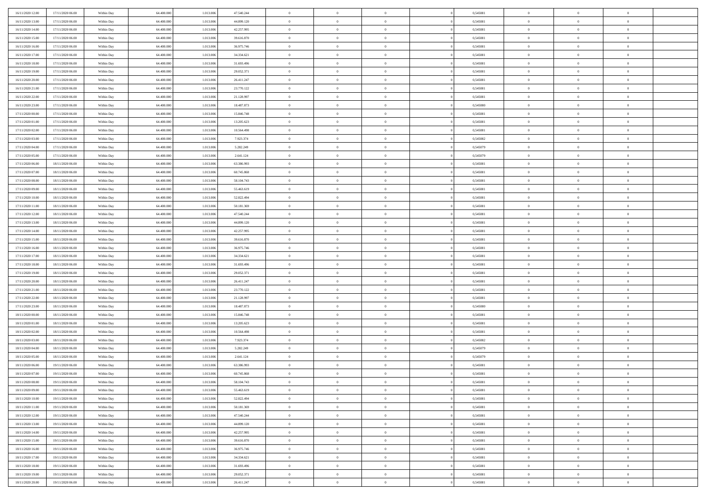| 16/11/2020 12:00                     | 17/11/2020 06:00                     | Within Day               | 64.400.000               | 1.013.00               | 47.540.244               | $\bf{0}$                   | $\bf{0}$                         | $\overline{0}$                   | 0,545081             | $\bf{0}$                     | $\overline{0}$                   | $\bf{0}$                      |  |
|--------------------------------------|--------------------------------------|--------------------------|--------------------------|------------------------|--------------------------|----------------------------|----------------------------------|----------------------------------|----------------------|------------------------------|----------------------------------|-------------------------------|--|
| 16/11/2020 13:00                     | 17/11/2020 06:00                     | Within Day               | 64,400,000               | 1.013.00               | 44.899.120               | $\overline{0}$             | $\overline{0}$                   | $\Omega$                         | 0,545081             | $\overline{0}$               | $\theta$                         | $\theta$                      |  |
| 16/11/2020 14:00                     | 17/11/2020 06:00                     | Within Day               | 64.400.000               | 1.013.006              | 42.257.995               | $\overline{0}$             | $\overline{0}$                   | $\overline{0}$                   | 0,545081             | $\mathbf{0}$                 | $\overline{0}$                   | $\theta$                      |  |
| 16/11/2020 15:00                     | 17/11/2020 06:00                     | Within Day               | 64.400.000               | 1.013.006              | 39.616.870               | $\bf{0}$                   | $\overline{0}$                   | $\overline{0}$                   | 0,545081             | $\mathbf{0}$                 | $\overline{0}$                   | $\bf{0}$                      |  |
| 16/11/2020 16:00                     | 17/11/2020 06:00                     | Within Day               | 64,400,000               | 1.013.006              | 36.975.746               | $\bf{0}$                   | $\overline{0}$                   | $\overline{0}$                   | 0,545081             | $\bf{0}$                     | $\overline{0}$                   | $\bf{0}$                      |  |
| 16/11/2020 17:00                     | 17/11/2020 06:00                     | Within Day               | 64.400.000               | 1.013.006              | 34.334.621               | $\overline{0}$             | $\overline{0}$                   | $\overline{0}$                   | 0,545081             | $\mathbf{0}$                 | $\overline{0}$                   | $\theta$                      |  |
| 16/11/2020 18.00                     | 17/11/2020 06:00                     | Within Day               | 64.400.000               | 1.013.006              | 31.693.496               | $\bf{0}$                   | $\overline{0}$                   | $\overline{0}$                   | 0,545081             | $\bf{0}$                     | $\overline{0}$                   | $\bf{0}$                      |  |
| 16/11/2020 19:00                     | 17/11/2020 06:00                     | Within Day               | 64,400,000               | 1.013.006              | 29.052.371               | $\overline{0}$             | $\overline{0}$                   | $\overline{0}$                   | 0,545081             | $\mathbf{0}$                 | $\theta$                         | $\theta$                      |  |
| 16/11/2020 20:00                     | 17/11/2020 06:00                     | Within Day               | 64.400.000               | 1.013.006              | 26.411.247               | $\overline{0}$             | $\overline{0}$                   | $\overline{0}$                   | 0,545081             | $\mathbf{0}$                 | $\overline{0}$                   | $\theta$                      |  |
| 16/11/2020 21:00                     | 17/11/2020 06:00                     | Within Day               | 64.400.000               | 1.013.006              | 23.770.122               | $\bf{0}$                   | $\overline{0}$                   | $\Omega$                         | 0,545081             | $\bf{0}$                     | $\overline{0}$                   | $\bf{0}$                      |  |
| 16/11/2020 22.00                     | 17/11/2020 06:00                     | Within Day               | 64,400,000               | 1.013.006              | 21.128.997               | $\bf{0}$                   | $\overline{0}$                   | $\overline{0}$                   | 0,545081             | $\mathbf{0}$                 | $\theta$                         | $\theta$                      |  |
| 16/11/2020 23.00                     | 17/11/2020 06:00                     | Within Day               | 64.400.000               | 1.013.006              | 18.487.873               | $\overline{0}$             | $\overline{0}$                   | $\overline{0}$                   | 0,545080             | $\mathbf{0}$                 | $\overline{0}$                   | $\theta$                      |  |
| 17/11/2020 00:00                     | 17/11/2020 06:00                     | Within Day               | 64.400.000               | 1.013.006              | 15.846.748               | $\bf{0}$                   | $\overline{0}$                   | $\overline{0}$                   | 0,545081             | $\mathbf{0}$                 | $\overline{0}$                   | $\bf{0}$                      |  |
| 17/11/2020 01:00                     | 17/11/2020 06:00                     | Within Day               | 64.400.000               | 1.013.006              | 13.205.623               | $\bf{0}$                   | $\overline{0}$                   | $\overline{0}$                   | 0,545081             | $\bf{0}$                     | $\theta$                         | $\bf{0}$                      |  |
| 17/11/2020 02:00                     | 17/11/2020 06:00                     | Within Day               | 64.400.000               | 1.013.006              | 10.564.498               | $\overline{0}$             | $\overline{0}$                   | $\overline{0}$                   | 0,545081             | $\mathbf{0}$                 | $\overline{0}$                   | $\theta$                      |  |
| 17/11/2020 03:00                     | 17/11/2020 06:00                     | Within Day               | 64.400.000               | 1.013.006              | 7.923.374                | $\bf{0}$                   | $\overline{0}$                   | $\Omega$                         | 0,545082             | $\bf{0}$                     | $\overline{0}$                   | $\bf{0}$                      |  |
| 17/11/2020 04:00                     | 17/11/2020 06:00                     | Within Day               | 64,400,000               | 1.013.006              | 5.282.249                | $\,$ 0 $\,$                | $\overline{0}$                   | $\overline{0}$                   | 0,545079             | $\mathbf{0}$                 | $\theta$                         | $\theta$                      |  |
| 17/11/2020 05:00                     | 17/11/2020 06:00                     | Within Day               | 64.400.000               | 1.013.006              | 2.641.124                | $\overline{0}$             | $\overline{0}$                   | $\overline{0}$                   | 0,545079             | $\mathbf{0}$                 | $\overline{0}$                   | $\theta$                      |  |
| 17/11/2020 06:00                     | 18/11/2020 06:00                     | Within Day               | 64.400.000               | 1.013.00               | 63.386.993               | $\bf{0}$                   | $\overline{0}$                   | $\Omega$                         | 0,545081             | $\bf{0}$                     | $\overline{0}$                   | $\bf{0}$                      |  |
| 17/11/2020 07:00                     | 18/11/2020 06:00                     | Within Day               | 64,400,000               | 1.013.006              | 60.745.868               | $\bf{0}$                   | $\overline{0}$                   | $\overline{0}$                   | 0,545081             | $\mathbf{0}$                 | $\mathbf{0}$                     | $\overline{0}$                |  |
| 17/11/2020 08:00                     | 18/11/2020 06:00                     | Within Day               | 64.400.000               | 1.013.006              | 58.104.743               | $\overline{0}$             | $\overline{0}$                   | $\overline{0}$                   | 0,545081             | $\mathbf{0}$                 | $\overline{0}$                   | $\theta$                      |  |
| 17/11/2020 09:00                     | 18/11/2020 06:00                     | Within Day               | 64.400.000               | 1.013.006              | 55.463.619               | $\bf{0}$                   | $\overline{0}$                   | $\overline{0}$                   | 0,545081             | $\mathbf{0}$                 | $\overline{0}$                   | $\bf{0}$                      |  |
| 17/11/2020 10:00                     | 18/11/2020 06:00                     | Within Day               | 64,400,000               | 1.013.006              | 52.822.494               | $\bf{0}$                   | $\overline{0}$                   | $\overline{0}$                   | 0,545081             | $\,$ 0 $\,$                  | $\overline{0}$                   | $\bf{0}$                      |  |
| 17/11/2020 11:00                     | 18/11/2020 06:00                     | Within Day               | 64.400.000               | 1.013.006              | 50.181.369               | $\overline{0}$             | $\overline{0}$                   | $\overline{0}$                   | 0,545081             | $\mathbf{0}$                 | $\overline{0}$                   | $\theta$                      |  |
| 17/11/2020 12:00                     | 18/11/2020 06:00                     | Within Day               | 64.400.000               | 1.013.006              | 47.540.244               | $\bf{0}$                   | $\overline{0}$                   | $\overline{0}$                   | 0,545081             | $\bf{0}$                     | $\overline{0}$                   | $\bf{0}$                      |  |
| 17/11/2020 13:00                     | 18/11/2020 06:00                     | Within Day               | 64,400,000               | 1.013.006              | 44.899.120               | $\,$ 0 $\,$                | $\overline{0}$                   | $\overline{0}$                   | 0,545081             | $\mathbf{0}$                 | $\overline{0}$                   | $\overline{0}$                |  |
| 17/11/2020 14.00                     | 18/11/2020 06:00                     | Within Day               | 64.400.000               | 1.013.006              | 42.257.995               | $\overline{0}$             | $\overline{0}$                   | $\overline{0}$                   | 0,545081             | $\mathbf{0}$                 | $\overline{0}$                   | $\theta$                      |  |
| 17/11/2020 15.00                     | 18/11/2020 06:00                     | Within Day               | 64.400.000               | 1.013.006              | 39.616.870               | $\bf{0}$                   | $\overline{0}$                   | $\Omega$                         | 0,545081             | $\mathbf{0}$                 | $\overline{0}$                   | $\bf{0}$                      |  |
| 17/11/2020 16.00                     | 18/11/2020 06:00                     | Within Day               | 64,400,000               | 1.013.006              | 36.975.746               | $\bf{0}$                   | $\overline{0}$                   | $\overline{0}$                   | 0,545081             | $\mathbf{0}$                 | $\theta$                         | $\overline{0}$                |  |
| 17/11/2020 17.00                     | 18/11/2020 06:00                     | Within Day               | 64.400.000               | 1.013.006              | 34.334.621               | $\overline{0}$             | $\overline{0}$                   | $\overline{0}$                   | 0,545081             | $\mathbf{0}$                 | $\overline{0}$                   | $\theta$                      |  |
| 17/11/2020 18:00                     | 18/11/2020 06:00                     | Within Day               | 64.400.000               | 1.013.006              | 31.693.496               | $\,$ 0                     | $\overline{0}$                   | $\overline{0}$                   | 0,545081             | $\,$ 0 $\,$                  | $\overline{0}$                   | $\,$ 0 $\,$                   |  |
| 17/11/2020 19:00                     | 18/11/2020 06:00                     | Within Day               | 64,400,000               | 1.013.006              | 29.052.371               | $\bf{0}$                   | $\overline{0}$                   | $\overline{0}$                   | 0,545081             | $\,$ 0 $\,$                  | $\overline{0}$                   | $\overline{0}$                |  |
| 17/11/2020 20.00                     | 18/11/2020 06:00                     | Within Day               | 64.400.000               | 1.013.006              | 26.411.247               | $\overline{0}$             | $\overline{0}$                   | $\overline{0}$                   | 0,545081             | $\mathbf{0}$                 | $\overline{0}$                   | $\theta$                      |  |
| 17/11/2020 21:00                     | 18/11/2020 06:00                     | Within Day               | 64.400.000               | 1.013.006              | 23.770.122               | $\,$ 0                     | $\overline{0}$                   | $\theta$                         | 0,545081             | $\,$ 0                       | $\overline{0}$                   | $\mathbf{0}$                  |  |
| 17/11/2020 22.00                     | 18/11/2020 06:00                     | Within Day               | 64,400,000               | 1.013.006              | 21.128.997               | $\bf{0}$                   | $\overline{0}$                   | $\overline{0}$                   | 0,545081             | $\mathbf{0}$                 | $\overline{0}$                   | $\overline{0}$                |  |
| 17/11/2020 23.00                     | 18/11/2020 06:00                     | Within Day               | 64.400.000               | 1.013.006              | 18.487.873               | $\overline{0}$             | $\overline{0}$<br>$\overline{0}$ | $\overline{0}$                   | 0,545080             | $\mathbf{0}$                 | $\overline{0}$                   | $\theta$<br>$\mathbf{0}$      |  |
| 18/11/2020 00:00                     | 18/11/2020 06:00                     | Within Day               | 64.400.000<br>64,400,000 | 1.013.006              | 15.846.748               | $\overline{0}$<br>$\bf{0}$ |                                  | $\overline{0}$<br>$\overline{0}$ | 0,545081             | $\,$ 0 $\,$                  | $\overline{0}$<br>$\mathbf{0}$   |                               |  |
| 18/11/2020 01:00<br>18/11/2020 02:00 | 18/11/2020 06:00<br>18/11/2020 06:00 | Within Day<br>Within Day | 64.400.000               | 1.013.006<br>1.013.006 | 13.205.623<br>10.564.498 | $\overline{0}$             | $\overline{0}$<br>$\overline{0}$ | $\overline{0}$                   | 0,545081<br>0,545081 | $\mathbf{0}$<br>$\mathbf{0}$ | $\overline{0}$                   | $\overline{0}$<br>$\theta$    |  |
|                                      |                                      |                          |                          |                        |                          |                            | $\overline{0}$                   |                                  |                      |                              |                                  |                               |  |
| 18/11/2020 03:00<br>18/11/2020 04:00 | 18/11/2020 06:00<br>18/11/2020 06:00 | Within Day<br>Within Day | 64.400.000<br>64,400,000 | 1.013.006<br>1.013.006 | 7.923.374<br>5.282.249   | $\,$ 0<br>$\,$ 0 $\,$      | $\,$ 0 $\,$                      | $\overline{0}$<br>$\overline{0}$ | 0,545082<br>0,545079 | $\,$ 0 $\,$<br>$\,$ 0 $\,$   | $\overline{0}$<br>$\overline{0}$ | $\,$ 0 $\,$<br>$\overline{0}$ |  |
| 18/11/2020 05:00                     | 18/11/2020 06:00                     | Within Day               | 64.400.000               | 1.013.006              | 2.641.124                | $\overline{0}$             | $\overline{0}$                   | $\overline{0}$                   | 0,545079             | $\mathbf{0}$                 | $\overline{0}$                   | $\theta$                      |  |
| 18/11/2020 06:00                     | 19/11/2020 06:00                     | Within Day               | 64.400.000               | 1.013.006              | 63.386.993               | $\overline{0}$             | $\overline{0}$                   | $\overline{0}$                   | 0,545081             | $\,$ 0                       | $\overline{0}$                   | $\mathbf{0}$                  |  |
| 18/11/2020 07:00                     | 19/11/2020 06:00                     | Within Day               | 64,400,000               | 1.013.006              | 60.745.868               | $\bf{0}$                   | $\overline{0}$                   | $\overline{0}$                   | 0,545081             | $\mathbf{0}$                 | $\overline{0}$                   | $\overline{0}$                |  |
| 18/11/2020 08:00                     | 19/11/2020 06:00                     | Within Day               | 64.400.000               | 1.013.006              | 58.104.743               | $\overline{0}$             | $\theta$                         |                                  | 0,545081             | $\overline{0}$               | $\Omega$                         | $\overline{0}$                |  |
| 18/11/2020 09:00                     | 19/11/2020 06:00                     | Within Day               | 64.400.000               | 1.013.006              | 55.463.619               | $\,$ 0 $\,$                | $\overline{0}$                   | $\overline{0}$                   | 0,545081             | $\,$ 0 $\,$                  | $\bf{0}$                         | $\,$ 0 $\,$                   |  |
| 18/11/2020 10:00                     | 19/11/2020 06:00                     | Within Day               | 64.400.000               | 1.013.006              | 52.822.494               | $\mathbf{0}$               | $\overline{0}$                   | $\overline{0}$                   | 0,545081             | $\,$ 0 $\,$                  | $\overline{0}$                   | $\overline{0}$                |  |
| 18/11/2020 11:00                     | 19/11/2020 06:00                     | Within Day               | 64.400.000               | 1.013.006              | 50.181.369               | $\mathbf{0}$               | $\overline{0}$                   | $\overline{0}$                   | 0,545081             | $\mathbf{0}$                 | $\bf{0}$                         | $\overline{0}$                |  |
| 18/11/2020 12:00                     | 19/11/2020 06:00                     | Within Day               | 64.400.000               | 1.013.006              | 47.540.244               | $\,$ 0 $\,$                | $\overline{0}$                   | $\overline{0}$                   | 0,545081             | $\,$ 0 $\,$                  | $\bf{0}$                         | $\theta$                      |  |
| 18/11/2020 13:00                     | 19/11/2020 06:00                     | Within Day               | 64.400.000               | 1.013.006              | 44.899.120               | $\,$ 0 $\,$                | $\,$ 0 $\,$                      | $\overline{0}$                   | 0,545081             | $\,$ 0 $\,$                  | $\overline{0}$                   | $\overline{0}$                |  |
| 18/11/2020 14:00                     | 19/11/2020 06:00                     | Within Day               | 64.400.000               | 1.013.006              | 42.257.995               | $\mathbf{0}$               | $\overline{0}$                   | $\overline{0}$                   | 0,545081             | $\mathbf{0}$                 | $\bf{0}$                         | $\overline{0}$                |  |
| 18/11/2020 15:00                     | 19/11/2020 06:00                     | Within Day               | 64.400.000               | 1.013.006              | 39.616.870               | $\,$ 0 $\,$                | $\overline{0}$                   | $\overline{0}$                   | 0,545081             | $\,$ 0 $\,$                  | $\mathbf{0}$                     | $\theta$                      |  |
| 18/11/2020 16.00                     | 19/11/2020 06:00                     | Within Day               | 64,400,000               | 1.013.006              | 36.975.746               | $\mathbf{0}$               | $\overline{0}$                   | $\overline{0}$                   | 0,545081             | $\,$ 0 $\,$                  | $\overline{0}$                   | $\overline{0}$                |  |
| 18/11/2020 17:00                     | 19/11/2020 06:00                     | Within Day               | 64.400.000               | 1.013.006              | 34.334.621               | $\mathbf{0}$               | $\overline{0}$                   | $\overline{0}$                   | 0,545081             | $\mathbf{0}$                 | $\bf{0}$                         | $\overline{0}$                |  |
| 18/11/2020 18:00                     | 19/11/2020 06:00                     | Within Day               | 64.400.000               | 1.013.006              | 31.693.496               | $\,$ 0 $\,$                | $\overline{0}$                   | $\overline{0}$                   | 0,545081             | $\,$ 0 $\,$                  | $\overline{0}$                   | $\theta$                      |  |
| 18/11/2020 19:00                     | 19/11/2020 06:00                     | Within Day               | 64,400,000               | 1.013.006              | 29.052.371               | $\mathbf{0}$               | $\overline{0}$                   | $\overline{0}$                   | 0,545081             | $\,$ 0 $\,$                  | $\overline{0}$                   | $\overline{0}$                |  |
| 18/11/2020 20.00                     | 19/11/2020 06:00                     | Within Day               | 64.400.000               | 1.013.006              | 26.411.247               | $\mathbf{0}$               | $\overline{0}$                   | $\overline{0}$                   | 0,545081             | $\mathbf{0}$                 | $\overline{0}$                   | $\overline{0}$                |  |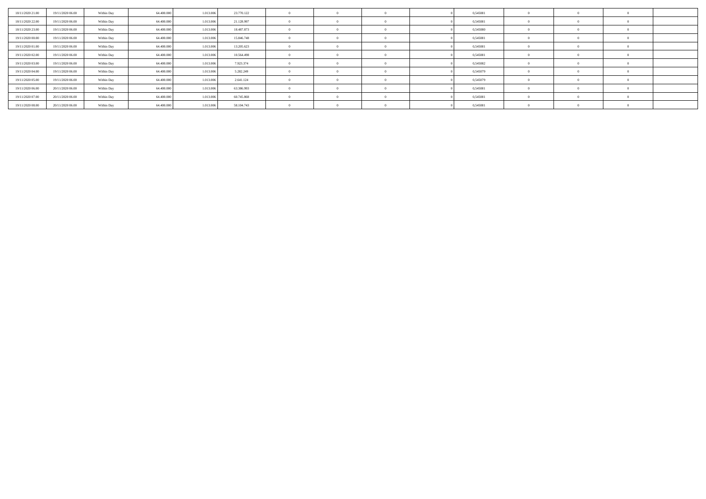| 18/11/2020 21.00 | 19/11/2020 06.00 | Within Day | 64.400.000 | 1.013.006 | 23.770.122 |  |  | 0,545081 |  |  |
|------------------|------------------|------------|------------|-----------|------------|--|--|----------|--|--|
| 18/11/2020 22.00 | 19/11/2020 06.00 | Within Day | 64.400.000 | 1.013.006 | 21.128.997 |  |  | 0,545081 |  |  |
| 18/11/2020 23.00 | 19/11/2020 06.00 | Within Day | 64.400,000 | 1.013.006 | 18.487.873 |  |  | 0,545080 |  |  |
| 19/11/2020 00:00 | 19/11/2020 06.00 | Within Day | 64.400.000 | 1.013.006 | 15.846.748 |  |  | 0,545081 |  |  |
| 19/11/2020 01:00 | 19/11/2020 06.00 | Within Day | 64.400.000 | 1.013.006 | 13.205.623 |  |  | 0,545081 |  |  |
| 19/11/2020 02:00 | 19/11/2020 06.00 | Within Day | 64,400,000 | 1.013.006 | 10.564.498 |  |  | 0,545081 |  |  |
| 19/11/2020 03:00 | 19/11/2020 06.00 | Within Day | 64.400.000 | 1.013.006 | 7.923.374  |  |  | 0,545082 |  |  |
| 19/11/2020 04:00 | 19/11/2020 06.00 | Within Day | 64.400.000 | 1.013.006 | 5.282.249  |  |  | 0,545079 |  |  |
| 19/11/2020 05:00 | 19/11/2020 06.00 | Within Day | 64,400,000 | 1.013.006 | 2.641.124  |  |  | 0,545079 |  |  |
| 19/11/2020 06:00 | 20/11/2020 06.00 | Within Day | 64.400.000 | 1.013.006 | 63.386.993 |  |  | 0,545081 |  |  |
| 19/11/2020 07:00 | 20/11/2020 06:00 | Within Day | 64.400.000 | 1.013.006 | 60.745.868 |  |  | 0,545081 |  |  |
| 19/11/2020 08:00 | 20/11/2020 06.00 | Within Day | 64.400.000 | 1.013.006 | 58.104.743 |  |  | 0,545081 |  |  |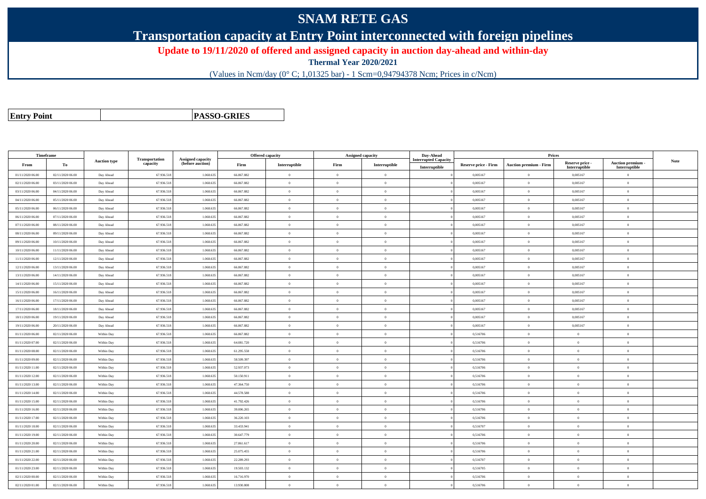## **SNAM RETE GAS**

**Transportation capacity at Entry Point interconnected with foreign pipelines**

**Update to 19/11/2020 of offered and assigned capacity in auction day-ahead and within-day**

**Thermal Year 2020/2021**

(Values in Ncm/day (0° C; 1,01325 bar) - 1 Scm=0,94794378 Ncm; Prices in c/Ncm)

**Entry Point**

**PASSO-GRIES**

| Timeframe        |                  |                     |                            |                                              |            | <b>Offered capacity</b> | <b>Assigned capacity</b> |                | Day-Ahead                                    |                             | Prices                        |                                  |                                    |      |
|------------------|------------------|---------------------|----------------------------|----------------------------------------------|------------|-------------------------|--------------------------|----------------|----------------------------------------------|-----------------------------|-------------------------------|----------------------------------|------------------------------------|------|
| From             | To               | <b>Auction type</b> | Transportation<br>capacity | <b>Assigned capacity</b><br>(before auction) | Firm       | Interruptible           | Firm                     | Interruptible  | <b>Interrupted Capacity</b><br>Interruptible | <b>Reserve price - Firm</b> | <b>Auction premium - Firm</b> | Reserve price -<br>Interruptible | Auction premium -<br>Interruptible | Note |
| 01/11/2020 06.00 | 02/11/2020 06:00 | Day Ahead           | 67.936.518                 | 1.068.635                                    | 66.867.882 | $\overline{0}$          | $\overline{0}$           | $\overline{0}$ |                                              | 0.005167                    | $\theta$                      | 0,005167                         | $\Omega$                           |      |
| 02/11/2020 06.00 | 03/11/2020 06:00 | Day Ahead           | 67.936.518                 | 1.068.63                                     | 66.867.882 | $\theta$                | $\overline{0}$           | $\Omega$       |                                              | 0,005167                    | $\theta$                      | 0,005167                         | $\Omega$                           |      |
| 03/11/2020 06:00 | 04/11/2020 06.00 | Day Ahead           | 67.936.518                 | 1.068.635                                    | 66.867.882 | $\overline{0}$          | $\overline{0}$           | $\overline{0}$ |                                              | 0,005167                    | $\overline{0}$                | 0,005167                         | $\overline{0}$                     |      |
| 04/11/2020 06.00 | 05/11/2020 06:00 | Day Ahead           | 67.936.518                 | 1.068.635                                    | 66.867.882 | $\theta$                | $\overline{0}$           | $\Omega$       |                                              | 0.005167                    | $\overline{0}$                | 0,005167                         | $\theta$                           |      |
| 05/11/2020 06:00 | 06/11/2020 06:00 | Day Ahead           | 67.936.518                 | 1.068.635                                    | 66.867.882 | $\overline{0}$          | $\overline{0}$           | $\mathbf{0}$   |                                              | 0,005167                    | $\overline{0}$                | 0,005167                         | $\overline{0}$                     |      |
| 06/11/2020 06:00 | 07/11/2020 06:00 | Day Ahead           | 67.936.518                 | 1.068.635                                    | 66.867.882 | $\theta$                | $\overline{0}$           | $\mathbf{0}$   |                                              | 0,005167                    | $\theta$                      | 0,005167                         | $\overline{0}$                     |      |
| 07/11/2020 06:00 | 08/11/2020 06:00 | Day Ahead           | 67.936.518                 | 1.068.635                                    | 66.867.882 | $\theta$                | $\theta$                 | $\Omega$       |                                              | 0.005167                    | $\theta$                      | 0,005167                         | $\theta$                           |      |
| 08/11/2020 06:00 | 09/11/2020 06:00 | Day Ahead           | 67.936.518                 | 1.068.635                                    | 66.867.882 | $\theta$                | $\overline{0}$           | $\theta$       |                                              | 0,005167                    | $\theta$                      | 0,005167                         | $\Omega$                           |      |
| 09/11/2020 06.00 | 10/11/2020 06:00 | Day Ahead           | 67.936.518                 | 1.068.635                                    | 66.867.882 | $\overline{0}$          | $\overline{0}$           | $\theta$       |                                              | 0,005167                    | $\overline{0}$                | 0,005167                         | $\overline{0}$                     |      |
| 10/11/2020 06:00 | 11/11/2020 06:00 | Day Ahead           | 67.936.518                 | 1.068.635                                    | 66,867,882 | $\theta$                | $\theta$                 | $\Omega$       |                                              | 0.005167                    | $\overline{0}$                | 0.005167                         | $\overline{0}$                     |      |
| 11/11/2020 06:00 | 12/11/2020 06:00 | Day Ahead           | 67.936.518                 | 1.068.635                                    | 66.867.882 | $\theta$                | $\overline{0}$           | $\,$ 0 $\,$    |                                              | 0,005167                    | $\overline{0}$                | 0,005167                         | $\Omega$                           |      |
| 12/11/2020 06:00 | 13/11/2020 06:00 | Day Ahead           | 67.936.518                 | 1.068.635                                    | 66.867.882 | $\theta$                | $\overline{0}$           | $\theta$       |                                              | 0,005167                    | $\theta$                      | 0,005167                         | $\overline{0}$                     |      |
| 13/11/2020 06:00 | 14/11/2020 06:00 | Day Ahead           | 67.936.518                 | 1.068.635                                    | 66.867.882 | $\theta$                | $\overline{0}$           | $\mathbf{0}$   |                                              | 0,005167                    | $\theta$                      | 0,005167                         | $\theta$                           |      |
| 14/11/2020 06.00 | 15/11/2020 06:00 | Day Ahead           | 67.936.518                 | 1.068.635                                    | 66.867.882 | $\theta$                | $\overline{0}$           | $\mathbf{0}$   |                                              | 0.005167                    | $\overline{0}$                | 0,005167                         | $\Omega$                           |      |
| 15/11/2020 06:00 | 16/11/2020 06:00 | Day Ahead           | 67.936.518                 | 1.068.635                                    | 66.867.882 | $\overline{0}$          | $\overline{0}$           | $\mathbf{0}$   |                                              | 0,005167                    | $\overline{0}$                | 0,005167                         | $\overline{0}$                     |      |
| 16/11/2020 06.00 | 17/11/2020 06:00 | Day Ahead           | 67.936.518                 | 1.068.635                                    | 66.867.882 | $\theta$                | $\overline{0}$           | $\Omega$       |                                              | 0,005167                    | $\theta$                      | 0,005167                         | $\Omega$                           |      |
| 17/11/2020 06:00 | 18/11/2020 06:00 | Day Ahead           | 67.936.518                 | 1.068.635                                    | 66,867,882 | $\theta$                | $\theta$                 | $\overline{0}$ |                                              | 0.005167                    | $\theta$                      | 0.005167                         | $\theta$                           |      |
| 18/11/2020 06:00 | 19/11/2020 06:00 | Day Ahead           | 67.936.518                 | 1.068.635                                    | 66.867.882 | $\theta$                | $\overline{0}$           | $\theta$       |                                              | 0,005167                    | $\theta$                      | 0,005167                         | $\overline{0}$                     |      |
| 19/11/2020 06:00 | 20/11/2020 06:00 | Day Ahead           | 67.936.518                 | 1.068.635                                    | 66.867.882 | $\theta$                | $\overline{0}$           | $\mathbf{0}$   |                                              | 0,005167                    | $\overline{0}$                | 0,005167                         | $\overline{0}$                     |      |
| 01/11/2020 06:00 | 02/11/2020 06:00 | Within Day          | 67.936.518                 | 1.068.635                                    | 66.867.882 | $\theta$                | $\overline{0}$           | $\mathbf{0}$   |                                              | 0,516706                    | $\overline{0}$                | $\theta$                         | $\theta$                           |      |
| 01/11/2020 07:00 | 02/11/2020 06:00 | Within Day          | 67.936.518                 | 1.068.635                                    | 64.081.720 | $\overline{0}$          | $\overline{0}$           | $\overline{0}$ |                                              | 0,516706                    | $\overline{0}$                | $\bf{0}$                         | $\overline{0}$                     |      |
| 01/11/2020 08:00 | 02/11/2020 06.00 | Within Day          | 67.936.518                 | 1.068.635                                    | 61.295.558 | $\theta$                | $\overline{0}$           | $\overline{0}$ |                                              | 0,516706                    | $\overline{0}$                | $\bf{0}$                         | $\overline{0}$                     |      |
| 01/11/2020 09:00 | 02/11/2020 06:00 | Within Day          | 67.936.518                 | 1.068.635                                    | 58,509,397 | $\theta$                | $\overline{0}$           | $\mathbf{0}$   |                                              | 0.516706                    | $\overline{0}$                | $\bf{0}$                         | $\overline{0}$                     |      |
| 01/11/2020 11:00 | 02/11/2020 06:00 | Within Day          | 67.936.518                 | 1.068.635                                    | 52.937.073 | $\theta$                | $\Omega$                 | $\Omega$       |                                              | 0,516706                    | $\mathbf{a}$                  | $\theta$                         | $\Omega$                           |      |
| 01/11/2020 12:00 | 02/11/2020 06:00 | Within Day          | 67.936.518                 | 1.068.635                                    | 50.150.911 | $\theta$                | $\overline{0}$           | $\mathbf{0}$   |                                              | 0,516706                    | $\theta$                      | $\bf{0}$                         | $\Omega$                           |      |
| 01/11/2020 13:00 | 02/11/2020 06:00 | Within Day          | 67.936.518                 | 1.068.635                                    | 47.364.750 | $\overline{0}$          | $\overline{0}$           | $\overline{0}$ |                                              | 0,516706                    | $\overline{0}$                | $\bf{0}$                         | $\overline{0}$                     |      |
| 01/11/2020 14:00 | 02/11/2020 06:00 | Within Day          | 67.936.518                 | 1.068.635                                    | 44.578.588 | $\overline{0}$          | $\overline{0}$           | $\mathbf{0}$   |                                              | 0.516706                    | $\overline{0}$                | $\bf{0}$                         | $\overline{0}$                     |      |
| 01/11/2020 15:00 | 02/11/2020 06:00 | Within Day          | 67.936.518                 | 1.068.635                                    | 41.792.426 | $\theta$                | $\overline{0}$           | $\overline{0}$ |                                              | 0,516706                    | $\theta$                      | $\Omega$                         | $\Omega$                           |      |
| 01/11/2020 16:00 | 02/11/2020 06:00 | Within Day          | 67.936.518                 | 1.068.635                                    | 39.006.265 | $\overline{0}$          | $\overline{0}$           | $\mathbf{0}$   |                                              | 0,516706                    | $\overline{0}$                | $\bf{0}$                         | $\overline{0}$                     |      |
| 01/11/2020 17:00 | 02/11/2020 06:00 | Within Day          | 67.936.518                 | 1.068.635                                    | 36.220.103 | $\theta$                | $\theta$                 | $\theta$       |                                              | 0.516706                    | $\theta$                      | $\theta$                         | $\theta$                           |      |
| 01/11/2020 18:00 | 02/11/2020 06:00 | Within Day          | 67.936.518                 | 1.068.635                                    | 33.433.941 | $\theta$                | $\overline{0}$           | $\mathbf{0}$   |                                              | 0.516707                    | $\overline{0}$                | $\theta$                         | $\theta$                           |      |
| 01/11/2020 19:00 | 02/11/2020 06:00 | Within Day          | 67.936.518                 | 1.068.635                                    | 30.647.779 | $\overline{0}$          | $\overline{0}$           | $\theta$       |                                              | 0,516706                    | $\overline{0}$                | $\bf{0}$                         | $\overline{0}$                     |      |
| 01/11/2020 20:00 | 02/11/2020 06:00 | Within Day          | 67.936.518                 | 1.068.635                                    | 27.861.617 | $\theta$                | $\theta$                 | $\theta$       |                                              | 0.516706                    | $\theta$                      | $\theta$                         | $\theta$                           |      |
| 01/11/2020 21:00 | 02/11/2020 06:00 | Within Day          | 67.936.518                 | 1.068.635                                    | 25.075.455 | $\theta$                | $\theta$                 | $\overline{0}$ |                                              | 0,516706                    | $\overline{0}$                | $\theta$                         | $\overline{0}$                     |      |
| 01/11/2020 22.00 | 02/11/2020 06:00 | Within Day          | 67.936.518                 | 1.068.635                                    | 22.289.293 | $\theta$                | $\theta$                 | $\overline{0}$ |                                              | 0,516707                    | $\overline{0}$                | $\bf{0}$                         | $\overline{0}$                     |      |
| 01/11/2020 23.00 | 02/11/2020 06:00 | Within Day          | 67.936.518                 | 1.068.635                                    | 19.503.132 | $\theta$                | $\overline{0}$           | $\Omega$       |                                              | 0,516705                    | $\theta$                      | $\Omega$                         | $\Omega$                           |      |
| 02/11/2020 00:00 | 02/11/2020 06:00 | Within Day          | 67.936.518                 | 1.068.635                                    | 16.716.970 | $\overline{0}$          | $\theta$                 | $\overline{0}$ |                                              | 0.516706                    | $\overline{0}$                | $\overline{0}$                   | $\overline{0}$                     |      |
| 02/11/2020 01:00 | 02/11/2020 06:00 | Within Day          | 67.936.518                 | 1.068.635                                    | 13.930.808 | $\theta$                | $\overline{0}$           | $\theta$       |                                              | 0,516706                    | $\Omega$                      | $\bf{0}$                         | $\Omega$                           |      |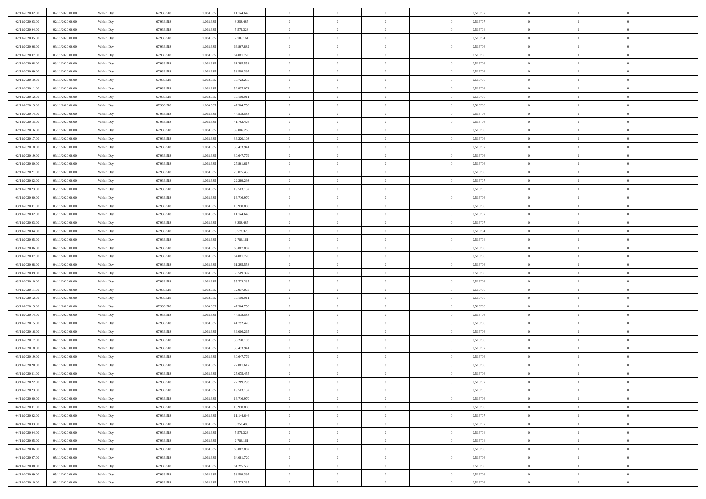| 02/11/2020 02.00 | 02/11/2020 06:00                     | Within Day | 67.936.518 | 1.068.635 | 11.144.646 | $\bf{0}$       | $\overline{0}$ | $\overline{0}$ | 0,516707 | $\bf{0}$       | $\overline{0}$ | $\,0\,$        |  |
|------------------|--------------------------------------|------------|------------|-----------|------------|----------------|----------------|----------------|----------|----------------|----------------|----------------|--|
| 02/11/2020 03.00 | 02/11/2020 06.00                     | Within Day | 67.936.518 | 1.068.635 | 8.358.485  | $\theta$       | $\overline{0}$ | $\mathbf{0}$   | 0,516707 | $\theta$       | $\mathbf{0}$   | $\theta$       |  |
| 02/11/2020 04:00 | 02/11/2020 06:00                     | Within Dav | 67.936.518 | 1.068.635 | 5.572.323  | $\theta$       | $\overline{0}$ | $\mathbf{0}$   | 0,516704 | $\mathbf{0}$   | $\overline{0}$ | $\overline{0}$ |  |
| 02/11/2020 05:00 | 02/11/2020 06.00                     | Within Day | 67.936.518 | 1.068.635 | 2.786.161  | $\,$ 0 $\,$    | $\overline{0}$ | $\overline{0}$ | 0,516704 | $\bf{0}$       | $\overline{0}$ | $\bf{0}$       |  |
| 02/11/2020 06:00 | 03/11/2020 06.00                     | Within Day | 67.936.518 | 1.068.635 | 66.867.882 | $\bf{0}$       | $\overline{0}$ | $\mathbf{0}$   | 0,516706 | $\bf{0}$       | $\theta$       | $\,0\,$        |  |
| 02/11/2020 07:00 | 03/11/2020 06:00                     | Within Dav | 67.936.518 | 1.068.635 | 64.081.720 | $\theta$       | $\overline{0}$ | $\mathbf{0}$   | 0,516706 | $\mathbf{0}$   | $\overline{0}$ | $\overline{0}$ |  |
| 02/11/2020 08:00 | 03/11/2020 06:00                     | Within Day | 67.936.518 | 1.068.635 | 61.295.558 | $\,$ 0 $\,$    | $\overline{0}$ | $\overline{0}$ | 0,516706 | $\bf{0}$       | $\overline{0}$ | $\,0\,$        |  |
|                  |                                      |            |            | 1.068.635 |            | $\theta$       | $\overline{0}$ |                |          | $\,$ 0 $\,$    | $\overline{0}$ | $\theta$       |  |
| 02/11/2020 09:00 | 03/11/2020 06.00                     | Within Day | 67.936.518 |           | 58.509.397 |                |                | $\mathbf{0}$   | 0,516706 |                |                |                |  |
| 02/11/2020 10:00 | 03/11/2020 06:00                     | Within Day | 67.936.518 | 1.068.635 | 55.723.235 | $\theta$       | $\overline{0}$ | $\overline{0}$ | 0,516706 | $\mathbf{0}$   | $\bf{0}$       | $\overline{0}$ |  |
| 02/11/2020 11:00 | 03/11/2020 06.00                     | Within Day | 67.936.518 | 1.068.635 | 52.937.073 | $\,$ 0 $\,$    | $\overline{0}$ | $\Omega$       | 0,516706 | $\bf{0}$       | $\overline{0}$ | $\,0\,$        |  |
| 02/11/2020 12:00 | 03/11/2020 06.00                     | Within Day | 67.936.518 | 1.068.635 | 50.150.911 | $\bf{0}$       | $\overline{0}$ | $\mathbf{0}$   | 0,516706 | $\bf{0}$       | $\mathbf{0}$   | $\theta$       |  |
| 02/11/2020 13:00 | 03/11/2020 06:00                     | Within Dav | 67.936.518 | 1.068.635 | 47.364.750 | $\theta$       | $\overline{0}$ | $\mathbf{0}$   | 0,516706 | $\mathbf{0}$   | $\overline{0}$ | $\overline{0}$ |  |
| 02/11/2020 14:00 | 03/11/2020 06.00                     | Within Day | 67.936.518 | 1.068.635 | 44.578.588 | $\,$ 0 $\,$    | $\overline{0}$ | $\overline{0}$ | 0,516706 | $\bf{0}$       | $\overline{0}$ | $\bf{0}$       |  |
| 02/11/2020 15:00 | 03/11/2020 06:00                     | Within Day | 67.936.518 | 1.068.635 | 41.792.426 | $\bf{0}$       | $\overline{0}$ | $\mathbf{0}$   | 0,516706 | $\bf{0}$       | $\theta$       | $\,0\,$        |  |
| 02/11/2020 16:00 | 03/11/2020 06:00                     | Within Dav | 67.936.518 | 1.068.635 | 39.006.265 | $\theta$       | $\overline{0}$ | $\mathbf{0}$   | 0,516706 | $\mathbf{0}$   | $\overline{0}$ | $\overline{0}$ |  |
| 02/11/2020 17.00 | 03/11/2020 06.00                     | Within Day | 67.936.518 | 1.068.635 | 36.220.103 | $\,$ 0 $\,$    | $\overline{0}$ | $\overline{0}$ | 0,516706 | $\bf{0}$       | $\overline{0}$ | $\bf{0}$       |  |
| 02/11/2020 18:00 | 03/11/2020 06.00                     | Within Day | 67.936.518 | 1.068.635 | 33.433.941 | $\,$ 0         | $\overline{0}$ | $\mathbf{0}$   | 0,516707 | $\bf{0}$       | $\overline{0}$ | $\theta$       |  |
| 02/11/2020 19:00 | 03/11/2020 06:00                     | Within Day | 67.936.518 | 1.068.635 | 30.647.779 | $\theta$       | $\overline{0}$ | $\mathbf{0}$   | 0,516706 | $\mathbf{0}$   | $\overline{0}$ | $\overline{0}$ |  |
| 02/11/2020 20:00 | 03/11/2020 06:00                     | Within Day | 67.936.518 | 1.068.635 | 27.861.617 | $\,$ 0 $\,$    | $\overline{0}$ | $\Omega$       | 0,516706 | $\bf{0}$       | $\overline{0}$ | $\,0\,$        |  |
| 02/11/2020 21:00 | 03/11/2020 06.00                     | Within Day | 67.936.518 | 1.068.635 | 25.075.455 | $\bf{0}$       | $\overline{0}$ | $\mathbf{0}$   | 0,516706 | $\bf{0}$       | $\mathbf{0}$   | $\theta$       |  |
| 02/11/2020 22.00 | 03/11/2020 06:00                     | Within Dav | 67.936.518 | 1.068.635 | 22.289.293 | $\theta$       | $\overline{0}$ | $\mathbf{0}$   | 0,516707 | $\mathbf{0}$   | $\overline{0}$ | $\overline{0}$ |  |
| 02/11/2020 23.00 | 03/11/2020 06.00                     | Within Day | 67.936.518 | 1.068.635 | 19.503.132 | $\,$ 0 $\,$    | $\overline{0}$ | $\overline{0}$ | 0,516705 | $\bf{0}$       | $\overline{0}$ | $\bf{0}$       |  |
| 03/11/2020 00:00 | 03/11/2020 06:00                     | Within Day | 67.936.518 | 1.068.635 | 16.716.970 | $\,$ 0         | $\overline{0}$ | $\mathbf{0}$   | 0,516706 | $\bf{0}$       | $\theta$       | $\,0\,$        |  |
| 03/11/2020 01:00 | 03/11/2020 06:00                     | Within Dav | 67.936.518 | 1.068.635 | 13.930.808 | $\theta$       | $\overline{0}$ | $\mathbf{0}$   | 0,516706 | $\mathbf{0}$   | $\overline{0}$ | $\overline{0}$ |  |
| 03/11/2020 02.00 | 03/11/2020 06.00                     | Within Day | 67.936.518 | 1.068.635 | 11.144.646 | $\,$ 0 $\,$    | $\overline{0}$ | $\overline{0}$ | 0,516707 | $\bf{0}$       | $\overline{0}$ | $\,0\,$        |  |
| 03/11/2020 03:00 | 03/11/2020 06.00                     | Within Day | 67.936.518 | 1.068.635 | 8.358.485  | $\,$ 0         | $\overline{0}$ | $\mathbf{0}$   | 0,516707 | $\bf{0}$       | $\overline{0}$ | $\theta$       |  |
| 03/11/2020 04:00 | 03/11/2020 06:00                     | Within Day | 67.936.518 | 1.068.635 | 5.572.323  | $\theta$       | $\overline{0}$ | $\overline{0}$ | 0,516704 | $\mathbf{0}$   | $\bf{0}$       | $\overline{0}$ |  |
| 03/11/2020 05:00 | 03/11/2020 06.00                     | Within Day | 67.936.518 | 1.068.635 | 2.786.161  | $\,$ 0 $\,$    | $\overline{0}$ | $\Omega$       | 0,516704 | $\bf{0}$       | $\overline{0}$ | $\,0\,$        |  |
|                  |                                      |            |            |           |            |                |                |                |          |                | $\mathbf{0}$   | $\theta$       |  |
| 03/11/2020 06:00 | 04/11/2020 06.00                     | Within Day | 67.936.518 | 1.068.635 | 66.867.882 | $\bf{0}$       | $\overline{0}$ | $\mathbf{0}$   | 0,516706 | $\bf{0}$       |                |                |  |
| 03/11/2020 07:00 | 04/11/2020 06:00                     | Within Dav | 67.936.518 | 1.068.635 | 64.081.720 | $\theta$       | $\overline{0}$ | $\overline{0}$ | 0,516706 | $\mathbf{0}$   | $\overline{0}$ | $\overline{0}$ |  |
| 03/11/2020 08:00 | 04/11/2020 06:00                     | Within Day | 67.936.518 | 1.068.635 | 61.295.558 | $\theta$       | $\overline{0}$ | $\overline{0}$ | 0,516706 | $\,$ 0         | $\overline{0}$ | $\,$ 0 $\,$    |  |
| 03/11/2020 09:00 | 04/11/2020 06:00                     | Within Day | 67.936.518 | 1.068.635 | 58.509.397 | $\,$ 0         | $\overline{0}$ | $\mathbf{0}$   | 0,516706 | $\bf{0}$       | $\mathbf{0}$   | $\overline{0}$ |  |
| 03/11/2020 10:00 | 04/11/2020 06:00                     | Within Dav | 67.936.518 | 1.068.635 | 55.723.235 | $\theta$       | $\overline{0}$ | $\mathbf{0}$   | 0,516706 | $\mathbf{0}$   | $\overline{0}$ | $\overline{0}$ |  |
| 03/11/2020 11:00 | 04/11/2020 06.00                     | Within Day | 67.936.518 | 1.068.635 | 52.937.073 | $\theta$       | $\overline{0}$ | $\overline{0}$ | 0,516706 | $\,$ 0         | $\overline{0}$ | $\theta$       |  |
| 03/11/2020 12:00 | 04/11/2020 06.00                     | Within Day | 67.936.518 | 1.068.635 | 50.150.911 | $\bf{0}$       | $\overline{0}$ | $\mathbf{0}$   | 0,516706 | $\mathbf{0}$   | $\overline{0}$ | $\overline{0}$ |  |
| 03/11/2020 13:00 | 04/11/2020 06:00                     | Within Day | 67.936.518 | 1.068.635 | 47.364.750 | $\theta$       | $\overline{0}$ | $\mathbf{0}$   | 0,516706 | $\mathbf{0}$   | $\overline{0}$ | $\overline{0}$ |  |
| 03/11/2020 14:00 | 04/11/2020 06:00                     | Within Day | 67.936.518 | 1.068.635 | 44.578.588 | $\theta$       | $\overline{0}$ | $\overline{0}$ | 0,516706 | $\,$ 0         | $\overline{0}$ | $\theta$       |  |
| 03/11/2020 15:00 | 04/11/2020 06.00                     | Within Day | 67.936.518 | 1.068.635 | 41.792.426 | $\bf{0}$       | $\overline{0}$ | $\mathbf{0}$   | 0,516706 | $\bf{0}$       | $\mathbf{0}$   | $\bf{0}$       |  |
| 03/11/2020 16:00 | 04/11/2020 06:00                     | Within Dav | 67.936.518 | 1.068.635 | 39.006.265 | $\theta$       | $\overline{0}$ | $\mathbf{0}$   | 0,516706 | $\mathbf{0}$   | $\overline{0}$ | $\overline{0}$ |  |
| 03/11/2020 17:00 | 04/11/2020 06:00                     | Within Day | 67.936.518 | 1.068.635 | 36.220.103 | $\,$ 0 $\,$    | $\overline{0}$ | $\overline{0}$ | 0,516706 | $\,$ 0         | $\overline{0}$ | $\,$ 0 $\,$    |  |
| 03/11/2020 18:00 | 04/11/2020 06:00                     | Within Day | 67.936.518 | 1.068.635 | 33.433.941 | $\,$ 0         | $\,$ 0 $\,$    | $\overline{0}$ | 0,516707 | $\,$ 0 $\,$    | $\overline{0}$ | $\bf{0}$       |  |
| 03/11/2020 19:00 | 04/11/2020 06:00                     | Within Dav | 67.936.518 | 1.068.635 | 30.647.779 | $\theta$       | $\overline{0}$ | $\mathbf{0}$   | 0,516706 | $\mathbf{0}$   | $\overline{0}$ | $\overline{0}$ |  |
| 03/11/2020 20:00 | 04/11/2020 06.00                     | Within Day | 67.936.518 | 1.068.635 | 27.861.617 | $\overline{0}$ | $\overline{0}$ | $\overline{0}$ | 0,516706 | $\,$ 0         | $\overline{0}$ | $\theta$       |  |
| 03/11/2020 21:00 | 04/11/2020 06.00                     | Within Day | 67.936.518 | 1.068.635 | 25.075.455 | $\bf{0}$       | $\,$ 0 $\,$    | $\mathbf{0}$   | 0,516706 | $\bf{0}$       | $\overline{0}$ | $\bf{0}$       |  |
| 03/11/2020 22.00 | 04/11/2020 06:00                     | Within Day | 67.936.518 | 1.068.635 | 22.289.293 | $\overline{0}$ | $\theta$       |                | 0,516707 | $\overline{0}$ | $\theta$       | $\theta$       |  |
| 03/11/2020 23:00 | 04/11/2020 06:00                     | Within Day | 67.936.518 | 1.068.635 | 19.503.132 | $\,$ 0 $\,$    | $\overline{0}$ | $\overline{0}$ | 0,516705 | $\,$ 0 $\,$    | $\bf{0}$       | $\theta$       |  |
| 04/11/2020 00:00 | 04/11/2020 06.00                     | Within Day | 67.936.518 | 1.068.635 | 16.716.970 | $\bf{0}$       | $\,$ 0 $\,$    | $\mathbf{0}$   | 0,516706 | $\,$ 0 $\,$    | $\overline{0}$ | $\overline{0}$ |  |
| 04/11/2020 01:00 | 04/11/2020 06:00                     | Within Day | 67.936.518 | 1.068.635 | 13.930.808 | $\mathbf{0}$   | $\overline{0}$ | $\overline{0}$ | 0,516706 | $\,$ 0 $\,$    | $\bf{0}$       | $\mathbf{0}$   |  |
| 04/11/2020 02.00 | 04/11/2020 06:00                     | Within Day | 67.936.518 | 1.068.635 | 11.144.646 | $\,$ 0 $\,$    | $\overline{0}$ | $\overline{0}$ | 0,516707 | $\,$ 0 $\,$    | $\bf{0}$       | $\,$ 0 $\,$    |  |
| 04/11/2020 03:00 | 04/11/2020 06.00                     | Within Day | 67.936.518 | 1.068.635 | 8.358.485  | $\,$ 0 $\,$    | $\,$ 0 $\,$    | $\overline{0}$ | 0,516707 | $\,$ 0 $\,$    | $\overline{0}$ | $\overline{0}$ |  |
| 04/11/2020 04:00 | 04/11/2020 06:00                     | Within Day | 67.936.518 | 1.068.635 | 5.572.323  | $\mathbf{0}$   | $\overline{0}$ | $\overline{0}$ | 0,516704 | $\mathbf{0}$   | $\overline{0}$ | $\overline{0}$ |  |
| 04/11/2020 05:00 | 04/11/2020 06:00                     | Within Day | 67.936.518 | 1.068.635 | 2.786.161  | $\,$ 0 $\,$    | $\overline{0}$ | $\overline{0}$ | 0,516704 | $\,$ 0 $\,$    | $\overline{0}$ | $\,$ 0 $\,$    |  |
|                  |                                      |            | 67.936.518 | 1.068.635 |            | $\bf{0}$       | $\overline{0}$ | $\overline{0}$ |          |                | $\overline{0}$ |                |  |
| 04/11/2020 06.00 | 05/11/2020 06.00<br>05/11/2020 06:00 | Within Day |            |           | 66.867.882 |                |                |                | 0,516706 | $\,$ 0 $\,$    |                | $\overline{0}$ |  |
| 04/11/2020 07:00 |                                      | Within Day | 67.936.518 | 1.068.635 | 64.081.720 | $\mathbf{0}$   | $\overline{0}$ | $\overline{0}$ | 0,516706 | $\mathbf{0}$   | $\bf{0}$       | $\mathbf{0}$   |  |
| 04/11/2020 08:00 | 05/11/2020 06:00                     | Within Day | 67.936.518 | 1.068.635 | 61.295.558 | $\,0\,$        | $\overline{0}$ | $\overline{0}$ | 0,516706 | $\,$ 0 $\,$    | $\mathbf{0}$   | $\,$ 0 $\,$    |  |
| 04/11/2020 09:00 | 05/11/2020 06.00                     | Within Day | 67.936.518 | 1.068.635 | 58.509.397 | $\,$ 0 $\,$    | $\,$ 0 $\,$    | $\overline{0}$ | 0,516706 | $\bf{0}$       | $\overline{0}$ | $\overline{0}$ |  |
| 04/11/2020 10:00 | 05/11/2020 06:00                     | Within Day | 67.936.518 | 1.068.635 | 55.723.235 | $\theta$       | $\overline{0}$ | $\overline{0}$ | 0,516706 | $\mathbf{0}$   | $\overline{0}$ | $\overline{0}$ |  |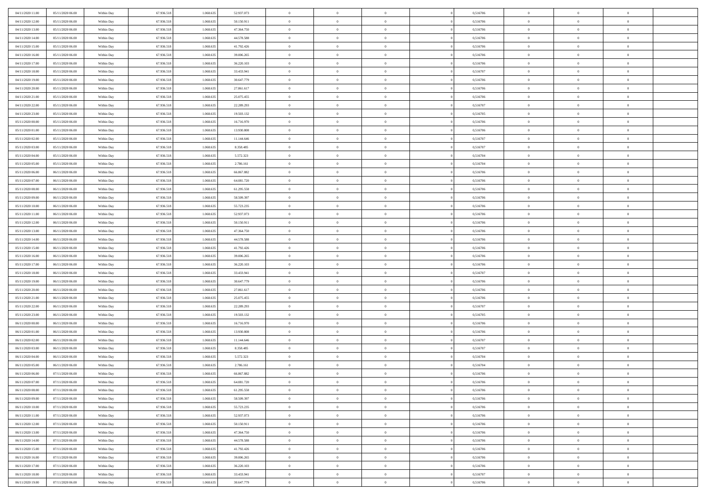| 04/11/2020 11:00<br>05/11/2020 06.00 | Within Day | 67.936.518 | 1.068.635 | 52.937.073 | $\overline{0}$ | $\overline{0}$ | $\Omega$       | 0,516706 | $\bf{0}$       | $\mathbf{0}$   | $\bf{0}$       |  |
|--------------------------------------|------------|------------|-----------|------------|----------------|----------------|----------------|----------|----------------|----------------|----------------|--|
| 04/11/2020 12:00<br>05/11/2020 06:00 | Within Day | 67.936.518 | 1.068.635 | 50.150.911 | $\mathbf{0}$   | $\overline{0}$ | $\overline{0}$ | 0,516706 | $\overline{0}$ | $\overline{0}$ | $\theta$       |  |
| 04/11/2020 13.00<br>05/11/2020 06:00 | Within Day | 67.936.518 | 1.068.635 | 47.364.750 | $\,$ 0         | $\overline{0}$ | $\bf{0}$       | 0,516706 | $\,$ 0         | $\overline{0}$ | $\,$ 0 $\,$    |  |
| 04/11/2020 14.00<br>05/11/2020 06.00 | Within Day | 67.936.518 | 1.068.635 | 44.578.588 | $\bf{0}$       | $\overline{0}$ | $\Omega$       | 0,516706 | $\bf{0}$       | $\mathbf{0}$   | $\theta$       |  |
| 04/11/2020 15.00<br>05/11/2020 06:00 | Within Day | 67.936.518 | 1.068.635 | 41.792.426 | $\bf{0}$       | $\overline{0}$ | $\overline{0}$ | 0,516706 | $\mathbf{0}$   | $\overline{0}$ | $\overline{0}$ |  |
| 04/11/2020 16.00<br>05/11/2020 06:00 | Within Day | 67.936.518 | 1.068.635 | 39.006.265 | $\bf{0}$       | $\overline{0}$ | $\bf{0}$       | 0,516706 | $\,$ 0         | $\overline{0}$ | $\,$ 0 $\,$    |  |
| 04/11/2020 17.00<br>05/11/2020 06:00 | Within Day | 67.936.518 | 1.068.635 | 36.220.103 | $\bf{0}$       | $\overline{0}$ | $\Omega$       | 0,516706 | $\bf{0}$       | $\mathbf{0}$   | $\theta$       |  |
| 04/11/2020 18:00<br>05/11/2020 06:00 | Within Day | 67.936.518 | 1.068.635 | 33.433.941 | $\overline{0}$ | $\overline{0}$ | $\overline{0}$ | 0,516707 | $\mathbf{0}$   | $\overline{0}$ | $\overline{0}$ |  |
| 04/11/2020 19:00<br>05/11/2020 06:00 | Within Day | 67.936.518 | 1.068.635 | 30.647.779 | $\bf{0}$       | $\overline{0}$ | $\bf{0}$       | 0,516706 | $\,$ 0         | $\overline{0}$ | $\,$ 0 $\,$    |  |
| 04/11/2020 20.00<br>05/11/2020 06.00 | Within Day | 67.936.518 | 1.068.635 | 27.861.617 | $\bf{0}$       | $\overline{0}$ | $\Omega$       | 0,516706 | $\bf{0}$       | $\mathbf{0}$   | $\theta$       |  |
| 04/11/2020 21:00<br>05/11/2020 06:00 | Within Day | 67.936.518 | 1.068.635 | 25.075.455 | $\overline{0}$ | $\overline{0}$ | $\overline{0}$ | 0,516706 | $\overline{0}$ | $\overline{0}$ | $\overline{0}$ |  |
| 04/11/2020 22.00<br>05/11/2020 06:00 | Within Day | 67.936.518 | 1.068.635 | 22.289.293 | $\bf{0}$       | $\overline{0}$ | $\bf{0}$       | 0,516707 | $\,$ 0         | $\overline{0}$ | $\,$ 0 $\,$    |  |
| 04/11/2020 23.00<br>05/11/2020 06:00 | Within Day | 67.936.518 | 1.068.635 | 19.503.132 | $\bf{0}$       | $\overline{0}$ | $\Omega$       | 0,516705 | $\overline{0}$ | $\mathbf{0}$   | $\theta$       |  |
| 05/11/2020 00:00<br>05/11/2020 06:00 | Within Day | 67.936.518 | 1.068.635 | 16.716.970 | $\overline{0}$ | $\overline{0}$ | $\overline{0}$ | 0,516706 | $\mathbf{0}$   | $\overline{0}$ | $\overline{0}$ |  |
| 05/11/2020 01:00<br>05/11/2020 06:00 | Within Day | 67.936.518 | 1.068.635 | 13.930.808 | $\bf{0}$       | $\overline{0}$ | $\bf{0}$       | 0,516706 | $\,$ 0         | $\overline{0}$ | $\,$ 0 $\,$    |  |
| 05/11/2020 02.00<br>05/11/2020 06.00 | Within Day | 67.936.518 | 1.068.635 | 11.144.646 | $\bf{0}$       | $\overline{0}$ | $\overline{0}$ | 0,516707 | $\bf{0}$       | $\mathbf{0}$   | $\bf{0}$       |  |
| 05/11/2020 03:00<br>05/11/2020 06:00 | Within Day | 67.936.518 | 1.068.635 | 8.358.485  | $\overline{0}$ | $\overline{0}$ | $\overline{0}$ | 0,516707 | $\overline{0}$ | $\overline{0}$ | $\overline{0}$ |  |
| 05/11/2020 04:00<br>05/11/2020 06:00 | Within Day | 67.936.518 | 1.068.635 | 5.572.323  | $\bf{0}$       | $\overline{0}$ | $\bf{0}$       | 0,516704 | $\,$ 0         | $\overline{0}$ | $\,$ 0 $\,$    |  |
| 05/11/2020 05.00<br>05/11/2020 06.00 | Within Day | 67.936.518 | 1.068.635 | 2.786.161  | $\bf{0}$       | $\overline{0}$ | $\Omega$       | 0.516704 | $\overline{0}$ | $\mathbf{0}$   | $\theta$       |  |
| 05/11/2020 06:00<br>06/11/2020 06:00 | Within Day | 67.936.518 | 1.068.635 | 66.867.882 | $\overline{0}$ | $\overline{0}$ | $\overline{0}$ | 0,516706 | $\overline{0}$ | $\overline{0}$ | $\overline{0}$ |  |
| 05/11/2020 07.00<br>06/11/2020 06:00 | Within Day | 67.936.518 | 1.068.635 | 64.081.720 | $\bf{0}$       | $\overline{0}$ | $\bf{0}$       | 0,516706 | $\,$ 0         | $\overline{0}$ | $\,$ 0 $\,$    |  |
| 05/11/2020 08:00<br>06/11/2020 06.00 | Within Day | 67.936.518 | 1.068.635 | 61.295.558 | $\bf{0}$       | $\overline{0}$ | $\Omega$       | 0.516706 | $\overline{0}$ | $\theta$       | $\theta$       |  |
| 05/11/2020 09:00<br>06/11/2020 06:00 | Within Day | 67.936.518 | 1.068.635 | 58.509.397 | $\overline{0}$ | $\overline{0}$ | $\overline{0}$ | 0,516706 | $\mathbf{0}$   | $\overline{0}$ | $\overline{0}$ |  |
| 05/11/2020 10:00<br>06/11/2020 06:00 | Within Day | 67.936.518 | 1.068.635 | 55.723.235 | $\bf{0}$       | $\overline{0}$ | $\bf{0}$       | 0,516706 | $\,$ 0         | $\overline{0}$ | $\,$ 0 $\,$    |  |
| 06/11/2020 06.00<br>05/11/2020 11:00 | Within Day | 67.936.518 | 1.068.635 | 52.937.073 | $\bf{0}$       | $\overline{0}$ | $\overline{0}$ | 0,516706 | $\bf{0}$       | $\overline{0}$ | $\bf{0}$       |  |
| 05/11/2020 12:00<br>06/11/2020 06:00 | Within Day | 67.936.518 | 1.068.635 | 50.150.911 | $\mathbf{0}$   | $\overline{0}$ | $\overline{0}$ | 0,516706 | $\overline{0}$ | $\overline{0}$ | $\overline{0}$ |  |
| 05/11/2020 13:00<br>06/11/2020 06:00 | Within Day | 67.936.518 | 1.068.635 | 47.364.750 | $\bf{0}$       | $\overline{0}$ | $\bf{0}$       | 0,516706 | $\,$ 0         | $\overline{0}$ | $\,$ 0 $\,$    |  |
| 05/11/2020 14:00<br>06/11/2020 06.00 | Within Day | 67.936.518 | 1.068.635 | 44.578.588 | $\bf{0}$       | $\overline{0}$ | $\Omega$       | 0.516706 | $\bf{0}$       | $\mathbf{0}$   | $\theta$       |  |
| 05/11/2020 15:00<br>06/11/2020 06:00 | Within Day | 67.936.518 | 1.068.635 | 41.792.426 | $\overline{0}$ | $\overline{0}$ | $\overline{0}$ | 0,516706 | $\mathbf{0}$   | $\overline{0}$ | $\overline{0}$ |  |
| 05/11/2020 16:00<br>06/11/2020 06:00 | Within Day | 67.936.518 | 1.068.635 | 39.006.265 | $\bf{0}$       | $\overline{0}$ | $\bf{0}$       | 0,516706 | $\,$ 0         | $\overline{0}$ | $\,$ 0 $\,$    |  |
| 05/11/2020 17.00<br>06/11/2020 06:00 | Within Day | 67.936.518 | 1.068.635 | 36.220.103 | $\,$ 0         | $\bf{0}$       | $\overline{0}$ | 0,516706 | $\bf{0}$       | $\overline{0}$ | $\,0\,$        |  |
| 05/11/2020 18:00<br>06/11/2020 06:00 | Within Day | 67.936.518 | 1.068.635 | 33.433.941 | $\overline{0}$ | $\overline{0}$ | $\overline{0}$ | 0,516707 | $\mathbf{0}$   | $\overline{0}$ | $\overline{0}$ |  |
| 05/11/2020 19:00<br>06/11/2020 06:00 | Within Day | 67.936.518 | 1.068.635 | 30.647.779 | $\bf{0}$       | $\overline{0}$ | $\bf{0}$       | 0,516706 | $\,$ 0         | $\overline{0}$ | $\,$ 0 $\,$    |  |
| 05/11/2020 20.00<br>06/11/2020 06:00 | Within Day | 67.936.518 | 1.068.635 | 27.861.617 | $\bf{0}$       | $\bf{0}$       | $\bf{0}$       | 0,516706 | $\bf{0}$       | $\overline{0}$ | $\,0\,$        |  |
| 05/11/2020 21:00<br>06/11/2020 06:00 | Within Day | 67.936.518 | 1.068.635 | 25.075.455 | $\mathbf{0}$   | $\overline{0}$ | $\overline{0}$ | 0,516706 | $\overline{0}$ | $\overline{0}$ | $\overline{0}$ |  |
| 05/11/2020 22.00<br>06/11/2020 06:00 | Within Day | 67.936.518 | 1.068.635 | 22.289.293 | $\bf{0}$       | $\overline{0}$ | $\bf{0}$       | 0,516707 | $\,$ 0         | $\overline{0}$ | $\,$ 0 $\,$    |  |
| 05/11/2020 23.00<br>06/11/2020 06:00 | Within Day | 67.936.518 | 1.068.635 | 19.503.132 | $\,$ 0         | $\bf{0}$       | $\overline{0}$ | 0,516705 | $\bf{0}$       | $\overline{0}$ | $\,0\,$        |  |
| 06/11/2020 00:00<br>06/11/2020 06:00 | Within Day | 67.936.518 | 1.068.635 | 16.716.970 | $\overline{0}$ | $\overline{0}$ | $\overline{0}$ | 0,516706 | $\mathbf{0}$   | $\overline{0}$ | $\overline{0}$ |  |
| 06/11/2020 01:00<br>06/11/2020 06:00 | Within Day | 67.936.518 | 1.068.635 | 13.930.808 | $\bf{0}$       | $\overline{0}$ | $\bf{0}$       | 0,516706 | $\,$ 0         | $\overline{0}$ | $\,$ 0 $\,$    |  |
| 06/11/2020 02.00<br>06/11/2020 06:00 | Within Day | 67.936.518 | 1.068.635 | 11.144.646 | $\bf{0}$       | $\bf{0}$       | $\overline{0}$ | 0,516707 | $\bf{0}$       | $\overline{0}$ | $\,0\,$        |  |
| 06/11/2020 03:00<br>06/11/2020 06:00 | Within Day | 67.936.518 | 1.068.635 | 8.358.485  | $\mathbf{0}$   | $\overline{0}$ | $\overline{0}$ | 0,516707 | $\overline{0}$ | $\overline{0}$ | $\overline{0}$ |  |
| 06/11/2020 04:00<br>06/11/2020 06:00 | Within Day | 67.936.518 | 1.068.635 | 5.572.323  | $\bf{0}$       | $\overline{0}$ | $\bf{0}$       | 0,516704 | $\,$ 0         | $\overline{0}$ | $\,$ 0 $\,$    |  |
| 06/11/2020 05.00<br>06/11/2020 06:00 | Within Day | 67.936.518 | 1.068.635 | 2.786.161  | $\bf{0}$       | $\bf{0}$       | $\bf{0}$       | 0,516704 | $\bf{0}$       | $\overline{0}$ | $\,0\,$        |  |
| 06/11/2020 06:00<br>07/11/2020 06:00 | Within Day | 67.936.518 | 1.068.635 | 66.867.882 | $\mathbf{0}$   | $\overline{0}$ | $\overline{0}$ | 0,516706 | $\overline{0}$ | $\overline{0}$ | $\overline{0}$ |  |
| 06/11/2020 07.00<br>07/11/2020 06:00 | Within Day | 67.936.518 | 1.068.635 | 64.081.720 | $\bf{0}$       | $\overline{0}$ | $\theta$       | 0,516706 | $\overline{0}$ | $\overline{0}$ | $\theta$       |  |
| 06/11/2020 08:00<br>07/11/2020 06.00 | Within Day | 67.936.518 | 1.068.635 | 61.295.558 | $\bf{0}$       | $\bf{0}$       | $\bf{0}$       | 0,516706 | $\bf{0}$       | $\overline{0}$ | $\,0\,$        |  |
| 06/11/2020 09:00<br>07/11/2020 06:00 | Within Day | 67.936.518 | 1.068.635 | 58.509.397 | $\overline{0}$ | $\overline{0}$ | $\overline{0}$ | 0,516706 | $\overline{0}$ | $\bf{0}$       | $\overline{0}$ |  |
| 06/11/2020 10:00<br>07/11/2020 06:00 | Within Day | 67.936.518 | 1.068.635 | 55.723.235 | $\,$ 0 $\,$    | $\overline{0}$ | $\overline{0}$ | 0,516706 | $\,$ 0 $\,$    | $\overline{0}$ | $\,$ 0 $\,$    |  |
| 06/11/2020 11:00<br>07/11/2020 06.00 | Within Day | 67.936.518 | 1.068.635 | 52.937.073 | $\bf{0}$       | $\bf{0}$       | $\overline{0}$ | 0,516706 | $\mathbf{0}$   | $\overline{0}$ | $\bf{0}$       |  |
| 06/11/2020 12:00<br>07/11/2020 06.00 | Within Day | 67.936.518 | 1.068.635 | 50.150.911 | $\bf{0}$       | $\overline{0}$ | $\overline{0}$ | 0,516706 | $\mathbf{0}$   | $\overline{0}$ | $\overline{0}$ |  |
| 06/11/2020 13.00<br>07/11/2020 06:00 | Within Day | 67.936.518 | 1.068.635 | 47.364.750 | $\,$ 0 $\,$    | $\overline{0}$ | $\overline{0}$ | 0,516706 | $\,$ 0 $\,$    | $\overline{0}$ | $\,$ 0 $\,$    |  |
| 06/11/2020 14:00<br>07/11/2020 06.00 | Within Day | 67.936.518 | 1.068.635 | 44.578.588 | $\bf{0}$       | $\overline{0}$ | $\overline{0}$ | 0,516706 | $\bf{0}$       | $\overline{0}$ | $\overline{0}$ |  |
| 06/11/2020 15:00<br>07/11/2020 06:00 | Within Day | 67.936.518 | 1.068.635 | 41.792.426 | $\overline{0}$ | $\overline{0}$ | $\overline{0}$ | 0,516706 | $\overline{0}$ | $\bf{0}$       | $\overline{0}$ |  |
| 06/11/2020 16:00<br>07/11/2020 06:00 | Within Day | 67.936.518 | 1.068.635 | 39.006.265 | $\,$ 0 $\,$    | $\overline{0}$ | $\overline{0}$ | 0,516706 | $\,$ 0 $\,$    | $\overline{0}$ | $\,$ 0 $\,$    |  |
| 06/11/2020 17:00<br>07/11/2020 06.00 | Within Day | 67.936.518 | 1.068.635 | 36.220.103 | $\bf{0}$       | $\bf{0}$       | $\overline{0}$ | 0,516706 | $\mathbf{0}$   | $\overline{0}$ | $\bf{0}$       |  |
| 06/11/2020 18:00<br>07/11/2020 06:00 | Within Day | 67.936.518 | 1.068.635 | 33.433.941 | $\bf{0}$       | $\overline{0}$ | $\overline{0}$ | 0,516707 | $\overline{0}$ | $\bf{0}$       | $\overline{0}$ |  |
| 06/11/2020 19:00<br>07/11/2020 06:00 | Within Day | 67.936.518 | 1.068.635 | 30.647.779 | $\,0\,$        | $\overline{0}$ | $\overline{0}$ | 0,516706 | $\,$ 0         | $\overline{0}$ | $\,$ 0 $\,$    |  |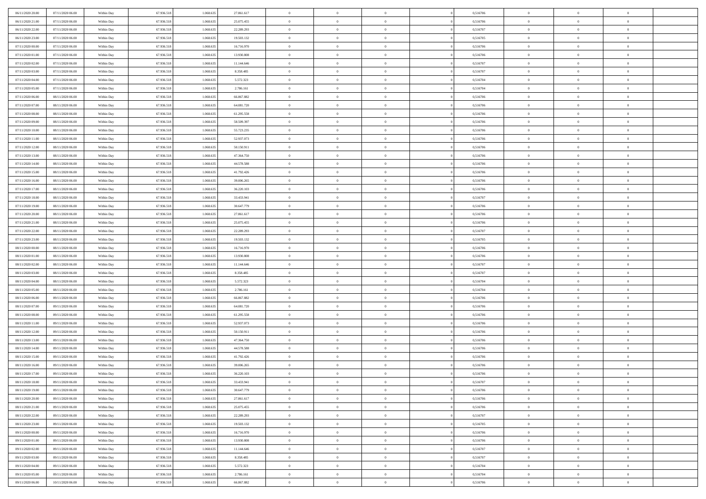| 06/11/2020 20.00 | 07/11/2020 06.00 | Within Day | 67.936.518 | 1.068.635 | 27.861.617 | $\overline{0}$ | $\overline{0}$ | $\Omega$       | 0,516706 | $\bf{0}$       | $\mathbf{0}$   | $\bf{0}$       |  |
|------------------|------------------|------------|------------|-----------|------------|----------------|----------------|----------------|----------|----------------|----------------|----------------|--|
| 06/11/2020 21:00 | 07/11/2020 06:00 | Within Day | 67.936.518 | 1.068.635 | 25.075.455 | $\mathbf{0}$   | $\overline{0}$ | $\overline{0}$ | 0,516706 | $\overline{0}$ | $\overline{0}$ | $\theta$       |  |
| 06/11/2020 22.00 | 07/11/2020 06:00 | Within Day | 67.936.518 | 1.068.635 | 22.289.293 | $\,$ 0         | $\overline{0}$ | $\bf{0}$       | 0,516707 | $\,$ 0         | $\overline{0}$ | $\,$ 0 $\,$    |  |
| 06/11/2020 23.00 | 07/11/2020 06.00 | Within Day | 67.936.518 | 1.068.635 | 19.503.132 | $\bf{0}$       | $\overline{0}$ | $\Omega$       | 0,516705 | $\bf{0}$       | $\mathbf{0}$   | $\theta$       |  |
| 07/11/2020 00:00 | 07/11/2020 06:00 | Within Day | 67.936.518 | 1.068.635 | 16.716.970 | $\bf{0}$       | $\overline{0}$ | $\overline{0}$ | 0,516706 | $\mathbf{0}$   | $\overline{0}$ | $\overline{0}$ |  |
| 07/11/2020 01:00 | 07/11/2020 06:00 | Within Day | 67.936.518 | 1.068.635 | 13.930.808 | $\bf{0}$       | $\overline{0}$ | $\bf{0}$       | 0,516706 | $\,$ 0         | $\overline{0}$ | $\,$ 0 $\,$    |  |
| 07/11/2020 02.00 | 07/11/2020 06:00 | Within Day | 67.936.518 | 1.068.635 | 11.144.646 | $\bf{0}$       | $\overline{0}$ | $\Omega$       | 0,516707 | $\theta$       | $\mathbf{0}$   | $\theta$       |  |
| 07/11/2020 03:00 | 07/11/2020 06:00 | Within Day | 67.936.518 | 1.068.635 | 8.358.485  | $\overline{0}$ | $\overline{0}$ | $\overline{0}$ | 0,516707 | $\mathbf{0}$   | $\overline{0}$ | $\overline{0}$ |  |
| 07/11/2020 04:00 | 07/11/2020 06:00 | Within Day | 67.936.518 | 1.068.635 | 5.572.323  | $\bf{0}$       | $\overline{0}$ | $\bf{0}$       | 0,516704 | $\,$ 0         | $\overline{0}$ | $\,$ 0 $\,$    |  |
| 07/11/2020 05.00 | 07/11/2020 06.00 | Within Day | 67.936.518 | 1.068.635 | 2.786.161  | $\bf{0}$       | $\overline{0}$ | $\Omega$       | 0,516704 | $\bf{0}$       | $\mathbf{0}$   | $\theta$       |  |
| 07/11/2020 06:00 | 08/11/2020 06:00 | Within Day | 67.936.518 | 1.068.635 | 66.867.882 | $\overline{0}$ | $\overline{0}$ | $\overline{0}$ | 0,516706 | $\overline{0}$ | $\overline{0}$ | $\overline{0}$ |  |
| 07/11/2020 07.00 | 08/11/2020 06:00 | Within Day | 67.936.518 | 1.068.635 | 64.081.720 | $\bf{0}$       | $\overline{0}$ | $\bf{0}$       | 0,516706 | $\,$ 0         | $\overline{0}$ | $\,$ 0 $\,$    |  |
| 07/11/2020 08:00 | 08/11/2020 06:00 | Within Day | 67.936.518 | 1.068.635 | 61.295.558 | $\bf{0}$       | $\overline{0}$ | $\Omega$       | 0,516706 | $\overline{0}$ | $\mathbf{0}$   | $\theta$       |  |
| 07/11/2020 09:00 | 08/11/2020 06:00 | Within Day | 67.936.518 | 1.068.635 | 58.509.397 | $\overline{0}$ | $\overline{0}$ | $\overline{0}$ | 0,516706 | $\mathbf{0}$   | $\overline{0}$ | $\overline{0}$ |  |
| 07/11/2020 10:00 | 08/11/2020 06:00 | Within Day | 67.936.518 | 1.068.635 | 55.723.235 | $\bf{0}$       | $\overline{0}$ | $\bf{0}$       | 0,516706 | $\,$ 0         | $\overline{0}$ | $\,$ 0 $\,$    |  |
| 07/11/2020 11:00 | 08/11/2020 06.00 | Within Day | 67.936.518 | 1.068.635 | 52.937.073 | $\bf{0}$       | $\overline{0}$ | $\overline{0}$ | 0,516706 | $\bf{0}$       | $\mathbf{0}$   | $\bf{0}$       |  |
| 07/11/2020 12:00 | 08/11/2020 06:00 | Within Day | 67.936.518 | 1.068.635 | 50.150.911 | $\overline{0}$ | $\overline{0}$ | $\overline{0}$ | 0,516706 | $\mathbf{0}$   | $\overline{0}$ | $\overline{0}$ |  |
| 07/11/2020 13.00 | 08/11/2020 06:00 | Within Day | 67.936.518 | 1.068.635 | 47.364.750 | $\bf{0}$       | $\overline{0}$ | $\bf{0}$       | 0,516706 | $\,$ 0         | $\overline{0}$ | $\,$ 0 $\,$    |  |
| 07/11/2020 14.00 | 08/11/2020 06.00 | Within Day | 67.936.518 | 1.068.635 | 44.578.588 | $\bf{0}$       | $\overline{0}$ | $\Omega$       | 0,516706 | $\overline{0}$ | $\mathbf{0}$   | $\theta$       |  |
| 07/11/2020 15:00 | 08/11/2020 06:00 | Within Day | 67.936.518 | 1.068.635 | 41.792.426 | $\overline{0}$ | $\overline{0}$ | $\overline{0}$ | 0,516706 | $\overline{0}$ | $\overline{0}$ | $\overline{0}$ |  |
| 07/11/2020 16.00 | 08/11/2020 06:00 | Within Day | 67.936.518 | 1.068.635 | 39.006.265 | $\bf{0}$       | $\overline{0}$ | $\bf{0}$       | 0,516706 | $\,$ 0         | $\overline{0}$ | $\,$ 0 $\,$    |  |
| 07/11/2020 17.00 | 08/11/2020 06:00 | Within Day | 67.936.518 | 1.068.635 | 36.220.103 | $\bf{0}$       | $\overline{0}$ | $\Omega$       | 0.516706 | $\bf{0}$       | $\theta$       | $\theta$       |  |
| 07/11/2020 18:00 | 08/11/2020 06:00 | Within Day | 67.936.518 | 1.068.635 | 33.433.941 | $\overline{0}$ | $\overline{0}$ | $\overline{0}$ | 0,516707 | $\mathbf{0}$   | $\overline{0}$ | $\overline{0}$ |  |
| 07/11/2020 19:00 | 08/11/2020 06:00 | Within Day | 67.936.518 | 1.068.635 | 30.647.779 | $\bf{0}$       | $\overline{0}$ | $\bf{0}$       | 0,516706 | $\,$ 0         | $\overline{0}$ | $\,$ 0 $\,$    |  |
| 07/11/2020 20.00 | 08/11/2020 06.00 | Within Day | 67.936.518 | 1.068.635 | 27.861.617 | $\bf{0}$       | $\overline{0}$ | $\overline{0}$ | 0,516706 | $\bf{0}$       | $\overline{0}$ | $\bf{0}$       |  |
| 07/11/2020 21:00 | 08/11/2020 06:00 | Within Day | 67.936.518 | 1.068.635 | 25.075.455 | $\mathbf{0}$   | $\overline{0}$ | $\overline{0}$ | 0,516706 | $\overline{0}$ | $\overline{0}$ | $\overline{0}$ |  |
| 07/11/2020 22.00 | 08/11/2020 06:00 | Within Day | 67.936.518 | 1.068.635 | 22.289.293 | $\bf{0}$       | $\overline{0}$ | $\bf{0}$       | 0,516707 | $\,$ 0         | $\overline{0}$ | $\,$ 0 $\,$    |  |
| 07/11/2020 23.00 | 08/11/2020 06.00 | Within Day | 67.936.518 | 1.068.635 | 19.503.132 | $\bf{0}$       | $\overline{0}$ | $\Omega$       | 0.516705 | $\bf{0}$       | $\mathbf{0}$   | $\theta$       |  |
| 08/11/2020 00:00 | 08/11/2020 06:00 | Within Day | 67.936.518 | 1.068.635 | 16.716.970 | $\overline{0}$ | $\overline{0}$ | $\overline{0}$ | 0,516706 | $\mathbf{0}$   | $\overline{0}$ | $\overline{0}$ |  |
| 08/11/2020 01:00 | 08/11/2020 06:00 | Within Day | 67.936.518 | 1.068.635 | 13.930.808 | $\bf{0}$       | $\overline{0}$ | $\bf{0}$       | 0,516706 | $\,$ 0         | $\overline{0}$ | $\,$ 0 $\,$    |  |
| 08/11/2020 02.00 | 08/11/2020 06:00 | Within Day | 67.936.518 | 1.068.635 | 11.144.646 | $\,$ 0         | $\bf{0}$       | $\overline{0}$ | 0,516707 | $\bf{0}$       | $\overline{0}$ | $\,0\,$        |  |
| 08/11/2020 03:00 | 08/11/2020 06:00 | Within Day | 67.936.518 | 1.068.635 | 8.358.485  | $\overline{0}$ | $\overline{0}$ | $\overline{0}$ | 0,516707 | $\mathbf{0}$   | $\overline{0}$ | $\overline{0}$ |  |
| 08/11/2020 04:00 | 08/11/2020 06:00 | Within Day | 67.936.518 | 1.068.635 | 5.572.323  | $\bf{0}$       | $\overline{0}$ | $\bf{0}$       | 0,516704 | $\,$ 0         | $\overline{0}$ | $\,$ 0 $\,$    |  |
| 08/11/2020 05.00 | 08/11/2020 06:00 | Within Day | 67.936.518 | 1.068.635 | 2.786.161  | $\bf{0}$       | $\bf{0}$       | $\bf{0}$       | 0,516704 | $\bf{0}$       | $\overline{0}$ | $\,0\,$        |  |
| 08/11/2020 06:00 | 09/11/2020 06:00 | Within Day | 67.936.518 | 1.068.635 | 66.867.882 | $\mathbf{0}$   | $\overline{0}$ | $\overline{0}$ | 0,516706 | $\overline{0}$ | $\overline{0}$ | $\overline{0}$ |  |
| 08/11/2020 07.00 | 09/11/2020 06:00 | Within Day | 67.936.518 | 1.068.635 | 64.081.720 | $\bf{0}$       | $\overline{0}$ | $\bf{0}$       | 0,516706 | $\,$ 0         | $\overline{0}$ | $\,$ 0 $\,$    |  |
| 08/11/2020 08:00 | 09/11/2020 06:00 | Within Day | 67.936.518 | 1.068.635 | 61.295.558 | $\,$ 0         | $\bf{0}$       | $\overline{0}$ | 0,516706 | $\bf{0}$       | $\overline{0}$ | $\,0\,$        |  |
| 08/11/2020 11:00 | 09/11/2020 06:00 | Within Day | 67.936.518 | 1.068.635 | 52.937.073 | $\overline{0}$ | $\overline{0}$ | $\overline{0}$ | 0,516706 | $\mathbf{0}$   | $\overline{0}$ | $\overline{0}$ |  |
| 08/11/2020 12:00 | 09/11/2020 06:00 | Within Day | 67.936.518 | 1.068.635 | 50.150.911 | $\bf{0}$       | $\overline{0}$ | $\bf{0}$       | 0,516706 | $\,$ 0         | $\overline{0}$ | $\,$ 0 $\,$    |  |
| 08/11/2020 13.00 | 09/11/2020 06:00 | Within Day | 67.936.518 | 1.068.635 | 47.364.750 | $\bf{0}$       | $\bf{0}$       | $\overline{0}$ | 0,516706 | $\bf{0}$       | $\overline{0}$ | $\,0\,$        |  |
| 08/11/2020 14:00 | 09/11/2020 06:00 | Within Day | 67.936.518 | 1.068.635 | 44.578.588 | $\overline{0}$ | $\overline{0}$ | $\overline{0}$ | 0,516706 | $\overline{0}$ | $\overline{0}$ | $\overline{0}$ |  |
| 08/11/2020 15:00 | 09/11/2020 06:00 | Within Day | 67.936.518 | 1.068.635 | 41.792.426 | $\bf{0}$       | $\overline{0}$ | $\bf{0}$       | 0,516706 | $\,$ 0         | $\overline{0}$ | $\,$ 0 $\,$    |  |
| 08/11/2020 16:00 | 09/11/2020 06:00 | Within Day | 67.936.518 | 1.068.635 | 39.006.265 | $\bf{0}$       | $\bf{0}$       | $\bf{0}$       | 0,516706 | $\bf{0}$       | $\overline{0}$ | $\,0\,$        |  |
| 08/11/2020 17:00 | 09/11/2020 06:00 | Within Day | 67.936.518 | 1.068.635 | 36.220.103 | $\mathbf{0}$   | $\overline{0}$ | $\overline{0}$ | 0,516706 | $\overline{0}$ | $\overline{0}$ | $\overline{0}$ |  |
| 08/11/2020 18:00 | 09/11/2020 06:00 | Within Day | 67.936.518 | 1.068.635 | 33.433.941 | $\bf{0}$       | $\overline{0}$ | $\theta$       | 0,516707 | $\overline{0}$ | $\theta$       | $\theta$       |  |
| 08/11/2020 19:00 | 09/11/2020 06.00 | Within Day | 67.936.518 | 1.068.635 | 30.647.779 | $\bf{0}$       | $\bf{0}$       | $\bf{0}$       | 0,516706 | $\bf{0}$       | $\overline{0}$ | $\,0\,$        |  |
| 08/11/2020 20:00 | 09/11/2020 06:00 | Within Day | 67.936.518 | 1.068.635 | 27.861.617 | $\overline{0}$ | $\overline{0}$ | $\overline{0}$ | 0,516706 | $\mathbf{0}$   | $\bf{0}$       | $\overline{0}$ |  |
| 08/11/2020 21:00 | 09/11/2020 06:00 | Within Day | 67.936.518 | 1.068.635 | 25.075.455 | $\,$ 0 $\,$    | $\overline{0}$ | $\overline{0}$ | 0,516706 | $\mathbf{0}$   | $\,$ 0 $\,$    | $\,$ 0 $\,$    |  |
| 08/11/2020 22.00 | 09/11/2020 06.00 | Within Day | 67.936.518 | 1.068.635 | 22.289.293 | $\bf{0}$       | $\bf{0}$       | $\overline{0}$ | 0,516707 | $\bf{0}$       | $\overline{0}$ | $\bf{0}$       |  |
| 08/11/2020 23.00 | 09/11/2020 06.00 | Within Day | 67.936.518 | 1.068.635 | 19.503.132 | $\bf{0}$       | $\overline{0}$ | $\overline{0}$ | 0,516705 | $\mathbf{0}$   | $\overline{0}$ | $\overline{0}$ |  |
| 09/11/2020 00:00 | 09/11/2020 06:00 | Within Day | 67.936.518 | 1.068.635 | 16.716.970 | $\,$ 0 $\,$    | $\overline{0}$ | $\overline{0}$ | 0,516706 | $\,$ 0 $\,$    | $\overline{0}$ | $\,$ 0 $\,$    |  |
| 09/11/2020 01:00 | 09/11/2020 06.00 | Within Day | 67.936.518 | 1.068.635 | 13.930.808 | $\bf{0}$       | $\overline{0}$ | $\overline{0}$ | 0,516706 | $\bf{0}$       | $\overline{0}$ | $\overline{0}$ |  |
| 09/11/2020 02.00 | 09/11/2020 06:00 | Within Day | 67.936.518 | 1.068.635 | 11.144.646 | $\overline{0}$ | $\overline{0}$ | $\overline{0}$ | 0,516707 | $\overline{0}$ | $\bf{0}$       | $\overline{0}$ |  |
| 09/11/2020 03.00 | 09/11/2020 06:00 | Within Day | 67.936.518 | 1.068.635 | 8.358.485  | $\,$ 0 $\,$    | $\overline{0}$ | $\overline{0}$ | 0,516707 | $\mathbf{0}$   | $\,$ 0 $\,$    | $\,$ 0 $\,$    |  |
| 09/11/2020 04:00 | 09/11/2020 06.00 | Within Day | 67.936.518 | 1.068.635 | 5.572.323  | $\bf{0}$       | $\bf{0}$       | $\overline{0}$ | 0,516704 | $\mathbf{0}$   | $\overline{0}$ | $\bf{0}$       |  |
| 09/11/2020 05:00 | 09/11/2020 06:00 | Within Day | 67.936.518 | 1.068.635 | 2.786.161  | $\bf{0}$       | $\overline{0}$ | $\overline{0}$ | 0,516704 | $\mathbf{0}$   | $\bf{0}$       | $\overline{0}$ |  |
| 09/11/2020 06:00 | 10/11/2020 06:00 | Within Day | 67.936.518 | 1.068.635 | 66.867.882 | $\,0\,$        | $\overline{0}$ | $\overline{0}$ | 0,516706 | $\,$ 0         | $\overline{0}$ | $\,$ 0 $\,$    |  |
|                  |                  |            |            |           |            |                |                |                |          |                |                |                |  |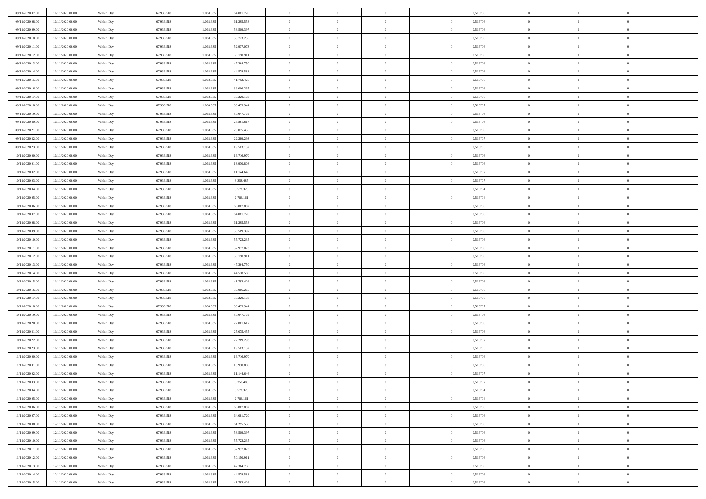| 09/11/2020 07:00 | 10/11/2020 06:00                     | Within Day | 67.936.518 | 1.068.635 | 64.081.720 | $\,$ 0 $\,$    | $\overline{0}$ | $\overline{0}$ | 0,516706 | $\bf{0}$       | $\overline{0}$ | $\,0\,$        |  |
|------------------|--------------------------------------|------------|------------|-----------|------------|----------------|----------------|----------------|----------|----------------|----------------|----------------|--|
| 09/11/2020 08:00 | 10/11/2020 06:00                     | Within Day | 67.936.518 | 1.068.635 | 61.295.558 | $\theta$       | $\overline{0}$ | $\mathbf{0}$   | 0,516706 | $\theta$       | $\overline{0}$ | $\theta$       |  |
| 09/11/2020 09:00 | 10/11/2020 06:00                     | Within Dav | 67.936.518 | 1.068.635 | 58.509.397 | $\theta$       | $\overline{0}$ | $\mathbf{0}$   | 0,516706 | $\mathbf{0}$   | $\overline{0}$ | $\overline{0}$ |  |
| 09/11/2020 10:00 | 10/11/2020 06:00                     | Within Day | 67.936.518 | 1.068.635 | 55.723.235 | $\,$ 0 $\,$    | $\overline{0}$ | $\overline{0}$ | 0,516706 | $\bf{0}$       | $\overline{0}$ | $\bf{0}$       |  |
| 09/11/2020 11:00 | 10/11/2020 06:00                     | Within Day | 67.936.518 | 1.068.635 | 52.937.073 | $\,$ 0         | $\overline{0}$ | $\mathbf{0}$   | 0,516706 | $\bf{0}$       | $\theta$       | $\,0\,$        |  |
| 09/11/2020 12:00 | 10/11/2020 06:00                     | Within Dav | 67.936.518 | 1.068.635 | 50.150.911 | $\theta$       | $\overline{0}$ | $\mathbf{0}$   | 0,516706 | $\mathbf{0}$   | $\overline{0}$ | $\overline{0}$ |  |
| 09/11/2020 13:00 | 10/11/2020 06:00                     | Within Day | 67.936.518 | 1.068.635 | 47.364.750 | $\,$ 0 $\,$    | $\overline{0}$ | $\overline{0}$ | 0,516706 | $\bf{0}$       | $\overline{0}$ | $\,0\,$        |  |
| 09/11/2020 14:00 | 10/11/2020 06:00                     | Within Day | 67.936.518 | 1.068.635 | 44.578.588 | $\,$ 0         | $\overline{0}$ | $\mathbf{0}$   | 0,516706 | $\,$ 0 $\,$    | $\overline{0}$ | $\theta$       |  |
| 09/11/2020 15:00 | 10/11/2020 06:00                     | Within Day | 67.936.518 | 1.068.635 | 41.792.426 | $\theta$       | $\overline{0}$ | $\overline{0}$ | 0,516706 | $\mathbf{0}$   | $\overline{0}$ | $\overline{0}$ |  |
| 09/11/2020 16:00 | 10/11/2020 06:00                     | Within Day | 67.936.518 | 1.068.635 | 39.006.265 | $\,$ 0 $\,$    | $\overline{0}$ | $\Omega$       | 0,516706 | $\bf{0}$       | $\overline{0}$ | $\,0\,$        |  |
| 09/11/2020 17.00 | 10/11/2020 06:00                     | Within Day | 67.936.518 | 1.068.635 | 36.220.103 | $\bf{0}$       | $\overline{0}$ | $\mathbf{0}$   | 0,516706 | $\bf{0}$       | $\mathbf{0}$   | $\theta$       |  |
| 09/11/2020 18:00 | 10/11/2020 06:00                     | Within Dav | 67.936.518 | 1.068.635 | 33.433.941 | $\theta$       | $\overline{0}$ |                | 0,516707 | $\mathbf{0}$   | $\overline{0}$ | $\overline{0}$ |  |
| 09/11/2020 19:00 |                                      |            |            |           |            | $\,$ 0 $\,$    |                | $\mathbf{0}$   |          | $\bf{0}$       |                | $\bf{0}$       |  |
|                  | 10/11/2020 06:00                     | Within Day | 67.936.518 | 1.068.635 | 30.647.779 |                | $\overline{0}$ | $\overline{0}$ | 0,516706 |                | $\overline{0}$ |                |  |
| 09/11/2020 20:00 | 10/11/2020 06:00                     | Within Day | 67.936.518 | 1.068.635 | 27.861.617 | $\bf{0}$       | $\overline{0}$ | $\mathbf{0}$   | 0,516706 | $\bf{0}$       | $\theta$       | $\,0\,$        |  |
| 09/11/2020 21:00 | 10/11/2020 06:00                     | Within Dav | 67.936.518 | 1.068.635 | 25.075.455 | $\theta$       | $\overline{0}$ | $\mathbf{0}$   | 0,516706 | $\mathbf{0}$   | $\overline{0}$ | $\overline{0}$ |  |
| 09/11/2020 22.00 | 10/11/2020 06:00                     | Within Day | 67.936.518 | 1.068.635 | 22.289.293 | $\,$ 0 $\,$    | $\overline{0}$ | $\overline{0}$ | 0,516707 | $\bf{0}$       | $\overline{0}$ | $\bf{0}$       |  |
| 09/11/2020 23.00 | 10/11/2020 06:00                     | Within Day | 67.936.518 | 1.068.635 | 19.503.132 | $\,$ 0         | $\overline{0}$ | $\mathbf{0}$   | 0,516705 | $\bf{0}$       | $\overline{0}$ | $\theta$       |  |
| 10/11/2020 00:00 | 10/11/2020 06:00                     | Within Day | 67.936.518 | 1.068.635 | 16.716.970 | $\theta$       | $\overline{0}$ | $\mathbf{0}$   | 0,516706 | $\mathbf{0}$   | $\overline{0}$ | $\overline{0}$ |  |
| 10/11/2020 01:00 | 10/11/2020 06:00                     | Within Day | 67.936.518 | 1.068.635 | 13.930.808 | $\,$ 0 $\,$    | $\overline{0}$ | $\Omega$       | 0,516706 | $\bf{0}$       | $\overline{0}$ | $\,0\,$        |  |
| 10/11/2020 02.00 | 10/11/2020 06:00                     | Within Day | 67.936.518 | 1.068.635 | 11.144.646 | $\bf{0}$       | $\overline{0}$ | $\mathbf{0}$   | 0,516707 | $\bf{0}$       | $\mathbf{0}$   | $\theta$       |  |
| 10/11/2020 03:00 | 10/11/2020 06:00                     | Within Dav | 67.936.518 | 1.068.635 | 8.358.485  | $\theta$       | $\overline{0}$ | $\mathbf{0}$   | 0,516707 | $\mathbf{0}$   | $\overline{0}$ | $\overline{0}$ |  |
| 10/11/2020 04:00 | 10/11/2020 06:00                     | Within Day | 67.936.518 | 1.068.635 | 5.572.323  | $\,$ 0 $\,$    | $\overline{0}$ | $\overline{0}$ | 0,516704 | $\bf{0}$       | $\overline{0}$ | $\bf{0}$       |  |
| 10/11/2020 05:00 | 10/11/2020 06:00                     | Within Day | 67.936.518 | 1.068.635 | 2.786.161  | $\,$ 0         | $\overline{0}$ | $\mathbf{0}$   | 0,516704 | $\bf{0}$       | $\bf{0}$       | $\,0\,$        |  |
| 10/11/2020 06:00 | 11/11/2020 06:00                     | Within Dav | 67.936.518 | 1.068.635 | 66.867.882 | $\theta$       | $\overline{0}$ | $\mathbf{0}$   | 0,516706 | $\mathbf{0}$   | $\overline{0}$ | $\overline{0}$ |  |
| 10/11/2020 07.00 | 11/11/2020 06:00                     | Within Day | 67.936.518 | 1.068.635 | 64.081.720 | $\,$ 0 $\,$    | $\overline{0}$ | $\overline{0}$ | 0,516706 | $\bf{0}$       | $\overline{0}$ | $\,0\,$        |  |
| 10/11/2020 08:00 | 11/11/2020 06.00                     | Within Day | 67.936.518 | 1.068.635 | 61.295.558 | $\,$ 0         | $\overline{0}$ | $\mathbf{0}$   | 0,516706 | $\bf{0}$       | $\overline{0}$ | $\theta$       |  |
| 10/11/2020 09:00 | 11/11/2020 06:00                     | Within Day | 67.936.518 | 1.068.635 | 58.509.397 | $\theta$       | $\overline{0}$ | $\overline{0}$ | 0,516706 | $\mathbf{0}$   | $\bf{0}$       | $\overline{0}$ |  |
| 10/11/2020 10:00 | 11/11/2020 06:00                     | Within Day | 67.936.518 | 1.068.635 | 55.723.235 | $\,$ 0 $\,$    | $\overline{0}$ | $\Omega$       | 0,516706 | $\bf{0}$       | $\overline{0}$ | $\bf{0}$       |  |
| 10/11/2020 11:00 | 11/11/2020 06.00                     | Within Day | 67.936.518 | 1.068.635 | 52.937.073 | $\bf{0}$       | $\overline{0}$ | $\mathbf{0}$   | 0,516706 | $\bf{0}$       | $\mathbf{0}$   | $\theta$       |  |
| 10/11/2020 12:00 | 11/11/2020 06:00                     | Within Dav | 67.936.518 | 1.068.635 | 50.150.911 | $\theta$       | $\overline{0}$ | $\overline{0}$ | 0,516706 | $\mathbf{0}$   | $\overline{0}$ | $\overline{0}$ |  |
| 10/11/2020 13:00 | 11/11/2020 06:00                     | Within Day | 67.936.518 | 1.068.635 | 47.364.750 | $\theta$       | $\overline{0}$ | $\overline{0}$ | 0,516706 | $\,$ 0         | $\overline{0}$ | $\,$ 0 $\,$    |  |
| 10/11/2020 14:00 | 11/11/2020 06:00                     | Within Day | 67.936.518 | 1.068.635 | 44.578.588 | $\,$ 0         | $\overline{0}$ | $\mathbf{0}$   | 0,516706 | $\bf{0}$       | $\mathbf{0}$   | $\overline{0}$ |  |
| 10/11/2020 15:00 | 11/11/2020 06:00                     | Within Dav | 67.936.518 | 1.068.635 | 41.792.426 | $\theta$       | $\overline{0}$ | $\mathbf{0}$   | 0,516706 | $\mathbf{0}$   | $\overline{0}$ | $\overline{0}$ |  |
| 10/11/2020 16:00 | 11/11/2020 06:00                     | Within Day | 67.936.518 | 1.068.635 | 39.006.265 | $\theta$       | $\overline{0}$ | $\overline{0}$ | 0,516706 | $\,$ 0         | $\overline{0}$ | $\theta$       |  |
| 10/11/2020 17:00 | 11/11/2020 06.00                     | Within Day | 67.936.518 | 1.068.635 | 36.220.103 | $\bf{0}$       | $\overline{0}$ | $\mathbf{0}$   | 0,516706 | $\mathbf{0}$   | $\overline{0}$ | $\overline{0}$ |  |
| 10/11/2020 18:00 | 11/11/2020 06:00                     | Within Day | 67.936.518 | 1.068.635 | 33.433.941 | $\theta$       | $\overline{0}$ | $\mathbf{0}$   | 0,516707 | $\mathbf{0}$   | $\overline{0}$ | $\overline{0}$ |  |
| 10/11/2020 19:00 | 11/11/2020 06:00                     | Within Day | 67.936.518 | 1.068.635 | 30.647.779 | $\theta$       | $\overline{0}$ | $\overline{0}$ | 0,516706 | $\,$ 0         | $\overline{0}$ | $\theta$       |  |
| 10/11/2020 20:00 | 11/11/2020 06.00                     | Within Day | 67.936.518 | 1.068.635 | 27.861.617 | $\bf{0}$       | $\overline{0}$ | $\mathbf{0}$   | 0,516706 | $\bf{0}$       | $\mathbf{0}$   | $\overline{0}$ |  |
| 10/11/2020 21:00 | 11/11/2020 06:00                     | Within Dav | 67.936.518 | 1.068.635 | 25.075.455 | $\theta$       | $\overline{0}$ | $\mathbf{0}$   | 0,516706 | $\mathbf{0}$   | $\overline{0}$ | $\overline{0}$ |  |
| 10/11/2020 22.00 | 11/11/2020 06:00                     | Within Day | 67.936.518 | 1.068.635 | 22.289.293 | $\,$ 0 $\,$    | $\overline{0}$ | $\overline{0}$ | 0,516707 | $\,$ 0         | $\overline{0}$ | $\,$ 0 $\,$    |  |
| 10/11/2020 23.00 | 11/11/2020 06:00                     | Within Day | 67.936.518 | 1.068.635 | 19.503.132 | $\,$ 0         | $\,$ 0 $\,$    | $\overline{0}$ | 0,516705 | $\,$ 0 $\,$    | $\overline{0}$ | $\overline{0}$ |  |
| 11/11/2020 00:00 | 11/11/2020 06:00                     | Within Dav | 67.936.518 | 1.068.635 | 16.716.970 | $\theta$       | $\overline{0}$ | $\mathbf{0}$   | 0,516706 | $\mathbf{0}$   | $\overline{0}$ | $\overline{0}$ |  |
| 11/11/2020 01:00 | 11/11/2020 06.00                     | Within Day | 67.936.518 | 1.068.635 | 13.930.808 | $\overline{0}$ | $\overline{0}$ | $\overline{0}$ | 0,516706 | $\,$ 0         | $\overline{0}$ | $\theta$       |  |
| 11/11/2020 02.00 | 11/11/2020 06.00                     | Within Day | 67.936.518 | 1.068.635 | 11.144.646 | $\bf{0}$       | $\,$ 0 $\,$    | $\mathbf{0}$   | 0,516707 | $\bf{0}$       | $\overline{0}$ | $\bf{0}$       |  |
| 11/11/2020 03:00 | 11/11/2020 06:00                     | Within Day | 67.936.518 | 1.068.635 | 8.358.485  | $\overline{0}$ | $\theta$       |                | 0,516707 | $\overline{0}$ | $\theta$       | $\theta$       |  |
| 11/11/2020 04:00 | 11/11/2020 06:00                     | Within Day | 67.936.518 | 1.068.635 | 5.572.323  | $\,$ 0 $\,$    | $\overline{0}$ | $\overline{0}$ | 0,516704 | $\,$ 0 $\,$    | $\bf{0}$       | $\theta$       |  |
| 11/11/2020 05.00 | 11/11/2020 06.00                     | Within Day | 67.936.518 | 1.068.635 | 2.786.161  | $\bf{0}$       | $\,$ 0 $\,$    | $\overline{0}$ | 0,516704 | $\,$ 0 $\,$    | $\overline{0}$ | $\overline{0}$ |  |
| 11/11/2020 06:00 | 12/11/2020 06:00                     | Within Day | 67.936.518 | 1.068.635 | 66.867.882 | $\mathbf{0}$   | $\overline{0}$ | $\overline{0}$ | 0,516706 | $\,$ 0 $\,$    | $\bf{0}$       | $\mathbf{0}$   |  |
| 11/11/2020 07:00 | 12/11/2020 06:00                     | Within Day | 67.936.518 | 1.068.635 | 64.081.720 | $\,$ 0 $\,$    | $\overline{0}$ | $\overline{0}$ | 0,516706 | $\,$ 0 $\,$    | $\bf{0}$       | $\,$ 0 $\,$    |  |
| 11/11/2020 08:00 | 12/11/2020 06:00                     | Within Day | 67.936.518 | 1.068.635 | 61.295.558 | $\,$ 0 $\,$    | $\,$ 0 $\,$    | $\overline{0}$ | 0,516706 | $\,$ 0 $\,$    | $\overline{0}$ | $\overline{0}$ |  |
| 11/11/2020 09:00 | 12/11/2020 06:00                     | Within Day | 67.936.518 | 1.068.635 | 58.509.397 | $\mathbf{0}$   | $\overline{0}$ | $\overline{0}$ | 0,516706 | $\mathbf{0}$   | $\overline{0}$ | $\overline{0}$ |  |
| 11/11/2020 10:00 | 12/11/2020 06:00                     | Within Day | 67.936.518 | 1.068.635 | 55.723.235 | $\,$ 0 $\,$    | $\overline{0}$ | $\overline{0}$ | 0,516706 | $\,$ 0 $\,$    | $\mathbf{0}$   | $\,$ 0 $\,$    |  |
|                  |                                      |            | 67.936.518 | 1.068.635 | 52.937.073 | $\bf{0}$       |                | $\overline{0}$ |          |                | $\overline{0}$ |                |  |
| 11/11/2020 11:00 | 12/11/2020 06.00<br>12/11/2020 06:00 | Within Day |            | 1.068.635 |            |                | $\,$ 0 $\,$    |                | 0,516706 | $\,$ 0 $\,$    |                | $\overline{0}$ |  |
| 11/11/2020 12:00 |                                      | Within Day | 67.936.518 |           | 50.150.911 | $\mathbf{0}$   | $\overline{0}$ | $\overline{0}$ | 0,516706 | $\mathbf{0}$   | $\bf{0}$       | $\overline{0}$ |  |
| 11/11/2020 13:00 | 12/11/2020 06:00                     | Within Day | 67.936.518 | 1.068.635 | 47.364.750 | $\,$ 0 $\,$    | $\overline{0}$ | $\overline{0}$ | 0,516706 | $\,$ 0 $\,$    | $\mathbf{0}$   | $\,$ 0 $\,$    |  |
| 11/11/2020 14.00 | 12/11/2020 06.00                     | Within Day | 67.936.518 | 1.068.635 | 44.578.588 | $\,$ 0 $\,$    | $\,$ 0 $\,$    | $\overline{0}$ | 0,516706 | $\,$ 0 $\,$    | $\overline{0}$ | $\overline{0}$ |  |
| 11/11/2020 15:00 | 12/11/2020 06:00                     | Within Day | 67.936.518 | 1.068.635 | 41.792.426 | $\theta$       | $\overline{0}$ | $\overline{0}$ | 0,516706 | $\mathbf{0}$   | $\overline{0}$ | $\overline{0}$ |  |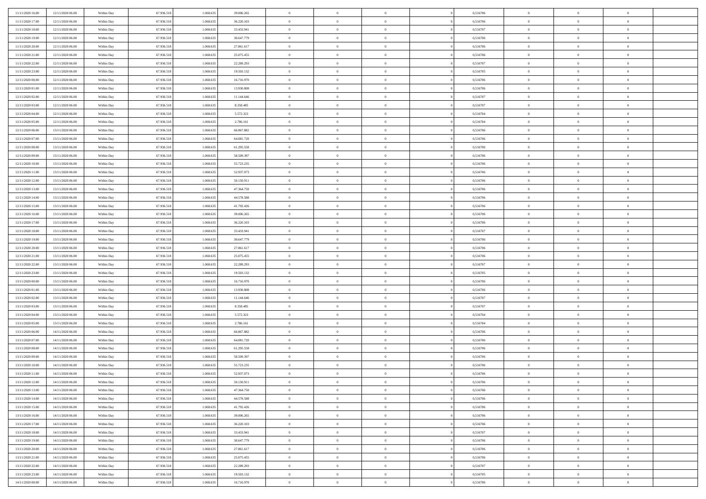| 11/11/2020 16.00 | 12/11/2020 06:00 | Within Day | 67.936.518 | 1.068.635 | 39.006.265 | $\,$ 0         | $\bf{0}$       | $\overline{0}$ |          | 0,516706 | $\bf{0}$       | $\overline{0}$ | $\,0\,$        |  |
|------------------|------------------|------------|------------|-----------|------------|----------------|----------------|----------------|----------|----------|----------------|----------------|----------------|--|
| 11/11/2020 17:00 | 12/11/2020 06:00 | Within Day | 67.936.518 | 1.068.63  | 36.220.103 | $\overline{0}$ | $\overline{0}$ | $\overline{0}$ |          | 0,516706 | $\overline{0}$ | $\overline{0}$ | $\theta$       |  |
| 11/11/2020 18:00 | 12/11/2020 06:00 | Within Dav | 67.936.518 | 1.068.635 | 33.433.941 | $\mathbf{0}$   | $\overline{0}$ | $\overline{0}$ |          | 0,516707 | $\mathbf{0}$   | $\overline{0}$ | $\overline{0}$ |  |
| 11/11/2020 19.00 | 12/11/2020 06:00 | Within Day | 67.936.518 | 1.068.635 | 30.647.779 | $\bf{0}$       | $\overline{0}$ | $\bf{0}$       |          | 0,516706 | $\bf{0}$       | $\overline{0}$ | $\bf{0}$       |  |
| 11/11/2020 20:00 | 12/11/2020 06:00 | Within Day | 67.936.518 | 1.068.635 | 27.861.617 | $\bf{0}$       | $\bf{0}$       | $\overline{0}$ |          | 0,516706 | $\bf{0}$       | $\bf{0}$       | $\,0\,$        |  |
| 11/11/2020 21.00 | 12/11/2020 06:00 | Within Dav | 67.936.518 | 1.068.635 | 25.075.455 | $\mathbf{0}$   | $\overline{0}$ | $\overline{0}$ |          | 0,516706 | $\mathbf{0}$   | $\overline{0}$ | $\overline{0}$ |  |
|                  |                  |            |            |           |            |                |                |                |          |          |                |                |                |  |
| 11/11/2020 22.00 | 12/11/2020 06:00 | Within Day | 67.936.518 | 1.068.635 | 22.289.293 | $\bf{0}$       | $\bf{0}$       | $\overline{0}$ |          | 0,516707 | $\bf{0}$       | $\overline{0}$ | $\,0\,$        |  |
| 11/11/2020 23.00 | 12/11/2020 06:00 | Within Day | 67.936.518 | 1.068.635 | 19.503.132 | $\overline{0}$ | $\overline{0}$ | $\overline{0}$ |          | 0,516705 | $\,$ 0 $\,$    | $\overline{0}$ | $\theta$       |  |
| 12/11/2020 00:00 | 12/11/2020 06:00 | Within Day | 67.936.518 | 1.068.635 | 16.716.970 | $\mathbf{0}$   | $\overline{0}$ | $\overline{0}$ |          | 0,516706 | $\mathbf{0}$   | $\overline{0}$ | $\overline{0}$ |  |
| 12/11/2020 01:00 | 12/11/2020 06:00 | Within Day | 67.936.518 | 1.068.635 | 13.930.808 | $\bf{0}$       | $\bf{0}$       | $\overline{0}$ |          | 0,516706 | $\bf{0}$       | $\overline{0}$ | $\,0\,$        |  |
| 12/11/2020 02:00 | 12/11/2020 06:00 | Within Day | 67.936.518 | 1.068.635 | 11.144.646 | $\bf{0}$       | $\overline{0}$ | $\overline{0}$ |          | 0,516707 | $\bf{0}$       | $\overline{0}$ | $\theta$       |  |
| 12/11/2020 03:00 | 12/11/2020 06:00 | Within Dav | 67.936.518 | 1.068.635 | 8.358.485  | $\mathbf{0}$   | $\overline{0}$ | $\overline{0}$ |          | 0,516707 | $\mathbf{0}$   | $\overline{0}$ | $\overline{0}$ |  |
| 12/11/2020 04:00 | 12/11/2020 06:00 | Within Day | 67.936.518 | 1.068.635 | 5.572.323  | $\bf{0}$       | $\overline{0}$ | $\bf{0}$       |          | 0,516704 | $\bf{0}$       | $\overline{0}$ | $\overline{0}$ |  |
| 12/11/2020 05:00 | 12/11/2020 06:00 | Within Day | 67.936.518 | 1.068.635 | 2.786.161  | $\bf{0}$       | $\overline{0}$ | $\overline{0}$ |          | 0,516704 | $\bf{0}$       | $\mathbf{0}$   | $\,0\,$        |  |
| 12/11/2020 06:00 | 13/11/2020 06:00 | Within Dav | 67.936.518 | 1.068.635 | 66.867.882 | $\overline{0}$ | $\overline{0}$ | $\overline{0}$ |          | 0,516706 | $\mathbf{0}$   | $\overline{0}$ | $\overline{0}$ |  |
| 12/11/2020 07.00 | 13/11/2020 06:00 | Within Day | 67.936.518 | 1.068.635 | 64.081.720 | $\bf{0}$       | $\bf{0}$       | $\overline{0}$ |          | 0,516706 | $\bf{0}$       | $\overline{0}$ | $\bf{0}$       |  |
| 12/11/2020 08:00 | 13/11/2020 06:00 | Within Day | 67.936.518 | 1.068.635 | 61.295.558 | $\bf{0}$       | $\overline{0}$ | $\overline{0}$ |          | 0,516706 | $\,$ 0 $\,$    | $\overline{0}$ | $\theta$       |  |
| 12/11/2020 09:00 | 13/11/2020 06:00 | Within Day | 67.936.518 | 1.068.635 | 58.509.397 | $\mathbf{0}$   | $\overline{0}$ | $\overline{0}$ |          | 0,516706 | $\mathbf{0}$   | $\overline{0}$ | $\overline{0}$ |  |
| 12/11/2020 10:00 | 13/11/2020 06:00 | Within Day | 67.936.518 | 1.068.635 | 55.723.235 | $\bf{0}$       | $\bf{0}$       | $\overline{0}$ |          | 0,516706 | $\bf{0}$       | $\overline{0}$ | $\,0\,$        |  |
| 12/11/2020 11:00 | 13/11/2020 06:00 | Within Day | 67.936.518 | 1.068.635 | 52.937.073 | $\bf{0}$       | $\bf{0}$       | $\overline{0}$ |          | 0,516706 | $\bf{0}$       | $\overline{0}$ | $\overline{0}$ |  |
| 12/11/2020 12:00 | 13/11/2020 06:00 | Within Dav | 67.936.518 | 1.068.635 | 50.150.911 | $\mathbf{0}$   | $\overline{0}$ | $\overline{0}$ |          | 0,516706 | $\mathbf{0}$   | $\overline{0}$ | $\overline{0}$ |  |
| 12/11/2020 13.00 | 13/11/2020 06:00 | Within Day | 67.936.518 | 1.068.635 | 47.364.750 | $\bf{0}$       | $\overline{0}$ | $\bf{0}$       |          | 0,516706 | $\bf{0}$       | $\overline{0}$ | $\bf{0}$       |  |
| 12/11/2020 14:00 | 13/11/2020 06:00 | Within Day | 67.936.518 | 1.068.635 | 44.578.588 | $\bf{0}$       | $\bf{0}$       | $\overline{0}$ |          | 0,516706 | $\bf{0}$       | $\overline{0}$ | $\,0\,$        |  |
| 12/11/2020 15:00 | 13/11/2020 06:00 | Within Dav | 67.936.518 | 1.068.635 | 41.792.426 | $\mathbf{0}$   | $\overline{0}$ | $\overline{0}$ |          | 0,516706 | $\mathbf{0}$   | $\overline{0}$ | $\overline{0}$ |  |
| 12/11/2020 16:00 | 13/11/2020 06:00 | Within Day | 67.936.518 | 1.068.635 | 39.006.265 | $\bf{0}$       | $\bf{0}$       | $\overline{0}$ |          | 0,516706 | $\bf{0}$       | $\overline{0}$ | $\,0\,$        |  |
| 12/11/2020 17.00 | 13/11/2020 06:00 | Within Day | 67.936.518 | 1.068.635 | 36.220.103 | $\bf{0}$       | $\overline{0}$ | $\overline{0}$ |          | 0,516706 | $\bf{0}$       | $\overline{0}$ | $\theta$       |  |
| 12/11/2020 18:00 | 13/11/2020 06:00 | Within Dav | 67.936.518 | 1.068.635 | 33.433.941 | $\mathbf{0}$   | $\overline{0}$ | $\overline{0}$ |          | 0,516707 | $\mathbf{0}$   | $\overline{0}$ | $\overline{0}$ |  |
|                  |                  |            |            |           |            | $\bf{0}$       |                | $\overline{0}$ |          |          | $\bf{0}$       | $\overline{0}$ | $\,0\,$        |  |
| 12/11/2020 19:00 | 13/11/2020 06:00 | Within Day | 67.936.518 | 1.068.635 | 30.647.779 |                | $\bf{0}$       |                |          | 0,516706 |                |                |                |  |
| 12/11/2020 20:00 | 13/11/2020 06:00 | Within Day | 67.936.518 | 1.068.635 | 27.861.617 | $\bf{0}$       | $\bf{0}$       | $\overline{0}$ |          | 0,516706 | $\bf{0}$       | $\overline{0}$ | $\overline{0}$ |  |
| 12/11/2020 21:00 | 13/11/2020 06:00 | Within Day | 67.936.518 | 1.068.635 | 25.075.455 | $\mathbf{0}$   | $\overline{0}$ | $\overline{0}$ |          | 0,516706 | $\mathbf{0}$   | $\overline{0}$ | $\overline{0}$ |  |
| 12/11/2020 22.00 | 13/11/2020 06:00 | Within Day | 67.936.518 | 1.068.635 | 22.289.293 | $\bf{0}$       | $\overline{0}$ | $\overline{0}$ |          | 0,516707 | $\,$ 0         | $\overline{0}$ | $\theta$       |  |
| 12/11/2020 23.00 | 13/11/2020 06:00 | Within Day | 67.936.518 | 1.068.635 | 19.503.132 | $\bf{0}$       | $\bf{0}$       | $\overline{0}$ |          | 0,516705 | $\bf{0}$       | $\overline{0}$ | $\overline{0}$ |  |
| 13/11/2020 00:00 | 13/11/2020 06:00 | Within Dav | 67.936.518 | 1.068.635 | 16.716.970 | $\mathbf{0}$   | $\overline{0}$ | $\overline{0}$ |          | 0,516706 | $\mathbf{0}$   | $\overline{0}$ | $\overline{0}$ |  |
| 13/11/2020 01:00 | 13/11/2020 06:00 | Within Day | 67.936.518 | 1.068.635 | 13.930.808 | $\bf{0}$       | $\overline{0}$ | $\overline{0}$ |          | 0,516706 | $\,$ 0         | $\overline{0}$ | $\theta$       |  |
| 13/11/2020 02.00 | 13/11/2020 06:00 | Within Day | 67.936.518 | 1.068.635 | 11.144.646 | $\bf{0}$       | $\overline{0}$ | $\overline{0}$ |          | 0,516707 | $\bf{0}$       | $\overline{0}$ | $\overline{0}$ |  |
| 13/11/2020 03:00 | 13/11/2020 06:00 | Within Day | 67.936.518 | 1.068.635 | 8.358.485  | $\mathbf{0}$   | $\overline{0}$ | $\overline{0}$ |          | 0,516707 | $\mathbf{0}$   | $\overline{0}$ | $\overline{0}$ |  |
| 13/11/2020 04:00 | 13/11/2020 06:00 | Within Day | 67.936.518 | 1.068.635 | 5.572.323  | $\bf{0}$       | $\overline{0}$ | $\overline{0}$ |          | 0,516704 | $\,$ 0         | $\overline{0}$ | $\theta$       |  |
| 13/11/2020 05:00 | 13/11/2020 06:00 | Within Day | 67.936.518 | 1.068.635 | 2.786.161  | $\bf{0}$       | $\overline{0}$ | $\overline{0}$ |          | 0,516704 | $\bf{0}$       | $\overline{0}$ | $\overline{0}$ |  |
| 13/11/2020 06:00 | 14/11/2020 06:00 | Within Dav | 67.936.518 | 1.068.635 | 66.867.882 | $\mathbf{0}$   | $\overline{0}$ | $\overline{0}$ |          | 0,516706 | $\mathbf{0}$   | $\overline{0}$ | $\overline{0}$ |  |
| 13/11/2020 07.00 | 14/11/2020 06:00 | Within Day | 67.936.518 | 1.068.635 | 64.081.720 | $\,0\,$        | $\overline{0}$ | $\overline{0}$ |          | 0,516706 | $\,$ 0         | $\overline{0}$ | $\theta$       |  |
| 13/11/2020 08:00 | 14/11/2020 06.00 | Within Day | 67.936.518 | 1.068.635 | 61.295.558 | $\bf{0}$       | $\overline{0}$ | $\overline{0}$ |          | 0,516706 | $\bf{0}$       | $\overline{0}$ | $\overline{0}$ |  |
| 13/11/2020 09:00 | 14/11/2020 06:00 | Within Dav | 67.936.518 | 1.068.635 | 58.509.397 | $\mathbf{0}$   | $\overline{0}$ | $\overline{0}$ |          | 0,516706 | $\mathbf{0}$   | $\overline{0}$ | $\overline{0}$ |  |
| 13/11/2020 10:00 | 14/11/2020 06.00 | Within Day | 67.936.518 | 1.068.635 | 55.723.235 | $\bf{0}$       | $\overline{0}$ | $\overline{0}$ |          | 0,516706 | $\,$ 0         | $\overline{0}$ | $\theta$       |  |
| 13/11/2020 11:00 | 14/11/2020 06.00 | Within Day | 67.936.518 | 1.068.635 | 52.937.073 | $\bf{0}$       | $\overline{0}$ | $\overline{0}$ |          | 0,516706 | $\bf{0}$       | $\overline{0}$ | $\overline{0}$ |  |
| 13/11/2020 12:00 | 14/11/2020 06:00 | Within Day | 67.936.518 | 1.068.635 | 50.150.911 | $\overline{0}$ | $\overline{0}$ |                |          | 0,516706 | $\overline{0}$ | $\theta$       | $\theta$       |  |
| 13/11/2020 13:00 | 14/11/2020 06.00 | Within Day | 67.936.518 | 1.068.635 | 47.364.750 | $\,0\,$        | $\overline{0}$ | $\theta$       |          | 0,516706 | $\,$ 0 $\,$    | $\bf{0}$       | $\theta$       |  |
| 13/11/2020 14:00 | 14/11/2020 06.00 | Within Day | 67.936.518 | 1.068.635 | 44.578.588 | $\overline{0}$ | $\overline{0}$ | $\overline{0}$ |          | 0,516706 | $\overline{0}$ | $\overline{0}$ | $\overline{0}$ |  |
| 13/11/2020 15:00 | 14/11/2020 06.00 | Within Day | 67.936.518 | 1.068.635 | 41.792.426 | $\bf{0}$       | $\overline{0}$ | $\overline{0}$ |          | 0,516706 | $\overline{0}$ | $\bf{0}$       | $\mathbf{0}$   |  |
| 13/11/2020 16:00 | 14/11/2020 06.00 | Within Day | 67.936.518 | 1.068.635 | 39.006.265 | $\bf{0}$       | $\overline{0}$ | $\overline{0}$ | $\theta$ | 0,516706 | $\,$ 0 $\,$    | $\bf{0}$       | $\,$ 0 $\,$    |  |
| 13/11/2020 17:00 | 14/11/2020 06.00 | Within Day | 67.936.518 | 1.068.635 | 36.220.103 | $\bf{0}$       | $\overline{0}$ | $\overline{0}$ |          | 0,516706 | $\,$ 0 $\,$    | $\overline{0}$ | $\overline{0}$ |  |
| 13/11/2020 18:00 | 14/11/2020 06.00 | Within Day | 67.936.518 | 1.068.635 | 33.433.941 | $\bf{0}$       | $\overline{0}$ | $\overline{0}$ |          | 0,516707 | $\mathbf{0}$   | $\overline{0}$ | $\overline{0}$ |  |
| 13/11/2020 19:00 | 14/11/2020 06:00 | Within Day | 67.936.518 | 1.068.635 | 30.647.779 | $\,0\,$        | $\overline{0}$ | $\overline{0}$ | $\theta$ | 0,516706 | $\,$ 0 $\,$    | $\overline{0}$ | $\,$ 0 $\,$    |  |
| 13/11/2020 20.00 | 14/11/2020 06.00 | Within Day | 67.936.518 | 1.068.635 | 27.861.617 | $\bf{0}$       | $\overline{0}$ | $\overline{0}$ |          | 0,516706 | $\overline{0}$ | $\overline{0}$ | $\overline{0}$ |  |
| 13/11/2020 21:00 | 14/11/2020 06.00 | Within Day | 67.936.518 | 1.068.635 | 25.075.455 | $\bf{0}$       | $\overline{0}$ | $\overline{0}$ |          | 0,516706 | $\mathbf{0}$   | $\overline{0}$ | $\overline{0}$ |  |
| 13/11/2020 22.00 | 14/11/2020 06.00 | Within Day | 67.936.518 | 1.068.635 | 22.289.293 | $\,0\,$        | $\overline{0}$ | $\overline{0}$ |          | 0,516707 | $\,$ 0 $\,$    | $\mathbf{0}$   | $\,$ 0 $\,$    |  |
| 13/11/2020 23.00 | 14/11/2020 06.00 | Within Day | 67.936.518 | 1.068.635 | 19.503.132 | $\bf{0}$       | $\bf{0}$       | $\overline{0}$ |          | 0,516705 |                | $\mathbf{0}$   | $\overline{0}$ |  |
|                  |                  |            |            |           |            |                |                |                |          |          | $\bf{0}$       |                |                |  |
| 14/11/2020 00:00 | 14/11/2020 06:00 | Within Day | 67.936.518 | 1.068.635 | 16.716.970 | $\bf{0}$       | $\overline{0}$ | $\overline{0}$ |          | 0,516706 | $\mathbf{0}$   | $\overline{0}$ | $\overline{0}$ |  |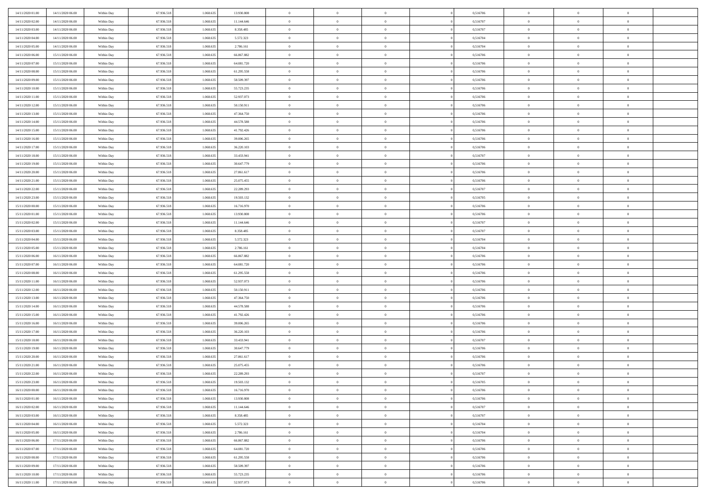| 14/11/2020 01:00 | 14/11/2020 06:00 | Within Day               | 67.936.518 | 1.068.635 | 13.930.808 | $\bf{0}$       | $\overline{0}$ | $\overline{0}$ | 0,516706 | $\bf{0}$       | $\overline{0}$ | $\,0\,$        |  |
|------------------|------------------|--------------------------|------------|-----------|------------|----------------|----------------|----------------|----------|----------------|----------------|----------------|--|
| 14/11/2020 02.00 | 14/11/2020 06.00 | Within Day               | 67.936.518 | 1.068.635 | 11.144.646 | $\theta$       | $\overline{0}$ | $\mathbf{0}$   | 0,516707 | $\theta$       | $\overline{0}$ | $\theta$       |  |
| 14/11/2020 03:00 | 14/11/2020 06:00 | Within Dav               | 67.936.518 | 1.068.635 | 8.358.485  | $\theta$       | $\overline{0}$ | $\overline{0}$ | 0,516707 | $\mathbf{0}$   | $\overline{0}$ | $\overline{0}$ |  |
| 14/11/2020 04:00 | 14/11/2020 06:00 | Within Day               | 67.936.518 | 1.068.635 | 5.572.323  | $\,$ 0 $\,$    | $\overline{0}$ | $\overline{0}$ | 0,516704 | $\bf{0}$       | $\overline{0}$ | $\bf{0}$       |  |
| 14/11/2020 05:00 | 14/11/2020 06:00 | Within Day               | 67.936.518 | 1.068.635 | 2.786.161  | $\bf{0}$       | $\overline{0}$ | $\mathbf{0}$   | 0,516704 | $\bf{0}$       | $\theta$       | $\,0\,$        |  |
| 14/11/2020 06:00 | 15/11/2020 06:00 | Within Dav               | 67.936.518 | 1.068.635 | 66.867.882 | $\theta$       | $\overline{0}$ | $\mathbf{0}$   | 0,516706 | $\mathbf{0}$   | $\overline{0}$ | $\overline{0}$ |  |
| 14/11/2020 07.00 | 15/11/2020 06:00 | Within Day               | 67.936.518 | 1.068.635 | 64.081.720 | $\,$ 0 $\,$    | $\overline{0}$ | $\overline{0}$ | 0,516706 | $\bf{0}$       | $\overline{0}$ | $\bf{0}$       |  |
|                  |                  |                          |            | 1.068.635 |            | $\,$ 0         |                |                |          | $\,$ 0 $\,$    | $\overline{0}$ | $\theta$       |  |
| 14/11/2020 08:00 | 15/11/2020 06:00 | Within Day               | 67.936.518 |           | 61.295.558 |                | $\overline{0}$ | $\mathbf{0}$   | 0,516706 |                |                |                |  |
| 14/11/2020 09:00 | 15/11/2020 06:00 | Within Day               | 67.936.518 | 1.068.635 | 58.509.397 | $\theta$       | $\overline{0}$ | $\overline{0}$ | 0,516706 | $\mathbf{0}$   | $\overline{0}$ | $\overline{0}$ |  |
| 14/11/2020 10:00 | 15/11/2020 06.00 | Within Day               | 67.936.518 | 1.068.635 | 55.723.235 | $\,$ 0 $\,$    | $\overline{0}$ | $\Omega$       | 0,516706 | $\bf{0}$       | $\overline{0}$ | $\,0\,$        |  |
| 14/11/2020 11:00 | 15/11/2020 06:00 | Within Day               | 67.936.518 | 1.068.635 | 52.937.073 | $\bf{0}$       | $\overline{0}$ | $\mathbf{0}$   | 0,516706 | $\bf{0}$       | $\mathbf{0}$   | $\theta$       |  |
| 14/11/2020 12:00 | 15/11/2020 06:00 | Within Day               | 67.936.518 | 1.068.635 | 50.150.911 | $\theta$       | $\overline{0}$ | $\overline{0}$ | 0,516706 | $\mathbf{0}$   | $\overline{0}$ | $\overline{0}$ |  |
| 14/11/2020 13:00 | 15/11/2020 06:00 | Within Day               | 67.936.518 | 1.068.635 | 47.364.750 | $\,$ 0 $\,$    | $\overline{0}$ | $\overline{0}$ | 0,516706 | $\bf{0}$       | $\overline{0}$ | $\bf{0}$       |  |
| 14/11/2020 14:00 | 15/11/2020 06:00 | Within Day               | 67.936.518 | 1.068.635 | 44.578.588 | $\,$ 0         | $\overline{0}$ | $\mathbf{0}$   | 0,516706 | $\bf{0}$       | $\theta$       | $\,0\,$        |  |
| 14/11/2020 15:00 | 15/11/2020 06:00 | Within Day               | 67.936.518 | 1.068.635 | 41.792.426 | $\theta$       | $\overline{0}$ | $\mathbf{0}$   | 0,516706 | $\mathbf{0}$   | $\overline{0}$ | $\overline{0}$ |  |
| 14/11/2020 16:00 | 15/11/2020 06:00 | Within Day               | 67.936.518 | 1.068.635 | 39.006.265 | $\,$ 0 $\,$    | $\overline{0}$ | $\overline{0}$ | 0,516706 | $\bf{0}$       | $\overline{0}$ | $\bf{0}$       |  |
| 14/11/2020 17.00 | 15/11/2020 06.00 | Within Day               | 67.936.518 | 1.068.635 | 36.220.103 | $\,$ 0         | $\overline{0}$ | $\mathbf{0}$   | 0,516706 | $\bf{0}$       | $\overline{0}$ | $\theta$       |  |
| 14/11/2020 18:00 | 15/11/2020 06:00 | Within Day               | 67.936.518 | 1.068.635 | 33.433.941 | $\theta$       | $\overline{0}$ | $\mathbf{0}$   | 0,516707 | $\mathbf{0}$   | $\overline{0}$ | $\overline{0}$ |  |
| 14/11/2020 19:00 | 15/11/2020 06:00 | Within Day               | 67.936.518 | 1.068.635 | 30.647.779 | $\,$ 0 $\,$    | $\overline{0}$ | $\Omega$       | 0,516706 | $\bf{0}$       | $\overline{0}$ | $\,0\,$        |  |
| 14/11/2020 20:00 | 15/11/2020 06:00 | Within Day               | 67.936.518 | 1.068.635 | 27.861.617 | $\bf{0}$       | $\overline{0}$ | $\mathbf{0}$   | 0,516706 | $\bf{0}$       | $\mathbf{0}$   | $\theta$       |  |
| 14/11/2020 21:00 | 15/11/2020 06:00 | Within Day               | 67.936.518 | 1.068.635 | 25.075.455 | $\theta$       | $\overline{0}$ | $\mathbf{0}$   | 0,516706 | $\mathbf{0}$   | $\overline{0}$ | $\overline{0}$ |  |
| 14/11/2020 22.00 | 15/11/2020 06:00 | Within Day               | 67.936.518 | 1.068.635 | 22.289.293 | $\,$ 0 $\,$    | $\overline{0}$ | $\overline{0}$ | 0,516707 | $\bf{0}$       | $\overline{0}$ | $\bf{0}$       |  |
| 14/11/2020 23.00 | 15/11/2020 06:00 | Within Day               | 67.936.518 | 1.068.635 | 19.503.132 | $\,$ 0         | $\overline{0}$ | $\mathbf{0}$   | 0,516705 | $\,$ 0 $\,$    | $\overline{0}$ | $\,0\,$        |  |
| 15/11/2020 00:00 | 15/11/2020 06:00 | Within Day               | 67.936.518 | 1.068.635 | 16.716.970 | $\theta$       | $\overline{0}$ | $\mathbf{0}$   | 0,516706 | $\mathbf{0}$   | $\overline{0}$ | $\overline{0}$ |  |
| 15/11/2020 01:00 | 15/11/2020 06:00 | Within Day               | 67.936.518 | 1.068.635 | 13.930.808 | $\,$ 0 $\,$    | $\overline{0}$ | $\overline{0}$ | 0,516706 | $\bf{0}$       | $\overline{0}$ | $\bf{0}$       |  |
| 15/11/2020 02.00 | 15/11/2020 06:00 | Within Day               | 67.936.518 | 1.068.635 | 11.144.646 | $\,$ 0         | $\overline{0}$ | $\mathbf{0}$   | 0,516707 | $\bf{0}$       | $\overline{0}$ | $\theta$       |  |
| 15/11/2020 03:00 | 15/11/2020 06:00 | Within Day               | 67.936.518 | 1.068.635 | 8.358.485  | $\theta$       | $\overline{0}$ | $\overline{0}$ | 0,516707 | $\mathbf{0}$   | $\overline{0}$ | $\overline{0}$ |  |
| 15/11/2020 04:00 | 15/11/2020 06:00 | Within Day               | 67.936.518 | 1.068.635 | 5.572.323  | $\,$ 0 $\,$    | $\overline{0}$ | $\Omega$       | 0,516704 | $\bf{0}$       | $\overline{0}$ | $\bf{0}$       |  |
| 15/11/2020 05:00 | 15/11/2020 06:00 | Within Day               | 67.936.518 | 1.068.635 | 2.786.161  | $\bf{0}$       | $\overline{0}$ | $\mathbf{0}$   | 0,516704 | $\bf{0}$       | $\mathbf{0}$   | $\theta$       |  |
| 15/11/2020 06:00 | 16/11/2020 06:00 | Within Day               | 67.936.518 | 1.068.635 | 66.867.882 | $\theta$       | $\overline{0}$ | $\overline{0}$ | 0,516706 | $\mathbf{0}$   | $\overline{0}$ | $\overline{0}$ |  |
| 15/11/2020 07:00 | 16/11/2020 06:00 | Within Day               | 67.936.518 | 1.068.635 | 64.081.720 | $\theta$       | $\overline{0}$ | $\overline{0}$ | 0,516706 | $\,$ 0         | $\overline{0}$ | $\,$ 0 $\,$    |  |
| 15/11/2020 08:00 | 16/11/2020 06:00 |                          | 67.936.518 | 1.068.635 | 61.295.558 | $\,$ 0         | $\overline{0}$ | $\mathbf{0}$   | 0,516706 | $\bf{0}$       | $\mathbf{0}$   | $\overline{0}$ |  |
| 15/11/2020 11:00 | 16/11/2020 06:00 | Within Day<br>Within Day | 67.936.518 | 1.068.635 | 52.937.073 | $\theta$       | $\overline{0}$ | $\mathbf{0}$   | 0,516706 | $\mathbf{0}$   | $\overline{0}$ | $\overline{0}$ |  |
|                  |                  |                          |            |           |            | $\theta$       | $\overline{0}$ | $\overline{0}$ |          | $\,$ 0         | $\overline{0}$ | $\theta$       |  |
| 15/11/2020 12:00 | 16/11/2020 06:00 | Within Day               | 67.936.518 | 1.068.635 | 50.150.911 |                |                |                | 0,516706 |                | $\overline{0}$ | $\overline{0}$ |  |
| 15/11/2020 13:00 | 16/11/2020 06:00 | Within Day               | 67.936.518 | 1.068.635 | 47.364.750 | $\bf{0}$       | $\overline{0}$ | $\mathbf{0}$   | 0,516706 | $\mathbf{0}$   |                |                |  |
| 15/11/2020 14:00 | 16/11/2020 06:00 | Within Day               | 67.936.518 | 1.068.635 | 44.578.588 | $\theta$       | $\overline{0}$ | $\mathbf{0}$   | 0,516706 | $\mathbf{0}$   | $\overline{0}$ | $\overline{0}$ |  |
| 15/11/2020 15:00 | 16/11/2020 06:00 | Within Day               | 67.936.518 | 1.068.635 | 41.792.426 | $\theta$       | $\overline{0}$ | $\overline{0}$ | 0,516706 | $\,$ 0         | $\overline{0}$ | $\theta$       |  |
| 15/11/2020 16:00 | 16/11/2020 06:00 | Within Day               | 67.936.518 | 1.068.635 | 39.006.265 | $\bf{0}$       | $\overline{0}$ | $\mathbf{0}$   | 0,516706 | $\bf{0}$       | $\mathbf{0}$   | $\overline{0}$ |  |
| 15/11/2020 17:00 | 16/11/2020 06:00 | Within Day               | 67.936.518 | 1.068.635 | 36.220.103 | $\theta$       | $\overline{0}$ | $\overline{0}$ | 0,516706 | $\mathbf{0}$   | $\overline{0}$ | $\overline{0}$ |  |
| 15/11/2020 18:00 | 16/11/2020 06:00 | Within Day               | 67.936.518 | 1.068.635 | 33.433.941 | $\,$ 0 $\,$    | $\overline{0}$ | $\overline{0}$ | 0,516707 | $\,$ 0         | $\overline{0}$ | $\,$ 0 $\,$    |  |
| 15/11/2020 19:00 | 16/11/2020 06:00 | Within Day               | 67.936.518 | 1.068.635 | 30.647.779 | $\,$ 0         | $\,$ 0 $\,$    | $\overline{0}$ | 0,516706 | $\,$ 0 $\,$    | $\overline{0}$ | $\overline{0}$ |  |
| 15/11/2020 20:00 | 16/11/2020 06:00 | Within Day               | 67.936.518 | 1.068.635 | 27.861.617 | $\theta$       | $\overline{0}$ | $\mathbf{0}$   | 0,516706 | $\mathbf{0}$   | $\overline{0}$ | $\overline{0}$ |  |
| 15/11/2020 21:00 | 16/11/2020 06.00 | Within Day               | 67.936.518 | 1.068.635 | 25.075.455 | $\theta$       | $\overline{0}$ | $\overline{0}$ | 0,516706 | $\,$ 0         | $\overline{0}$ | $\theta$       |  |
| 15/11/2020 22.00 | 16/11/2020 06.00 | Within Day               | 67.936.518 | 1.068.635 | 22.289.293 | $\bf{0}$       | $\,$ 0 $\,$    | $\mathbf{0}$   | 0,516707 | $\bf{0}$       | $\overline{0}$ | $\overline{0}$ |  |
| 15/11/2020 23.00 | 16/11/2020 06:00 | Within Day               | 67.936.518 | 1.068.635 | 19.503.132 | $\overline{0}$ | $\theta$       |                | 0,516705 | $\overline{0}$ | $\theta$       | $\theta$       |  |
| 16/11/2020 00:00 | 16/11/2020 06:00 | Within Day               | 67.936.518 | 1.068.635 | 16.716.970 | $\,$ 0 $\,$    | $\overline{0}$ | $\overline{0}$ | 0,516706 | $\,$ 0 $\,$    | $\bf{0}$       | $\theta$       |  |
| 16/11/2020 01:00 | 16/11/2020 06:00 | Within Day               | 67.936.518 | 1.068.635 | 13.930.808 | $\overline{0}$ | $\,$ 0 $\,$    | $\mathbf{0}$   | 0,516706 | $\,$ 0 $\,$    | $\overline{0}$ | $\overline{0}$ |  |
| 16/11/2020 02.00 | 16/11/2020 06:00 | Within Day               | 67.936.518 | 1.068.635 | 11.144.646 | $\mathbf{0}$   | $\overline{0}$ | $\overline{0}$ | 0,516707 | $\,$ 0 $\,$    | $\bf{0}$       | $\mathbf{0}$   |  |
| 16/11/2020 03:00 | 16/11/2020 06:00 | Within Day               | 67.936.518 | 1.068.635 | 8.358.485  | $\,$ 0 $\,$    | $\overline{0}$ | $\overline{0}$ | 0,516707 | $\,$ 0 $\,$    | $\bf{0}$       | $\,$ 0 $\,$    |  |
| 16/11/2020 04:00 | 16/11/2020 06:00 | Within Day               | 67.936.518 | 1.068.635 | 5.572.323  | $\,$ 0 $\,$    | $\,$ 0 $\,$    | $\overline{0}$ | 0,516704 | $\,$ 0 $\,$    | $\overline{0}$ | $\overline{0}$ |  |
| 16/11/2020 05:00 | 16/11/2020 06:00 | Within Day               | 67.936.518 | 1.068.635 | 2.786.161  | $\mathbf{0}$   | $\overline{0}$ | $\overline{0}$ | 0,516704 | $\mathbf{0}$   | $\overline{0}$ | $\overline{0}$ |  |
| 16/11/2020 06:00 | 17/11/2020 06:00 | Within Day               | 67.936.518 | 1.068.635 | 66.867.882 | $\,$ 0 $\,$    | $\overline{0}$ | $\overline{0}$ | 0,516706 | $\,$ 0 $\,$    | $\overline{0}$ | $\,$ 0 $\,$    |  |
| 16/11/2020 07:00 | 17/11/2020 06.00 | Within Day               | 67.936.518 | 1.068.635 | 64.081.720 | $\bf{0}$       | $\overline{0}$ | $\overline{0}$ | 0,516706 | $\,$ 0 $\,$    | $\overline{0}$ | $\overline{0}$ |  |
| 16/11/2020 08:00 | 17/11/2020 06:00 | Within Day               | 67.936.518 | 1.068.635 | 61.295.558 | $\mathbf{0}$   | $\overline{0}$ | $\overline{0}$ | 0,516706 | $\mathbf{0}$   | $\bf{0}$       | $\mathbf{0}$   |  |
| 16/11/2020 09:00 | 17/11/2020 06:00 | Within Day               | 67.936.518 | 1.068.635 | 58.509.397 | $\,$ 0 $\,$    | $\overline{0}$ | $\overline{0}$ | 0,516706 | $\,$ 0 $\,$    | $\mathbf{0}$   | $\,$ 0 $\,$    |  |
| 16/11/2020 10:00 | 17/11/2020 06.00 | Within Day               | 67.936.518 | 1.068.635 | 55.723.235 | $\,$ 0 $\,$    | $\,$ 0 $\,$    | $\overline{0}$ | 0,516706 | $\bf{0}$       | $\overline{0}$ | $\overline{0}$ |  |
| 16/11/2020 11:00 | 17/11/2020 06:00 | Within Day               | 67.936.518 | 1.068.635 | 52.937.073 | $\theta$       | $\overline{0}$ | $\overline{0}$ | 0,516706 | $\mathbf{0}$   | $\overline{0}$ | $\overline{0}$ |  |
|                  |                  |                          |            |           |            |                |                |                |          |                |                |                |  |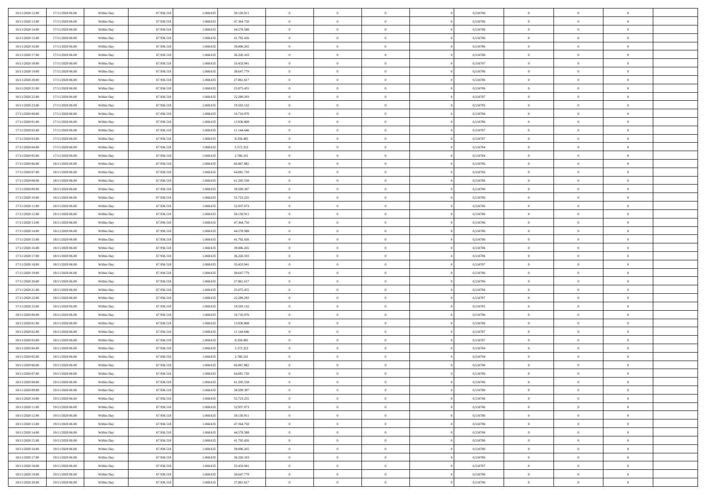| 16/11/2020 12:00 | 17/11/2020 06:00 | Within Day | 67.936.518 | 1.068.63  | 50.150.911 | $\bf{0}$                    | $\overline{0}$                   | $\overline{0}$                   | 0,516706 | $\bf{0}$       | $\overline{0}$ | $\bf{0}$       |  |
|------------------|------------------|------------|------------|-----------|------------|-----------------------------|----------------------------------|----------------------------------|----------|----------------|----------------|----------------|--|
| 16/11/2020 13:00 | 17/11/2020 06:00 | Within Day | 67.936.518 | 1.068.63  | 47.364.750 | $\overline{0}$              | $\overline{0}$                   | $\Omega$                         | 0,516706 | $\overline{0}$ | $\theta$       | $\theta$       |  |
| 16/11/2020 14:00 | 17/11/2020 06:00 | Within Day | 67.936.518 | 1.068.635 | 44.578.588 | $\overline{0}$              | $\overline{0}$                   | $\overline{0}$                   | 0,516706 | $\mathbf{0}$   | $\overline{0}$ | $\theta$       |  |
| 16/11/2020 15:00 | 17/11/2020 06:00 | Within Day | 67.936.518 | 1.068.635 | 41.792.426 | $\bf{0}$                    | $\overline{0}$                   | $\overline{0}$                   | 0,516706 | $\mathbf{0}$   | $\overline{0}$ | $\bf{0}$       |  |
| 16/11/2020 16:00 | 17/11/2020 06:00 | Within Day | 67.936.518 | 1.068.635 | 39.006.265 | $\bf{0}$                    | $\overline{0}$                   | $\overline{0}$                   | 0,516706 | $\bf{0}$       | $\overline{0}$ | $\bf{0}$       |  |
| 16/11/2020 17:00 | 17/11/2020 06:00 | Within Day | 67.936.518 | 1.068.635 | 36.220.103 | $\overline{0}$              | $\overline{0}$                   | $\overline{0}$                   | 0,516706 | $\mathbf{0}$   | $\overline{0}$ | $\theta$       |  |
| 16/11/2020 18.00 | 17/11/2020 06:00 | Within Day | 67.936.518 | 1.068.635 | 33.433.941 | $\bf{0}$                    | $\overline{0}$                   | $\overline{0}$                   | 0,516707 | $\bf{0}$       | $\overline{0}$ | $\bf{0}$       |  |
| 16/11/2020 19:00 | 17/11/2020 06:00 | Within Day | 67.936.518 | 1.068.635 | 30.647.779 | $\overline{0}$              | $\overline{0}$                   | $\overline{0}$                   | 0,516706 | $\mathbf{0}$   | $\theta$       | $\theta$       |  |
| 16/11/2020 20:00 | 17/11/2020 06:00 | Within Day | 67.936.518 | 1.068.635 | 27.861.617 | $\overline{0}$              | $\overline{0}$                   | $\overline{0}$                   | 0,516706 | $\mathbf{0}$   | $\overline{0}$ | $\theta$       |  |
|                  |                  |            | 67.936.518 | 1.068.635 | 25.075.455 | $\bf{0}$                    | $\overline{0}$                   | $\Omega$                         | 0,516706 | $\mathbf{0}$   | $\overline{0}$ | $\bf{0}$       |  |
| 16/11/2020 21:00 | 17/11/2020 06:00 | Within Day |            |           |            |                             |                                  |                                  |          |                | $\theta$       | $\theta$       |  |
| 16/11/2020 22.00 | 17/11/2020 06:00 | Within Day | 67.936.518 | 1.068.635 | 22.289.293 | $\bf{0}$<br>$\overline{0}$  | $\overline{0}$<br>$\overline{0}$ | $\overline{0}$                   | 0,516707 | $\mathbf{0}$   |                | $\theta$       |  |
| 16/11/2020 23.00 | 17/11/2020 06:00 | Within Day | 67.936.518 | 1.068.635 | 19.503.132 |                             |                                  | $\overline{0}$<br>$\overline{0}$ | 0,516705 | $\mathbf{0}$   | $\overline{0}$ |                |  |
| 17/11/2020 00:00 | 17/11/2020 06:00 | Within Day | 67.936.518 | 1.068.635 | 16.716.970 | $\bf{0}$                    | $\overline{0}$                   |                                  | 0,516706 | $\mathbf{0}$   | $\overline{0}$ | $\bf{0}$       |  |
| 17/11/2020 01:00 | 17/11/2020 06:00 | Within Day | 67.936.518 | 1.068.635 | 13.930.808 | $\bf{0}$                    | $\overline{0}$                   | $\overline{0}$                   | 0,516706 | $\bf{0}$       | $\theta$       | $\bf{0}$       |  |
| 17/11/2020 02:00 | 17/11/2020 06:00 | Within Day | 67.936.518 | 1.068.635 | 11.144.646 | $\overline{0}$              | $\overline{0}$                   | $\overline{0}$                   | 0,516707 | $\overline{0}$ | $\overline{0}$ | $\theta$       |  |
| 17/11/2020 03:00 | 17/11/2020 06:00 | Within Day | 67.936.518 | 1.068.635 | 8.358.485  | $\bf{0}$                    | $\overline{0}$                   | $\Omega$                         | 0,516707 | $\bf{0}$       | $\overline{0}$ | $\bf{0}$       |  |
| 17/11/2020 04:00 | 17/11/2020 06:00 | Within Day | 67.936.518 | 1.068.635 | 5.572.323  | $\,$ 0 $\,$                 | $\overline{0}$                   | $\overline{0}$                   | 0,516704 | $\mathbf{0}$   | $\theta$       | $\theta$       |  |
| 17/11/2020 05:00 | 17/11/2020 06:00 | Within Day | 67.936.518 | 1.068.635 | 2.786.161  | $\overline{0}$              | $\overline{0}$                   | $\overline{0}$                   | 0,516704 | $\mathbf{0}$   | $\overline{0}$ | $\theta$       |  |
| 17/11/2020 06:00 | 18/11/2020 06:00 | Within Day | 67.936.518 | 1.068.635 | 66.867.882 | $\bf{0}$                    | $\overline{0}$                   | $\Omega$                         | 0,516706 | $\bf{0}$       | $\overline{0}$ | $\bf{0}$       |  |
| 17/11/2020 07:00 | 18/11/2020 06:00 | Within Day | 67.936.518 | 1.068.635 | 64.081.720 | $\bf{0}$                    | $\overline{0}$                   | $\overline{0}$                   | 0,516706 | $\mathbf{0}$   | $\theta$       | $\overline{0}$ |  |
| 17/11/2020 08:00 | 18/11/2020 06:00 | Within Day | 67.936.518 | 1.068.635 | 61.295.558 | $\overline{0}$              | $\overline{0}$                   | $\overline{0}$                   | 0,516706 | $\mathbf{0}$   | $\overline{0}$ | $\theta$       |  |
| 17/11/2020 09:00 | 18/11/2020 06:00 | Within Day | 67.936.518 | 1.068.635 | 58.509.397 | $\bf{0}$                    | $\overline{0}$                   | $\overline{0}$                   | 0,516706 | $\mathbf{0}$   | $\overline{0}$ | $\bf{0}$       |  |
| 17/11/2020 10:00 | 18/11/2020 06:00 | Within Day | 67.936.518 | 1.068.635 | 55.723.235 | $\bf{0}$                    | $\overline{0}$                   | $\overline{0}$                   | 0,516706 | $\,$ 0 $\,$    | $\overline{0}$ | $\bf{0}$       |  |
| 17/11/2020 11:00 | 18/11/2020 06:00 | Within Day | 67.936.518 | 1.068.635 | 52.937.073 | $\overline{0}$              | $\overline{0}$                   | $\overline{0}$                   | 0,516706 | $\mathbf{0}$   | $\overline{0}$ | $\theta$       |  |
| 17/11/2020 12:00 | 18/11/2020 06:00 | Within Day | 67.936.518 | 1.068.635 | 50.150.911 | $\bf{0}$                    | $\overline{0}$                   | $\overline{0}$                   | 0,516706 | $\bf{0}$       | $\overline{0}$ | $\bf{0}$       |  |
| 17/11/2020 13:00 | 18/11/2020 06:00 | Within Day | 67.936.518 | 1.068.635 | 47.364.750 | $\,$ 0 $\,$                 | $\overline{0}$                   | $\overline{0}$                   | 0,516706 | $\mathbf{0}$   | $\overline{0}$ | $\overline{0}$ |  |
| 17/11/2020 14.00 | 18/11/2020 06:00 | Within Day | 67.936.518 | 1.068.635 | 44.578.588 | $\overline{0}$              | $\overline{0}$                   | $\overline{0}$                   | 0,516706 | $\mathbf{0}$   | $\overline{0}$ | $\theta$       |  |
| 17/11/2020 15.00 | 18/11/2020 06:00 | Within Day | 67.936.518 | 1.068.635 | 41.792.426 | $\bf{0}$                    | $\overline{0}$                   | $\Omega$                         | 0,516706 | $\mathbf{0}$   | $\overline{0}$ | $\bf{0}$       |  |
| 17/11/2020 16.00 | 18/11/2020 06:00 | Within Day | 67.936.518 | 1.068.635 | 39.006.265 | $\bf{0}$                    | $\overline{0}$                   | $\overline{0}$                   | 0,516706 | $\mathbf{0}$   | $\theta$       | $\overline{0}$ |  |
| 17/11/2020 17.00 | 18/11/2020 06:00 | Within Day | 67.936.518 | 1.068.635 | 36.220.103 | $\overline{0}$              | $\overline{0}$                   | $\overline{0}$                   | 0,516706 | $\mathbf{0}$   | $\overline{0}$ | $\theta$       |  |
| 17/11/2020 18:00 | 18/11/2020 06:00 | Within Day | 67.936.518 | 1.068.635 | 33.433.941 | $\,$ 0                      | $\overline{0}$                   | $\overline{0}$                   | 0,516707 | $\,$ 0 $\,$    | $\overline{0}$ | $\,0\,$        |  |
| 17/11/2020 19:00 | 18/11/2020 06:00 | Within Day | 67.936.518 | 1.068.635 | 30.647.779 | $\bf{0}$                    | $\overline{0}$                   | $\overline{0}$                   | 0,516706 | $\,$ 0 $\,$    | $\theta$       | $\overline{0}$ |  |
| 17/11/2020 20.00 | 18/11/2020 06:00 | Within Day | 67.936.518 | 1.068.635 | 27.861.617 | $\overline{0}$              | $\overline{0}$                   | $\overline{0}$                   | 0,516706 | $\mathbf{0}$   | $\overline{0}$ | $\theta$       |  |
| 17/11/2020 21:00 | 18/11/2020 06:00 | Within Day | 67.936.518 | 1.068.635 | 25.075.455 | $\,$ 0                      | $\overline{0}$                   | $\theta$                         | 0,516706 | $\,$ 0         | $\overline{0}$ | $\mathbf{0}$   |  |
| 17/11/2020 22.00 | 18/11/2020 06:00 | Within Day | 67.936.518 | 1.068.635 | 22.289.293 | $\bf{0}$                    | $\overline{0}$                   | $\overline{0}$                   | 0,516707 | $\mathbf{0}$   | $\overline{0}$ | $\overline{0}$ |  |
| 17/11/2020 23.00 | 18/11/2020 06:00 | Within Day | 67.936.518 | 1.068.635 | 19.503.132 | $\overline{0}$              | $\overline{0}$                   | $\overline{0}$                   | 0,516705 | $\mathbf{0}$   | $\overline{0}$ | $\theta$       |  |
| 18/11/2020 00:00 | 18/11/2020 06:00 | Within Day | 67.936.518 | 1.068.635 | 16.716.970 | $\overline{0}$              | $\overline{0}$                   | $\overline{0}$                   | 0,516706 | $\,$ 0 $\,$    | $\overline{0}$ | $\mathbf{0}$   |  |
| 18/11/2020 01:00 | 18/11/2020 06:00 | Within Day | 67.936.518 | 1.068.635 | 13.930.808 | $\bf{0}$                    | $\overline{0}$                   | $\overline{0}$                   | 0,516706 | $\mathbf{0}$   | $\theta$       | $\overline{0}$ |  |
| 18/11/2020 02:00 | 18/11/2020 06:00 | Within Day | 67.936.518 | 1.068.635 | 11.144.646 | $\overline{0}$              | $\overline{0}$                   | $\overline{0}$                   | 0,516707 | $\mathbf{0}$   | $\overline{0}$ | $\theta$       |  |
| 18/11/2020 03:00 | 18/11/2020 06:00 | Within Day | 67.936.518 | 1.068.635 | 8.358.485  | $\,$ 0                      | $\overline{0}$                   | $\overline{0}$                   | 0,516707 | $\,$ 0 $\,$    | $\overline{0}$ | $\,0\,$        |  |
| 18/11/2020 04:00 | 18/11/2020 06:00 | Within Day | 67.936.518 | 1.068.635 | 5.572.323  | $\,$ 0 $\,$                 | $\,$ 0 $\,$                      | $\overline{0}$                   | 0,516704 | $\,$ 0 $\,$    | $\overline{0}$ | $\overline{0}$ |  |
| 18/11/2020 05:00 | 18/11/2020 06:00 | Within Day | 67.936.518 | 1.068.635 | 2.786.161  | $\overline{0}$              | $\overline{0}$                   | $\overline{0}$                   | 0,516704 | $\overline{0}$ | $\overline{0}$ | $\theta$       |  |
| 18/11/2020 06:00 | 19/11/2020 06:00 | Within Day | 67.936.518 | 1.068.635 | 66.867.882 | $\overline{0}$              | $\overline{0}$                   | $\overline{0}$                   | 0,516706 | $\,$ 0         | $\overline{0}$ | $\mathbf{0}$   |  |
| 18/11/2020 07:00 | 19/11/2020 06:00 | Within Day | 67.936.518 | 1.068.635 | 64.081.720 | $\bf{0}$                    | $\overline{0}$                   | $\overline{0}$                   | 0,516706 | $\mathbf{0}$   | $\overline{0}$ | $\overline{0}$ |  |
| 18/11/2020 08:00 | 19/11/2020 06:00 | Within Day | 67.936.518 | 1.068.635 | 61.295.558 | $\overline{0}$              | $\theta$                         |                                  | 0,516706 | $\overline{0}$ | $\Omega$       | $\overline{0}$ |  |
| 18/11/2020 09:00 | 19/11/2020 06:00 | Within Day | 67.936.518 | 1.068.635 | 58.509.397 | $\,$ 0 $\,$                 | $\overline{0}$                   | $\overline{0}$                   | 0,516706 | $\,$ 0 $\,$    | $\bf{0}$       | $\mathbf{0}$   |  |
| 18/11/2020 10:00 | 19/11/2020 06:00 | Within Day | 67.936.518 | 1.068.635 | 55.723.235 | $\mathbf{0}$                | $\overline{0}$                   | $\overline{0}$                   | 0,516706 | $\,$ 0 $\,$    | $\overline{0}$ | $\overline{0}$ |  |
| 18/11/2020 11:00 | 19/11/2020 06:00 | Within Day | 67.936.518 | 1.068.635 | 52.937.073 | $\mathbf{0}$                | $\overline{0}$                   | $\overline{0}$                   | 0,516706 | $\mathbf{0}$   | $\bf{0}$       | $\overline{0}$ |  |
| 18/11/2020 12:00 | 19/11/2020 06:00 | Within Day | 67.936.518 | 1.068.635 | 50.150.911 | $\,$ 0 $\,$                 | $\overline{0}$                   | $\overline{0}$                   | 0,516706 | $\,$ 0 $\,$    | $\bf{0}$       | $\theta$       |  |
|                  |                  |            | 67.936.518 | 1.068.635 |            |                             |                                  |                                  |          |                | $\overline{0}$ |                |  |
| 18/11/2020 13:00 | 19/11/2020 06:00 | Within Day |            |           | 47.364.750 | $\,$ 0 $\,$<br>$\mathbf{0}$ | $\,$ 0 $\,$                      | $\overline{0}$                   | 0,516706 | $\,$ 0 $\,$    |                | $\overline{0}$ |  |
| 18/11/2020 14:00 | 19/11/2020 06:00 | Within Day | 67.936.518 | 1.068.635 | 44.578.588 |                             | $\overline{0}$                   | $\overline{0}$                   | 0,516706 | $\mathbf{0}$   | $\bf{0}$       | $\overline{0}$ |  |
| 18/11/2020 15:00 | 19/11/2020 06:00 | Within Day | 67.936.518 | 1.068.635 | 41.792.426 | $\,$ 0 $\,$                 | $\overline{0}$                   | $\overline{0}$                   | 0,516706 | $\,$ 0 $\,$    | $\overline{0}$ | $\theta$       |  |
| 18/11/2020 16.00 | 19/11/2020 06:00 | Within Day | 67.936.518 | 1.068.635 | 39.006.265 | $\mathbf{0}$                | $\overline{0}$                   | $\overline{0}$                   | 0,516706 | $\,$ 0 $\,$    | $\overline{0}$ | $\overline{0}$ |  |
| 18/11/2020 17:00 | 19/11/2020 06:00 | Within Day | 67.936.518 | 1.068.635 | 36.220.103 | $\mathbf{0}$                | $\overline{0}$                   | $\overline{0}$                   | 0,516706 | $\mathbf{0}$   | $\bf{0}$       | $\overline{0}$ |  |
| 18/11/2020 18:00 | 19/11/2020 06:00 | Within Day | 67.936.518 | 1.068.635 | 33.433.941 | $\,$ 0 $\,$                 | $\overline{0}$                   | $\overline{0}$                   | 0,516707 | $\,$ 0 $\,$    | $\mathbf{0}$   | $\theta$       |  |
| 18/11/2020 19:00 | 19/11/2020 06:00 | Within Day | 67.936.518 | 1.068.635 | 30.647.779 | $\mathbf{0}$                | $\overline{0}$                   | $\overline{0}$                   | 0,516706 | $\,$ 0 $\,$    | $\overline{0}$ | $\overline{0}$ |  |
| 18/11/2020 20.00 | 19/11/2020 06:00 | Within Day | 67.936.518 | 1.068.635 | 27.861.617 | $\mathbf{0}$                | $\overline{0}$                   | $\overline{0}$                   | 0,516706 | $\mathbf{0}$   | $\mathbf{0}$   | $\overline{0}$ |  |